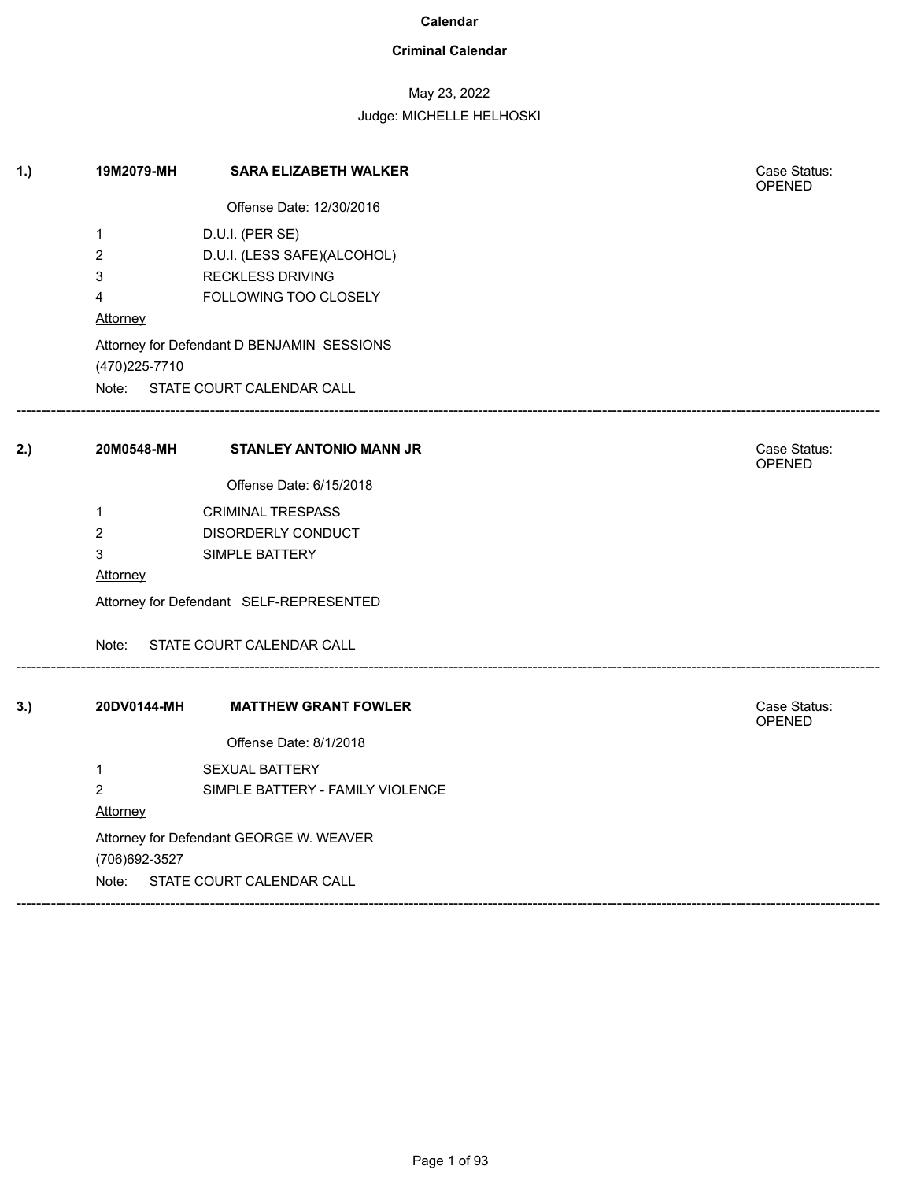### **Criminal Calendar**

## May 23, 2022

| 1.) | 19M2079-MH     | <b>SARA ELIZABETH WALKER</b>               | Case Status:<br>OPENED        |  |  |
|-----|----------------|--------------------------------------------|-------------------------------|--|--|
|     |                | Offense Date: 12/30/2016                   |                               |  |  |
|     | $\mathbf{1}$   | D.U.I. (PER SE)                            |                               |  |  |
|     | $\overline{2}$ | D.U.I. (LESS SAFE)(ALCOHOL)                |                               |  |  |
|     | 3              | <b>RECKLESS DRIVING</b>                    |                               |  |  |
|     | 4              | FOLLOWING TOO CLOSELY                      |                               |  |  |
|     | Attorney       |                                            |                               |  |  |
|     | (470) 225-7710 | Attorney for Defendant D BENJAMIN SESSIONS |                               |  |  |
|     |                | Note: STATE COURT CALENDAR CALL            |                               |  |  |
| 2.) | 20M0548-MH     | <b>STANLEY ANTONIO MANN JR</b>             | Case Status:<br><b>OPENED</b> |  |  |
|     |                | Offense Date: 6/15/2018                    |                               |  |  |
|     | $\mathbf{1}$   | <b>CRIMINAL TRESPASS</b>                   |                               |  |  |
|     | $\overline{2}$ | DISORDERLY CONDUCT                         |                               |  |  |
|     | 3              | SIMPLE BATTERY                             |                               |  |  |
|     | Attorney       |                                            |                               |  |  |
|     |                | Attorney for Defendant SELF-REPRESENTED    |                               |  |  |
|     | Note:          | STATE COURT CALENDAR CALL                  |                               |  |  |
| 3.) | 20DV0144-MH    | <b>MATTHEW GRANT FOWLER</b>                | Case Status:<br>OPENED        |  |  |
|     |                | Offense Date: 8/1/2018                     |                               |  |  |
|     | $\mathbf{1}$   | <b>SEXUAL BATTERY</b>                      |                               |  |  |
|     | $\overline{2}$ | SIMPLE BATTERY - FAMILY VIOLENCE           |                               |  |  |
|     | Attorney       |                                            |                               |  |  |
|     |                | Attorney for Defendant GEORGE W. WEAVER    |                               |  |  |
|     | (706) 692-3527 |                                            |                               |  |  |
|     |                | Note: STATE COURT CALENDAR CALL            |                               |  |  |
|     |                |                                            |                               |  |  |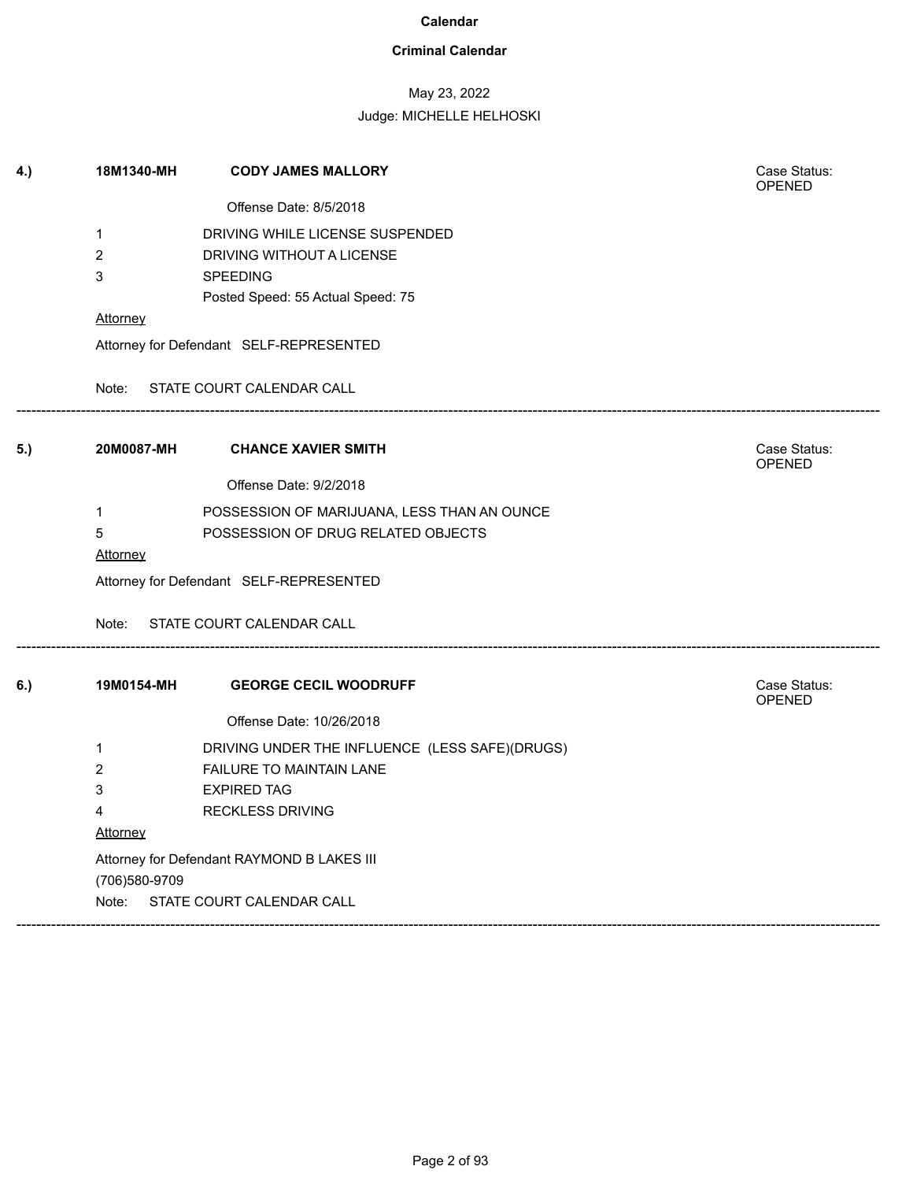### **Criminal Calendar**

## May 23, 2022

| Offense Date: 8/5/2018<br>$\mathbf{1}$<br>DRIVING WHILE LICENSE SUSPENDED<br>$\overline{2}$<br>DRIVING WITHOUT A LICENSE<br>3<br><b>SPEEDING</b><br>Posted Speed: 55 Actual Speed: 75<br>Attorney<br>Attorney for Defendant SELF-REPRESENTED<br>STATE COURT CALENDAR CALL<br>Note:<br>20M0087-MH<br><b>CHANCE XAVIER SMITH</b><br>5.)<br><b>OPENED</b><br>Offense Date: 9/2/2018<br>POSSESSION OF MARIJUANA, LESS THAN AN OUNCE<br>$\mathbf 1$<br>5<br>POSSESSION OF DRUG RELATED OBJECTS<br>Attorney<br>Attorney for Defendant SELF-REPRESENTED<br>Note:<br>STATE COURT CALENDAR CALL<br>6.)<br>19M0154-MH<br><b>GEORGE CECIL WOODRUFF</b><br><b>OPENED</b><br>Offense Date: 10/26/2018<br>$\mathbf{1}$<br>DRIVING UNDER THE INFLUENCE (LESS SAFE)(DRUGS)<br>$\overline{2}$<br><b>FAILURE TO MAINTAIN LANE</b><br>3<br><b>EXPIRED TAG</b><br>4<br><b>RECKLESS DRIVING</b><br><u>Attorney</u><br>Attorney for Defendant RAYMOND B LAKES III | 4.) | 18M1340-MH    | <b>CODY JAMES MALLORY</b> | Case Status:<br><b>OPENED</b> |  |  |
|---------------------------------------------------------------------------------------------------------------------------------------------------------------------------------------------------------------------------------------------------------------------------------------------------------------------------------------------------------------------------------------------------------------------------------------------------------------------------------------------------------------------------------------------------------------------------------------------------------------------------------------------------------------------------------------------------------------------------------------------------------------------------------------------------------------------------------------------------------------------------------------------------------------------------------------------|-----|---------------|---------------------------|-------------------------------|--|--|
|                                                                                                                                                                                                                                                                                                                                                                                                                                                                                                                                                                                                                                                                                                                                                                                                                                                                                                                                             |     |               |                           |                               |  |  |
|                                                                                                                                                                                                                                                                                                                                                                                                                                                                                                                                                                                                                                                                                                                                                                                                                                                                                                                                             |     |               |                           |                               |  |  |
|                                                                                                                                                                                                                                                                                                                                                                                                                                                                                                                                                                                                                                                                                                                                                                                                                                                                                                                                             |     |               |                           |                               |  |  |
|                                                                                                                                                                                                                                                                                                                                                                                                                                                                                                                                                                                                                                                                                                                                                                                                                                                                                                                                             |     |               |                           |                               |  |  |
|                                                                                                                                                                                                                                                                                                                                                                                                                                                                                                                                                                                                                                                                                                                                                                                                                                                                                                                                             |     |               |                           |                               |  |  |
|                                                                                                                                                                                                                                                                                                                                                                                                                                                                                                                                                                                                                                                                                                                                                                                                                                                                                                                                             |     |               |                           |                               |  |  |
|                                                                                                                                                                                                                                                                                                                                                                                                                                                                                                                                                                                                                                                                                                                                                                                                                                                                                                                                             |     |               |                           |                               |  |  |
|                                                                                                                                                                                                                                                                                                                                                                                                                                                                                                                                                                                                                                                                                                                                                                                                                                                                                                                                             |     |               |                           |                               |  |  |
|                                                                                                                                                                                                                                                                                                                                                                                                                                                                                                                                                                                                                                                                                                                                                                                                                                                                                                                                             |     |               |                           | Case Status:                  |  |  |
|                                                                                                                                                                                                                                                                                                                                                                                                                                                                                                                                                                                                                                                                                                                                                                                                                                                                                                                                             |     |               |                           |                               |  |  |
|                                                                                                                                                                                                                                                                                                                                                                                                                                                                                                                                                                                                                                                                                                                                                                                                                                                                                                                                             |     |               |                           |                               |  |  |
|                                                                                                                                                                                                                                                                                                                                                                                                                                                                                                                                                                                                                                                                                                                                                                                                                                                                                                                                             |     |               |                           |                               |  |  |
|                                                                                                                                                                                                                                                                                                                                                                                                                                                                                                                                                                                                                                                                                                                                                                                                                                                                                                                                             |     |               |                           |                               |  |  |
|                                                                                                                                                                                                                                                                                                                                                                                                                                                                                                                                                                                                                                                                                                                                                                                                                                                                                                                                             |     |               |                           |                               |  |  |
|                                                                                                                                                                                                                                                                                                                                                                                                                                                                                                                                                                                                                                                                                                                                                                                                                                                                                                                                             |     |               |                           |                               |  |  |
|                                                                                                                                                                                                                                                                                                                                                                                                                                                                                                                                                                                                                                                                                                                                                                                                                                                                                                                                             |     |               |                           | Case Status:                  |  |  |
|                                                                                                                                                                                                                                                                                                                                                                                                                                                                                                                                                                                                                                                                                                                                                                                                                                                                                                                                             |     |               |                           |                               |  |  |
|                                                                                                                                                                                                                                                                                                                                                                                                                                                                                                                                                                                                                                                                                                                                                                                                                                                                                                                                             |     |               |                           |                               |  |  |
|                                                                                                                                                                                                                                                                                                                                                                                                                                                                                                                                                                                                                                                                                                                                                                                                                                                                                                                                             |     |               |                           |                               |  |  |
|                                                                                                                                                                                                                                                                                                                                                                                                                                                                                                                                                                                                                                                                                                                                                                                                                                                                                                                                             |     |               |                           |                               |  |  |
|                                                                                                                                                                                                                                                                                                                                                                                                                                                                                                                                                                                                                                                                                                                                                                                                                                                                                                                                             |     |               |                           |                               |  |  |
|                                                                                                                                                                                                                                                                                                                                                                                                                                                                                                                                                                                                                                                                                                                                                                                                                                                                                                                                             |     |               |                           |                               |  |  |
|                                                                                                                                                                                                                                                                                                                                                                                                                                                                                                                                                                                                                                                                                                                                                                                                                                                                                                                                             |     |               |                           |                               |  |  |
|                                                                                                                                                                                                                                                                                                                                                                                                                                                                                                                                                                                                                                                                                                                                                                                                                                                                                                                                             |     | (706)580-9709 |                           |                               |  |  |
| STATE COURT CALENDAR CALL<br>Note:                                                                                                                                                                                                                                                                                                                                                                                                                                                                                                                                                                                                                                                                                                                                                                                                                                                                                                          |     |               |                           |                               |  |  |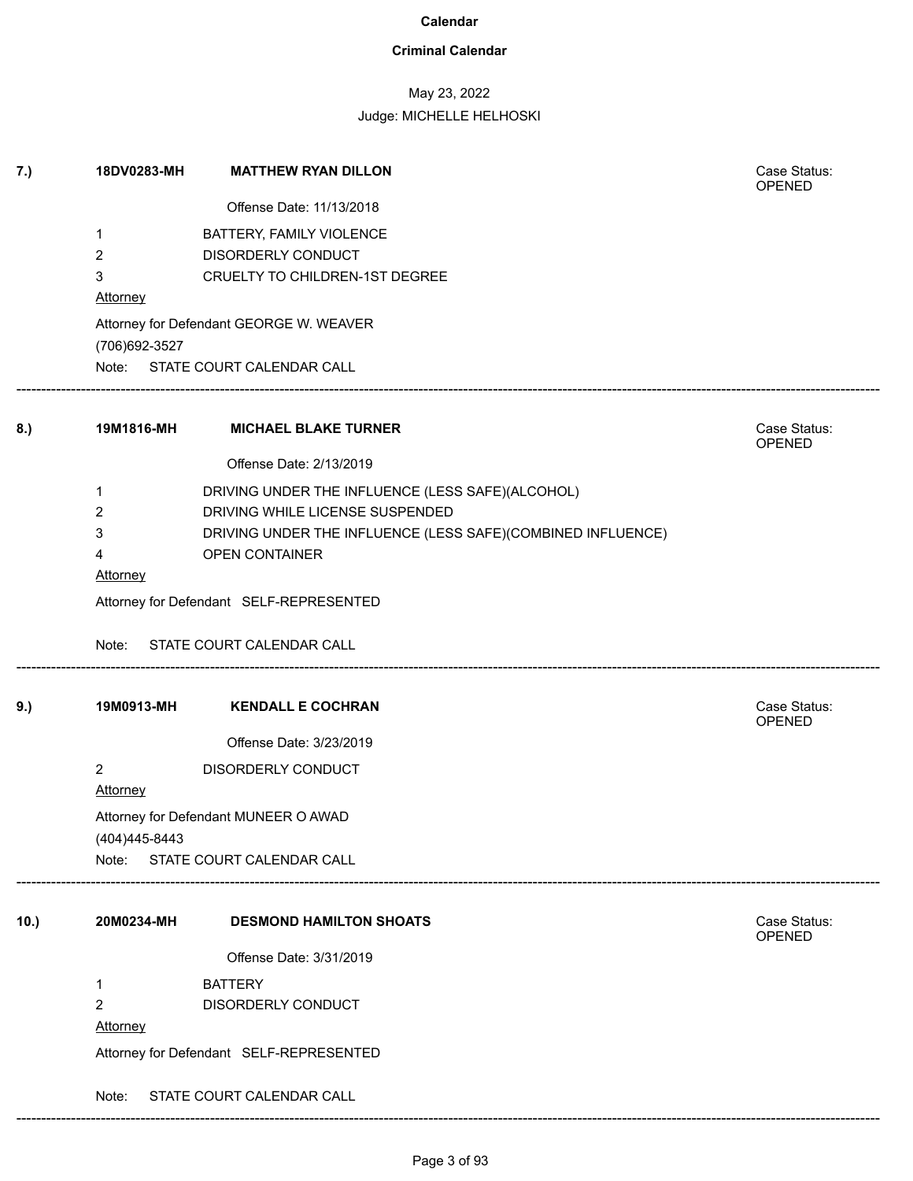### **Criminal Calendar**

## May 23, 2022

### Judge: MICHELLE HELHOSKI

| 7.)  | 18DV0283-MH                             | <b>MATTHEW RYAN DILLON</b>                                  | Case Status:<br><b>OPENED</b> |  |  |
|------|-----------------------------------------|-------------------------------------------------------------|-------------------------------|--|--|
|      |                                         | Offense Date: 11/13/2018                                    |                               |  |  |
|      | 1                                       | BATTERY, FAMILY VIOLENCE                                    |                               |  |  |
|      | 2                                       | DISORDERLY CONDUCT                                          |                               |  |  |
|      | 3                                       | CRUELTY TO CHILDREN-1ST DEGREE                              |                               |  |  |
|      | <b>Attorney</b>                         |                                                             |                               |  |  |
|      | (706) 692-3527                          | Attorney for Defendant GEORGE W. WEAVER                     |                               |  |  |
|      |                                         | Note: STATE COURT CALENDAR CALL                             |                               |  |  |
| 8.)  | 19M1816-MH                              | <b>MICHAEL BLAKE TURNER</b>                                 | Case Status:<br>OPENED        |  |  |
|      |                                         | Offense Date: 2/13/2019                                     |                               |  |  |
|      | 1                                       | DRIVING UNDER THE INFLUENCE (LESS SAFE)(ALCOHOL)            |                               |  |  |
|      | 2                                       | DRIVING WHILE LICENSE SUSPENDED                             |                               |  |  |
|      | 3                                       | DRIVING UNDER THE INFLUENCE (LESS SAFE)(COMBINED INFLUENCE) |                               |  |  |
|      | 4                                       | OPEN CONTAINER                                              |                               |  |  |
|      | <b>Attorney</b>                         |                                                             |                               |  |  |
|      | Attorney for Defendant SELF-REPRESENTED |                                                             |                               |  |  |
|      | Note:                                   | STATE COURT CALENDAR CALL                                   |                               |  |  |
| 9.)  | 19M0913-MH                              | <b>KENDALL E COCHRAN</b>                                    | Case Status:                  |  |  |
|      |                                         | Offense Date: 3/23/2019                                     | OPENED                        |  |  |
|      | $\overline{c}$                          | DISORDERLY CONDUCT                                          |                               |  |  |
|      | <b>Attorney</b>                         |                                                             |                               |  |  |
|      |                                         | Attorney for Defendant MUNEER O AWAD                        |                               |  |  |
|      | (404) 445-8443                          |                                                             |                               |  |  |
|      |                                         | Note: STATE COURT CALENDAR CALL                             |                               |  |  |
|      |                                         |                                                             |                               |  |  |
| 10.) | 20M0234-MH                              | <b>DESMOND HAMILTON SHOATS</b>                              | Case Status:<br>OPENED        |  |  |
|      |                                         | Offense Date: 3/31/2019                                     |                               |  |  |
|      | 1                                       | <b>BATTERY</b>                                              |                               |  |  |
|      | 2                                       | DISORDERLY CONDUCT                                          |                               |  |  |
|      | <b>Attorney</b>                         |                                                             |                               |  |  |
|      |                                         | Attorney for Defendant SELF-REPRESENTED                     |                               |  |  |
|      | Note:                                   | STATE COURT CALENDAR CALL                                   |                               |  |  |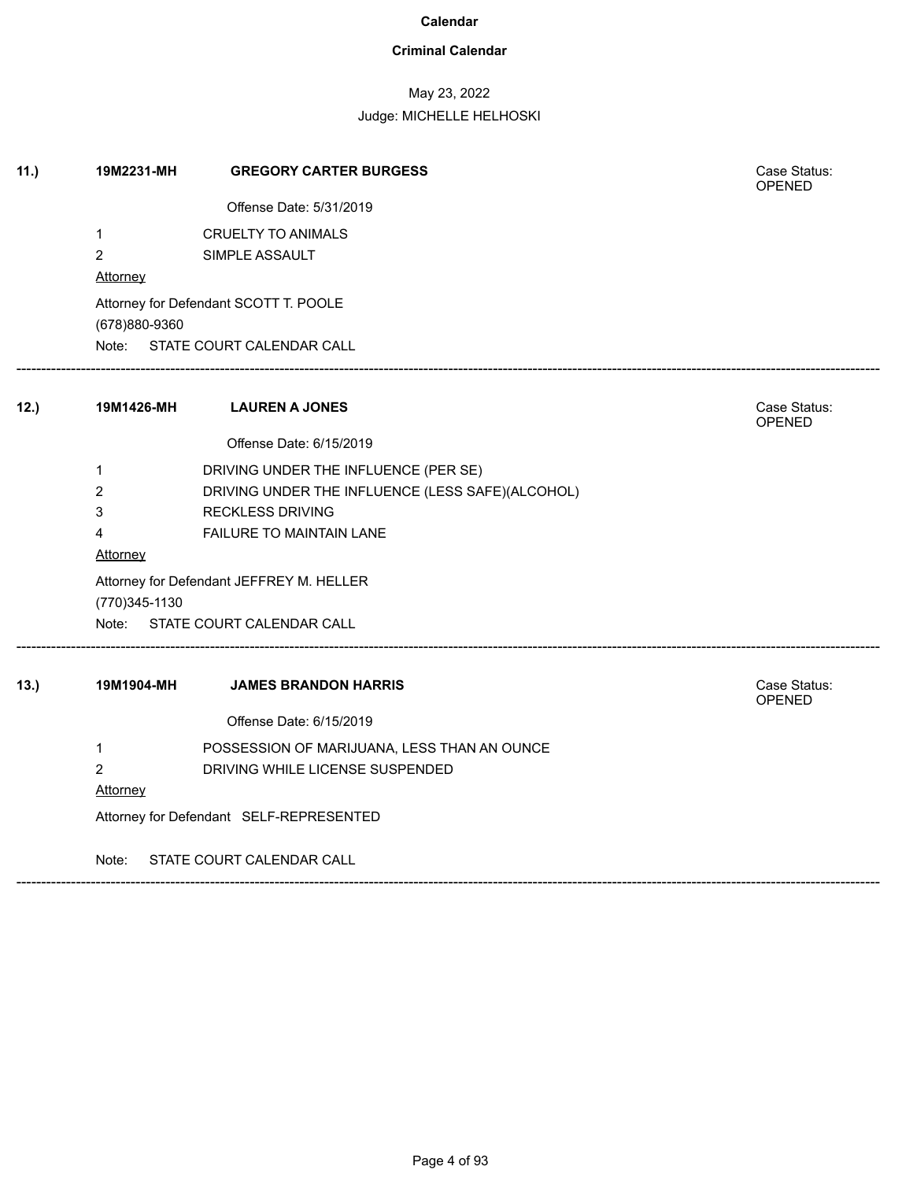### **Criminal Calendar**

## May 23, 2022

Judge: MICHELLE HELHOSKI

| 11.) | 19M2231-MH                              | <b>GREGORY CARTER BURGESS</b>                    | Case Status:<br><b>OPENED</b> |  |  |  |
|------|-----------------------------------------|--------------------------------------------------|-------------------------------|--|--|--|
|      |                                         | Offense Date: 5/31/2019                          |                               |  |  |  |
|      | $\mathbf{1}$                            | <b>CRUELTY TO ANIMALS</b>                        |                               |  |  |  |
|      | $\overline{2}$                          | SIMPLE ASSAULT                                   |                               |  |  |  |
|      | Attorney                                |                                                  |                               |  |  |  |
|      |                                         | Attorney for Defendant SCOTT T. POOLE            |                               |  |  |  |
|      | (678)880-9360                           |                                                  |                               |  |  |  |
|      |                                         | Note: STATE COURT CALENDAR CALL                  |                               |  |  |  |
| 12.  | 19M1426-MH                              | <b>LAUREN A JONES</b>                            | Case Status:<br>OPENED        |  |  |  |
|      |                                         | Offense Date: 6/15/2019                          |                               |  |  |  |
|      | $\mathbf{1}$                            | DRIVING UNDER THE INFLUENCE (PER SE)             |                               |  |  |  |
|      | $\overline{2}$                          | DRIVING UNDER THE INFLUENCE (LESS SAFE)(ALCOHOL) |                               |  |  |  |
|      | 3                                       | <b>RECKLESS DRIVING</b>                          |                               |  |  |  |
|      | 4                                       | FAILURE TO MAINTAIN LANE                         |                               |  |  |  |
|      | Attorney                                |                                                  |                               |  |  |  |
|      |                                         | Attorney for Defendant JEFFREY M. HELLER         |                               |  |  |  |
|      | (770) 345-1130                          |                                                  |                               |  |  |  |
|      |                                         | Note: STATE COURT CALENDAR CALL                  |                               |  |  |  |
| 13.) | 19M1904-MH                              | <b>JAMES BRANDON HARRIS</b>                      | Case Status:<br>OPENED        |  |  |  |
|      |                                         | Offense Date: 6/15/2019                          |                               |  |  |  |
|      | $\mathbf{1}$                            | POSSESSION OF MARIJUANA, LESS THAN AN OUNCE      |                               |  |  |  |
|      | $\overline{2}$                          | DRIVING WHILE LICENSE SUSPENDED                  |                               |  |  |  |
|      | Attorney                                |                                                  |                               |  |  |  |
|      | Attorney for Defendant SELF-REPRESENTED |                                                  |                               |  |  |  |
|      | Note:                                   | STATE COURT CALENDAR CALL                        |                               |  |  |  |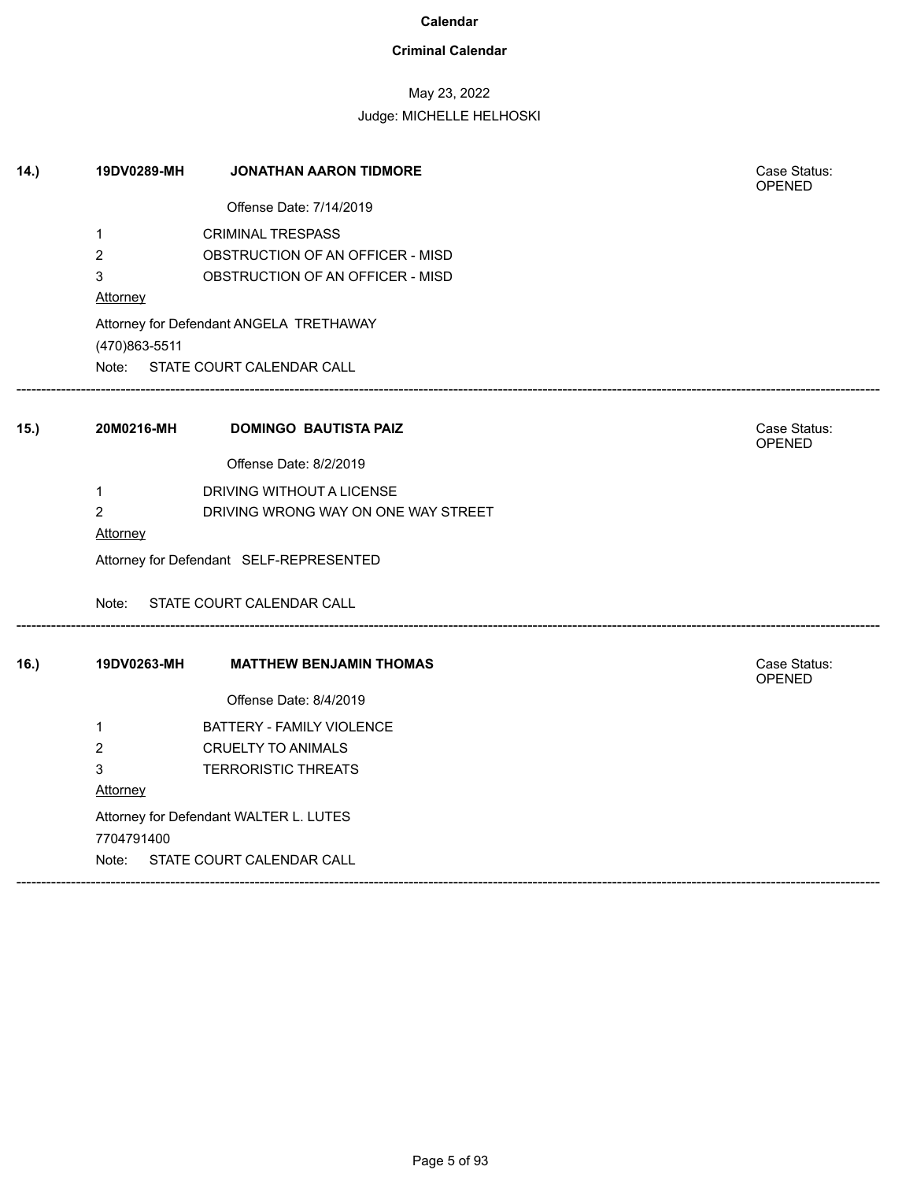### **Criminal Calendar**

## May 23, 2022

| (14.) | 19DV0289-MH    | <b>JONATHAN AARON TIDMORE</b>           | Case Status:<br><b>OPENED</b> |
|-------|----------------|-----------------------------------------|-------------------------------|
|       |                | Offense Date: 7/14/2019                 |                               |
|       | $\mathbf{1}$   | <b>CRIMINAL TRESPASS</b>                |                               |
|       | $\overline{2}$ | OBSTRUCTION OF AN OFFICER - MISD        |                               |
|       | 3              | OBSTRUCTION OF AN OFFICER - MISD        |                               |
|       | Attorney       |                                         |                               |
|       |                | Attorney for Defendant ANGELA TRETHAWAY |                               |
|       | (470)863-5511  |                                         |                               |
|       |                | Note: STATE COURT CALENDAR CALL         |                               |
| 15.)  | 20M0216-MH     | <b>DOMINGO BAUTISTA PAIZ</b>            | Case Status:<br>OPENED        |
|       |                | Offense Date: 8/2/2019                  |                               |
|       | $\mathbf{1}$   | DRIVING WITHOUT A LICENSE               |                               |
|       | $\overline{2}$ | DRIVING WRONG WAY ON ONE WAY STREET     |                               |
|       | Attorney       |                                         |                               |
|       |                | Attorney for Defendant SELF-REPRESENTED |                               |
|       |                | Note: STATE COURT CALENDAR CALL         |                               |
| 16.)  | 19DV0263-MH    | <b>MATTHEW BENJAMIN THOMAS</b>          | Case Status:<br>OPENED        |
|       |                | Offense Date: 8/4/2019                  |                               |
|       | $\mathbf{1}$   | BATTERY - FAMILY VIOLENCE               |                               |
|       | $\overline{2}$ | <b>CRUELTY TO ANIMALS</b>               |                               |
|       | 3              | <b>TERRORISTIC THREATS</b>              |                               |
|       | Attorney       |                                         |                               |
|       |                | Attorney for Defendant WALTER L. LUTES  |                               |
|       | 7704791400     |                                         |                               |
|       |                | Note: STATE COURT CALENDAR CALL         |                               |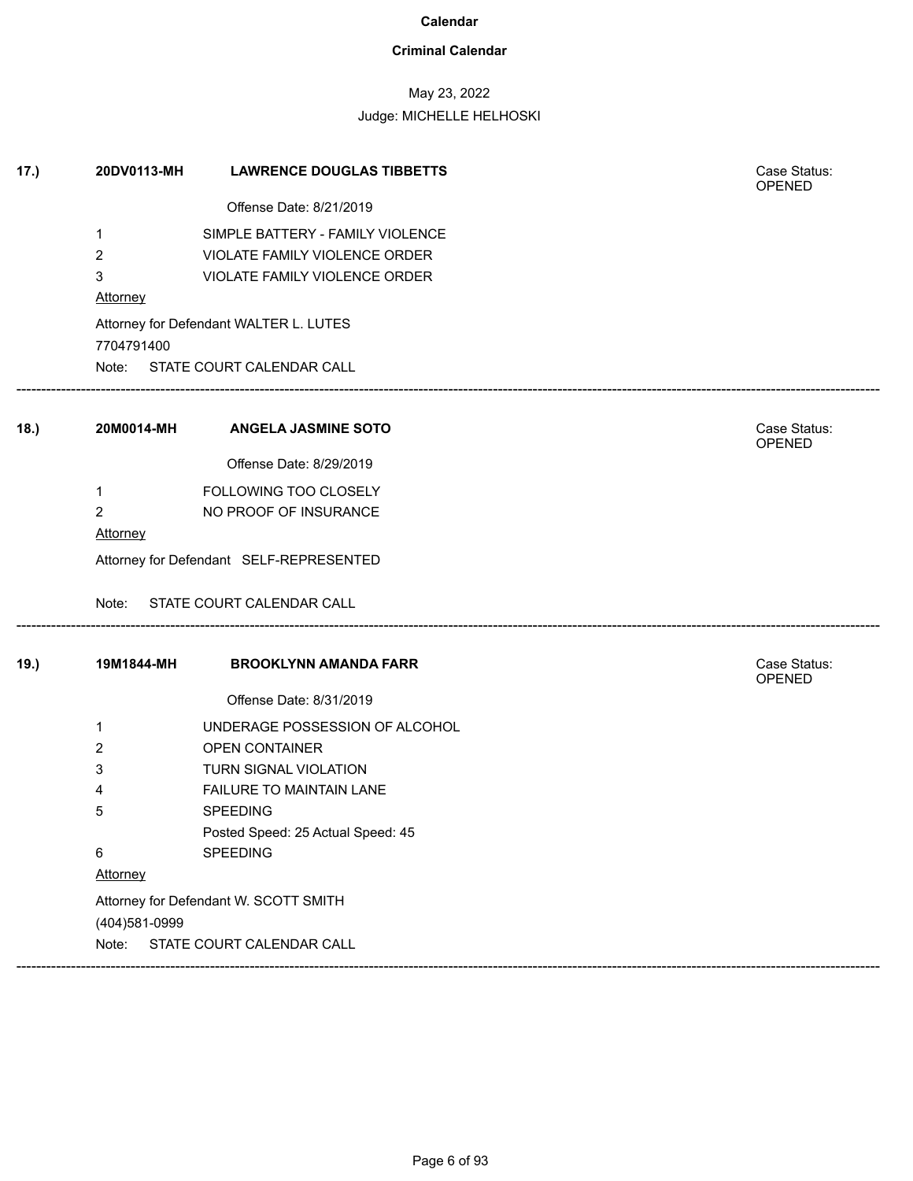### **Criminal Calendar**

## May 23, 2022

|      | $\mathbf 1$                             | Offense Date: 8/21/2019                |                        |  |  |
|------|-----------------------------------------|----------------------------------------|------------------------|--|--|
|      |                                         |                                        |                        |  |  |
|      |                                         | SIMPLE BATTERY - FAMILY VIOLENCE       |                        |  |  |
|      | $\overline{2}$                          | VIOLATE FAMILY VIOLENCE ORDER          |                        |  |  |
|      | 3                                       | VIOLATE FAMILY VIOLENCE ORDER          |                        |  |  |
|      | <b>Attorney</b>                         |                                        |                        |  |  |
|      | 7704791400                              | Attorney for Defendant WALTER L. LUTES |                        |  |  |
|      |                                         | Note: STATE COURT CALENDAR CALL        |                        |  |  |
| 18.) | 20M0014-MH                              | <b>ANGELA JASMINE SOTO</b>             | Case Status:<br>OPENED |  |  |
|      |                                         | Offense Date: 8/29/2019                |                        |  |  |
|      | $\mathbf 1$                             | FOLLOWING TOO CLOSELY                  |                        |  |  |
|      | $\overline{2}$                          | NO PROOF OF INSURANCE                  |                        |  |  |
|      | Attorney                                |                                        |                        |  |  |
|      | Attorney for Defendant SELF-REPRESENTED |                                        |                        |  |  |
|      | Note:                                   | STATE COURT CALENDAR CALL              |                        |  |  |
| 19.) | 19M1844-MH                              | <b>BROOKLYNN AMANDA FARR</b>           | Case Status:<br>OPENED |  |  |
|      |                                         | Offense Date: 8/31/2019                |                        |  |  |
|      | $\mathbf 1$                             | UNDERAGE POSSESSION OF ALCOHOL         |                        |  |  |
|      | 2                                       | OPEN CONTAINER                         |                        |  |  |
|      | 3                                       | TURN SIGNAL VIOLATION                  |                        |  |  |
|      | 4                                       | FAILURE TO MAINTAIN LANE               |                        |  |  |
|      | 5                                       | <b>SPEEDING</b>                        |                        |  |  |
|      |                                         | Posted Speed: 25 Actual Speed: 45      |                        |  |  |
|      | 6                                       | SPEEDING                               |                        |  |  |
|      | Attorney                                |                                        |                        |  |  |
|      |                                         | Attorney for Defendant W. SCOTT SMITH  |                        |  |  |
|      | (404)581-0999                           |                                        |                        |  |  |
|      | Note:                                   | STATE COURT CALENDAR CALL              |                        |  |  |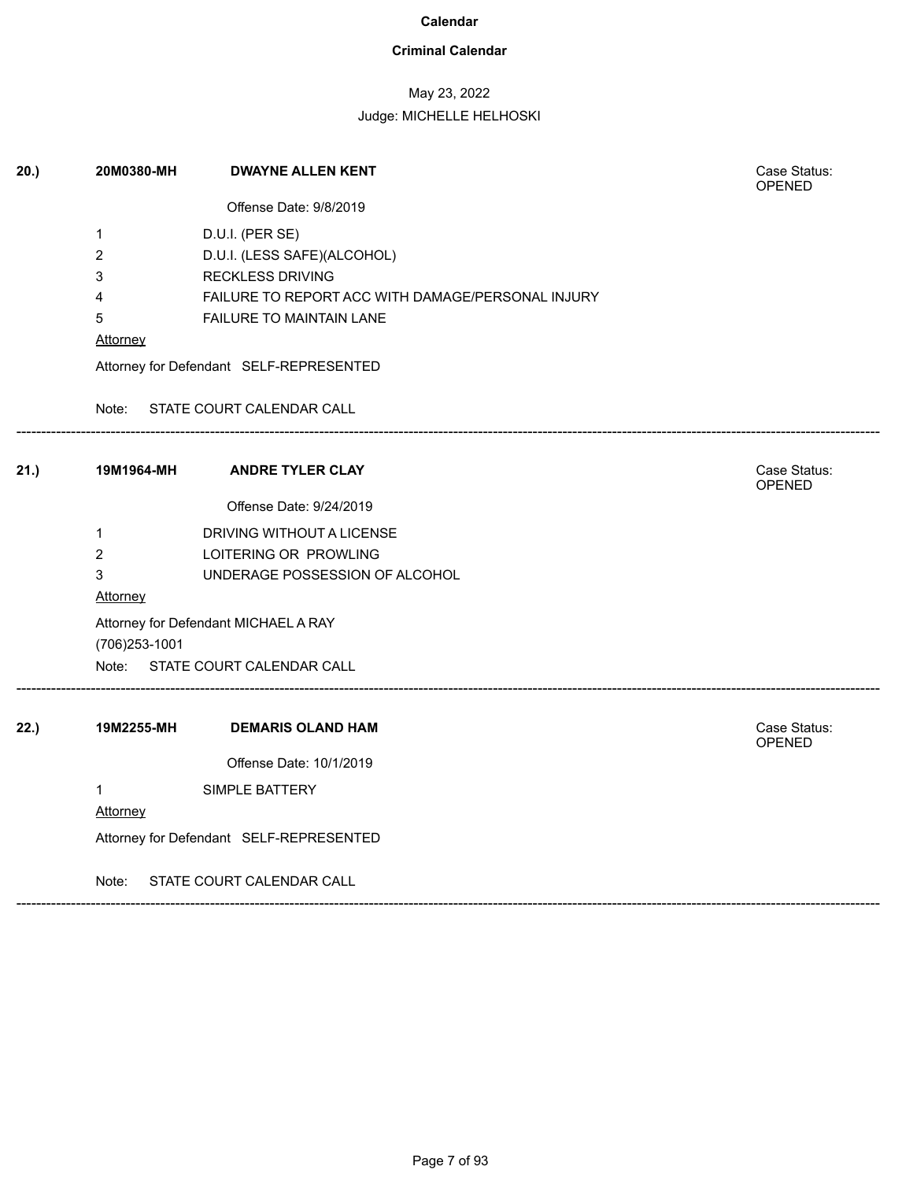### **Criminal Calendar**

## May 23, 2022

| 20.) | 20M0380-MH                                             | <b>DWAYNE ALLEN KENT</b>                          | Case Status:<br>OPENED |  |  |
|------|--------------------------------------------------------|---------------------------------------------------|------------------------|--|--|
|      |                                                        | Offense Date: 9/8/2019                            |                        |  |  |
|      | 1                                                      | D.U.I. (PER SE)                                   |                        |  |  |
|      | 2                                                      | D.U.I. (LESS SAFE)(ALCOHOL)                       |                        |  |  |
|      | 3                                                      | <b>RECKLESS DRIVING</b>                           |                        |  |  |
|      | 4                                                      | FAILURE TO REPORT ACC WITH DAMAGE/PERSONAL INJURY |                        |  |  |
|      | 5                                                      | FAILURE TO MAINTAIN LANE                          |                        |  |  |
|      | Attorney                                               |                                                   |                        |  |  |
|      |                                                        | Attorney for Defendant SELF-REPRESENTED           |                        |  |  |
|      |                                                        | Note: STATE COURT CALENDAR CALL                   |                        |  |  |
| 21.) | 19M1964-MH                                             | <b>ANDRE TYLER CLAY</b>                           | Case Status:<br>OPENED |  |  |
|      |                                                        | Offense Date: 9/24/2019                           |                        |  |  |
|      | $\mathbf{1}$                                           | DRIVING WITHOUT A LICENSE                         |                        |  |  |
|      | $\overline{2}$                                         | LOITERING OR PROWLING                             |                        |  |  |
|      | 3                                                      | UNDERAGE POSSESSION OF ALCOHOL                    |                        |  |  |
|      | <b>Attorney</b>                                        |                                                   |                        |  |  |
|      | Attorney for Defendant MICHAEL A RAY<br>(706) 253-1001 |                                                   |                        |  |  |
|      |                                                        | Note: STATE COURT CALENDAR CALL                   |                        |  |  |
| 22.) | 19M2255-MH                                             | <b>DEMARIS OLAND HAM</b>                          | Case Status:<br>OPENED |  |  |
|      |                                                        | Offense Date: 10/1/2019                           |                        |  |  |
|      | $\mathbf{1}$                                           | SIMPLE BATTERY                                    |                        |  |  |
|      | Attorney                                               |                                                   |                        |  |  |
|      | Attorney for Defendant SELF-REPRESENTED                |                                                   |                        |  |  |
|      | Note:                                                  | STATE COURT CALENDAR CALL                         |                        |  |  |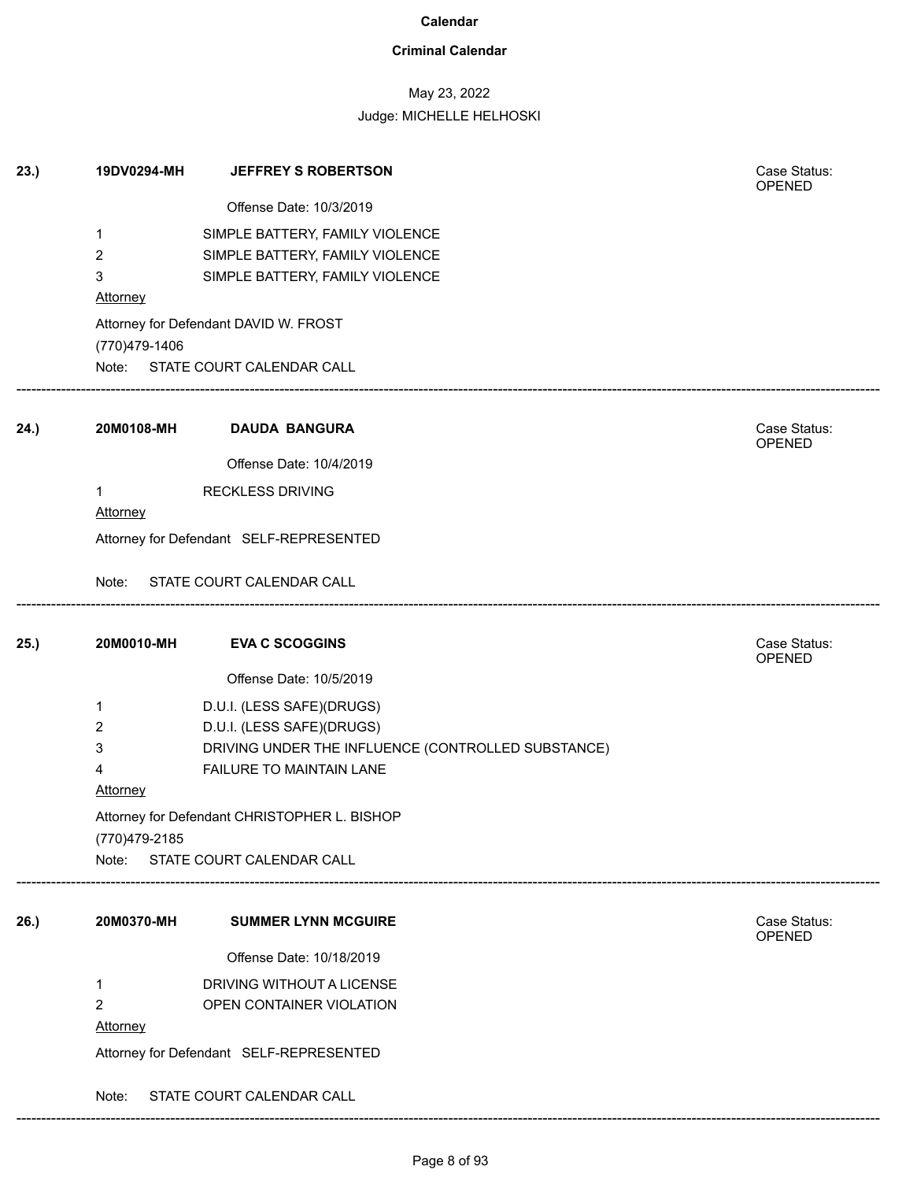### **Criminal Calendar**

## May 23, 2022

Judge: MICHELLE HELHOSKI

| 23.) | 19DV0294-MH     | <b>JEFFREY S ROBERTSON</b>                         | Case Status:<br>OPENED        |
|------|-----------------|----------------------------------------------------|-------------------------------|
|      |                 | Offense Date: 10/3/2019                            |                               |
|      | 1               | SIMPLE BATTERY, FAMILY VIOLENCE                    |                               |
|      | 2               | SIMPLE BATTERY, FAMILY VIOLENCE                    |                               |
|      | 3               | SIMPLE BATTERY, FAMILY VIOLENCE                    |                               |
|      | <b>Attorney</b> |                                                    |                               |
|      | (770)479-1406   | Attorney for Defendant DAVID W. FROST              |                               |
|      |                 | Note: STATE COURT CALENDAR CALL                    |                               |
| 24.) | 20M0108-MH      | <b>DAUDA BANGURA</b>                               | Case Status:<br>OPENED        |
|      |                 | Offense Date: 10/4/2019                            |                               |
|      | 1               | <b>RECKLESS DRIVING</b>                            |                               |
|      | Attorney        |                                                    |                               |
|      |                 | Attorney for Defendant SELF-REPRESENTED            |                               |
|      | Note:           | STATE COURT CALENDAR CALL                          |                               |
| 25.) | 20M0010-MH      | <b>EVA C SCOGGINS</b>                              | Case Status:<br><b>OPENED</b> |
|      |                 | Offense Date: 10/5/2019                            |                               |
|      | 1               | D.U.I. (LESS SAFE)(DRUGS)                          |                               |
|      | $\overline{2}$  | D.U.I. (LESS SAFE)(DRUGS)                          |                               |
|      | 3               | DRIVING UNDER THE INFLUENCE (CONTROLLED SUBSTANCE) |                               |
|      | 4               | FAILURE TO MAINTAIN LANE                           |                               |
|      | <b>Attorney</b> |                                                    |                               |
|      |                 | Attorney for Defendant CHRISTOPHER L. BISHOP       |                               |
|      | (770)479-2185   |                                                    |                               |
|      | Note:           | STATE COURT CALENDAR CALL                          |                               |
| 26.) | 20M0370-MH      | <b>SUMMER LYNN MCGUIRE</b>                         | Case Status:<br><b>OPENED</b> |
|      |                 | Offense Date: 10/18/2019                           |                               |
|      | 1               | DRIVING WITHOUT A LICENSE                          |                               |
|      | $\overline{2}$  | OPEN CONTAINER VIOLATION                           |                               |
|      | <b>Attorney</b> |                                                    |                               |
|      |                 | Attorney for Defendant SELF-REPRESENTED            |                               |
|      | Note:           | STATE COURT CALENDAR CALL                          |                               |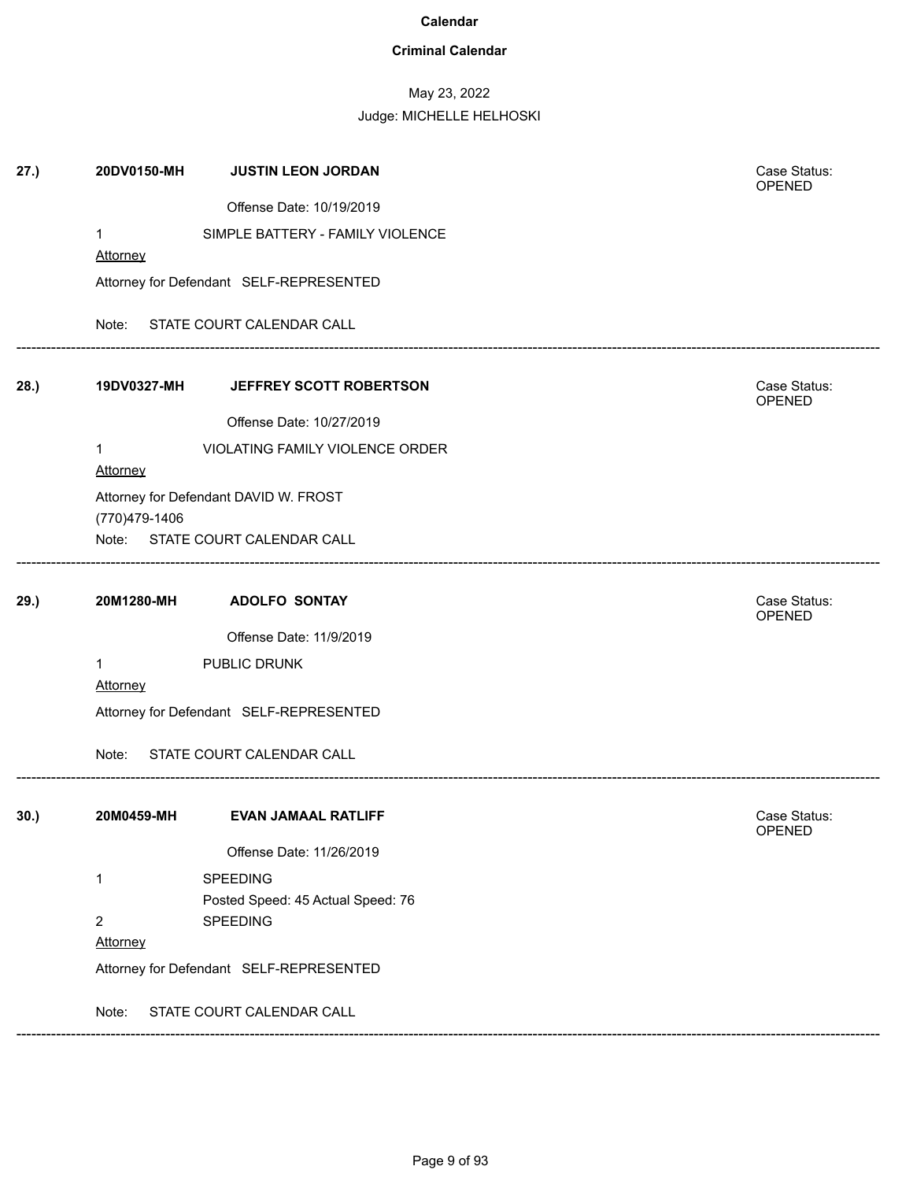### **Criminal Calendar**

## May 23, 2022

| 20DV0150-MH     | <b>JUSTIN LEON JORDAN</b>           | Case Status:<br>OPENED                                                                                                                                                                                                                                                                                                |  |  |
|-----------------|-------------------------------------|-----------------------------------------------------------------------------------------------------------------------------------------------------------------------------------------------------------------------------------------------------------------------------------------------------------------------|--|--|
|                 | Offense Date: 10/19/2019            |                                                                                                                                                                                                                                                                                                                       |  |  |
| 1               | SIMPLE BATTERY - FAMILY VIOLENCE    |                                                                                                                                                                                                                                                                                                                       |  |  |
| <b>Attorney</b> |                                     |                                                                                                                                                                                                                                                                                                                       |  |  |
|                 |                                     |                                                                                                                                                                                                                                                                                                                       |  |  |
| Note:           |                                     |                                                                                                                                                                                                                                                                                                                       |  |  |
|                 | JEFFREY SCOTT ROBERTSON             | Case Status:<br>OPENED                                                                                                                                                                                                                                                                                                |  |  |
|                 | Offense Date: 10/27/2019            |                                                                                                                                                                                                                                                                                                                       |  |  |
| 1<br>Attorney   | VIOLATING FAMILY VIOLENCE ORDER     |                                                                                                                                                                                                                                                                                                                       |  |  |
|                 |                                     |                                                                                                                                                                                                                                                                                                                       |  |  |
| (770)479-1406   |                                     |                                                                                                                                                                                                                                                                                                                       |  |  |
|                 |                                     |                                                                                                                                                                                                                                                                                                                       |  |  |
| 20M1280-MH      | <b>ADOLFO SONTAY</b>                | Case Status:<br>OPENED                                                                                                                                                                                                                                                                                                |  |  |
|                 | Offense Date: 11/9/2019             |                                                                                                                                                                                                                                                                                                                       |  |  |
| $\mathbf{1}$    | PUBLIC DRUNK                        |                                                                                                                                                                                                                                                                                                                       |  |  |
| <b>Attorney</b> |                                     |                                                                                                                                                                                                                                                                                                                       |  |  |
|                 |                                     |                                                                                                                                                                                                                                                                                                                       |  |  |
| Note:           |                                     |                                                                                                                                                                                                                                                                                                                       |  |  |
| 20M0459-MH      | <b>EVAN JAMAAL RATLIFF</b>          | Case Status:<br>OPENED                                                                                                                                                                                                                                                                                                |  |  |
|                 | Offense Date: 11/26/2019            |                                                                                                                                                                                                                                                                                                                       |  |  |
| 1               | <b>SPEEDING</b>                     |                                                                                                                                                                                                                                                                                                                       |  |  |
|                 | Posted Speed: 45 Actual Speed: 76   |                                                                                                                                                                                                                                                                                                                       |  |  |
|                 |                                     |                                                                                                                                                                                                                                                                                                                       |  |  |
|                 |                                     |                                                                                                                                                                                                                                                                                                                       |  |  |
|                 |                                     |                                                                                                                                                                                                                                                                                                                       |  |  |
| Note:           |                                     |                                                                                                                                                                                                                                                                                                                       |  |  |
|                 | Note:<br>$\overline{2}$<br>Attorney | Attorney for Defendant SELF-REPRESENTED<br>STATE COURT CALENDAR CALL<br>19DV0327-MH<br>Attorney for Defendant DAVID W. FROST<br>STATE COURT CALENDAR CALL<br>Attorney for Defendant SELF-REPRESENTED<br>STATE COURT CALENDAR CALL<br>SPEEDING<br>Attorney for Defendant SELF-REPRESENTED<br>STATE COURT CALENDAR CALL |  |  |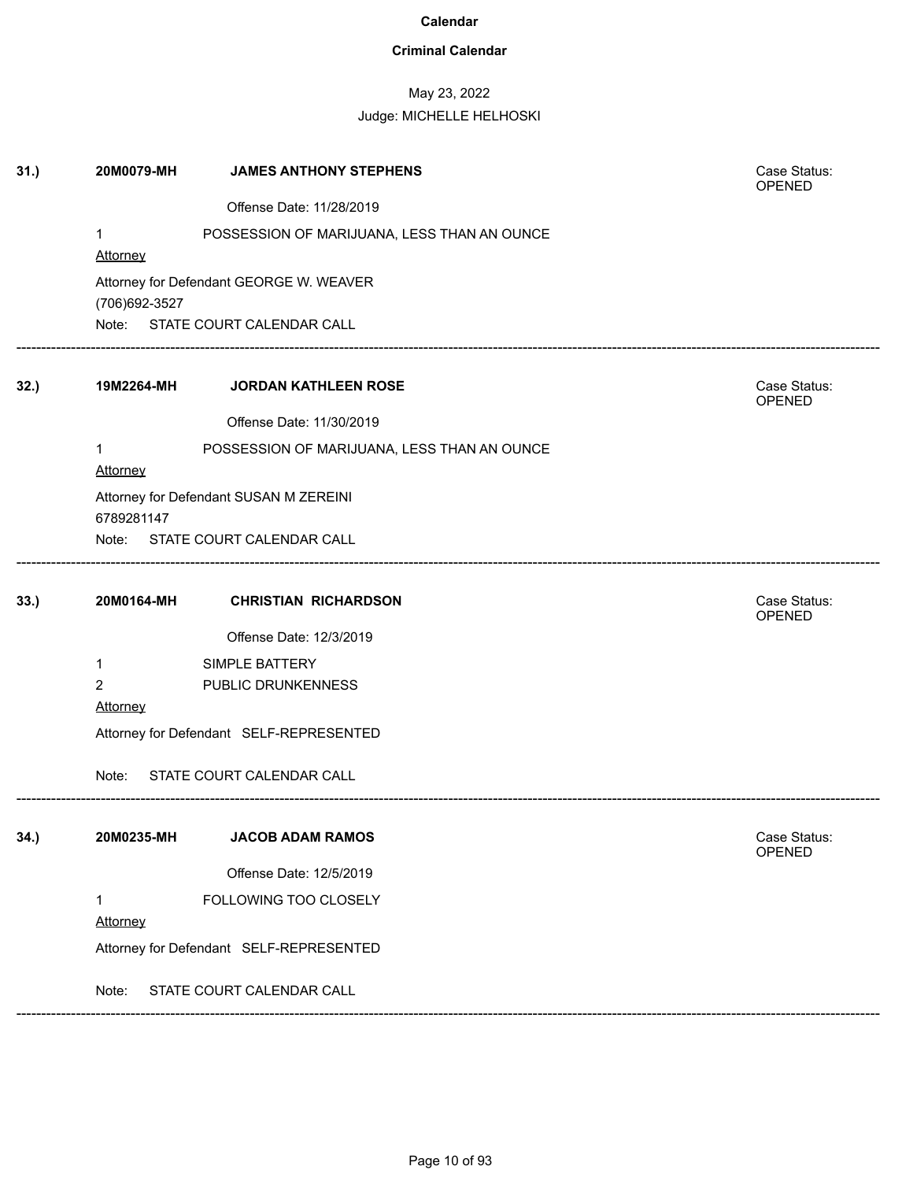### **Criminal Calendar**

## May 23, 2022

### Judge: MICHELLE HELHOSKI

| 31.) | 20M0079-MH                              | <b>JAMES ANTHONY STEPHENS</b>               | Case Status:<br>OPENED |  |  |
|------|-----------------------------------------|---------------------------------------------|------------------------|--|--|
|      |                                         | Offense Date: 11/28/2019                    |                        |  |  |
|      | $\mathbf{1}$<br><b>Attorney</b>         | POSSESSION OF MARIJUANA, LESS THAN AN OUNCE |                        |  |  |
|      | (706) 692-3527                          | Attorney for Defendant GEORGE W. WEAVER     |                        |  |  |
|      |                                         | Note: STATE COURT CALENDAR CALL             |                        |  |  |
| 32.  | 19M2264-MH                              | <b>JORDAN KATHLEEN ROSE</b>                 | Case Status:<br>OPENED |  |  |
|      |                                         | Offense Date: 11/30/2019                    |                        |  |  |
|      | 1<br>Attorney                           | POSSESSION OF MARIJUANA, LESS THAN AN OUNCE |                        |  |  |
|      | 6789281147                              | Attorney for Defendant SUSAN M ZEREINI      |                        |  |  |
|      |                                         | Note: STATE COURT CALENDAR CALL             |                        |  |  |
| 33.) | 20M0164-MH                              | <b>CHRISTIAN RICHARDSON</b>                 | Case Status:<br>OPENED |  |  |
|      |                                         | Offense Date: 12/3/2019                     |                        |  |  |
|      | $\mathbf{1}$                            | SIMPLE BATTERY                              |                        |  |  |
|      | $\overline{2}$                          | PUBLIC DRUNKENNESS                          |                        |  |  |
|      | Attorney                                |                                             |                        |  |  |
|      | Attorney for Defendant SELF-REPRESENTED |                                             |                        |  |  |
|      | Note:                                   | STATE COURT CALENDAR CALL                   |                        |  |  |
| 34.) | 20M0235-MH                              | <b>JACOB ADAM RAMOS</b>                     | Case Status:           |  |  |
|      |                                         |                                             | OPENED                 |  |  |
|      |                                         | Offense Date: 12/5/2019                     |                        |  |  |
|      | $\mathbf{1}$                            | FOLLOWING TOO CLOSELY                       |                        |  |  |
|      | Attorney                                |                                             |                        |  |  |
|      | Attorney for Defendant SELF-REPRESENTED |                                             |                        |  |  |
|      | Note:                                   | STATE COURT CALENDAR CALL                   |                        |  |  |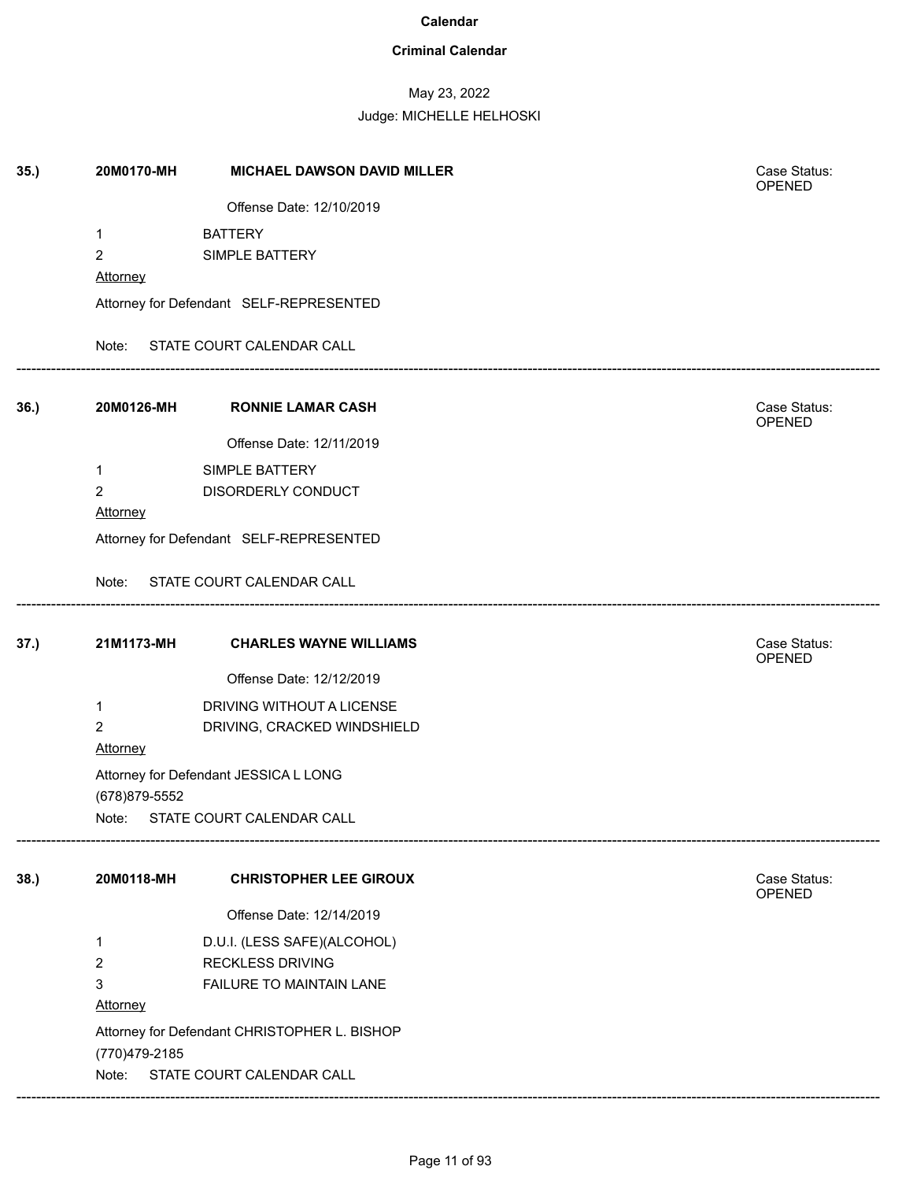### **Criminal Calendar**

## May 23, 2022

| 35.) | 20M0170-MH      | <b>MICHAEL DAWSON DAVID MILLER</b>           | Case Status:<br><b>OPENED</b> |
|------|-----------------|----------------------------------------------|-------------------------------|
|      |                 | Offense Date: 12/10/2019                     |                               |
|      | $\mathbf{1}$    | <b>BATTERY</b>                               |                               |
|      | $\overline{c}$  | SIMPLE BATTERY                               |                               |
|      | <b>Attorney</b> |                                              |                               |
|      |                 | Attorney for Defendant SELF-REPRESENTED      |                               |
|      |                 | Note: STATE COURT CALENDAR CALL              |                               |
| 36.  | 20M0126-MH      | <b>RONNIE LAMAR CASH</b>                     | Case Status:<br><b>OPENED</b> |
|      |                 | Offense Date: 12/11/2019                     |                               |
|      | $\mathbf{1}$    | SIMPLE BATTERY                               |                               |
|      | $\overline{2}$  | DISORDERLY CONDUCT                           |                               |
|      | <b>Attorney</b> |                                              |                               |
|      |                 | Attorney for Defendant SELF-REPRESENTED      |                               |
|      |                 | Note: STATE COURT CALENDAR CALL              |                               |
| 37.) | 21M1173-MH      | <b>CHARLES WAYNE WILLIAMS</b>                | Case Status:<br>OPENED        |
|      |                 | Offense Date: 12/12/2019                     |                               |
|      | $\mathbf{1}$    | DRIVING WITHOUT A LICENSE                    |                               |
|      | 2               | DRIVING, CRACKED WINDSHIELD                  |                               |
|      | Attorney        |                                              |                               |
|      |                 | Attorney for Defendant JESSICA L LONG        |                               |
|      | (678) 879-5552  |                                              |                               |
|      |                 | Note: STATE COURT CALENDAR CALL              |                               |
| 38.) | 20M0118-MH      | <b>CHRISTOPHER LEE GIROUX</b>                | Case Status:<br>OPENED        |
|      |                 | Offense Date: 12/14/2019                     |                               |
|      | 1               | D.U.I. (LESS SAFE)(ALCOHOL)                  |                               |
|      | $\overline{c}$  | <b>RECKLESS DRIVING</b>                      |                               |
|      | 3               | FAILURE TO MAINTAIN LANE                     |                               |
|      | Attorney        |                                              |                               |
|      |                 | Attorney for Defendant CHRISTOPHER L. BISHOP |                               |
|      | (770)479-2185   |                                              |                               |
|      | Note:           | STATE COURT CALENDAR CALL                    |                               |
|      |                 |                                              |                               |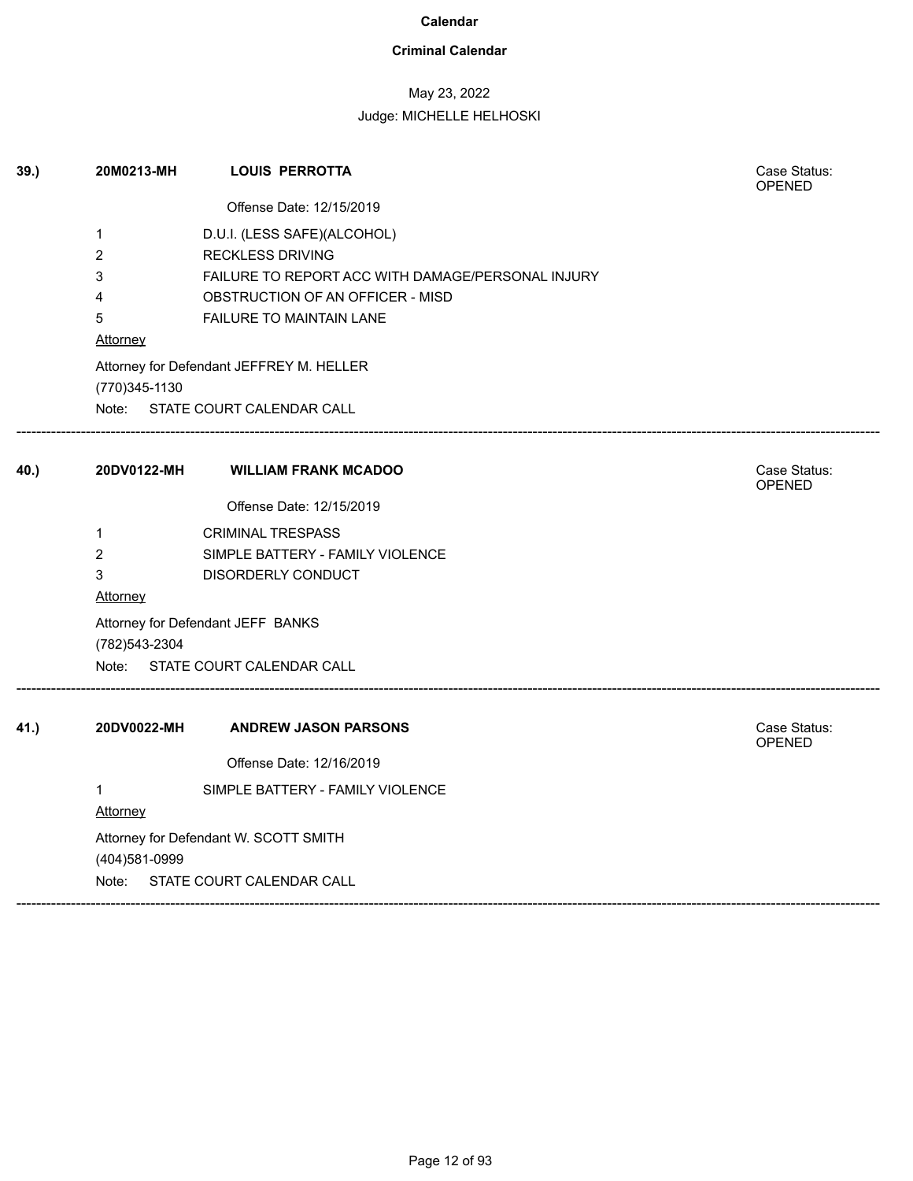### **Criminal Calendar**

## May 23, 2022

| 39.  | 20M0213-MH      | <b>LOUIS PERROTTA</b>                             | Case Status:<br><b>OPENED</b> |
|------|-----------------|---------------------------------------------------|-------------------------------|
|      |                 | Offense Date: 12/15/2019                          |                               |
|      | 1               | D.U.I. (LESS SAFE)(ALCOHOL)                       |                               |
|      | $\overline{2}$  | <b>RECKLESS DRIVING</b>                           |                               |
|      | 3               | FAILURE TO REPORT ACC WITH DAMAGE/PERSONAL INJURY |                               |
|      | 4               | OBSTRUCTION OF AN OFFICER - MISD                  |                               |
|      | 5               | FAILURE TO MAINTAIN LANE                          |                               |
|      | <b>Attorney</b> |                                                   |                               |
|      |                 | Attorney for Defendant JEFFREY M. HELLER          |                               |
|      | (770)345-1130   |                                                   |                               |
|      |                 | Note: STATE COURT CALENDAR CALL                   |                               |
| 40.) | 20DV0122-MH     | <b>WILLIAM FRANK MCADOO</b>                       | Case Status:<br><b>OPENED</b> |
|      |                 | Offense Date: 12/15/2019                          |                               |
|      | $\mathbf{1}$    | <b>CRIMINAL TRESPASS</b>                          |                               |
|      | $\overline{2}$  | SIMPLE BATTERY - FAMILY VIOLENCE                  |                               |
|      | 3               | DISORDERLY CONDUCT                                |                               |
|      | Attorney        |                                                   |                               |
|      | (782) 543-2304  | Attorney for Defendant JEFF BANKS                 |                               |
|      |                 | Note: STATE COURT CALENDAR CALL                   |                               |
| 41.) | 20DV0022-MH     | <b>ANDREW JASON PARSONS</b>                       | Case Status:<br>OPENED        |
|      |                 | Offense Date: 12/16/2019                          |                               |
|      | $\mathbf{1}$    | SIMPLE BATTERY - FAMILY VIOLENCE                  |                               |
|      | Attorney        |                                                   |                               |
|      | (404)581-0999   | Attorney for Defendant W. SCOTT SMITH             |                               |
|      | Note:           | STATE COURT CALENDAR CALL                         |                               |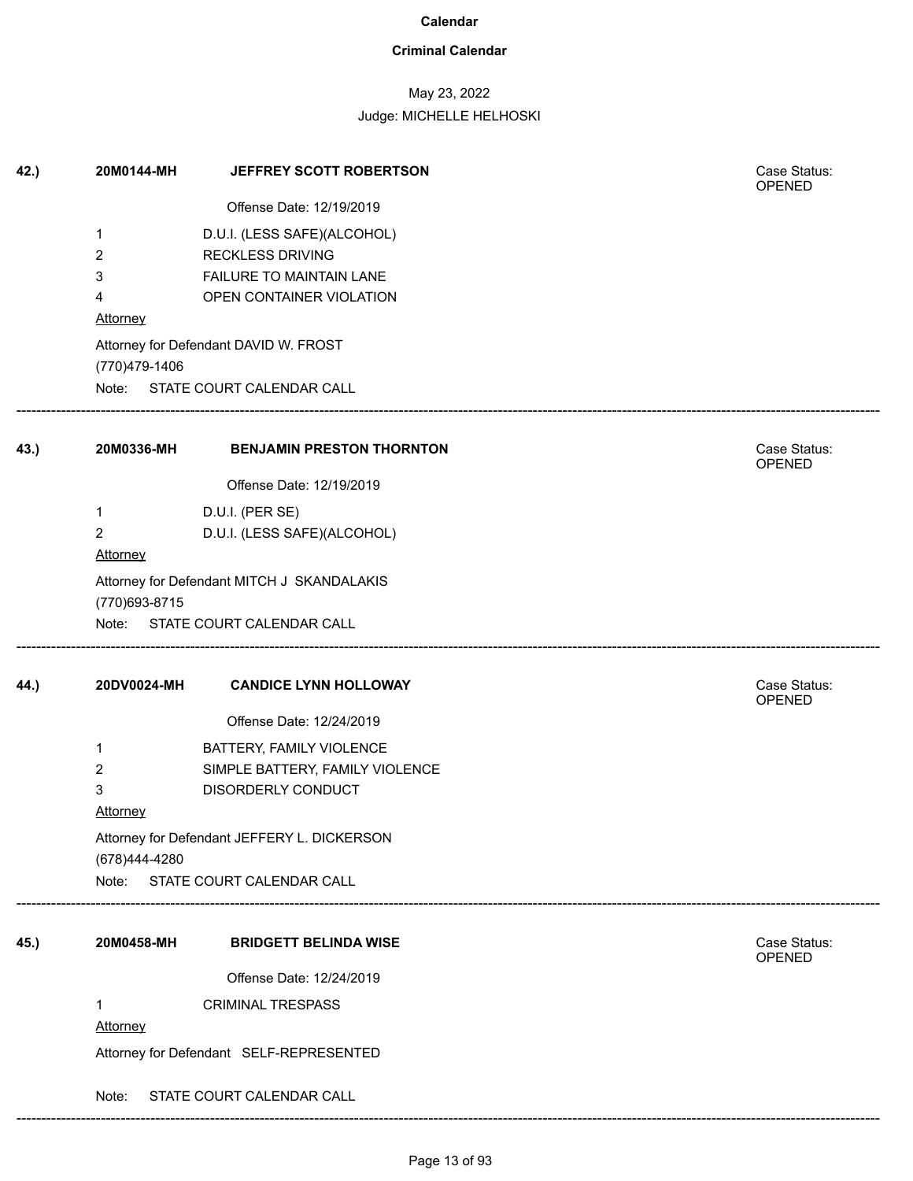### **Criminal Calendar**

## May 23, 2022

Judge: MICHELLE HELHOSKI

| 42.) | 20M0144-MH              | JEFFREY SCOTT ROBERTSON                     | Case Status:<br>OPENED |
|------|-------------------------|---------------------------------------------|------------------------|
|      |                         | Offense Date: 12/19/2019                    |                        |
|      | $\mathbf{1}$            | D.U.I. (LESS SAFE)(ALCOHOL)                 |                        |
|      | $\overline{2}$          | <b>RECKLESS DRIVING</b>                     |                        |
|      | 3                       | FAILURE TO MAINTAIN LANE                    |                        |
|      | 4                       | OPEN CONTAINER VIOLATION                    |                        |
|      | <b>Attorney</b>         |                                             |                        |
|      |                         | Attorney for Defendant DAVID W. FROST       |                        |
|      | (770)479-1406<br>Note:  | STATE COURT CALENDAR CALL                   |                        |
|      |                         |                                             |                        |
| 43.) | 20M0336-MH              | <b>BENJAMIN PRESTON THORNTON</b>            | Case Status:<br>OPENED |
|      |                         | Offense Date: 12/19/2019                    |                        |
|      | $\mathbf 1$             | D.U.I. (PER SE)                             |                        |
|      | $\overline{2}$          | D.U.I. (LESS SAFE)(ALCOHOL)                 |                        |
|      | Attorney                |                                             |                        |
|      |                         | Attorney for Defendant MITCH J SKANDALAKIS  |                        |
|      | (770) 693-8715<br>Note: | STATE COURT CALENDAR CALL                   |                        |
|      |                         |                                             |                        |
| 44.) | 20DV0024-MH             | <b>CANDICE LYNN HOLLOWAY</b>                | Case Status:<br>OPENED |
|      |                         | Offense Date: 12/24/2019                    |                        |
|      | 1                       | BATTERY, FAMILY VIOLENCE                    |                        |
|      | $\overline{2}$          | SIMPLE BATTERY, FAMILY VIOLENCE             |                        |
|      | 3                       | DISORDERLY CONDUCT                          |                        |
|      | <b>Attorney</b>         |                                             |                        |
|      |                         | Attorney for Defendant JEFFERY L. DICKERSON |                        |
|      | (678)444-4280           | Note: STATE COURT CALENDAR CALL             |                        |
|      |                         |                                             |                        |
| 45.) | 20M0458-MH              | <b>BRIDGETT BELINDA WISE</b>                | Case Status:           |
|      |                         |                                             | <b>OPENED</b>          |
|      |                         | Offense Date: 12/24/2019                    |                        |
|      | 1                       | <b>CRIMINAL TRESPASS</b>                    |                        |
|      | <b>Attorney</b>         |                                             |                        |
|      |                         | Attorney for Defendant SELF-REPRESENTED     |                        |
|      | Note:                   | STATE COURT CALENDAR CALL                   |                        |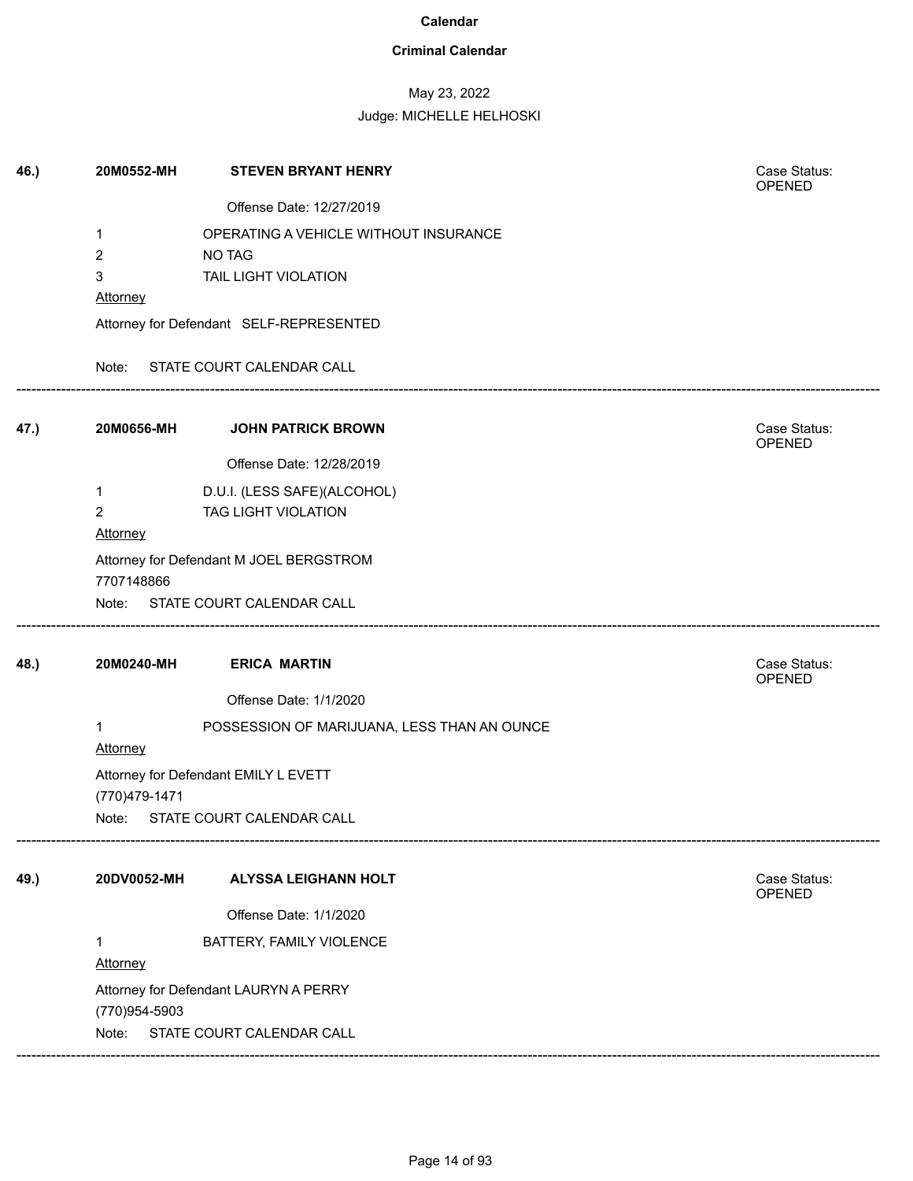### **Criminal Calendar**

# May 23, 2022

| Offense Date: 12/27/2019<br>OPERATING A VEHICLE WITHOUT INSURANCE<br>1<br>2<br>NO TAG<br>3<br>TAIL LIGHT VIOLATION<br><b>Attorney</b><br>Attorney for Defendant SELF-REPRESENTED<br>STATE COURT CALENDAR CALL<br>Note:<br>Case Status:<br>20M0656-MH<br><b>JOHN PATRICK BROWN</b><br>OPENED<br>Offense Date: 12/28/2019<br>D.U.I. (LESS SAFE)(ALCOHOL)<br>$\mathbf{1}$<br>$\overline{c}$<br>TAG LIGHT VIOLATION<br>Attorney<br>Attorney for Defendant M JOEL BERGSTROM<br>7707148866<br>Note: STATE COURT CALENDAR CALL<br><b>ERICA MARTIN</b><br>20M0240-MH<br>Case Status:<br>OPENED<br>Offense Date: 1/1/2020<br>POSSESSION OF MARIJUANA, LESS THAN AN OUNCE<br>1<br>Attorney<br>Attorney for Defendant EMILY L EVETT<br>(770)479-1471<br>STATE COURT CALENDAR CALL<br>Note: |  |
|---------------------------------------------------------------------------------------------------------------------------------------------------------------------------------------------------------------------------------------------------------------------------------------------------------------------------------------------------------------------------------------------------------------------------------------------------------------------------------------------------------------------------------------------------------------------------------------------------------------------------------------------------------------------------------------------------------------------------------------------------------------------------------|--|
| 47.)<br>48.)                                                                                                                                                                                                                                                                                                                                                                                                                                                                                                                                                                                                                                                                                                                                                                    |  |
|                                                                                                                                                                                                                                                                                                                                                                                                                                                                                                                                                                                                                                                                                                                                                                                 |  |
|                                                                                                                                                                                                                                                                                                                                                                                                                                                                                                                                                                                                                                                                                                                                                                                 |  |
|                                                                                                                                                                                                                                                                                                                                                                                                                                                                                                                                                                                                                                                                                                                                                                                 |  |
|                                                                                                                                                                                                                                                                                                                                                                                                                                                                                                                                                                                                                                                                                                                                                                                 |  |
|                                                                                                                                                                                                                                                                                                                                                                                                                                                                                                                                                                                                                                                                                                                                                                                 |  |
|                                                                                                                                                                                                                                                                                                                                                                                                                                                                                                                                                                                                                                                                                                                                                                                 |  |
|                                                                                                                                                                                                                                                                                                                                                                                                                                                                                                                                                                                                                                                                                                                                                                                 |  |
|                                                                                                                                                                                                                                                                                                                                                                                                                                                                                                                                                                                                                                                                                                                                                                                 |  |
|                                                                                                                                                                                                                                                                                                                                                                                                                                                                                                                                                                                                                                                                                                                                                                                 |  |
|                                                                                                                                                                                                                                                                                                                                                                                                                                                                                                                                                                                                                                                                                                                                                                                 |  |
|                                                                                                                                                                                                                                                                                                                                                                                                                                                                                                                                                                                                                                                                                                                                                                                 |  |
|                                                                                                                                                                                                                                                                                                                                                                                                                                                                                                                                                                                                                                                                                                                                                                                 |  |
|                                                                                                                                                                                                                                                                                                                                                                                                                                                                                                                                                                                                                                                                                                                                                                                 |  |
|                                                                                                                                                                                                                                                                                                                                                                                                                                                                                                                                                                                                                                                                                                                                                                                 |  |
|                                                                                                                                                                                                                                                                                                                                                                                                                                                                                                                                                                                                                                                                                                                                                                                 |  |
|                                                                                                                                                                                                                                                                                                                                                                                                                                                                                                                                                                                                                                                                                                                                                                                 |  |
|                                                                                                                                                                                                                                                                                                                                                                                                                                                                                                                                                                                                                                                                                                                                                                                 |  |
| 20DV0052-MH<br>Case Status:<br>49.)<br><b>ALYSSA LEIGHANN HOLT</b><br>OPENED                                                                                                                                                                                                                                                                                                                                                                                                                                                                                                                                                                                                                                                                                                    |  |
| Offense Date: 1/1/2020                                                                                                                                                                                                                                                                                                                                                                                                                                                                                                                                                                                                                                                                                                                                                          |  |
| BATTERY, FAMILY VIOLENCE<br>1<br>Attorney                                                                                                                                                                                                                                                                                                                                                                                                                                                                                                                                                                                                                                                                                                                                       |  |
| Attorney for Defendant LAURYN A PERRY                                                                                                                                                                                                                                                                                                                                                                                                                                                                                                                                                                                                                                                                                                                                           |  |
| (770)954-5903                                                                                                                                                                                                                                                                                                                                                                                                                                                                                                                                                                                                                                                                                                                                                                   |  |
| STATE COURT CALENDAR CALL<br>Note:                                                                                                                                                                                                                                                                                                                                                                                                                                                                                                                                                                                                                                                                                                                                              |  |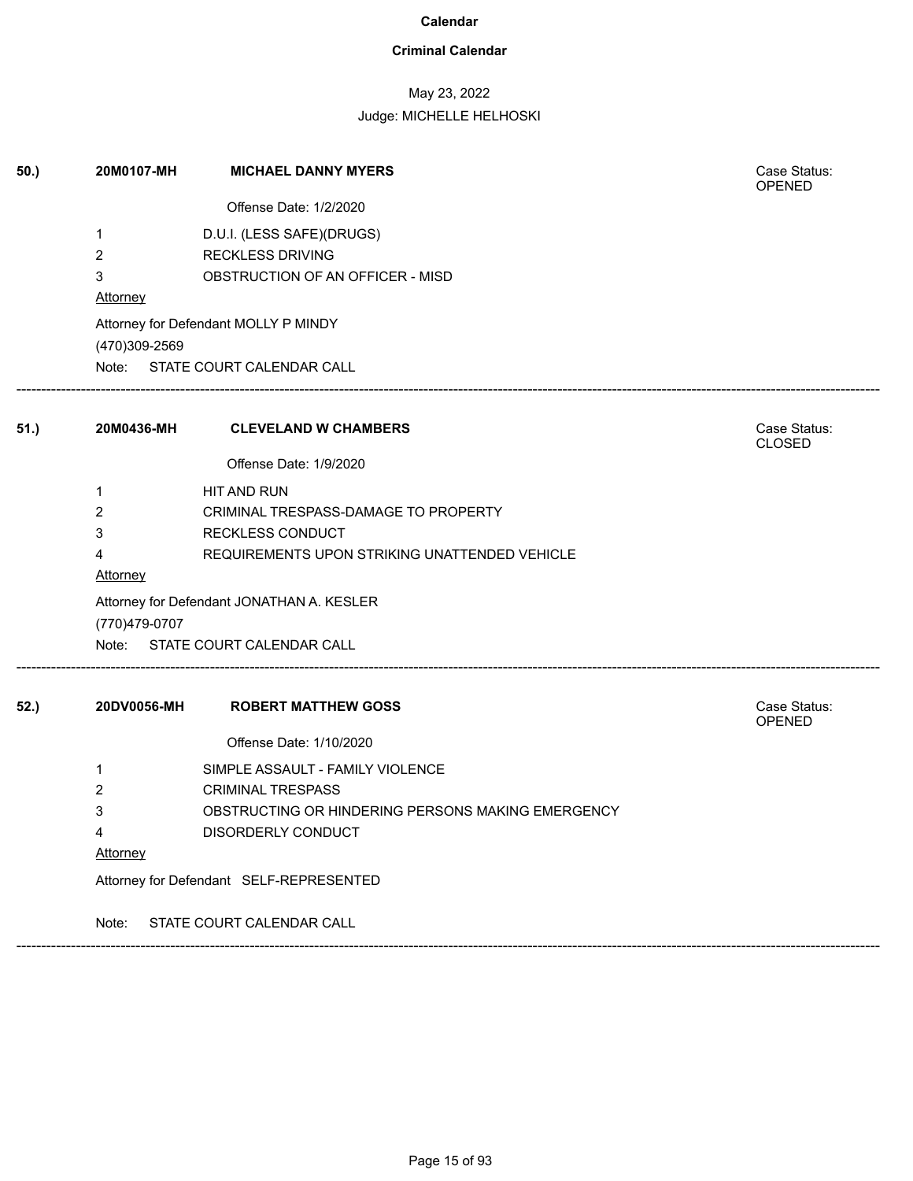### **Criminal Calendar**

## May 23, 2022

### Judge: MICHELLE HELHOSKI

| 50.) | 20M0107-MH      | <b>MICHAEL DANNY MYERS</b>                        | Case Status:<br><b>OPENED</b> |  |  |
|------|-----------------|---------------------------------------------------|-------------------------------|--|--|
|      |                 | Offense Date: 1/2/2020                            |                               |  |  |
|      | 1               | D.U.I. (LESS SAFE)(DRUGS)                         |                               |  |  |
|      | $\overline{2}$  | <b>RECKLESS DRIVING</b>                           |                               |  |  |
|      | 3               | OBSTRUCTION OF AN OFFICER - MISD                  |                               |  |  |
|      | Attorney        |                                                   |                               |  |  |
|      | (470)309-2569   | Attorney for Defendant MOLLY P MINDY              |                               |  |  |
|      |                 | Note: STATE COURT CALENDAR CALL                   |                               |  |  |
| 51.) |                 | 20M0436-MH CLEVELAND W CHAMBERS                   | Case Status:<br><b>CLOSED</b> |  |  |
|      |                 | Offense Date: 1/9/2020                            |                               |  |  |
|      | 1               | HIT AND RUN                                       |                               |  |  |
|      | 2               | CRIMINAL TRESPASS-DAMAGE TO PROPERTY              |                               |  |  |
|      | 3               | RECKLESS CONDUCT                                  |                               |  |  |
|      | 4               | REQUIREMENTS UPON STRIKING UNATTENDED VEHICLE     |                               |  |  |
|      | <b>Attorney</b> |                                                   |                               |  |  |
|      |                 | Attorney for Defendant JONATHAN A. KESLER         |                               |  |  |
|      | (770)479-0707   |                                                   |                               |  |  |
|      |                 | Note: STATE COURT CALENDAR CALL                   |                               |  |  |
| 52.) | 20DV0056-MH     | <b>ROBERT MATTHEW GOSS</b>                        | Case Status:<br>OPENED        |  |  |
|      |                 | Offense Date: 1/10/2020                           |                               |  |  |
|      | 1               | SIMPLE ASSAULT - FAMILY VIOLENCE                  |                               |  |  |
|      | 2               | <b>CRIMINAL TRESPASS</b>                          |                               |  |  |
|      | 3               | OBSTRUCTING OR HINDERING PERSONS MAKING EMERGENCY |                               |  |  |
|      | 4               | DISORDERLY CONDUCT                                |                               |  |  |
|      | <u>Attorney</u> |                                                   |                               |  |  |
|      |                 | Attorney for Defendant SELF-REPRESENTED           |                               |  |  |
|      | Note:           | STATE COURT CALENDAR CALL                         |                               |  |  |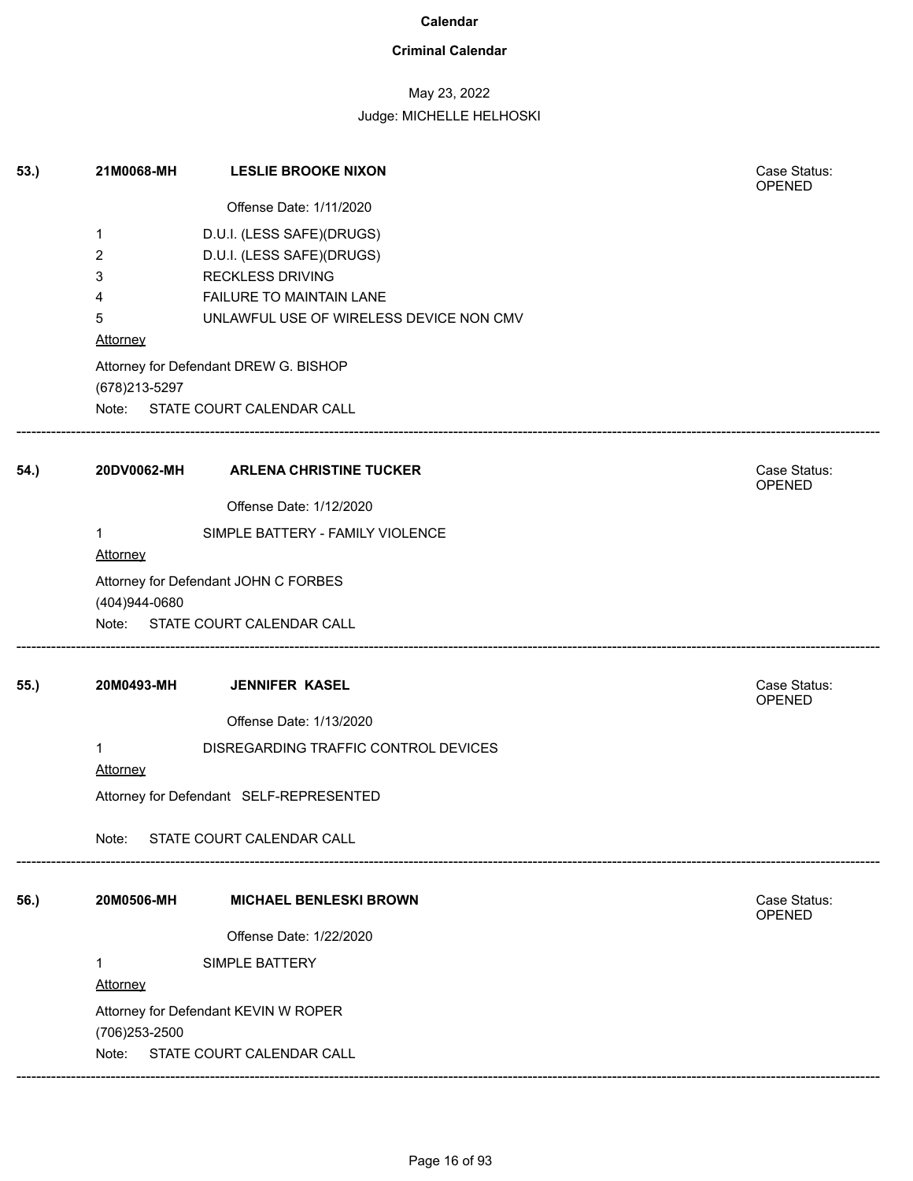### **Criminal Calendar**

## May 23, 2022

| 53.) | 21M0068-MH                      | <b>LESLIE BROOKE NIXON</b>              | Case Status:<br>OPENED |  |  |
|------|---------------------------------|-----------------------------------------|------------------------|--|--|
|      |                                 | Offense Date: 1/11/2020                 |                        |  |  |
|      | $\mathbf{1}$                    | D.U.I. (LESS SAFE)(DRUGS)               |                        |  |  |
|      | 2                               | D.U.I. (LESS SAFE)(DRUGS)               |                        |  |  |
|      | 3                               | <b>RECKLESS DRIVING</b>                 |                        |  |  |
|      | 4                               | FAILURE TO MAINTAIN LANE                |                        |  |  |
|      | 5<br>Attorney                   | UNLAWFUL USE OF WIRELESS DEVICE NON CMV |                        |  |  |
|      | (678) 213-5297                  | Attorney for Defendant DREW G. BISHOP   |                        |  |  |
|      |                                 | Note: STATE COURT CALENDAR CALL         |                        |  |  |
| 54.) | 20DV0062-MH                     | <b>ARLENA CHRISTINE TUCKER</b>          | Case Status:<br>OPENED |  |  |
|      |                                 | Offense Date: 1/12/2020                 |                        |  |  |
|      | $\mathbf{1}$<br><b>Attorney</b> | SIMPLE BATTERY - FAMILY VIOLENCE        |                        |  |  |
|      | (404)944-0680                   | Attorney for Defendant JOHN C FORBES    |                        |  |  |
|      |                                 | Note: STATE COURT CALENDAR CALL         |                        |  |  |
| 55.) | 20M0493-MH                      | <b>JENNIFER KASEL</b>                   | Case Status:<br>OPENED |  |  |
|      |                                 | Offense Date: 1/13/2020                 |                        |  |  |
|      | $\mathbf{1}$<br>Attorney        | DISREGARDING TRAFFIC CONTROL DEVICES    |                        |  |  |
|      |                                 | Attorney for Defendant SELF-REPRESENTED |                        |  |  |
|      | Note:                           | STATE COURT CALENDAR CALL               |                        |  |  |
| 56.) | 20M0506-MH                      | <b>MICHAEL BENLESKI BROWN</b>           | Case Status:<br>OPENED |  |  |
|      |                                 | Offense Date: 1/22/2020                 |                        |  |  |
|      | $\mathbf{1}$                    | SIMPLE BATTERY                          |                        |  |  |
|      | Attorney                        |                                         |                        |  |  |
|      |                                 |                                         |                        |  |  |
|      | (706) 253-2500                  | Attorney for Defendant KEVIN W ROPER    |                        |  |  |
|      | Note:                           | STATE COURT CALENDAR CALL               |                        |  |  |
|      |                                 |                                         |                        |  |  |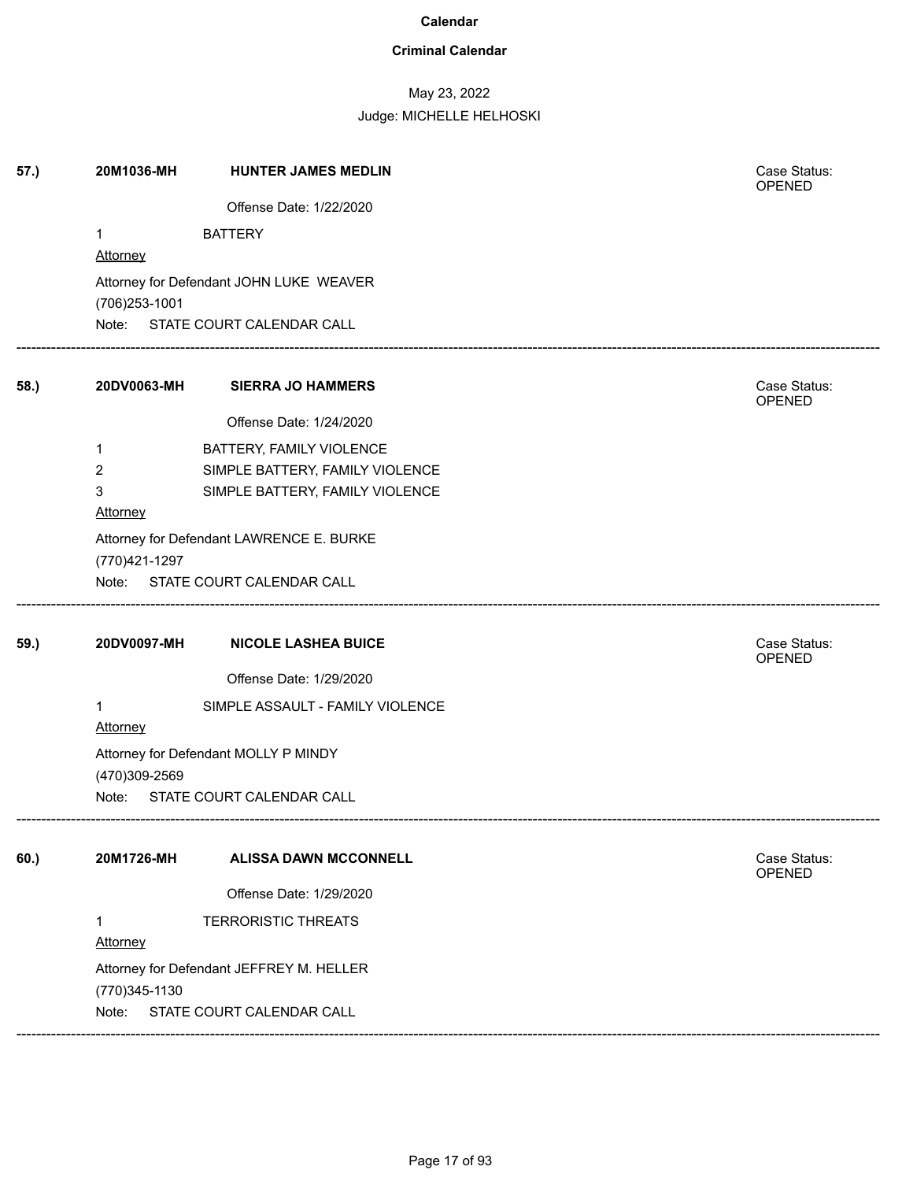### **Criminal Calendar**

## May 23, 2022

Judge: MICHELLE HELHOSKI

| 57.) | 20M1036-MH           | <b>HUNTER JAMES MEDLIN</b>               | Case Status:<br>OPENED |
|------|----------------------|------------------------------------------|------------------------|
|      |                      | Offense Date: 1/22/2020                  |                        |
|      | 1                    | <b>BATTERY</b>                           |                        |
|      | <b>Attorney</b>      |                                          |                        |
|      |                      | Attorney for Defendant JOHN LUKE WEAVER  |                        |
|      | (706) 253-1001       | Note: STATE COURT CALENDAR CALL          |                        |
|      |                      |                                          |                        |
| 58.) | 20DV0063-MH          | <b>SIERRA JO HAMMERS</b>                 | Case Status:<br>OPENED |
|      |                      | Offense Date: 1/24/2020                  |                        |
|      | 1                    | BATTERY, FAMILY VIOLENCE                 |                        |
|      | 2                    | SIMPLE BATTERY, FAMILY VIOLENCE          |                        |
|      | $\mathbf{3}$         | SIMPLE BATTERY, FAMILY VIOLENCE          |                        |
|      | <b>Attorney</b>      |                                          |                        |
|      |                      | Attorney for Defendant LAWRENCE E. BURKE |                        |
|      | (770)421-1297        |                                          |                        |
|      |                      | Note: STATE COURT CALENDAR CALL          |                        |
| 59.) | 20DV0097-MH          | <b>NICOLE LASHEA BUICE</b>               | Case Status:           |
|      |                      |                                          | OPENED                 |
|      |                      | Offense Date: 1/29/2020                  |                        |
|      | 1<br><b>Attorney</b> | SIMPLE ASSAULT - FAMILY VIOLENCE         |                        |
|      |                      | Attorney for Defendant MOLLY P MINDY     |                        |
|      | (470)309-2569        |                                          |                        |
|      |                      | Note: STATE COURT CALENDAR CALL          |                        |
| 60.) | 20M1726-MH           | <b>ALISSA DAWN MCCONNELL</b>             | Case Status:           |
|      |                      |                                          | <b>OPENED</b>          |
|      |                      | Offense Date: 1/29/2020                  |                        |
|      | 1                    | <b>TERRORISTIC THREATS</b>               |                        |
|      | <b>Attorney</b>      |                                          |                        |
|      |                      | Attorney for Defendant JEFFREY M. HELLER |                        |
|      | (770)345-1130        |                                          |                        |
|      | Note:                | STATE COURT CALENDAR CALL                |                        |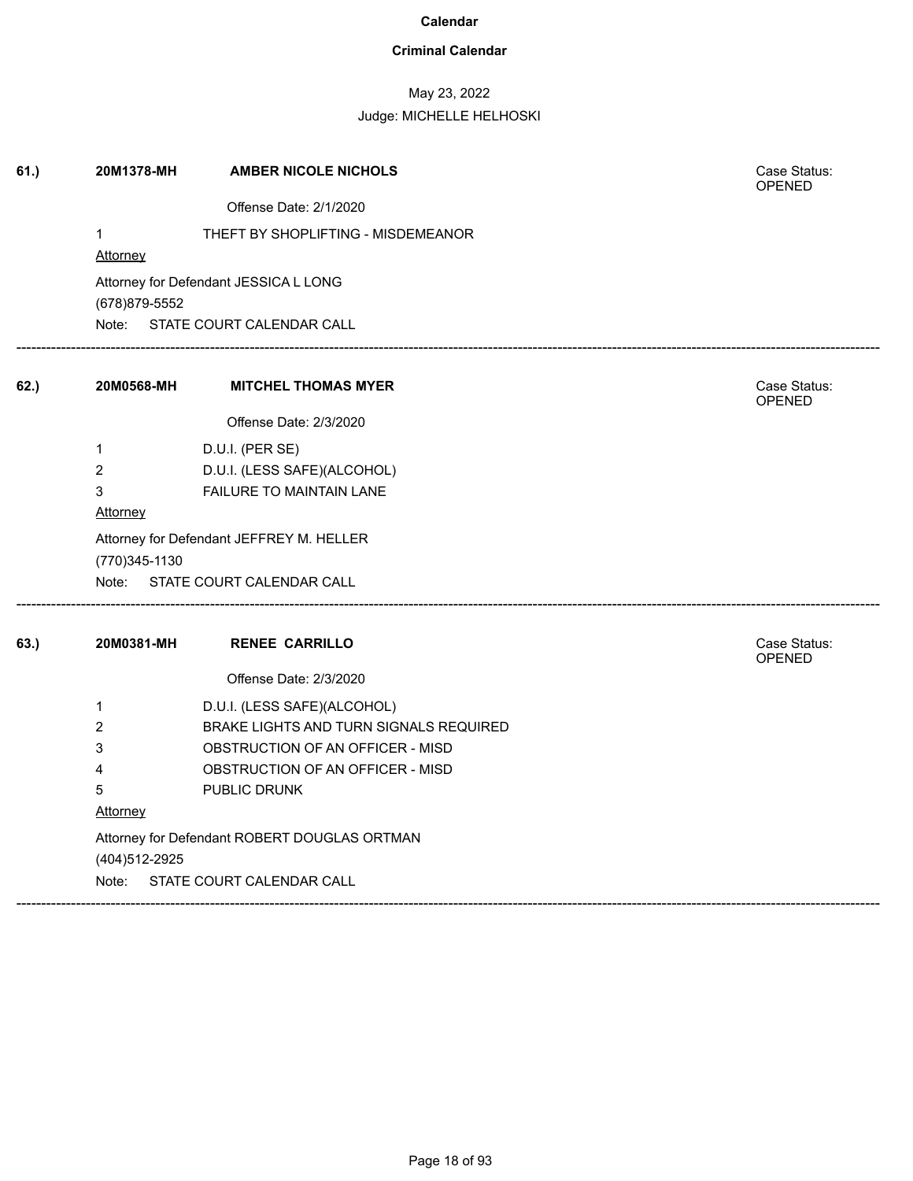### **Criminal Calendar**

## May 23, 2022

| 61.) | 20M1378-MH                                                | <b>AMBER NICOLE NICHOLS</b>                  | Case Status:<br><b>OPENED</b> |  |  |
|------|-----------------------------------------------------------|----------------------------------------------|-------------------------------|--|--|
|      |                                                           | Offense Date: 2/1/2020                       |                               |  |  |
|      | $\mathbf{1}$                                              | THEFT BY SHOPLIFTING - MISDEMEANOR           |                               |  |  |
|      | Attorney                                                  |                                              |                               |  |  |
|      | (678) 879-5552                                            | Attorney for Defendant JESSICA L LONG        |                               |  |  |
|      | Note:                                                     | STATE COURT CALENDAR CALL                    |                               |  |  |
| 62.  | 20M0568-MH                                                | <b>MITCHEL THOMAS MYER</b>                   | Case Status:<br>OPENED        |  |  |
|      |                                                           | Offense Date: 2/3/2020                       |                               |  |  |
|      | 1                                                         | D.U.I. (PER SE)                              |                               |  |  |
|      | 2                                                         | D.U.I. (LESS SAFE)(ALCOHOL)                  |                               |  |  |
|      | 3                                                         | FAILURE TO MAINTAIN LANE                     |                               |  |  |
|      | <b>Attorney</b>                                           |                                              |                               |  |  |
|      | Attorney for Defendant JEFFREY M. HELLER<br>(770)345-1130 |                                              |                               |  |  |
|      |                                                           | Note: STATE COURT CALENDAR CALL              |                               |  |  |
| 63.) | 20M0381-MH                                                | <b>RENEE CARRILLO</b>                        | Case Status:<br>OPENED        |  |  |
|      |                                                           | Offense Date: 2/3/2020                       |                               |  |  |
|      | 1                                                         | D.U.I. (LESS SAFE)(ALCOHOL)                  |                               |  |  |
|      | 2                                                         | BRAKE LIGHTS AND TURN SIGNALS REQUIRED       |                               |  |  |
|      | 3                                                         | OBSTRUCTION OF AN OFFICER - MISD             |                               |  |  |
|      | 4                                                         | OBSTRUCTION OF AN OFFICER - MISD             |                               |  |  |
|      | 5                                                         | PUBLIC DRUNK                                 |                               |  |  |
|      | Attorney                                                  |                                              |                               |  |  |
|      |                                                           | Attorney for Defendant ROBERT DOUGLAS ORTMAN |                               |  |  |
|      | (404) 512-2925                                            |                                              |                               |  |  |
|      | Note:                                                     | STATE COURT CALENDAR CALL                    |                               |  |  |
|      |                                                           |                                              |                               |  |  |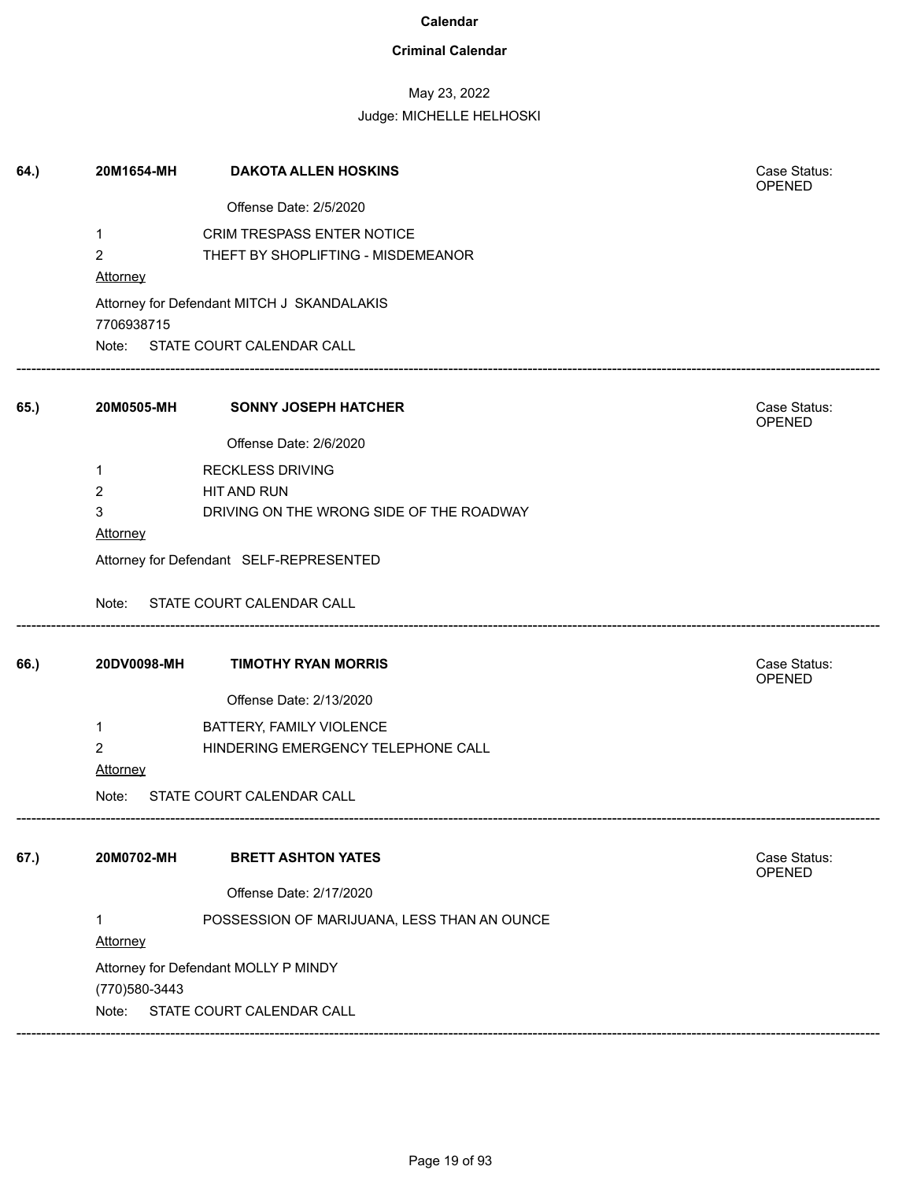### **Criminal Calendar**

## May 23, 2022

### Judge: MICHELLE HELHOSKI

| 64.) | 20M1654-MH      | <b>DAKOTA ALLEN HOSKINS</b>                 | Case Status:<br>OPENED |  |  |
|------|-----------------|---------------------------------------------|------------------------|--|--|
|      |                 | Offense Date: 2/5/2020                      |                        |  |  |
|      | $\mathbf{1}$    | CRIM TRESPASS ENTER NOTICE                  |                        |  |  |
|      | $\overline{2}$  | THEFT BY SHOPLIFTING - MISDEMEANOR          |                        |  |  |
|      | Attorney        |                                             |                        |  |  |
|      | 7706938715      | Attorney for Defendant MITCH J SKANDALAKIS  |                        |  |  |
|      |                 | Note: STATE COURT CALENDAR CALL             |                        |  |  |
| 65.) | 20M0505-MH      | <b>SONNY JOSEPH HATCHER</b>                 | Case Status:<br>OPENED |  |  |
|      |                 | Offense Date: 2/6/2020                      |                        |  |  |
|      | $\mathbf 1$     | <b>RECKLESS DRIVING</b>                     |                        |  |  |
|      | $\overline{2}$  | <b>HIT AND RUN</b>                          |                        |  |  |
|      | 3               | DRIVING ON THE WRONG SIDE OF THE ROADWAY    |                        |  |  |
|      | Attorney        |                                             |                        |  |  |
|      |                 | Attorney for Defendant SELF-REPRESENTED     |                        |  |  |
|      |                 | Note: STATE COURT CALENDAR CALL             |                        |  |  |
| 66.) | 20DV0098-MH     | <b>TIMOTHY RYAN MORRIS</b>                  | Case Status:<br>OPENED |  |  |
|      |                 | Offense Date: 2/13/2020                     |                        |  |  |
|      | $\mathbf{1}$    | BATTERY, FAMILY VIOLENCE                    |                        |  |  |
|      | $\overline{2}$  | HINDERING EMERGENCY TELEPHONE CALL          |                        |  |  |
|      | <b>Attorney</b> |                                             |                        |  |  |
|      | Note:           | STATE COURT CALENDAR CALL                   |                        |  |  |
| 67.) | 20M0702-MH      | <b>BRETT ASHTON YATES</b>                   | Case Status:           |  |  |
|      |                 |                                             | OPENED                 |  |  |
|      |                 | Offense Date: 2/17/2020                     |                        |  |  |
|      | 1               | POSSESSION OF MARIJUANA, LESS THAN AN OUNCE |                        |  |  |
|      | <b>Attorney</b> |                                             |                        |  |  |
|      |                 | Attorney for Defendant MOLLY P MINDY        |                        |  |  |
|      | (770) 580-3443  |                                             |                        |  |  |
|      | Note:           | STATE COURT CALENDAR CALL                   |                        |  |  |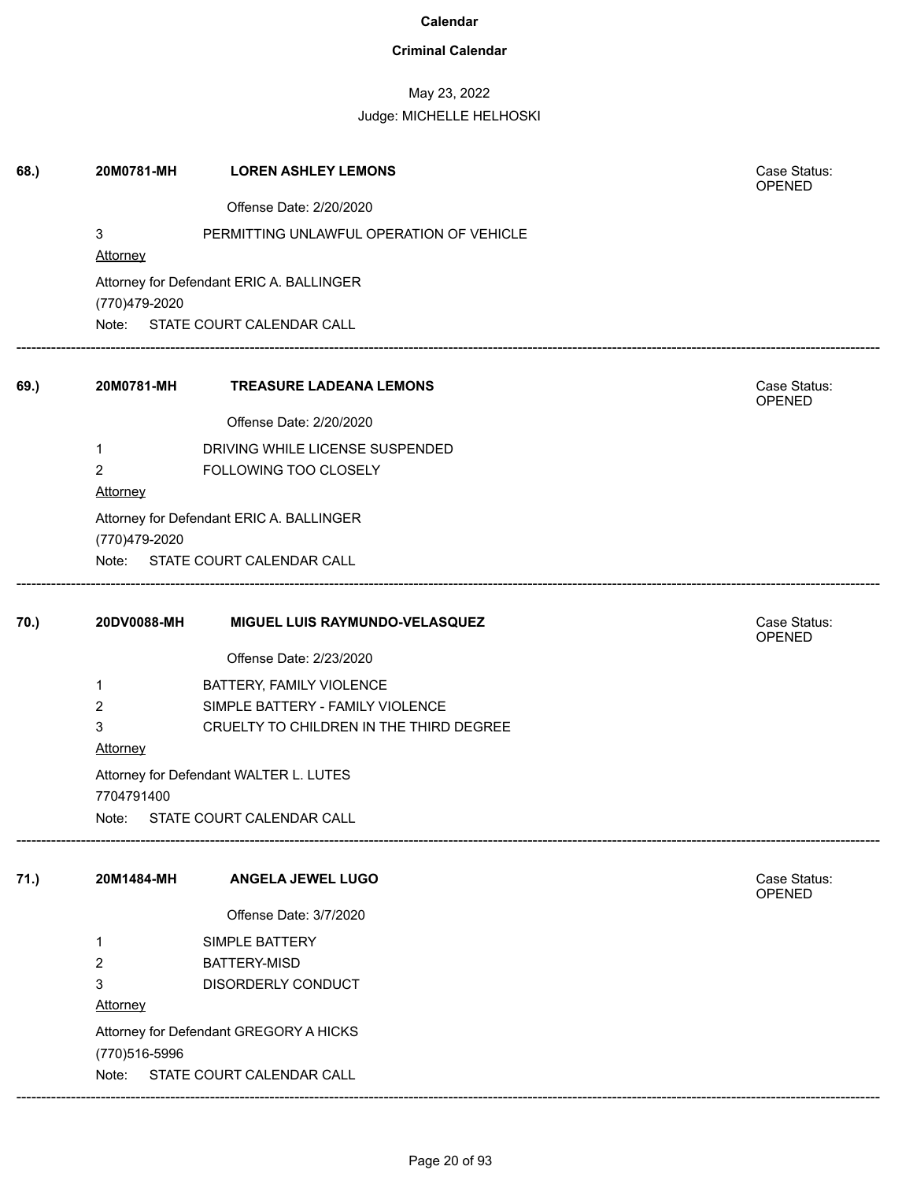### **Criminal Calendar**

## May 23, 2022

| Case Status:<br>OPENED                                    |  |  |  |  |
|-----------------------------------------------------------|--|--|--|--|
|                                                           |  |  |  |  |
|                                                           |  |  |  |  |
|                                                           |  |  |  |  |
|                                                           |  |  |  |  |
|                                                           |  |  |  |  |
|                                                           |  |  |  |  |
|                                                           |  |  |  |  |
| Case Status:                                              |  |  |  |  |
| OPENED                                                    |  |  |  |  |
|                                                           |  |  |  |  |
|                                                           |  |  |  |  |
|                                                           |  |  |  |  |
|                                                           |  |  |  |  |
|                                                           |  |  |  |  |
|                                                           |  |  |  |  |
|                                                           |  |  |  |  |
| Case Status:<br>OPENED                                    |  |  |  |  |
|                                                           |  |  |  |  |
|                                                           |  |  |  |  |
|                                                           |  |  |  |  |
|                                                           |  |  |  |  |
|                                                           |  |  |  |  |
| <b>Attorney</b><br>Attorney for Defendant GREGORY A HICKS |  |  |  |  |
|                                                           |  |  |  |  |
|                                                           |  |  |  |  |
|                                                           |  |  |  |  |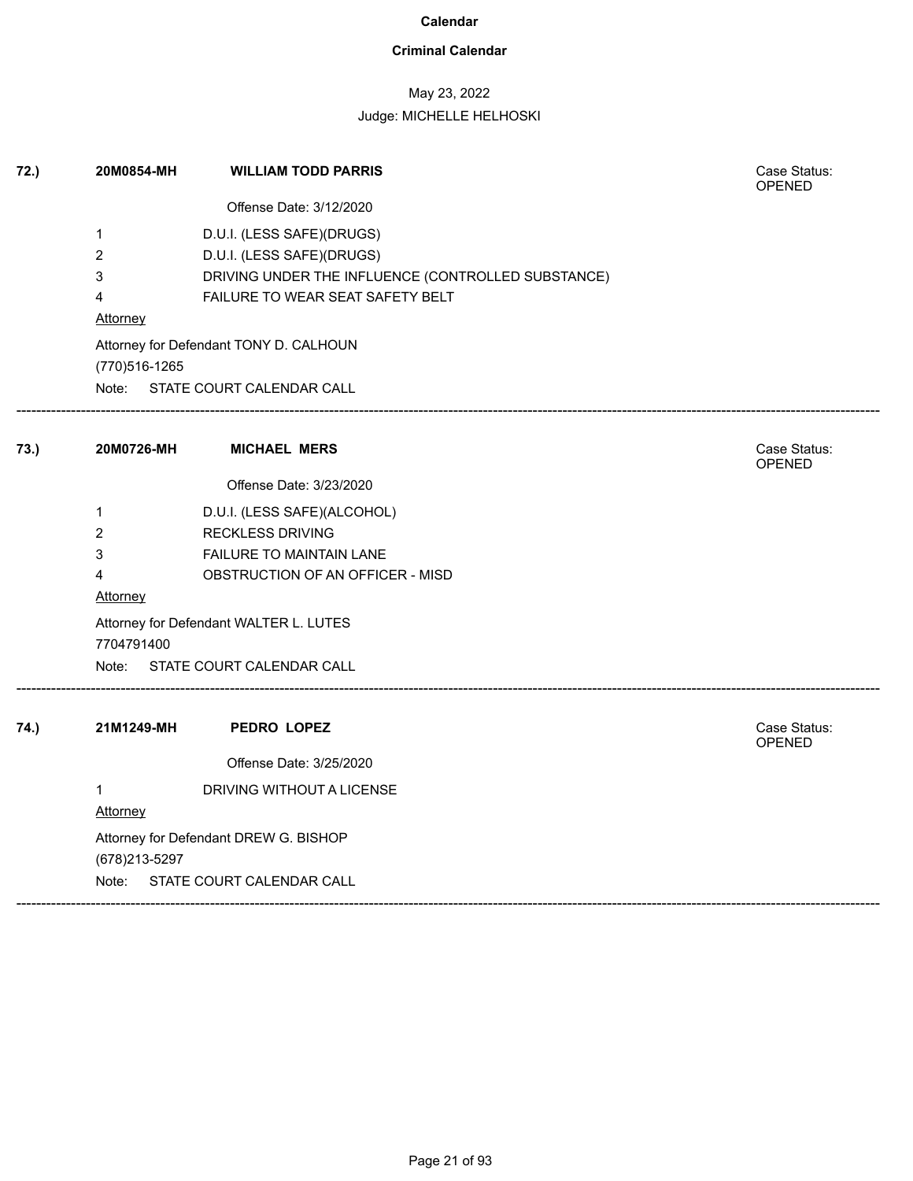### **Criminal Calendar**

## May 23, 2022

| 72.) | 20M0854-MH                            | <b>WILLIAM TODD PARRIS</b>                         | Case Status:<br><b>OPENED</b> |  |
|------|---------------------------------------|----------------------------------------------------|-------------------------------|--|
|      |                                       | Offense Date: 3/12/2020                            |                               |  |
|      | $\mathbf{1}$                          | D.U.I. (LESS SAFE)(DRUGS)                          |                               |  |
|      | $\overline{2}$                        | D.U.I. (LESS SAFE)(DRUGS)                          |                               |  |
|      | 3                                     | DRIVING UNDER THE INFLUENCE (CONTROLLED SUBSTANCE) |                               |  |
|      | 4                                     | FAILURE TO WEAR SEAT SAFETY BELT                   |                               |  |
|      | <b>Attorney</b>                       |                                                    |                               |  |
|      |                                       | Attorney for Defendant TONY D. CALHOUN             |                               |  |
|      | (770)516-1265                         |                                                    |                               |  |
|      |                                       | Note: STATE COURT CALENDAR CALL                    |                               |  |
| 73.) | 20M0726-MH                            | <b>MICHAEL MERS</b>                                | Case Status:<br><b>OPENED</b> |  |
|      |                                       | Offense Date: 3/23/2020                            |                               |  |
|      | $\mathbf{1}$                          | D.U.I. (LESS SAFE)(ALCOHOL)                        |                               |  |
|      | $\overline{2}$                        | <b>RECKLESS DRIVING</b>                            |                               |  |
|      | 3                                     | FAILURE TO MAINTAIN LANE                           |                               |  |
|      | 4                                     | OBSTRUCTION OF AN OFFICER - MISD                   |                               |  |
|      | Attorney                              |                                                    |                               |  |
|      | 7704791400                            | Attorney for Defendant WALTER L. LUTES             |                               |  |
|      |                                       | Note: STATE COURT CALENDAR CALL                    |                               |  |
| 74.) | 21M1249-MH                            | <b>PEDRO LOPEZ</b>                                 | Case Status:<br>OPENED        |  |
|      |                                       | Offense Date: 3/25/2020                            |                               |  |
|      | $\mathbf{1}$                          | DRIVING WITHOUT A LICENSE                          |                               |  |
|      | <b>Attorney</b>                       |                                                    |                               |  |
|      | Attorney for Defendant DREW G. BISHOP |                                                    |                               |  |
|      | (678) 213-5297                        |                                                    |                               |  |
|      | Note: STATE COURT CALENDAR CALL       |                                                    |                               |  |
|      |                                       |                                                    |                               |  |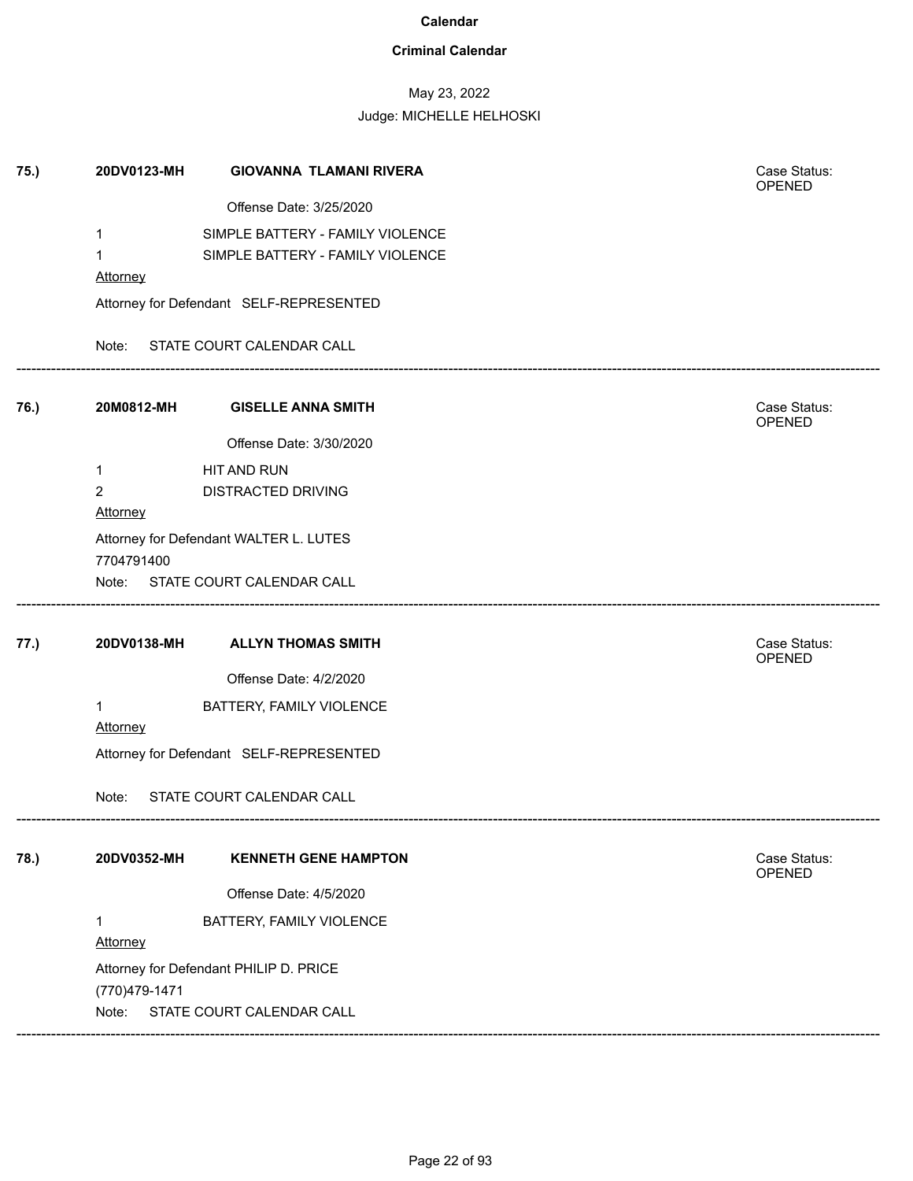### **Criminal Calendar**

# May 23, 2022

| 75.) | 20DV0123-MH             | <b>GIOVANNA TLAMANI RIVERA</b>          | Case Status:<br>OPENED        |
|------|-------------------------|-----------------------------------------|-------------------------------|
|      |                         | Offense Date: 3/25/2020                 |                               |
|      | 1                       | SIMPLE BATTERY - FAMILY VIOLENCE        |                               |
|      | $\mathbf 1$             | SIMPLE BATTERY - FAMILY VIOLENCE        |                               |
|      | Attorney                |                                         |                               |
|      |                         | Attorney for Defendant SELF-REPRESENTED |                               |
|      |                         | Note: STATE COURT CALENDAR CALL         |                               |
| 76.) | 20M0812-MH              | <b>GISELLE ANNA SMITH</b>               | Case Status:<br>OPENED        |
|      |                         | Offense Date: 3/30/2020                 |                               |
|      | 1                       | HIT AND RUN                             |                               |
|      | $\overline{2}$          | <b>DISTRACTED DRIVING</b>               |                               |
|      | <b>Attorney</b>         |                                         |                               |
|      |                         | Attorney for Defendant WALTER L. LUTES  |                               |
|      | 7704791400              |                                         |                               |
|      |                         | Note: STATE COURT CALENDAR CALL         |                               |
| 77.) | 20DV0138-MH             | <b>ALLYN THOMAS SMITH</b>               | Case Status:<br>OPENED        |
|      |                         | Offense Date: 4/2/2020                  |                               |
|      | $\mathbf 1$<br>Attorney | BATTERY, FAMILY VIOLENCE                |                               |
|      |                         | Attorney for Defendant SELF-REPRESENTED |                               |
|      | Note:                   | STATE COURT CALENDAR CALL               |                               |
| 78.) | 20DV0352-MH             | <b>KENNETH GENE HAMPTON</b>             | Case Status:<br><b>OPENED</b> |
|      |                         | Offense Date: 4/5/2020                  |                               |
|      | 1<br>Attorney           | BATTERY, FAMILY VIOLENCE                |                               |
|      | (770)479-1471           | Attorney for Defendant PHILIP D. PRICE  |                               |
|      | Note:                   | STATE COURT CALENDAR CALL               |                               |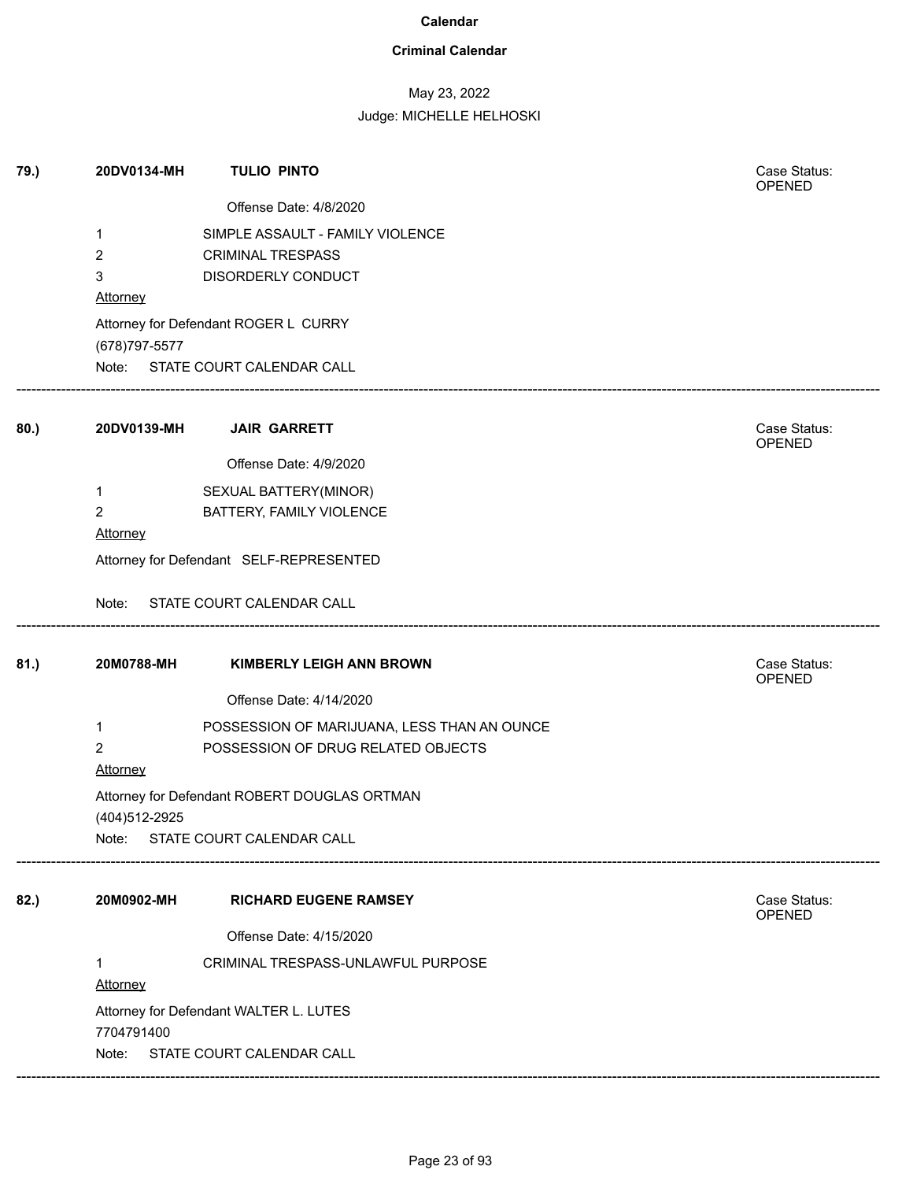### **Criminal Calendar**

## May 23, 2022 Judge: MICHELLE HELHOSKI

| 79.) | 20DV0134-MH     | <b>TULIO PINTO</b>                           | Case Status:<br>OPENED |
|------|-----------------|----------------------------------------------|------------------------|
|      |                 | Offense Date: 4/8/2020                       |                        |
|      | 1               | SIMPLE ASSAULT - FAMILY VIOLENCE             |                        |
|      | 2               | <b>CRIMINAL TRESPASS</b>                     |                        |
|      | 3               | DISORDERLY CONDUCT                           |                        |
|      | <b>Attorney</b> |                                              |                        |
|      | (678) 797-5577  | Attorney for Defendant ROGER L CURRY         |                        |
|      |                 | Note: STATE COURT CALENDAR CALL              |                        |
| 80.) | 20DV0139-MH     | <b>JAIR GARRETT</b>                          | Case Status:<br>OPENED |
|      |                 | Offense Date: 4/9/2020                       |                        |
|      | 1               | SEXUAL BATTERY(MINOR)                        |                        |
|      | $\overline{c}$  | BATTERY, FAMILY VIOLENCE                     |                        |
|      | Attorney        |                                              |                        |
|      |                 | Attorney for Defendant SELF-REPRESENTED      |                        |
|      | Note:           | STATE COURT CALENDAR CALL                    |                        |
| 81.) | 20M0788-MH      | <b>KIMBERLY LEIGH ANN BROWN</b>              | Case Status:<br>OPENED |
|      |                 | Offense Date: 4/14/2020                      |                        |
|      | 1               | POSSESSION OF MARIJUANA, LESS THAN AN OUNCE  |                        |
|      | $\overline{2}$  | POSSESSION OF DRUG RELATED OBJECTS           |                        |
|      | Attorney        |                                              |                        |
|      |                 | Attorney for Defendant ROBERT DOUGLAS ORTMAN |                        |
|      | (404) 512-2925  |                                              |                        |
|      | Note:           | STATE COURT CALENDAR CALL                    |                        |
| 82.) | 20M0902-MH      | <b>RICHARD EUGENE RAMSEY</b>                 | Case Status:<br>OPENED |
|      |                 | Offense Date: 4/15/2020                      |                        |
|      |                 | CRIMINAL TRESPASS-UNLAWFUL PURPOSE           |                        |
|      | Attorney        |                                              |                        |
|      |                 | Attorney for Defendant WALTER L. LUTES       |                        |
|      | 7704791400      |                                              |                        |
|      | Note:           | STATE COURT CALENDAR CALL                    |                        |
|      |                 |                                              |                        |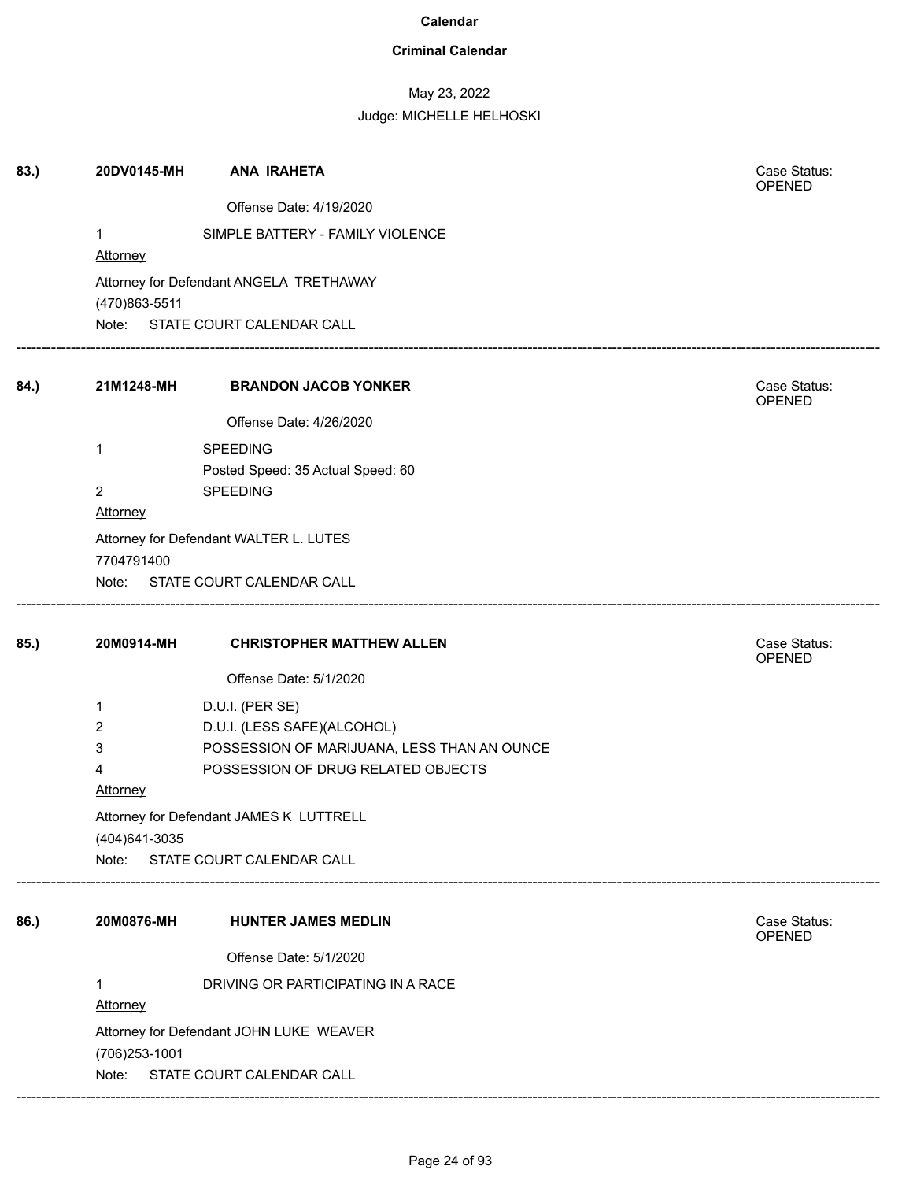## **Criminal Calendar**

## May 23, 2022

| 83.) | 20DV0145-MH     | <b>ANA IRAHETA</b>                          | Case Status:<br>OPENED        |
|------|-----------------|---------------------------------------------|-------------------------------|
|      |                 | Offense Date: 4/19/2020                     |                               |
|      | $\mathbf{1}$    | SIMPLE BATTERY - FAMILY VIOLENCE            |                               |
|      | Attorney        |                                             |                               |
|      | (470)863-5511   | Attorney for Defendant ANGELA TRETHAWAY     |                               |
|      |                 | Note: STATE COURT CALENDAR CALL             |                               |
| 84.) | 21M1248-MH      | <b>BRANDON JACOB YONKER</b>                 | Case Status:<br>OPENED        |
|      |                 | Offense Date: 4/26/2020                     |                               |
|      | 1               | <b>SPEEDING</b>                             |                               |
|      |                 | Posted Speed: 35 Actual Speed: 60           |                               |
|      | $\overline{2}$  | <b>SPEEDING</b>                             |                               |
|      | <b>Attorney</b> |                                             |                               |
|      |                 | Attorney for Defendant WALTER L. LUTES      |                               |
|      | 7704791400      |                                             |                               |
|      |                 | Note: STATE COURT CALENDAR CALL             |                               |
| 85.) | 20M0914-MH      | <b>CHRISTOPHER MATTHEW ALLEN</b>            | Case Status:<br><b>OPENED</b> |
|      |                 | Offense Date: 5/1/2020                      |                               |
|      | 1               | D.U.I. (PER SE)                             |                               |
|      | 2               | D.U.I. (LESS SAFE)(ALCOHOL)                 |                               |
|      | 3               | POSSESSION OF MARIJUANA, LESS THAN AN OUNCE |                               |
|      | 4               | POSSESSION OF DRUG RELATED OBJECTS          |                               |
|      | <b>Attorney</b> |                                             |                               |
|      |                 | Attorney for Defendant JAMES K LUTTRELL     |                               |
|      | (404) 641-3035  |                                             |                               |
|      | Note:           | STATE COURT CALENDAR CALL                   |                               |
| 86.) | 20M0876-MH      | <b>HUNTER JAMES MEDLIN</b>                  | Case Status:<br><b>OPENED</b> |
|      |                 | Offense Date: 5/1/2020                      |                               |
|      |                 | DRIVING OR PARTICIPATING IN A RACE          |                               |
|      | Attorney        |                                             |                               |
|      |                 | Attorney for Defendant JOHN LUKE WEAVER     |                               |
|      | (706) 253-1001  |                                             |                               |
|      | Note:           | STATE COURT CALENDAR CALL                   |                               |
|      |                 |                                             |                               |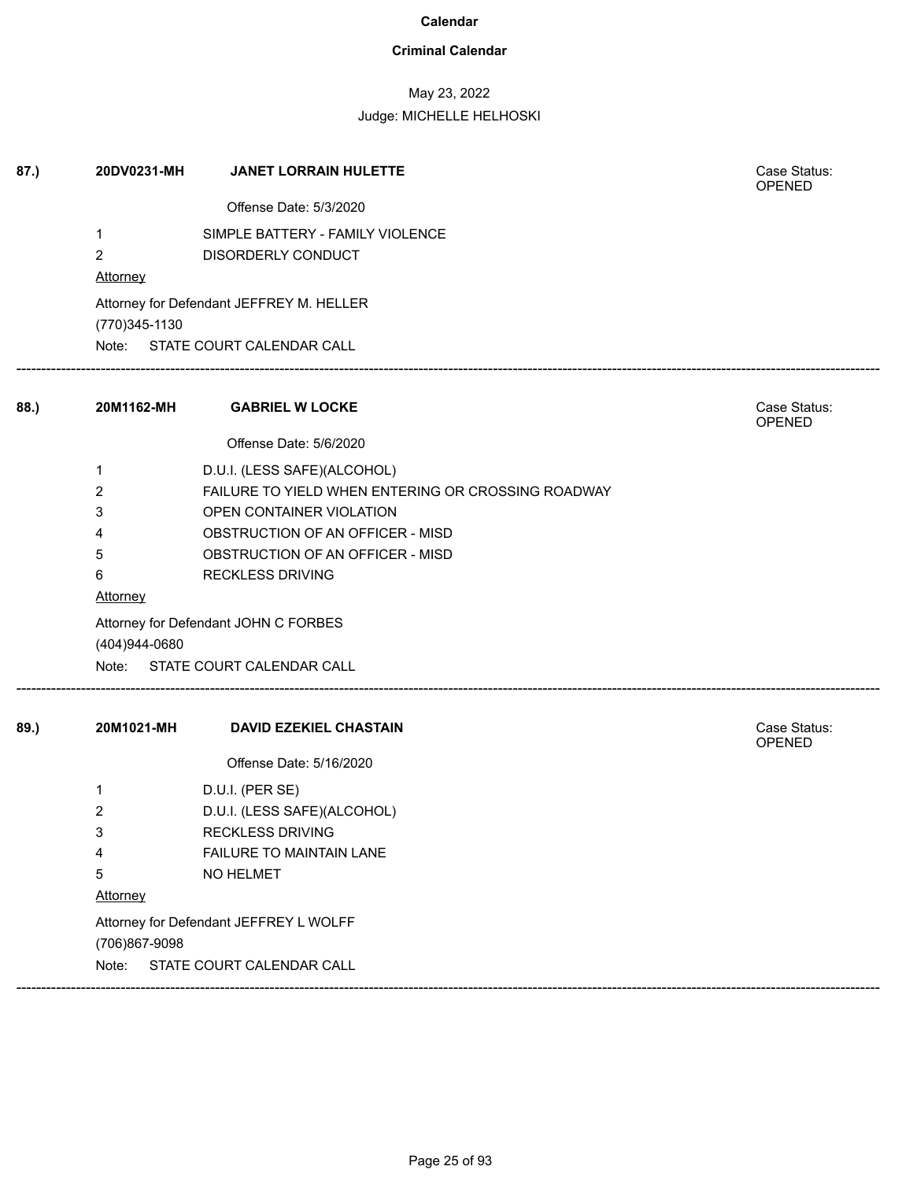### **Criminal Calendar**

## May 23, 2022

Judge: MICHELLE HELHOSKI

| 87.) | 20DV0231-MH    | <b>JANET LORRAIN HULETTE</b>                       | Case Status:<br><b>OPENED</b> |
|------|----------------|----------------------------------------------------|-------------------------------|
|      |                | Offense Date: 5/3/2020                             |                               |
|      | 1              | SIMPLE BATTERY - FAMILY VIOLENCE                   |                               |
|      | 2              | DISORDERLY CONDUCT                                 |                               |
|      | Attorney       |                                                    |                               |
|      | (770) 345-1130 | Attorney for Defendant JEFFREY M. HELLER           |                               |
|      |                | Note: STATE COURT CALENDAR CALL                    |                               |
| 88.) | 20M1162-MH     | <b>GABRIEL W LOCKE</b>                             | Case Status:<br>OPENED        |
|      |                | Offense Date: 5/6/2020                             |                               |
|      | 1              | D.U.I. (LESS SAFE)(ALCOHOL)                        |                               |
|      | 2              | FAILURE TO YIELD WHEN ENTERING OR CROSSING ROADWAY |                               |
|      | 3              | OPEN CONTAINER VIOLATION                           |                               |
|      | 4              | OBSTRUCTION OF AN OFFICER - MISD                   |                               |
|      | 5              | OBSTRUCTION OF AN OFFICER - MISD                   |                               |
|      | 6              | <b>RECKLESS DRIVING</b>                            |                               |
|      | Attorney       |                                                    |                               |
|      |                | Attorney for Defendant JOHN C FORBES               |                               |
|      | (404)944-0680  |                                                    |                               |
|      |                | Note: STATE COURT CALENDAR CALL                    |                               |
| 89.) | 20M1021-MH     | <b>DAVID EZEKIEL CHASTAIN</b>                      | Case Status:<br>OPENED        |
|      |                | Offense Date: 5/16/2020                            |                               |
|      | 1              | D.U.I. (PER SE)                                    |                               |
|      | $\overline{c}$ | D.U.I. (LESS SAFE)(ALCOHOL)                        |                               |
|      | 3              | <b>RECKLESS DRIVING</b>                            |                               |
|      | 4              | FAILURE TO MAINTAIN LANE                           |                               |
|      | 5              | NO HELMET                                          |                               |
|      | Attorney       |                                                    |                               |
|      | (706)867-9098  | Attorney for Defendant JEFFREY L WOLFF             |                               |
|      | Note:          | STATE COURT CALENDAR CALL                          |                               |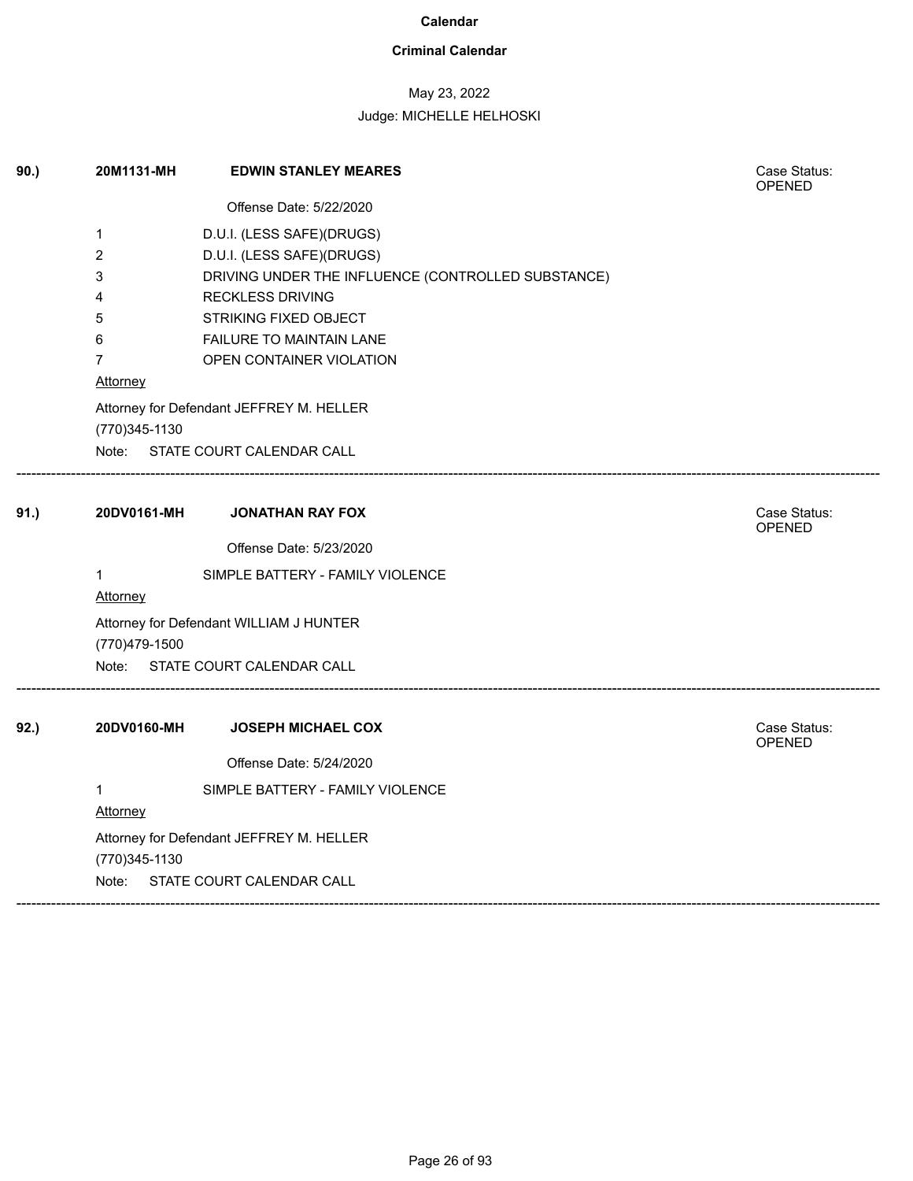### **Criminal Calendar**

## May 23, 2022

| 90.) | 20M1131-MH              | <b>EDWIN STANLEY MEARES</b>                        | Case Status:<br><b>OPENED</b> |
|------|-------------------------|----------------------------------------------------|-------------------------------|
|      |                         | Offense Date: 5/22/2020                            |                               |
|      | $\mathbf 1$             | D.U.I. (LESS SAFE)(DRUGS)                          |                               |
|      | $\overline{\mathbf{c}}$ | D.U.I. (LESS SAFE)(DRUGS)                          |                               |
|      | 3                       | DRIVING UNDER THE INFLUENCE (CONTROLLED SUBSTANCE) |                               |
|      | 4                       | <b>RECKLESS DRIVING</b>                            |                               |
|      | 5                       | STRIKING FIXED OBJECT                              |                               |
|      | 6                       | FAILURE TO MAINTAIN LANE                           |                               |
|      | $\overline{7}$          | OPEN CONTAINER VIOLATION                           |                               |
|      | Attorney                |                                                    |                               |
|      |                         | Attorney for Defendant JEFFREY M. HELLER           |                               |
|      | (770)345-1130           |                                                    |                               |
|      |                         | Note: STATE COURT CALENDAR CALL                    |                               |
|      |                         |                                                    |                               |
| 91.) | 20DV0161-MH             | <b>JONATHAN RAY FOX</b>                            | Case Status:<br>OPENED        |
|      |                         | Offense Date: 5/23/2020                            |                               |
|      | $\mathbf{1}$            | SIMPLE BATTERY - FAMILY VIOLENCE                   |                               |
|      | <b>Attorney</b>         |                                                    |                               |
|      |                         | Attorney for Defendant WILLIAM J HUNTER            |                               |
|      | (770)479-1500           |                                                    |                               |
|      | Note:                   | STATE COURT CALENDAR CALL                          |                               |
| 92.) | 20DV0160-MH             | <b>JOSEPH MICHAEL COX</b>                          | Case Status:                  |
|      |                         |                                                    | <b>OPENED</b>                 |
|      |                         | Offense Date: 5/24/2020                            |                               |
|      | $\mathbf{1}$            | SIMPLE BATTERY - FAMILY VIOLENCE                   |                               |
|      | Attorney                |                                                    |                               |
|      |                         | Attorney for Defendant JEFFREY M. HELLER           |                               |
|      | (770)345-1130           |                                                    |                               |
|      | Note:                   | STATE COURT CALENDAR CALL                          |                               |
|      |                         |                                                    |                               |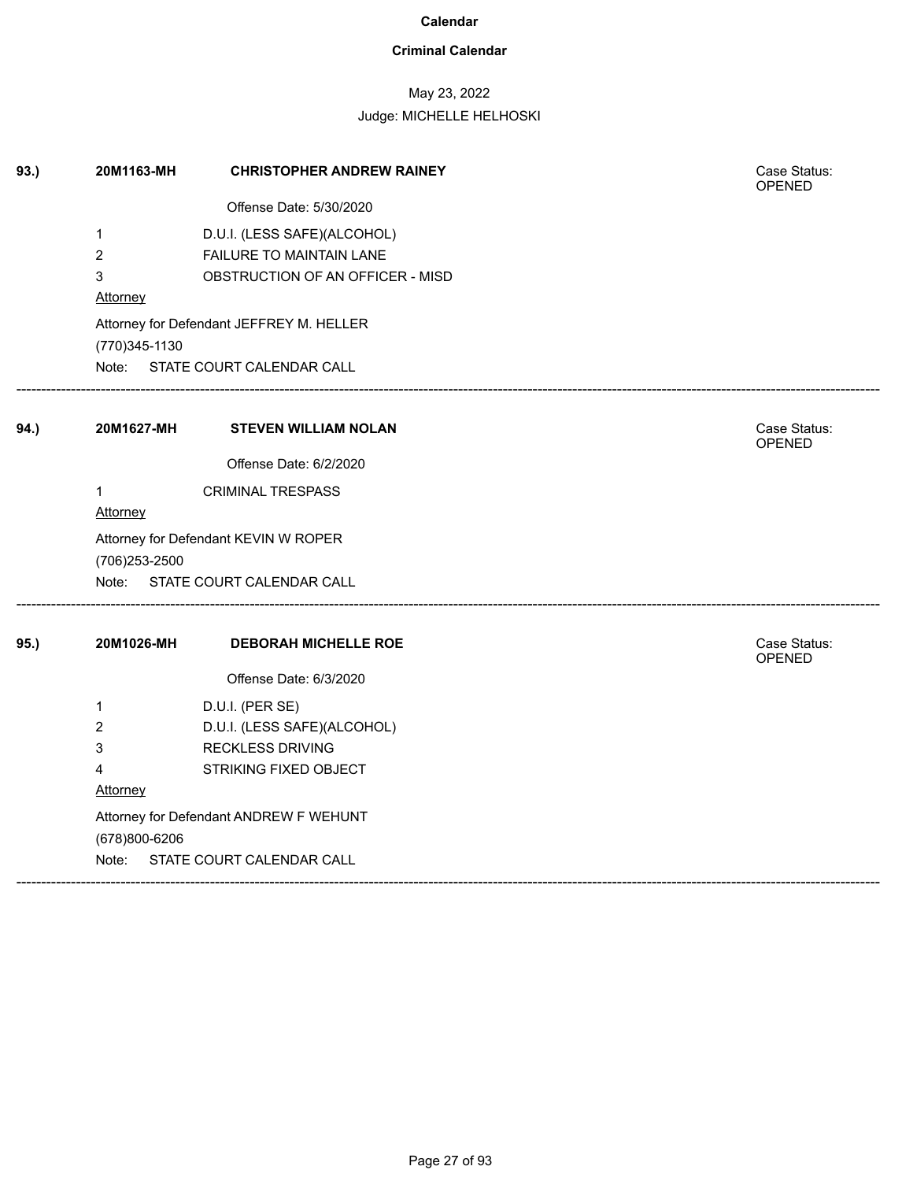### **Criminal Calendar**

## May 23, 2022

### Judge: MICHELLE HELHOSKI

| 93.) | 20M1163-MH                     | <b>CHRISTOPHER ANDREW RAINEY</b>                                        | Case Status:<br>OPENED        |
|------|--------------------------------|-------------------------------------------------------------------------|-------------------------------|
|      |                                | Offense Date: 5/30/2020                                                 |                               |
|      | $\mathbf{1}$<br>$\overline{2}$ | D.U.I. (LESS SAFE)(ALCOHOL)<br>FAILURE TO MAINTAIN LANE                 |                               |
|      | 3<br>Attorney                  | OBSTRUCTION OF AN OFFICER - MISD                                        |                               |
|      | (770) 345-1130                 | Attorney for Defendant JEFFREY M. HELLER                                |                               |
|      |                                | Note: STATE COURT CALENDAR CALL                                         |                               |
| 94.) | 20M1627-MH                     | <b>STEVEN WILLIAM NOLAN</b>                                             | Case Status:<br><b>OPENED</b> |
|      |                                | Offense Date: 6/2/2020                                                  |                               |
|      | 1<br>Attorney                  | <b>CRIMINAL TRESPASS</b>                                                |                               |
|      | (706) 253-2500                 | Attorney for Defendant KEVIN W ROPER<br>Note: STATE COURT CALENDAR CALL |                               |
|      |                                |                                                                         |                               |
| 95.) | 20M1026-MH                     | <b>DEBORAH MICHELLE ROE</b>                                             | Case Status:<br><b>OPENED</b> |
|      |                                | Offense Date: 6/3/2020                                                  |                               |
|      | 1                              | D.U.I. (PER SE)                                                         |                               |
|      | 2                              | D.U.I. (LESS SAFE)(ALCOHOL)                                             |                               |
|      | 3                              | <b>RECKLESS DRIVING</b>                                                 |                               |
|      | 4                              | STRIKING FIXED OBJECT                                                   |                               |
|      | Attorney                       |                                                                         |                               |
|      | (678)800-6206                  | Attorney for Defendant ANDREW F WEHUNT                                  |                               |
|      | Note:                          | STATE COURT CALENDAR CALL                                               |                               |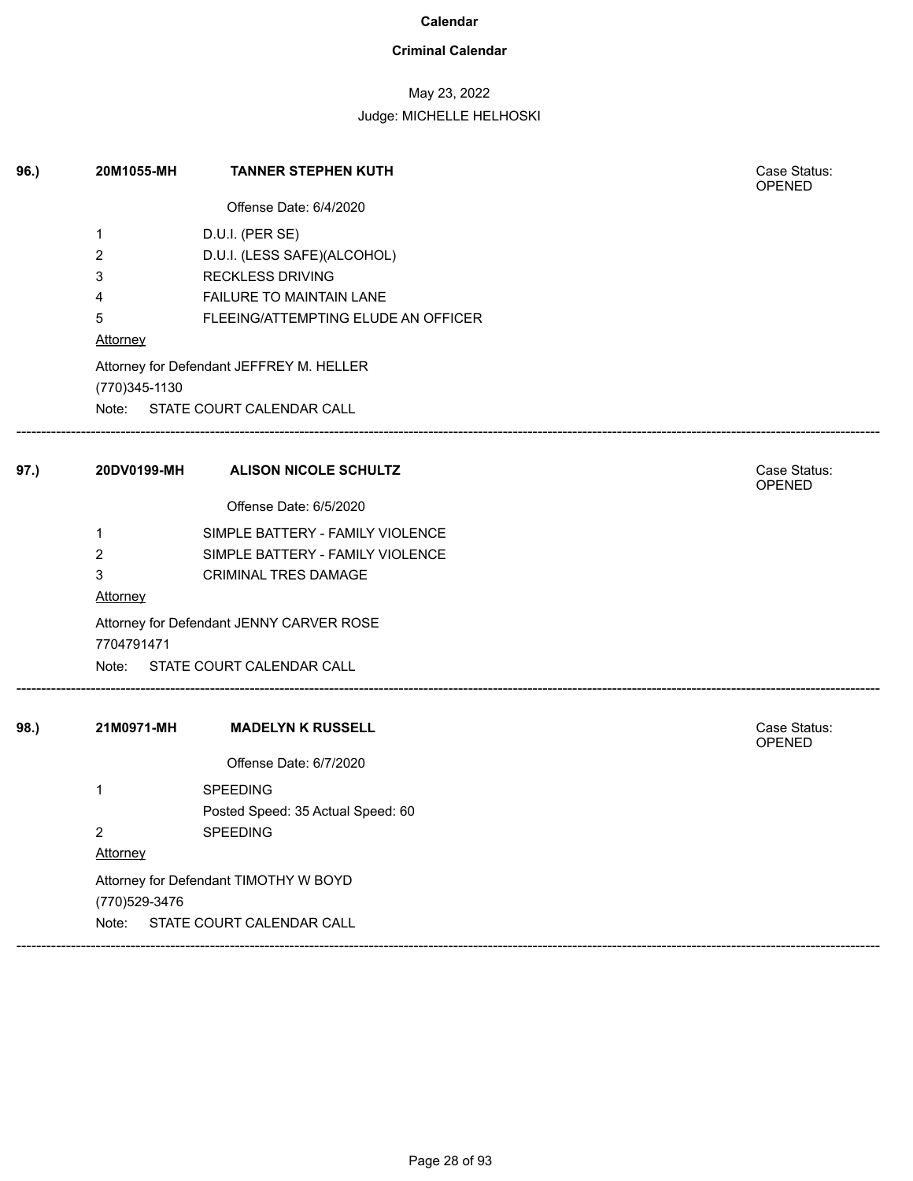### **Criminal Calendar**

## May 23, 2022

| 96.) | 20M1055-MH           | <b>TANNER STEPHEN KUTH</b>                                                                            | Case Status:<br>OPENED |
|------|----------------------|-------------------------------------------------------------------------------------------------------|------------------------|
|      |                      | Offense Date: 6/4/2020                                                                                |                        |
|      | 1<br>2<br>3<br>4     | D.U.I. (PER SE)<br>D.U.I. (LESS SAFE)(ALCOHOL)<br><b>RECKLESS DRIVING</b><br>FAILURE TO MAINTAIN LANE |                        |
|      | 5<br>Attorney        | FLEEING/ATTEMPTING ELUDE AN OFFICER                                                                   |                        |
|      | (770) 345-1130       | Attorney for Defendant JEFFREY M. HELLER<br>Note: STATE COURT CALENDAR CALL                           |                        |
| 97.) | 20DV0199-MH          | <b>ALISON NICOLE SCHULTZ</b>                                                                          | Case Status:<br>OPENED |
|      |                      | Offense Date: 6/5/2020                                                                                |                        |
|      | 1                    | SIMPLE BATTERY - FAMILY VIOLENCE                                                                      |                        |
|      | $\overline{2}$       | SIMPLE BATTERY - FAMILY VIOLENCE                                                                      |                        |
|      | 3<br><b>Attorney</b> | CRIMINAL TRES DAMAGE                                                                                  |                        |
|      | 7704791471           | Attorney for Defendant JENNY CARVER ROSE                                                              |                        |
|      |                      | Note: STATE COURT CALENDAR CALL                                                                       |                        |
| 98.) | 21M0971-MH           | <b>MADELYN K RUSSELL</b>                                                                              | Case Status:<br>OPENED |
|      |                      | Offense Date: 6/7/2020                                                                                |                        |
|      | 1                    | <b>SPEEDING</b><br>Posted Speed: 35 Actual Speed: 60                                                  |                        |
|      | $\overline{2}$       | SPEEDING                                                                                              |                        |
|      | Attorney             |                                                                                                       |                        |
|      | (770) 529-3476       | Attorney for Defendant TIMOTHY W BOYD                                                                 |                        |
|      | Note:                | STATE COURT CALENDAR CALL                                                                             |                        |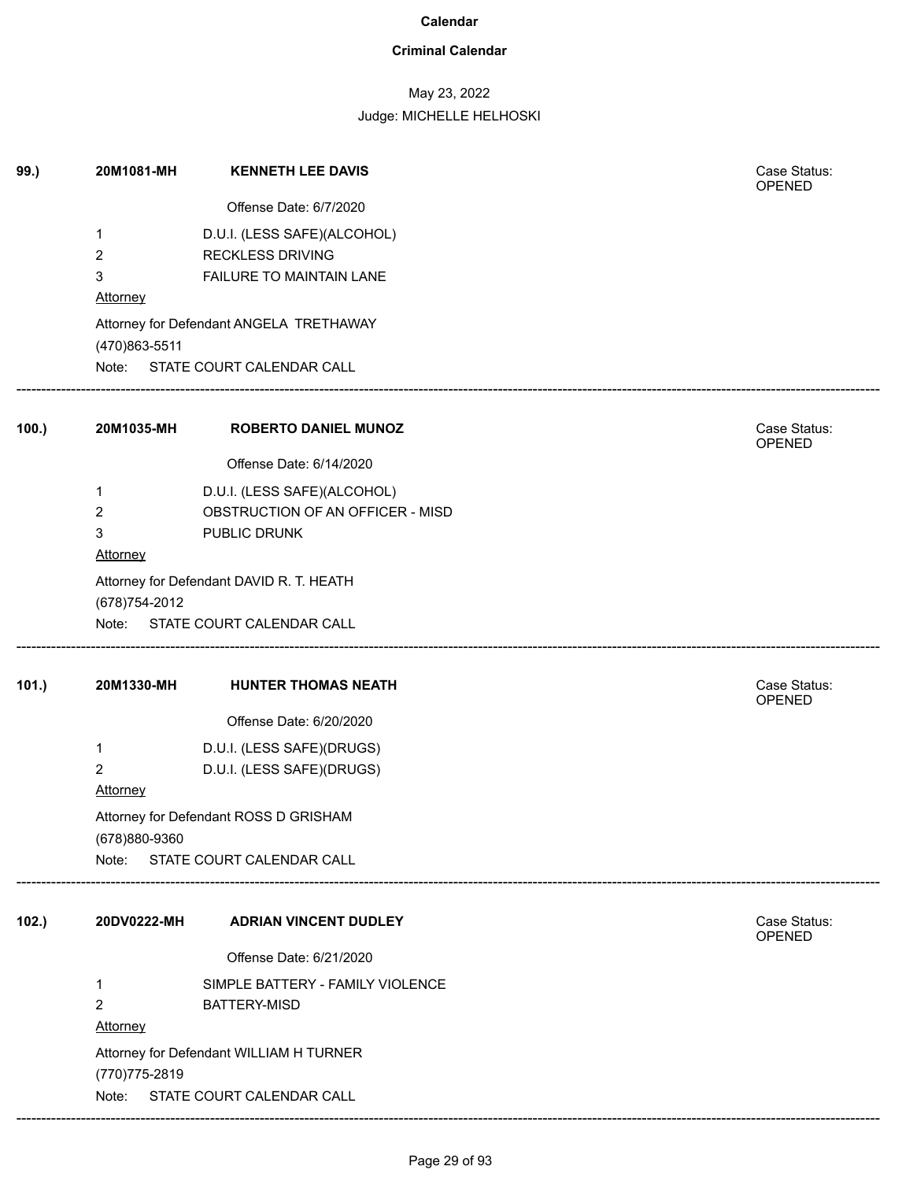### **Criminal Calendar**

## May 23, 2022

Judge: MICHELLE HELHOSKI

| 99.) | 20M1081-MH      | <b>KENNETH LEE DAVIS</b>                 | Case Status:<br>OPENED        |
|------|-----------------|------------------------------------------|-------------------------------|
|      |                 | Offense Date: 6/7/2020                   |                               |
|      | 1               | D.U.I. (LESS SAFE)(ALCOHOL)              |                               |
|      | 2               | <b>RECKLESS DRIVING</b>                  |                               |
|      | 3               | FAILURE TO MAINTAIN LANE                 |                               |
|      | <b>Attorney</b> |                                          |                               |
|      | (470)863-5511   | Attorney for Defendant ANGELA TRETHAWAY  |                               |
|      |                 | Note: STATE COURT CALENDAR CALL          |                               |
| 100. | 20M1035-MH      | <b>ROBERTO DANIEL MUNOZ</b>              | Case Status:<br><b>OPENED</b> |
|      |                 | Offense Date: 6/14/2020                  |                               |
|      | 1               | D.U.I. (LESS SAFE)(ALCOHOL)              |                               |
|      | 2               | OBSTRUCTION OF AN OFFICER - MISD         |                               |
|      | 3               | PUBLIC DRUNK                             |                               |
|      | Attorney        |                                          |                               |
|      |                 | Attorney for Defendant DAVID R. T. HEATH |                               |
|      | (678) 754-2012  |                                          |                               |
|      |                 | Note: STATE COURT CALENDAR CALL          |                               |
| 101. | 20M1330-MH      | <b>HUNTER THOMAS NEATH</b>               | Case Status:<br>OPENED        |
|      |                 | Offense Date: 6/20/2020                  |                               |
|      | 1               | D.U.I. (LESS SAFE)(DRUGS)                |                               |
|      | 2               | D.U.I. (LESS SAFE)(DRUGS)                |                               |
|      | Attorney        |                                          |                               |
|      | (678)880-9360   | Attorney for Defendant ROSS D GRISHAM    |                               |
|      |                 | Note: STATE COURT CALENDAR CALL          |                               |
| 102. | 20DV0222-MH     | <b>ADRIAN VINCENT DUDLEY</b>             | Case Status:<br>OPENED        |
|      |                 | Offense Date: 6/21/2020                  |                               |
|      | 1               | SIMPLE BATTERY - FAMILY VIOLENCE         |                               |
|      | 2               | <b>BATTERY-MISD</b>                      |                               |
|      | <b>Attorney</b> |                                          |                               |
|      |                 | Attorney for Defendant WILLIAM H TURNER  |                               |
|      | (770) 775-2819  |                                          |                               |
|      | Note:           | STATE COURT CALENDAR CALL                |                               |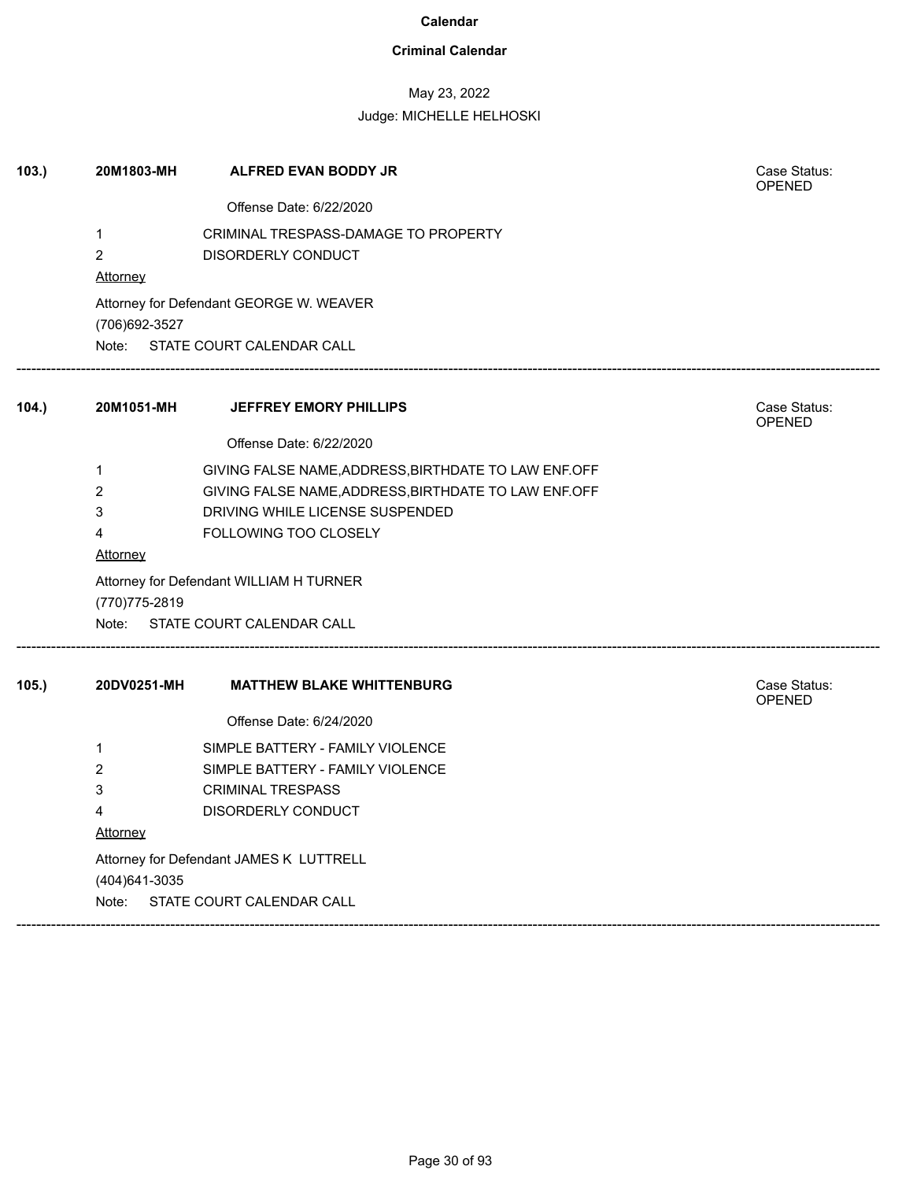### **Criminal Calendar**

## May 23, 2022

| 103. | 20M1803-MH      | <b>ALFRED EVAN BODDY JR</b>                          | Case Status:<br><b>OPENED</b> |
|------|-----------------|------------------------------------------------------|-------------------------------|
|      |                 | Offense Date: 6/22/2020                              |                               |
|      | 1               | CRIMINAL TRESPASS-DAMAGE TO PROPERTY                 |                               |
|      | $\overline{c}$  | <b>DISORDERLY CONDUCT</b>                            |                               |
|      | Attorney        |                                                      |                               |
|      | (706) 692-3527  | Attorney for Defendant GEORGE W. WEAVER              |                               |
|      | Note:           | STATE COURT CALENDAR CALL                            |                               |
| 104. | 20M1051-MH      | JEFFREY EMORY PHILLIPS                               | Case Status:<br><b>OPENED</b> |
|      |                 | Offense Date: 6/22/2020                              |                               |
|      | $\mathbf{1}$    | GIVING FALSE NAME, ADDRESS, BIRTHDATE TO LAW ENF.OFF |                               |
|      | 2               | GIVING FALSE NAME, ADDRESS, BIRTHDATE TO LAW ENF.OFF |                               |
|      | 3               | DRIVING WHILE LICENSE SUSPENDED                      |                               |
|      | 4               | FOLLOWING TOO CLOSELY                                |                               |
|      | <b>Attorney</b> |                                                      |                               |
|      | (770) 775-2819  | Attorney for Defendant WILLIAM H TURNER              |                               |
|      | Note:           | STATE COURT CALENDAR CALL                            |                               |
| 105. | 20DV0251-MH     | <b>MATTHEW BLAKE WHITTENBURG</b>                     | Case Status:<br><b>OPENED</b> |
|      |                 | Offense Date: 6/24/2020                              |                               |
|      | 1               | SIMPLE BATTERY - FAMILY VIOLENCE                     |                               |
|      | $\overline{2}$  | SIMPLE BATTERY - FAMILY VIOLENCE                     |                               |
|      | 3               | <b>CRIMINAL TRESPASS</b>                             |                               |
|      | 4               | DISORDERLY CONDUCT                                   |                               |
|      | Attorney        |                                                      |                               |
|      |                 | Attorney for Defendant JAMES K LUTTRELL              |                               |
|      | (404) 641-3035  |                                                      |                               |
|      | Note:           | STATE COURT CALENDAR CALL                            |                               |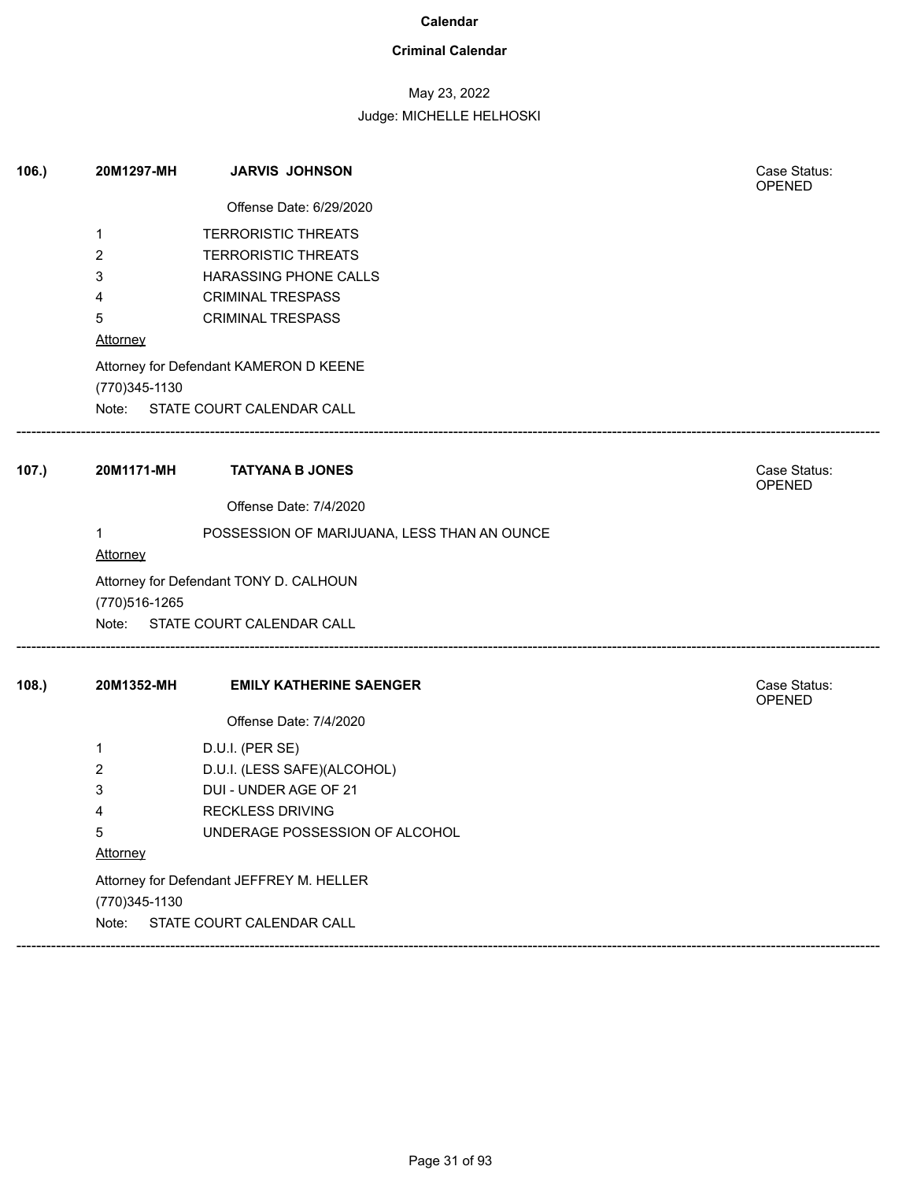### **Criminal Calendar**

## May 23, 2022

| Offense Date: 6/29/2020<br><b>TERRORISTIC THREATS</b><br>1<br><b>TERRORISTIC THREATS</b><br>2<br>HARASSING PHONE CALLS<br>3<br><b>CRIMINAL TRESPASS</b><br>4<br>5<br><b>CRIMINAL TRESPASS</b><br>Attorney<br>Attorney for Defendant KAMERON D KEENE |                               |
|-----------------------------------------------------------------------------------------------------------------------------------------------------------------------------------------------------------------------------------------------------|-------------------------------|
|                                                                                                                                                                                                                                                     |                               |
|                                                                                                                                                                                                                                                     |                               |
|                                                                                                                                                                                                                                                     |                               |
|                                                                                                                                                                                                                                                     |                               |
|                                                                                                                                                                                                                                                     |                               |
|                                                                                                                                                                                                                                                     |                               |
|                                                                                                                                                                                                                                                     |                               |
|                                                                                                                                                                                                                                                     |                               |
| (770) 345-1130                                                                                                                                                                                                                                      |                               |
| Note: STATE COURT CALENDAR CALL                                                                                                                                                                                                                     |                               |
| 107.)<br>20M1171-MH<br><b>TATYANA B JONES</b>                                                                                                                                                                                                       | Case Status:<br>OPENED        |
| Offense Date: 7/4/2020                                                                                                                                                                                                                              |                               |
| POSSESSION OF MARIJUANA, LESS THAN AN OUNCE<br>1                                                                                                                                                                                                    |                               |
| <b>Attorney</b>                                                                                                                                                                                                                                     |                               |
| Attorney for Defendant TONY D. CALHOUN<br>(770) 516-1265                                                                                                                                                                                            |                               |
| Note: STATE COURT CALENDAR CALL                                                                                                                                                                                                                     |                               |
| 108.<br>20M1352-MH<br><b>EMILY KATHERINE SAENGER</b>                                                                                                                                                                                                | Case Status:<br><b>OPENED</b> |
| Offense Date: 7/4/2020                                                                                                                                                                                                                              |                               |
| D.U.I. (PER SE)<br>1                                                                                                                                                                                                                                |                               |
| D.U.I. (LESS SAFE)(ALCOHOL)<br>2                                                                                                                                                                                                                    |                               |
| DUI - UNDER AGE OF 21<br>3                                                                                                                                                                                                                          |                               |
| <b>RECKLESS DRIVING</b><br>4                                                                                                                                                                                                                        |                               |
| UNDERAGE POSSESSION OF ALCOHOL<br>5                                                                                                                                                                                                                 |                               |
| Attorney                                                                                                                                                                                                                                            |                               |
| Attorney for Defendant JEFFREY M. HELLER                                                                                                                                                                                                            |                               |
| (770) 345-1130                                                                                                                                                                                                                                      |                               |
| STATE COURT CALENDAR CALL<br>Note:                                                                                                                                                                                                                  |                               |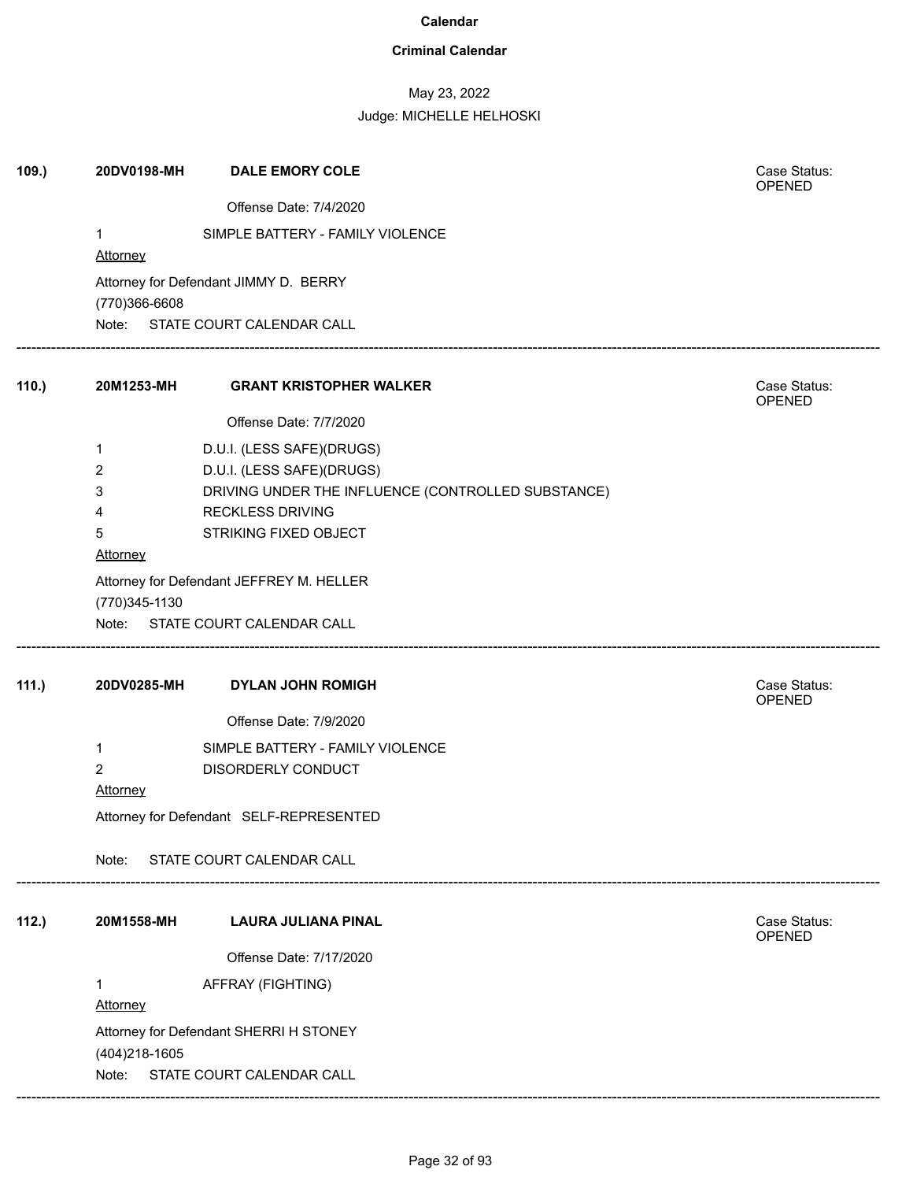### **Criminal Calendar**

## May 23, 2022

| 109.  | 20DV0198-MH    | <b>DALE EMORY COLE</b>                             | Case Status:<br>OPENED |
|-------|----------------|----------------------------------------------------|------------------------|
|       |                | Offense Date: 7/4/2020                             |                        |
|       | 1              | SIMPLE BATTERY - FAMILY VIOLENCE                   |                        |
|       | Attorney       |                                                    |                        |
|       | (770)366-6608  | Attorney for Defendant JIMMY D. BERRY              |                        |
|       |                | Note: STATE COURT CALENDAR CALL                    |                        |
| 110.) | 20M1253-MH     | <b>GRANT KRISTOPHER WALKER</b>                     | Case Status:<br>OPENED |
|       |                | Offense Date: 7/7/2020                             |                        |
|       | 1              | D.U.I. (LESS SAFE)(DRUGS)                          |                        |
|       | 2              | D.U.I. (LESS SAFE)(DRUGS)                          |                        |
|       | 3              | DRIVING UNDER THE INFLUENCE (CONTROLLED SUBSTANCE) |                        |
|       | 4<br>5         | <b>RECKLESS DRIVING</b><br>STRIKING FIXED OBJECT   |                        |
|       | Attorney       |                                                    |                        |
|       | (770) 345-1130 | Attorney for Defendant JEFFREY M. HELLER           |                        |
|       |                | Note: STATE COURT CALENDAR CALL                    |                        |
| 111.) | 20DV0285-MH    | <b>DYLAN JOHN ROMIGH</b>                           | Case Status:<br>OPENED |
|       |                | Offense Date: 7/9/2020                             |                        |
|       | 1              | SIMPLE BATTERY - FAMILY VIOLENCE                   |                        |
|       | $\overline{2}$ | DISORDERLY CONDUCT                                 |                        |
|       | Attorney       |                                                    |                        |
|       |                | Attorney for Defendant SELF-REPRESENTED            |                        |
|       | Note:          | STATE COURT CALENDAR CALL                          |                        |
| 112.) | 20M1558-MH     | <b>LAURA JULIANA PINAL</b>                         | Case Status:<br>OPENED |
|       |                | Offense Date: 7/17/2020                            |                        |
|       | 1              | AFFRAY (FIGHTING)                                  |                        |
|       | Attorney       |                                                    |                        |
|       |                | Attorney for Defendant SHERRI H STONEY             |                        |
|       | (404) 218-1605 |                                                    |                        |
|       | Note:          | STATE COURT CALENDAR CALL                          |                        |
|       |                |                                                    |                        |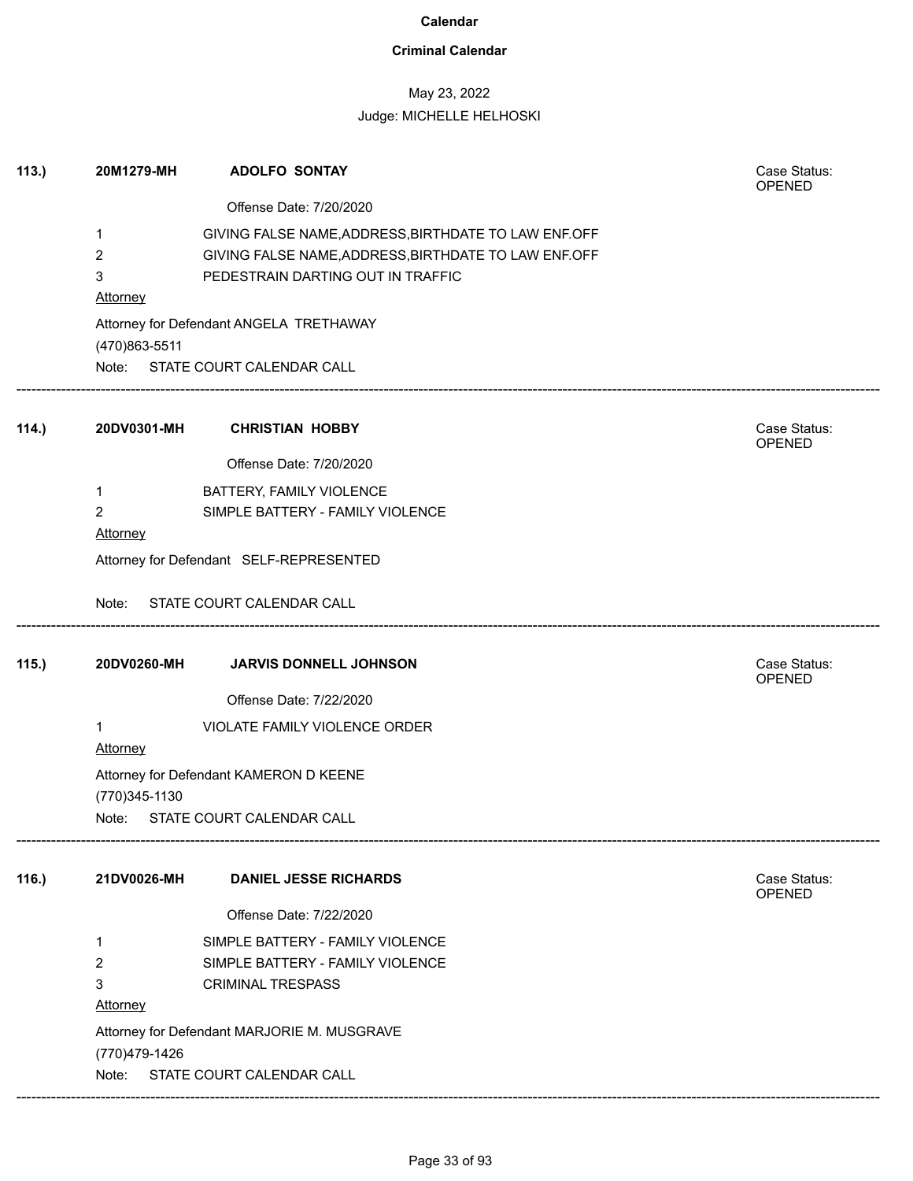### **Criminal Calendar**

## May 23, 2022

| 113. | 20M1279-MH      | <b>ADOLFO SONTAY</b>                                 | Case Status:<br>OPENED        |
|------|-----------------|------------------------------------------------------|-------------------------------|
|      |                 | Offense Date: 7/20/2020                              |                               |
|      | $\mathbf 1$     | GIVING FALSE NAME, ADDRESS, BIRTHDATE TO LAW ENF.OFF |                               |
|      | $\overline{2}$  | GIVING FALSE NAME, ADDRESS, BIRTHDATE TO LAW ENF.OFF |                               |
|      | 3               | PEDESTRAIN DARTING OUT IN TRAFFIC                    |                               |
|      | <b>Attorney</b> |                                                      |                               |
|      | (470)863-5511   | Attorney for Defendant ANGELA TRETHAWAY              |                               |
|      |                 | Note: STATE COURT CALENDAR CALL                      |                               |
| 114. | 20DV0301-MH     | <b>CHRISTIAN HOBBY</b>                               | Case Status:<br><b>OPENED</b> |
|      |                 | Offense Date: 7/20/2020                              |                               |
|      | $\mathbf{1}$    | BATTERY, FAMILY VIOLENCE                             |                               |
|      | $\overline{2}$  | SIMPLE BATTERY - FAMILY VIOLENCE                     |                               |
|      | Attorney        |                                                      |                               |
|      |                 | Attorney for Defendant SELF-REPRESENTED              |                               |
|      |                 | Note: STATE COURT CALENDAR CALL                      |                               |
| 115. | 20DV0260-MH     | JARVIS DONNELL JOHNSON                               | Case Status:<br>OPENED        |
|      |                 | Offense Date: 7/22/2020                              |                               |
|      | $\mathbf 1$     | VIOLATE FAMILY VIOLENCE ORDER                        |                               |
|      | <b>Attorney</b> |                                                      |                               |
|      |                 | Attorney for Defendant KAMERON D KEENE               |                               |
|      | (770) 345-1130  |                                                      |                               |
|      |                 | Note: STATE COURT CALENDAR CALL                      |                               |
| 116. | 21DV0026-MH     | <b>DANIEL JESSE RICHARDS</b>                         | Case Status:<br><b>OPENED</b> |
|      |                 | Offense Date: 7/22/2020                              |                               |
|      | 1               | SIMPLE BATTERY - FAMILY VIOLENCE                     |                               |
|      | $\overline{2}$  | SIMPLE BATTERY - FAMILY VIOLENCE                     |                               |
|      | 3               | <b>CRIMINAL TRESPASS</b>                             |                               |
|      | Attorney        |                                                      |                               |
|      |                 | Attorney for Defendant MARJORIE M. MUSGRAVE          |                               |
|      | (770) 479-1426  |                                                      |                               |
|      | Note:           | STATE COURT CALENDAR CALL                            |                               |
|      |                 |                                                      |                               |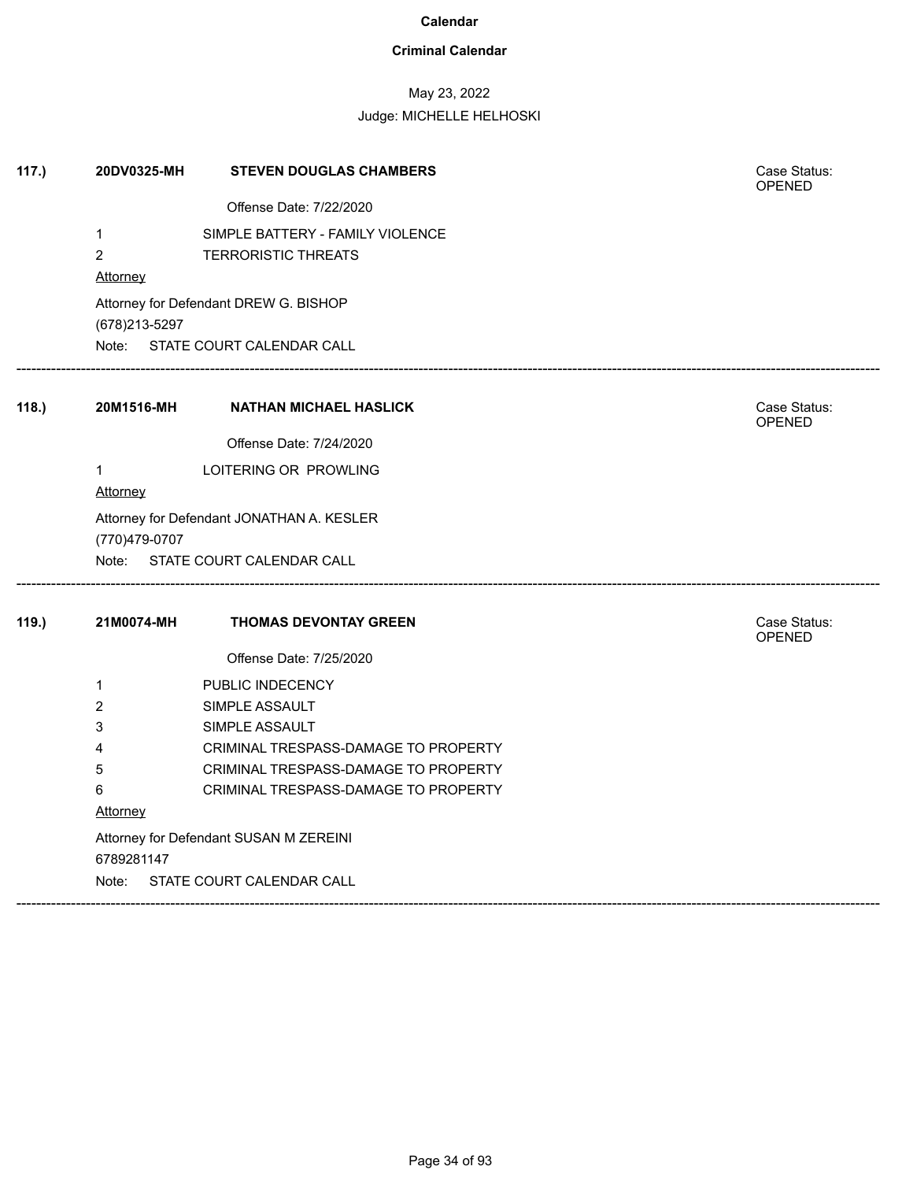### **Criminal Calendar**

## May 23, 2022

| 117.) | 20DV0325-MH                     | <b>STEVEN DOUGLAS CHAMBERS</b>                                 | Case Status:<br><b>OPENED</b> |
|-------|---------------------------------|----------------------------------------------------------------|-------------------------------|
|       |                                 | Offense Date: 7/22/2020                                        |                               |
|       | 1<br>$\overline{c}$<br>Attorney | SIMPLE BATTERY - FAMILY VIOLENCE<br><b>TERRORISTIC THREATS</b> |                               |
|       |                                 | Attorney for Defendant DREW G. BISHOP                          |                               |
|       | (678) 213-5297                  |                                                                |                               |
|       |                                 | Note: STATE COURT CALENDAR CALL                                |                               |
| 118.  | 20M1516-MH                      | <b>NATHAN MICHAEL HASLICK</b>                                  | Case Status:<br><b>OPENED</b> |
|       |                                 | Offense Date: 7/24/2020                                        |                               |
|       | $\mathbf{1}$                    | LOITERING OR PROWLING                                          |                               |
|       | <b>Attorney</b>                 |                                                                |                               |
|       | (770)479-0707                   | Attorney for Defendant JONATHAN A. KESLER                      |                               |
|       | Note:                           | STATE COURT CALENDAR CALL                                      |                               |
| 119.  | 21M0074-MH                      | <b>THOMAS DEVONTAY GREEN</b>                                   | Case Status:<br><b>OPENED</b> |
|       |                                 | Offense Date: 7/25/2020                                        |                               |
|       | $\mathbf{1}$                    | PUBLIC INDECENCY                                               |                               |
|       | 2                               | SIMPLE ASSAULT                                                 |                               |
|       | 3                               | SIMPLE ASSAULT                                                 |                               |
|       | 4                               | CRIMINAL TRESPASS-DAMAGE TO PROPERTY                           |                               |
|       | 5                               | CRIMINAL TRESPASS-DAMAGE TO PROPERTY                           |                               |
|       | 6                               | CRIMINAL TRESPASS-DAMAGE TO PROPERTY                           |                               |
|       | Attorney                        |                                                                |                               |
|       |                                 | Attorney for Defendant SUSAN M ZEREINI                         |                               |
|       | 6789281147                      |                                                                |                               |
|       | Note:                           | STATE COURT CALENDAR CALL                                      |                               |
|       |                                 |                                                                |                               |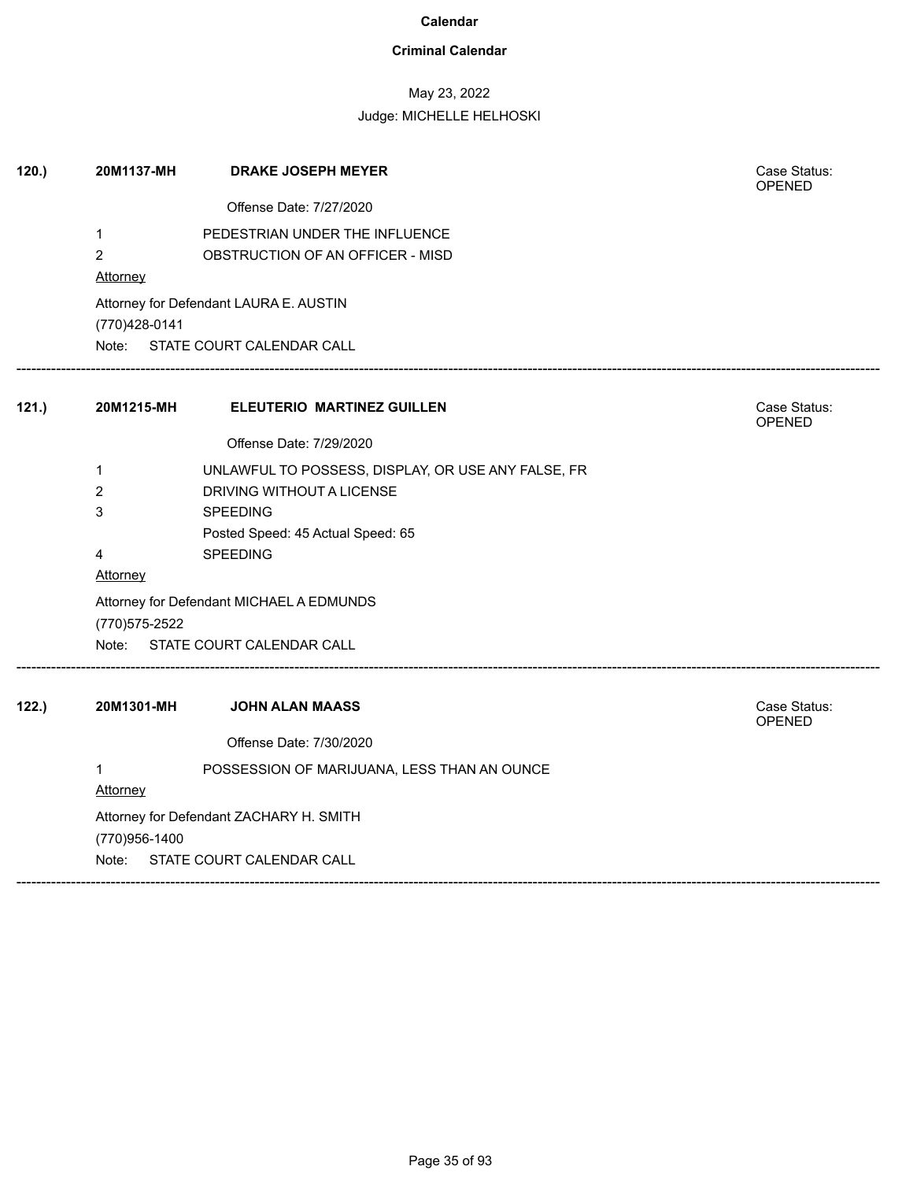### **Criminal Calendar**

## May 23, 2022

| 120. | 20M1137-MH      | <b>DRAKE JOSEPH MEYER</b>                          | Case Status:<br><b>OPENED</b> |
|------|-----------------|----------------------------------------------------|-------------------------------|
|      |                 | Offense Date: 7/27/2020                            |                               |
|      | 1               | PEDESTRIAN UNDER THE INFLUENCE                     |                               |
|      | $\overline{2}$  | OBSTRUCTION OF AN OFFICER - MISD                   |                               |
|      | <b>Attorney</b> |                                                    |                               |
|      |                 | Attorney for Defendant LAURA E. AUSTIN             |                               |
|      | (770)428-0141   |                                                    |                               |
|      |                 | Note: STATE COURT CALENDAR CALL                    |                               |
| 121. | 20M1215-MH      | <b>ELEUTERIO MARTINEZ GUILLEN</b>                  | Case Status:<br>OPENED        |
|      |                 | Offense Date: 7/29/2020                            |                               |
|      | 1               | UNLAWFUL TO POSSESS, DISPLAY, OR USE ANY FALSE, FR |                               |
|      | $\overline{2}$  | DRIVING WITHOUT A LICENSE                          |                               |
|      | 3               | <b>SPEEDING</b>                                    |                               |
|      |                 | Posted Speed: 45 Actual Speed: 65                  |                               |
|      | 4               | SPEEDING                                           |                               |
|      | Attorney        |                                                    |                               |
|      |                 | Attorney for Defendant MICHAEL A EDMUNDS           |                               |
|      | (770) 575-2522  |                                                    |                               |
|      |                 | Note: STATE COURT CALENDAR CALL                    |                               |
| 122. | 20M1301-MH      | JOHN ALAN MAASS                                    | Case Status:<br>OPENED        |
|      |                 | Offense Date: 7/30/2020                            |                               |
|      | $\mathbf 1$     | POSSESSION OF MARIJUANA, LESS THAN AN OUNCE        |                               |
|      | <b>Attorney</b> |                                                    |                               |
|      |                 | Attorney for Defendant ZACHARY H. SMITH            |                               |
|      | (770)956-1400   |                                                    |                               |
|      | Note:           | STATE COURT CALENDAR CALL                          |                               |
|      |                 |                                                    |                               |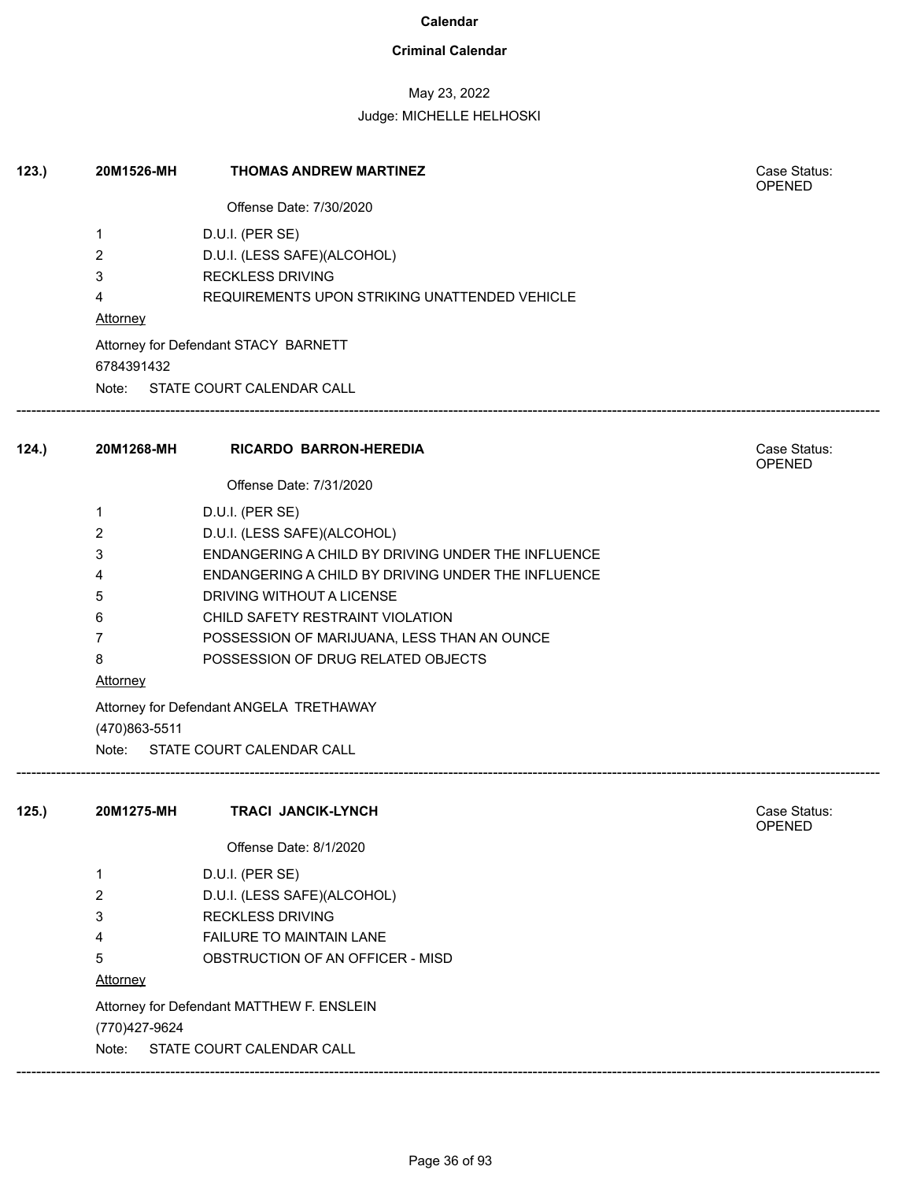### **Criminal Calendar**

## May 23, 2022

| 123. | 20M1526-MH     | <b>THOMAS ANDREW MARTINEZ</b>                      | Case Status:<br><b>OPENED</b> |
|------|----------------|----------------------------------------------------|-------------------------------|
|      |                | Offense Date: 7/30/2020                            |                               |
|      | 1              | D.U.I. (PER SE)                                    |                               |
|      | 2              | D.U.I. (LESS SAFE)(ALCOHOL)                        |                               |
|      | 3              | <b>RECKLESS DRIVING</b>                            |                               |
|      | 4              | REQUIREMENTS UPON STRIKING UNATTENDED VEHICLE      |                               |
|      | Attorney       |                                                    |                               |
|      |                | Attorney for Defendant STACY BARNETT               |                               |
|      | 6784391432     |                                                    |                               |
|      |                | Note: STATE COURT CALENDAR CALL                    |                               |
| 124. | 20M1268-MH     | RICARDO BARRON-HEREDIA                             | Case Status:<br>OPENED        |
|      |                | Offense Date: 7/31/2020                            |                               |
|      | 1              | D.U.I. (PER SE)                                    |                               |
|      | 2              | D.U.I. (LESS SAFE)(ALCOHOL)                        |                               |
|      | 3              | ENDANGERING A CHILD BY DRIVING UNDER THE INFLUENCE |                               |
|      | 4              | ENDANGERING A CHILD BY DRIVING UNDER THE INFLUENCE |                               |
|      | 5              | DRIVING WITHOUT A LICENSE                          |                               |
|      | 6              | CHILD SAFETY RESTRAINT VIOLATION                   |                               |
|      | $\overline{7}$ | POSSESSION OF MARIJUANA, LESS THAN AN OUNCE        |                               |
|      | 8              | POSSESSION OF DRUG RELATED OBJECTS                 |                               |
|      | Attorney       |                                                    |                               |
|      | (470)863-5511  | Attorney for Defendant ANGELA TRETHAWAY            |                               |
|      |                | Note: STATE COURT CALENDAR CALL                    |                               |
|      |                |                                                    | Case Status:                  |
| 125. | 20M1275-MH     | <b>TRACI JANCIK-LYNCH</b>                          | OPENED                        |
|      |                | Offense Date: 8/1/2020                             |                               |
|      | 1              | D.U.I. (PER SE)                                    |                               |
|      | 2              | D.U.I. (LESS SAFE)(ALCOHOL)                        |                               |
|      | 3              | <b>RECKLESS DRIVING</b>                            |                               |
|      | 4              | FAILURE TO MAINTAIN LANE                           |                               |
|      | 5              | OBSTRUCTION OF AN OFFICER - MISD                   |                               |
|      | Attorney       |                                                    |                               |
|      |                | Attorney for Defendant MATTHEW F. ENSLEIN          |                               |
|      | (770) 427-9624 |                                                    |                               |
|      | Note:          | STATE COURT CALENDAR CALL                          |                               |
|      |                |                                                    |                               |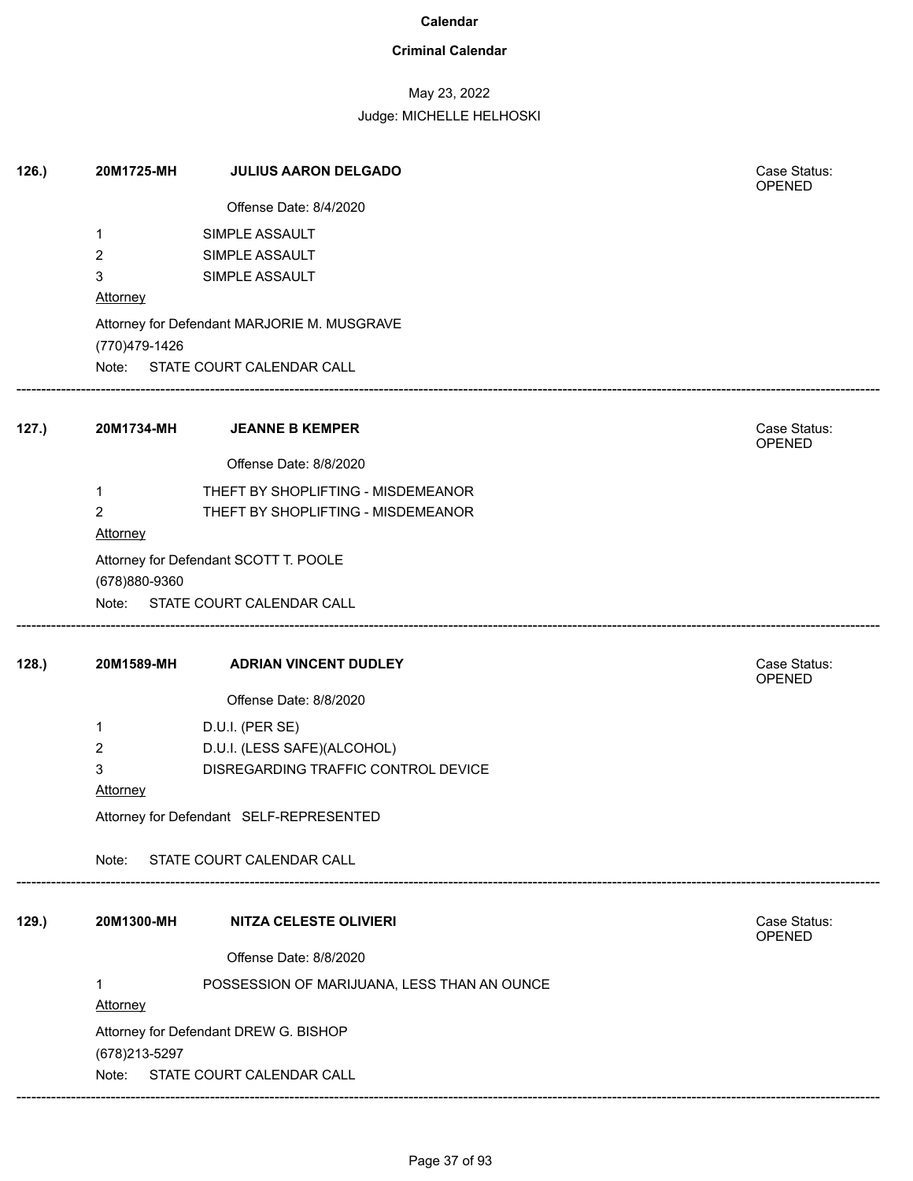### **Criminal Calendar**

## May 23, 2022

| Offense Date: 8/4/2020                                       |                        |
|--------------------------------------------------------------|------------------------|
|                                                              |                        |
| SIMPLE ASSAULT<br>1                                          |                        |
| $\overline{2}$<br>SIMPLE ASSAULT                             |                        |
| 3<br>SIMPLE ASSAULT                                          |                        |
| Attorney                                                     |                        |
| Attorney for Defendant MARJORIE M. MUSGRAVE<br>(770)479-1426 |                        |
| Note: STATE COURT CALENDAR CALL                              |                        |
| 127.)<br>20M1734-MH<br><b>JEANNE B KEMPER</b>                | Case Status:<br>OPENED |
| Offense Date: 8/8/2020                                       |                        |
| THEFT BY SHOPLIFTING - MISDEMEANOR<br>1                      |                        |
| 2<br>THEFT BY SHOPLIFTING - MISDEMEANOR                      |                        |
| Attorney                                                     |                        |
| Attorney for Defendant SCOTT T. POOLE                        |                        |
| (678)880-9360                                                |                        |
| Note: STATE COURT CALENDAR CALL                              |                        |
| 128.<br>20M1589-MH<br><b>ADRIAN VINCENT DUDLEY</b>           | Case Status:<br>OPENED |
| Offense Date: 8/8/2020                                       |                        |
| D.U.I. (PER SE)<br>1                                         |                        |
| D.U.I. (LESS SAFE)(ALCOHOL)<br>2                             |                        |
| 3<br>DISREGARDING TRAFFIC CONTROL DEVICE                     |                        |
| Attorney                                                     |                        |
| Attorney for Defendant SELF-REPRESENTED                      |                        |
| STATE COURT CALENDAR CALL<br>Note:                           |                        |
| 129.)<br>20M1300-MH<br><b>NITZA CELESTE OLIVIERI</b>         | Case Status:           |
|                                                              | OPENED                 |
| Offense Date: 8/8/2020                                       |                        |
| POSSESSION OF MARIJUANA, LESS THAN AN OUNCE                  |                        |
| <b>Attorney</b>                                              |                        |
|                                                              |                        |
| Attorney for Defendant DREW G. BISHOP                        |                        |
| (678) 213-5297<br>Note:<br>STATE COURT CALENDAR CALL         |                        |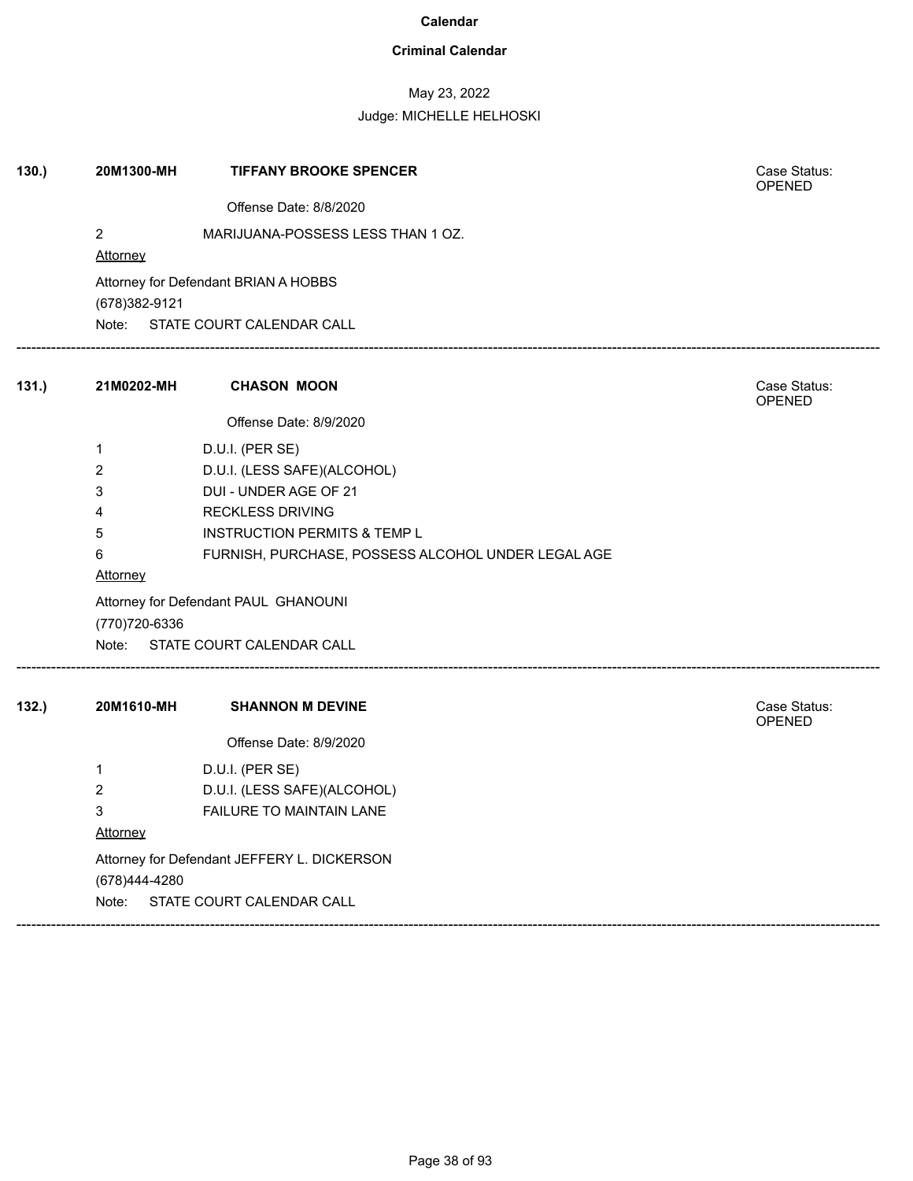### **Criminal Calendar**

May 23, 2022

| 130. | 20M1300-MH             | <b>TIFFANY BROOKE SPENCER</b>                      | Case Status:<br><b>OPENED</b> |  |  |
|------|------------------------|----------------------------------------------------|-------------------------------|--|--|
|      |                        | Offense Date: 8/8/2020                             |                               |  |  |
|      | $\sqrt{2}$<br>Attorney | MARIJUANA-POSSESS LESS THAN 1 OZ.                  |                               |  |  |
|      | (678) 382-9121         | Attorney for Defendant BRIAN A HOBBS               |                               |  |  |
|      | Note:                  | STATE COURT CALENDAR CALL                          |                               |  |  |
| 131. | 21M0202-MH             | <b>CHASON MOON</b>                                 | Case Status:<br><b>OPENED</b> |  |  |
|      |                        | Offense Date: 8/9/2020                             |                               |  |  |
|      | $\mathbf{1}$           | D.U.I. (PER SE)                                    |                               |  |  |
|      | $\overline{2}$         | D.U.I. (LESS SAFE)(ALCOHOL)                        |                               |  |  |
|      | 3                      | DUI - UNDER AGE OF 21                              |                               |  |  |
|      | 4                      | <b>RECKLESS DRIVING</b>                            |                               |  |  |
|      | 5                      | <b>INSTRUCTION PERMITS &amp; TEMP L</b>            |                               |  |  |
|      | 6                      | FURNISH, PURCHASE, POSSESS ALCOHOL UNDER LEGAL AGE |                               |  |  |
|      | Attorney               |                                                    |                               |  |  |
|      |                        | Attorney for Defendant PAUL GHANOUNI               |                               |  |  |
|      | (770) 720-6336         |                                                    |                               |  |  |
|      | Note:                  | STATE COURT CALENDAR CALL                          |                               |  |  |
| 132. | 20M1610-MH             | <b>SHANNON M DEVINE</b>                            | Case Status:<br><b>OPENED</b> |  |  |
|      |                        | Offense Date: 8/9/2020                             |                               |  |  |
|      | $\mathbf{1}$           | D.U.I. (PER SE)                                    |                               |  |  |
|      | $\overline{c}$         | D.U.I. (LESS SAFE)(ALCOHOL)                        |                               |  |  |
|      | $\mathbf{3}$           | FAILURE TO MAINTAIN LANE                           |                               |  |  |
|      | Attorney               |                                                    |                               |  |  |
|      |                        | Attorney for Defendant JEFFERY L. DICKERSON        |                               |  |  |
|      | (678)444-4280          |                                                    |                               |  |  |
|      | Note:                  | STATE COURT CALENDAR CALL                          |                               |  |  |
|      |                        |                                                    |                               |  |  |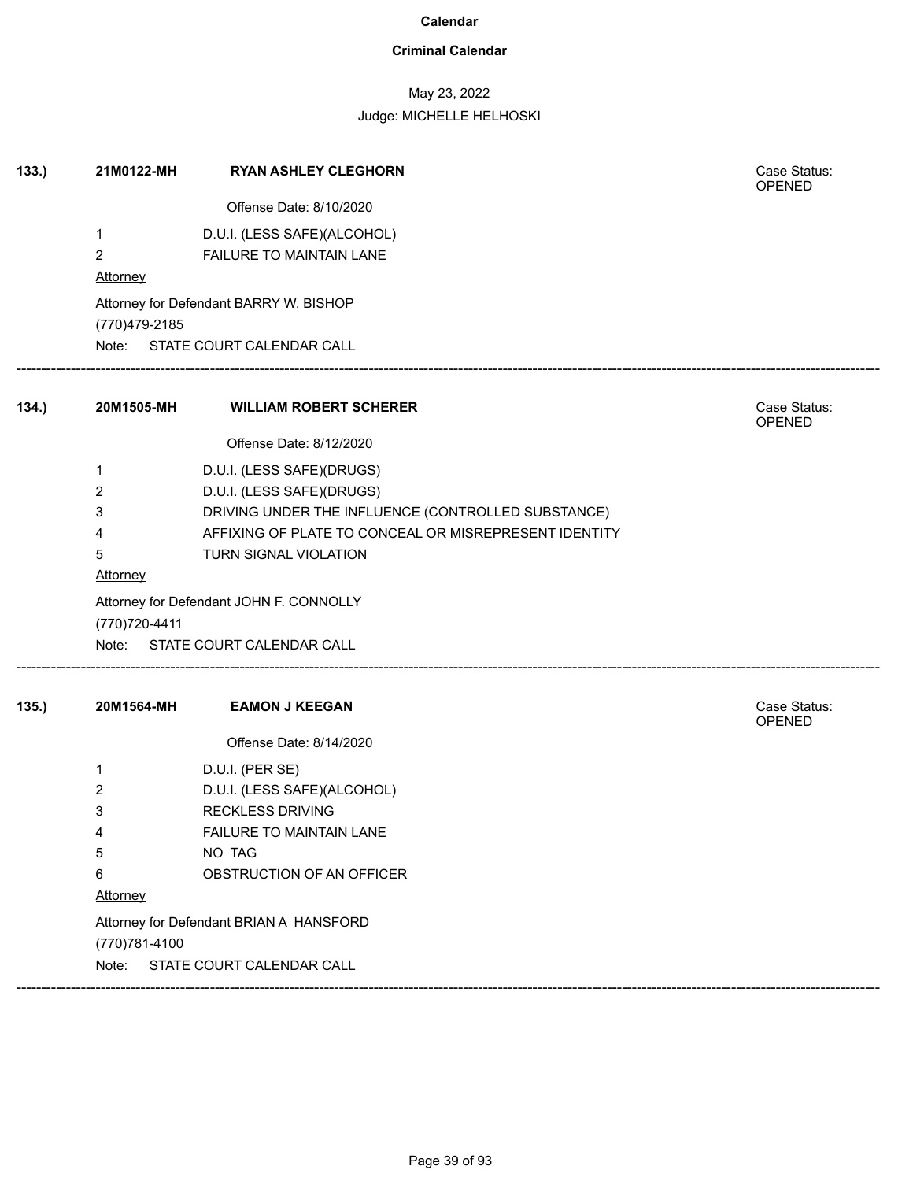### **Criminal Calendar**

## May 23, 2022

| 133. | 21M0122-MH      | <b>RYAN ASHLEY CLEGHORN</b>                           | Case Status:<br><b>OPENED</b> |
|------|-----------------|-------------------------------------------------------|-------------------------------|
|      |                 | Offense Date: 8/10/2020                               |                               |
|      | 1               | D.U.I. (LESS SAFE)(ALCOHOL)                           |                               |
|      | 2               | FAILURE TO MAINTAIN LANE                              |                               |
|      | <b>Attorney</b> |                                                       |                               |
|      | (770)479-2185   | Attorney for Defendant BARRY W. BISHOP                |                               |
|      |                 | Note: STATE COURT CALENDAR CALL                       |                               |
| 134. | 20M1505-MH      | <b>WILLIAM ROBERT SCHERER</b>                         | Case Status:<br>OPENED        |
|      |                 | Offense Date: 8/12/2020                               |                               |
|      | 1               | D.U.I. (LESS SAFE)(DRUGS)                             |                               |
|      | 2               | D.U.I. (LESS SAFE)(DRUGS)                             |                               |
|      | 3               | DRIVING UNDER THE INFLUENCE (CONTROLLED SUBSTANCE)    |                               |
|      | 4               | AFFIXING OF PLATE TO CONCEAL OR MISREPRESENT IDENTITY |                               |
|      | 5               | TURN SIGNAL VIOLATION                                 |                               |
|      | <b>Attorney</b> |                                                       |                               |
|      |                 | Attorney for Defendant JOHN F. CONNOLLY               |                               |
|      | (770) 720-4411  | Note: STATE COURT CALENDAR CALL                       |                               |
|      |                 |                                                       |                               |
| 135. | 20M1564-MH      | <b>EAMON J KEEGAN</b>                                 | Case Status:<br><b>OPENED</b> |
|      |                 | Offense Date: 8/14/2020                               |                               |
|      | 1               | D.U.I. (PER SE)                                       |                               |
|      | 2               | D.U.I. (LESS SAFE)(ALCOHOL)                           |                               |
|      | 3               | <b>RECKLESS DRIVING</b>                               |                               |
|      | 4               | FAILURE TO MAINTAIN LANE                              |                               |
|      | 5               | NO TAG                                                |                               |
|      | 6               | OBSTRUCTION OF AN OFFICER                             |                               |
|      | Attorney        |                                                       |                               |
|      |                 | Attorney for Defendant BRIAN A HANSFORD               |                               |
|      | (770) 781-4100  |                                                       |                               |
|      | Note:           | STATE COURT CALENDAR CALL                             |                               |
|      |                 |                                                       |                               |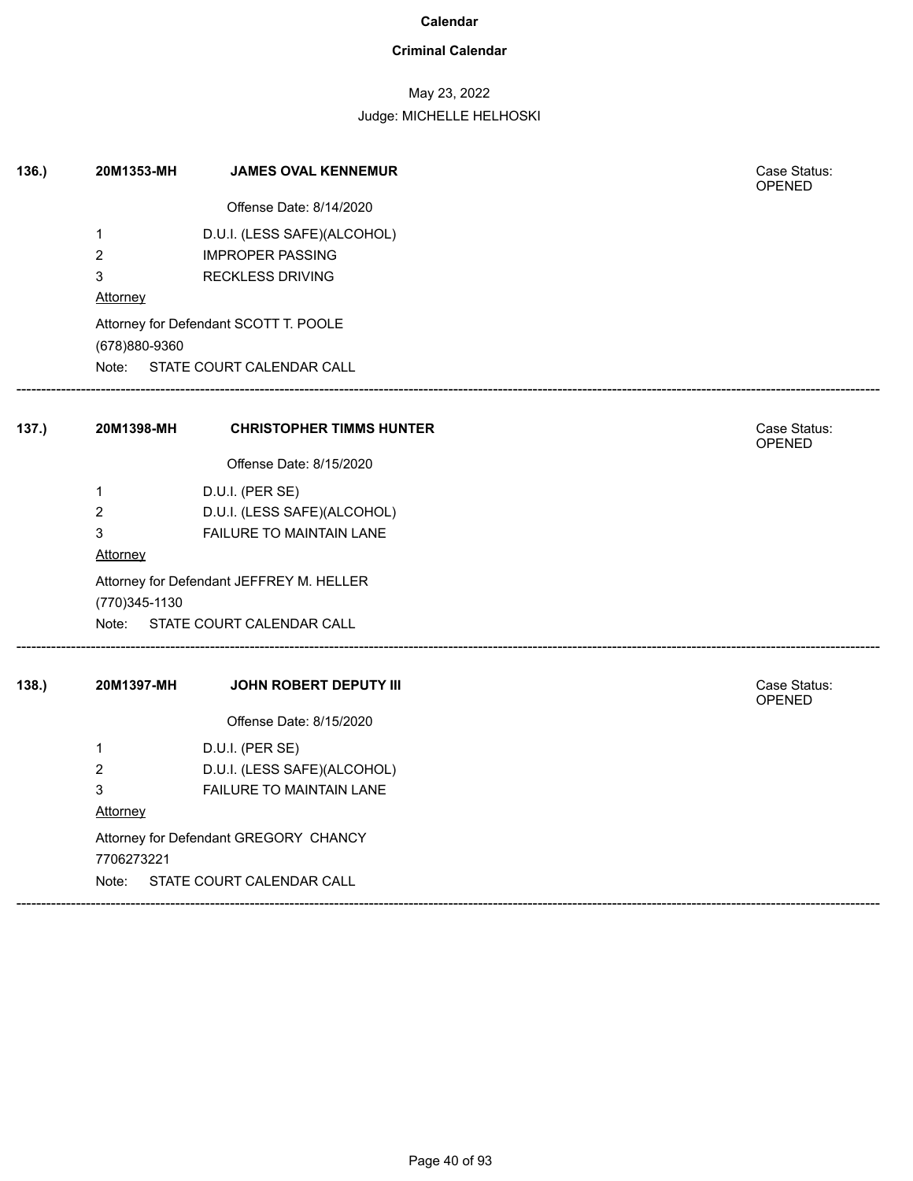### **Criminal Calendar**

## May 23, 2022

| 136. | 20M1353-MH     | <b>JAMES OVAL KENNEMUR</b>               | Case Status:<br><b>OPENED</b> |  |
|------|----------------|------------------------------------------|-------------------------------|--|
|      |                | Offense Date: 8/14/2020                  |                               |  |
|      | $\mathbf{1}$   | D.U.I. (LESS SAFE)(ALCOHOL)              |                               |  |
|      | $\overline{c}$ | <b>IMPROPER PASSING</b>                  |                               |  |
|      | 3              | <b>RECKLESS DRIVING</b>                  |                               |  |
|      | Attorney       |                                          |                               |  |
|      |                | Attorney for Defendant SCOTT T. POOLE    |                               |  |
|      | (678)880-9360  |                                          |                               |  |
|      | Note:          | STATE COURT CALENDAR CALL                |                               |  |
| 137. | 20M1398-MH     | <b>CHRISTOPHER TIMMS HUNTER</b>          | Case Status:<br><b>OPENED</b> |  |
|      |                | Offense Date: 8/15/2020                  |                               |  |
|      | 1              | D.U.I. (PER SE)                          |                               |  |
|      | $\overline{c}$ | D.U.I. (LESS SAFE)(ALCOHOL)              |                               |  |
|      | 3              | FAILURE TO MAINTAIN LANE                 |                               |  |
|      | Attorney       |                                          |                               |  |
|      |                | Attorney for Defendant JEFFREY M. HELLER |                               |  |
|      | (770) 345-1130 |                                          |                               |  |
|      |                | Note: STATE COURT CALENDAR CALL          |                               |  |
| 138. | 20M1397-MH     | JOHN ROBERT DEPUTY III                   | Case Status:<br><b>OPENED</b> |  |
|      |                | Offense Date: 8/15/2020                  |                               |  |
|      | $\mathbf{1}$   | D.U.I. (PER SE)                          |                               |  |
|      | $\overline{2}$ | D.U.I. (LESS SAFE)(ALCOHOL)              |                               |  |
|      | 3              | <b>FAILURE TO MAINTAIN LANE</b>          |                               |  |
|      | Attorney       |                                          |                               |  |
|      |                | Attorney for Defendant GREGORY CHANCY    |                               |  |
|      | 7706273221     |                                          |                               |  |
|      | Note:          | STATE COURT CALENDAR CALL                |                               |  |
|      |                |                                          |                               |  |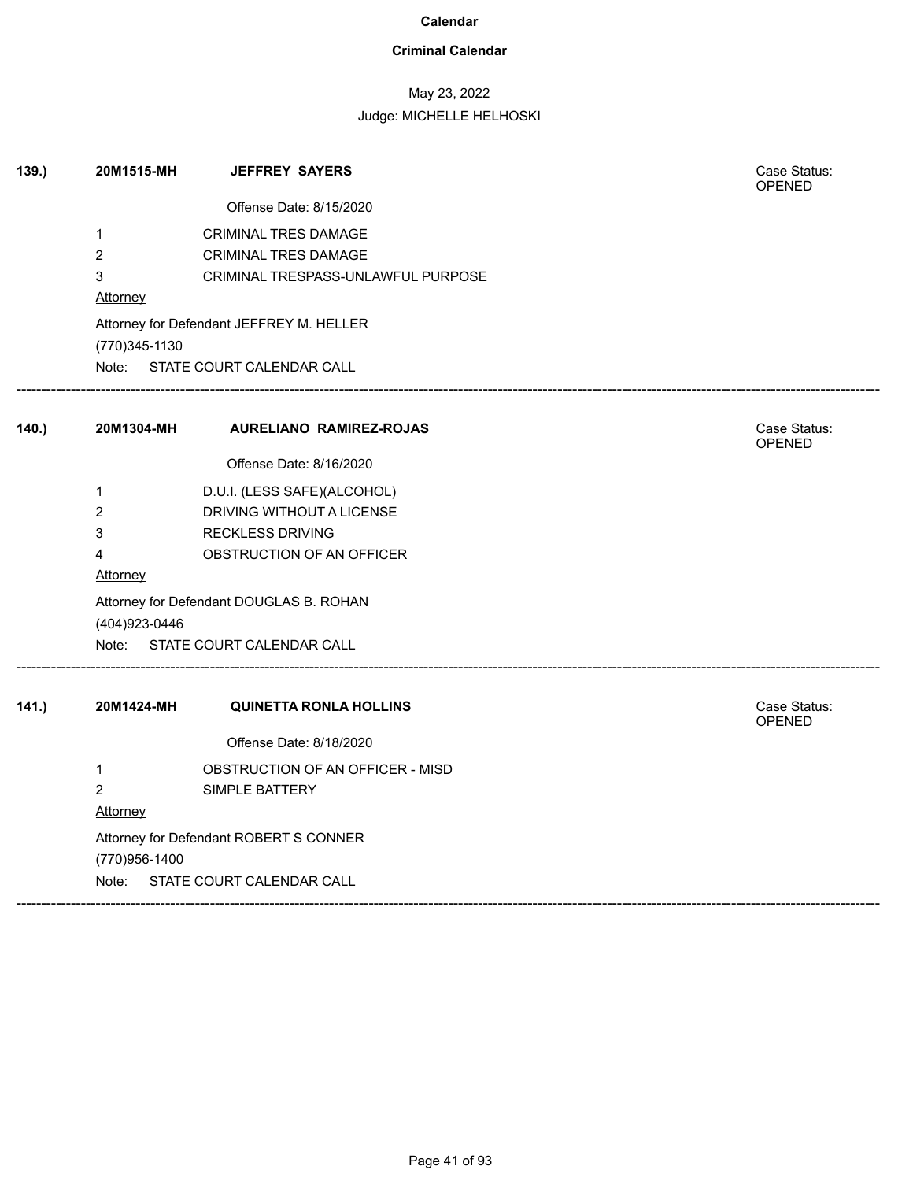### **Criminal Calendar**

## May 23, 2022

| 139.  | 20M1515-MH          | <b>JEFFREY SAYERS</b>                                             | Case Status:<br>OPENED        |
|-------|---------------------|-------------------------------------------------------------------|-------------------------------|
|       |                     | Offense Date: 8/15/2020                                           |                               |
|       | $\mathbf{1}$        | <b>CRIMINAL TRES DAMAGE</b>                                       |                               |
|       | $\overline{2}$<br>3 | <b>CRIMINAL TRES DAMAGE</b><br>CRIMINAL TRESPASS-UNLAWFUL PURPOSE |                               |
|       | Attorney            |                                                                   |                               |
|       | (770) 345-1130      | Attorney for Defendant JEFFREY M. HELLER                          |                               |
|       |                     | Note: STATE COURT CALENDAR CALL                                   |                               |
| 140.  | 20M1304-MH          | <b>AURELIANO RAMIREZ-ROJAS</b>                                    | Case Status:                  |
|       |                     |                                                                   | <b>OPENED</b>                 |
|       |                     | Offense Date: 8/16/2020                                           |                               |
|       | 1                   | D.U.I. (LESS SAFE)(ALCOHOL)                                       |                               |
|       | $\overline{c}$      | DRIVING WITHOUT A LICENSE                                         |                               |
|       | 3                   | <b>RECKLESS DRIVING</b>                                           |                               |
|       | 4                   | OBSTRUCTION OF AN OFFICER                                         |                               |
|       | Attorney            |                                                                   |                               |
|       | (404) 923-0446      | Attorney for Defendant DOUGLAS B. ROHAN                           |                               |
|       |                     | Note: STATE COURT CALENDAR CALL                                   |                               |
| 141.) | 20M1424-MH          | <b>QUINETTA RONLA HOLLINS</b>                                     | Case Status:<br><b>OPENED</b> |
|       |                     | Offense Date: 8/18/2020                                           |                               |
|       | 1                   | OBSTRUCTION OF AN OFFICER - MISD                                  |                               |
|       | $\overline{2}$      | SIMPLE BATTERY                                                    |                               |
|       | Attorney            |                                                                   |                               |
|       |                     | Attorney for Defendant ROBERT S CONNER                            |                               |
|       | (770)956-1400       |                                                                   |                               |
|       | Note:               | STATE COURT CALENDAR CALL                                         |                               |
|       |                     |                                                                   |                               |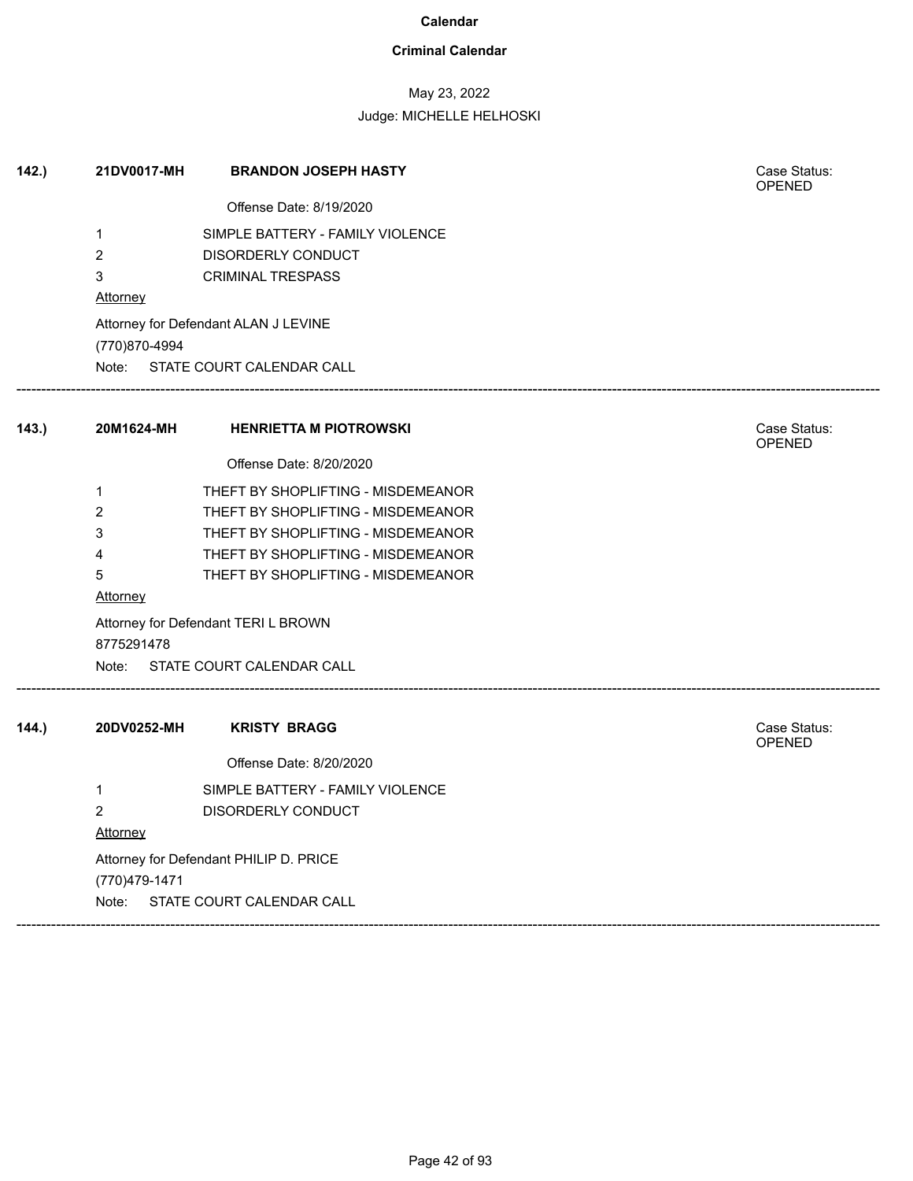### **Criminal Calendar**

## May 23, 2022

| 142.  | 21DV0017-MH     | <b>BRANDON JOSEPH HASTY</b>            | Case Status:<br><b>OPENED</b> |
|-------|-----------------|----------------------------------------|-------------------------------|
|       |                 | Offense Date: 8/19/2020                |                               |
|       | $\mathbf{1}$    | SIMPLE BATTERY - FAMILY VIOLENCE       |                               |
|       | $\overline{2}$  | <b>DISORDERLY CONDUCT</b>              |                               |
|       | 3               | <b>CRIMINAL TRESPASS</b>               |                               |
|       | <b>Attorney</b> |                                        |                               |
|       | (770)870-4994   | Attorney for Defendant ALAN J LEVINE   |                               |
|       |                 | Note: STATE COURT CALENDAR CALL        |                               |
| 143.  | 20M1624-MH      | <b>HENRIETTA M PIOTROWSKI</b>          | Case Status:<br>OPENED        |
|       |                 | Offense Date: 8/20/2020                |                               |
|       | 1               | THEFT BY SHOPLIFTING - MISDEMEANOR     |                               |
|       | $\overline{2}$  | THEFT BY SHOPLIFTING - MISDEMEANOR     |                               |
|       | 3               | THEFT BY SHOPLIFTING - MISDEMEANOR     |                               |
|       | 4               | THEFT BY SHOPLIFTING - MISDEMEANOR     |                               |
|       | 5               | THEFT BY SHOPLIFTING - MISDEMEANOR     |                               |
|       | Attorney        |                                        |                               |
|       | 8775291478      | Attorney for Defendant TERI L BROWN    |                               |
|       |                 | Note: STATE COURT CALENDAR CALL        |                               |
| 144.) | 20DV0252-MH     | <b>KRISTY BRAGG</b>                    | Case Status:<br>OPENED        |
|       |                 | Offense Date: 8/20/2020                |                               |
|       | $\mathbf{1}$    | SIMPLE BATTERY - FAMILY VIOLENCE       |                               |
|       | $\overline{2}$  | DISORDERLY CONDUCT                     |                               |
|       | <b>Attorney</b> |                                        |                               |
|       |                 | Attorney for Defendant PHILIP D. PRICE |                               |
|       | (770) 479-1471  |                                        |                               |
|       | Note:           | STATE COURT CALENDAR CALL              |                               |
|       |                 |                                        |                               |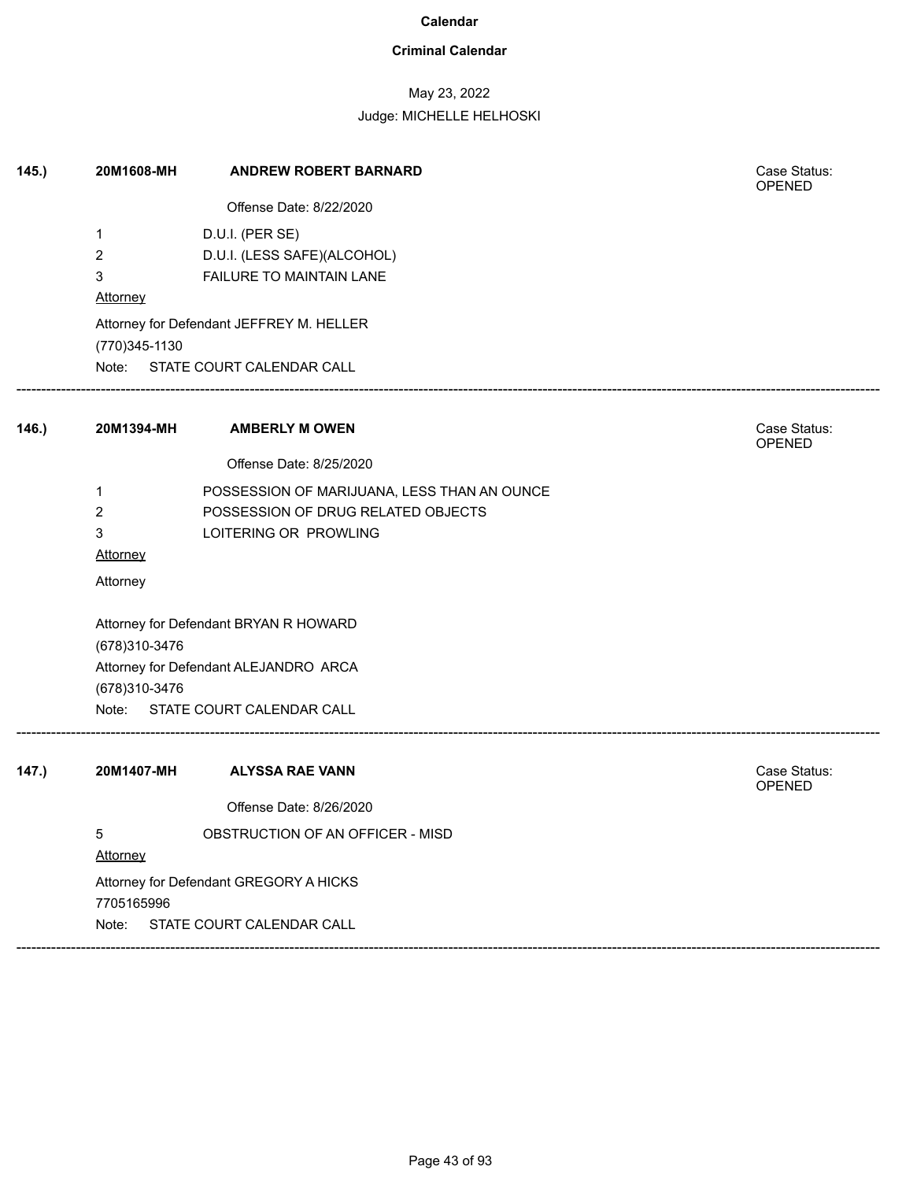### **Criminal Calendar**

## May 23, 2022

### Judge: MICHELLE HELHOSKI

| 145.  | 20M1608-MH              | <b>ANDREW ROBERT BARNARD</b>                | Case Status:<br><b>OPENED</b> |
|-------|-------------------------|---------------------------------------------|-------------------------------|
|       |                         | Offense Date: 8/22/2020                     |                               |
|       | $\mathbf 1$             | D.U.I. (PER SE)                             |                               |
|       | $\overline{2}$          | D.U.I. (LESS SAFE)(ALCOHOL)                 |                               |
|       | 3                       | FAILURE TO MAINTAIN LANE                    |                               |
|       | Attorney                |                                             |                               |
|       |                         | Attorney for Defendant JEFFREY M. HELLER    |                               |
|       | (770)345-1130           |                                             |                               |
|       |                         | Note: STATE COURT CALENDAR CALL             |                               |
| 146.) |                         | 20M1394-MH AMBERLY M OWEN                   | Case Status:                  |
|       |                         | Offense Date: 8/25/2020                     | <b>OPENED</b>                 |
|       | 1                       | POSSESSION OF MARIJUANA, LESS THAN AN OUNCE |                               |
|       | $\overline{2}$          | POSSESSION OF DRUG RELATED OBJECTS          |                               |
|       | 3                       | LOITERING OR PROWLING                       |                               |
|       | <b>Attorney</b>         |                                             |                               |
|       | Attorney                |                                             |                               |
|       |                         | Attorney for Defendant BRYAN R HOWARD       |                               |
|       | (678) 310-3476          |                                             |                               |
|       |                         | Attorney for Defendant ALEJANDRO ARCA       |                               |
|       | (678) 310-3476<br>Note: | STATE COURT CALENDAR CALL                   |                               |
|       |                         |                                             |                               |
| 147.) | 20M1407-MH              | <b>ALYSSA RAE VANN</b>                      | Case Status:<br><b>OPENED</b> |
|       |                         | Offense Date: 8/26/2020                     |                               |
|       | 5                       | OBSTRUCTION OF AN OFFICER - MISD            |                               |
|       | Attorney                |                                             |                               |
|       |                         | Attorney for Defendant GREGORY A HICKS      |                               |
|       | 7705165996              |                                             |                               |
|       | Note:                   | STATE COURT CALENDAR CALL                   |                               |

------------------------------------------------------------------------------------------------------------------------------------------------------------------------------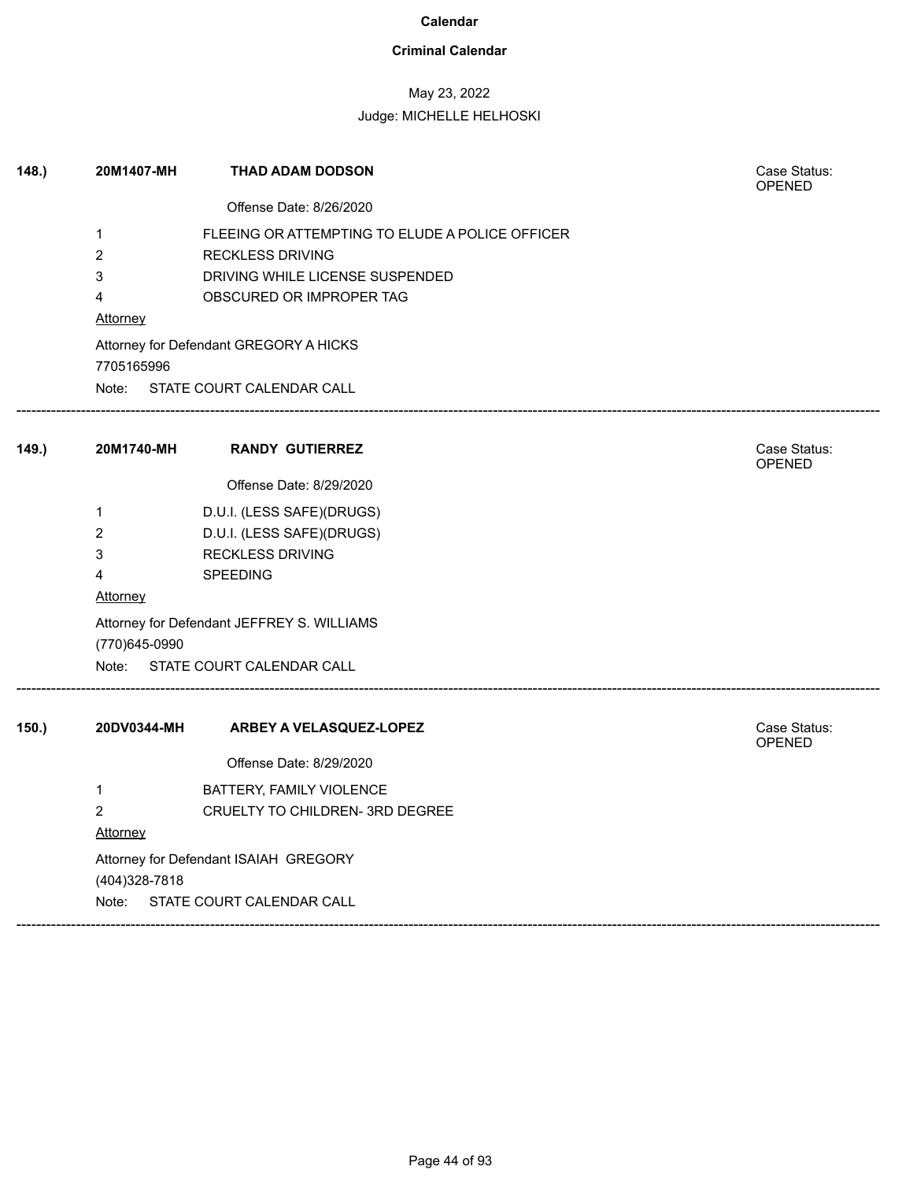### **Criminal Calendar**

## May 23, 2022

| 148. | 20M1407-MH      | THAD ADAM DODSON                                | Case Status:<br>OPENED        |
|------|-----------------|-------------------------------------------------|-------------------------------|
|      |                 | Offense Date: 8/26/2020                         |                               |
|      | 1               | FLEEING OR ATTEMPTING TO ELUDE A POLICE OFFICER |                               |
|      | $\overline{c}$  | <b>RECKLESS DRIVING</b>                         |                               |
|      | 3               | DRIVING WHILE LICENSE SUSPENDED                 |                               |
|      | 4               | OBSCURED OR IMPROPER TAG                        |                               |
|      | <b>Attorney</b> |                                                 |                               |
|      |                 | Attorney for Defendant GREGORY A HICKS          |                               |
|      | 7705165996      |                                                 |                               |
|      |                 | Note: STATE COURT CALENDAR CALL                 |                               |
| 149. | 20M1740-MH      | <b>RANDY GUTIERREZ</b>                          | Case Status:<br>OPENED        |
|      |                 | Offense Date: 8/29/2020                         |                               |
|      | 1               | D.U.I. (LESS SAFE)(DRUGS)                       |                               |
|      | 2               | D.U.I. (LESS SAFE)(DRUGS)                       |                               |
|      | 3               | <b>RECKLESS DRIVING</b>                         |                               |
|      | 4               | <b>SPEEDING</b>                                 |                               |
|      | <b>Attorney</b> |                                                 |                               |
|      | (770)645-0990   | Attorney for Defendant JEFFREY S. WILLIAMS      |                               |
|      |                 | Note: STATE COURT CALENDAR CALL                 |                               |
| 150. | 20DV0344-MH     | ARBEY A VELASQUEZ-LOPEZ                         | Case Status:<br><b>OPENED</b> |
|      |                 | Offense Date: 8/29/2020                         |                               |
|      | 1               | BATTERY, FAMILY VIOLENCE                        |                               |
|      | $\overline{c}$  | CRUELTY TO CHILDREN- 3RD DEGREE                 |                               |
|      | Attorney        |                                                 |                               |
|      |                 | Attorney for Defendant ISAIAH GREGORY           |                               |
|      | (404) 328-7818  |                                                 |                               |
|      | Note:           | STATE COURT CALENDAR CALL                       |                               |
|      |                 |                                                 |                               |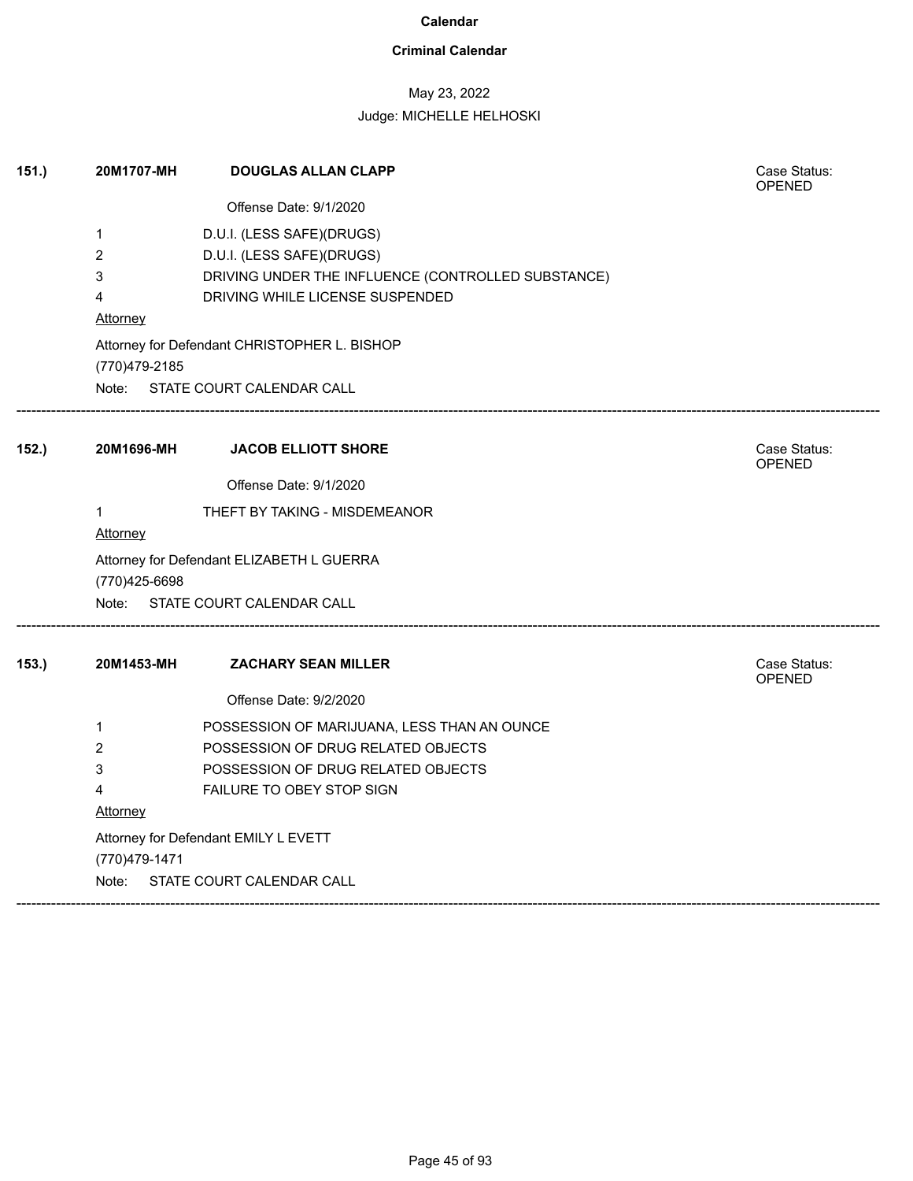### **Criminal Calendar**

## May 23, 2022

| 151.) | 20M1707-MH     | <b>DOUGLAS ALLAN CLAPP</b>                         | Case Status:<br>OPENED        |
|-------|----------------|----------------------------------------------------|-------------------------------|
|       |                | Offense Date: 9/1/2020                             |                               |
|       | 1              | D.U.I. (LESS SAFE)(DRUGS)                          |                               |
|       | 2              | D.U.I. (LESS SAFE)(DRUGS)                          |                               |
|       | 3              | DRIVING UNDER THE INFLUENCE (CONTROLLED SUBSTANCE) |                               |
|       | 4              | DRIVING WHILE LICENSE SUSPENDED                    |                               |
|       | Attorney       |                                                    |                               |
|       | (770) 479-2185 | Attorney for Defendant CHRISTOPHER L. BISHOP       |                               |
|       |                | Note: STATE COURT CALENDAR CALL                    |                               |
| 152.  | 20M1696-MH     | <b>JACOB ELLIOTT SHORE</b>                         | Case Status:<br><b>OPENED</b> |
|       |                | Offense Date: 9/1/2020                             |                               |
|       | $\mathbf{1}$   | THEFT BY TAKING - MISDEMEANOR                      |                               |
|       | Attorney       |                                                    |                               |
|       | (770) 425-6698 | Attorney for Defendant ELIZABETH L GUERRA          |                               |
|       | Note:          | STATE COURT CALENDAR CALL                          |                               |
| 153.  | 20M1453-MH     | <b>ZACHARY SEAN MILLER</b>                         | Case Status:<br><b>OPENED</b> |
|       |                | Offense Date: 9/2/2020                             |                               |
|       | 1              | POSSESSION OF MARIJUANA, LESS THAN AN OUNCE        |                               |
|       | 2              | POSSESSION OF DRUG RELATED OBJECTS                 |                               |
|       | 3              | POSSESSION OF DRUG RELATED OBJECTS                 |                               |
|       | 4              | FAILURE TO OBEY STOP SIGN                          |                               |
|       | Attorney       |                                                    |                               |
|       |                | Attorney for Defendant EMILY L EVETT               |                               |
|       | (770)479-1471  |                                                    |                               |
|       | Note:          | STATE COURT CALENDAR CALL                          |                               |
|       |                |                                                    |                               |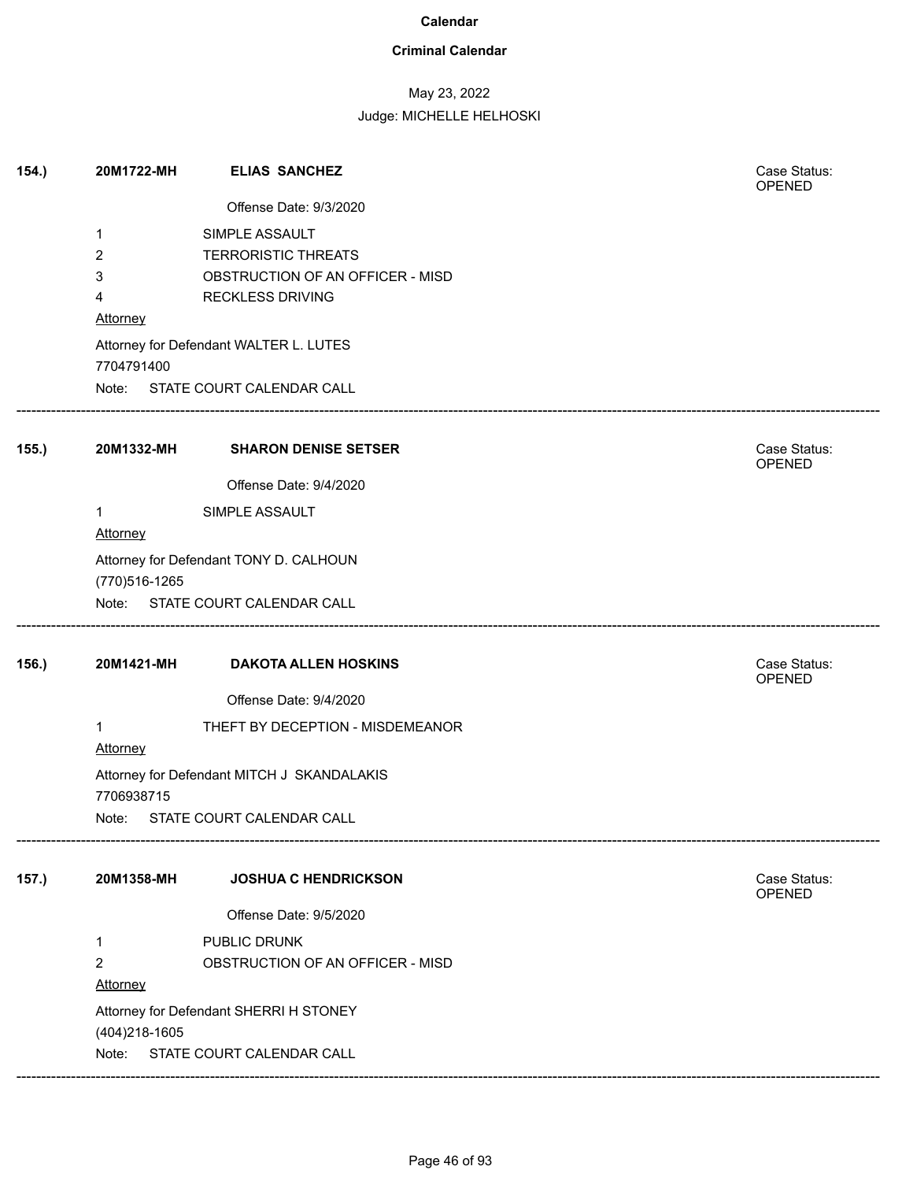### **Criminal Calendar**

## May 23, 2022

| 154.  | 20M1722-MH     | <b>ELIAS SANCHEZ</b>                       | Case Status:<br>OPENED |
|-------|----------------|--------------------------------------------|------------------------|
|       |                | Offense Date: 9/3/2020                     |                        |
|       | 1              | SIMPLE ASSAULT                             |                        |
|       | $\overline{c}$ | <b>TERRORISTIC THREATS</b>                 |                        |
|       | 3              | OBSTRUCTION OF AN OFFICER - MISD           |                        |
|       | 4              | <b>RECKLESS DRIVING</b>                    |                        |
|       | Attorney       |                                            |                        |
|       | 7704791400     | Attorney for Defendant WALTER L. LUTES     |                        |
|       |                | Note: STATE COURT CALENDAR CALL            |                        |
| 155.  | 20M1332-MH     | <b>SHARON DENISE SETSER</b>                | Case Status:<br>OPENED |
|       |                | Offense Date: 9/4/2020                     |                        |
|       | 1              | SIMPLE ASSAULT                             |                        |
|       | Attorney       |                                            |                        |
|       |                | Attorney for Defendant TONY D. CALHOUN     |                        |
|       | (770) 516-1265 |                                            |                        |
|       |                | Note: STATE COURT CALENDAR CALL            |                        |
|       |                |                                            |                        |
| 156.) | 20M1421-MH     | <b>DAKOTA ALLEN HOSKINS</b>                | Case Status:<br>OPENED |
|       |                | Offense Date: 9/4/2020                     |                        |
|       | 1              | THEFT BY DECEPTION - MISDEMEANOR           |                        |
|       | Attorney       |                                            |                        |
|       | 7706938715     | Attorney for Defendant MITCH J SKANDALAKIS |                        |
|       |                | Note: STATE COURT CALENDAR CALL            |                        |
| 157.) | 20M1358-MH     | <b>JOSHUA C HENDRICKSON</b>                | Case Status:           |
|       |                | Offense Date: 9/5/2020                     | OPENED                 |
|       | 1              | PUBLIC DRUNK                               |                        |
|       | $\overline{c}$ | OBSTRUCTION OF AN OFFICER - MISD           |                        |
|       | Attorney       |                                            |                        |
|       |                | Attorney for Defendant SHERRI H STONEY     |                        |
|       | (404) 218-1605 |                                            |                        |
|       |                | STATE COURT CALENDAR CALL                  |                        |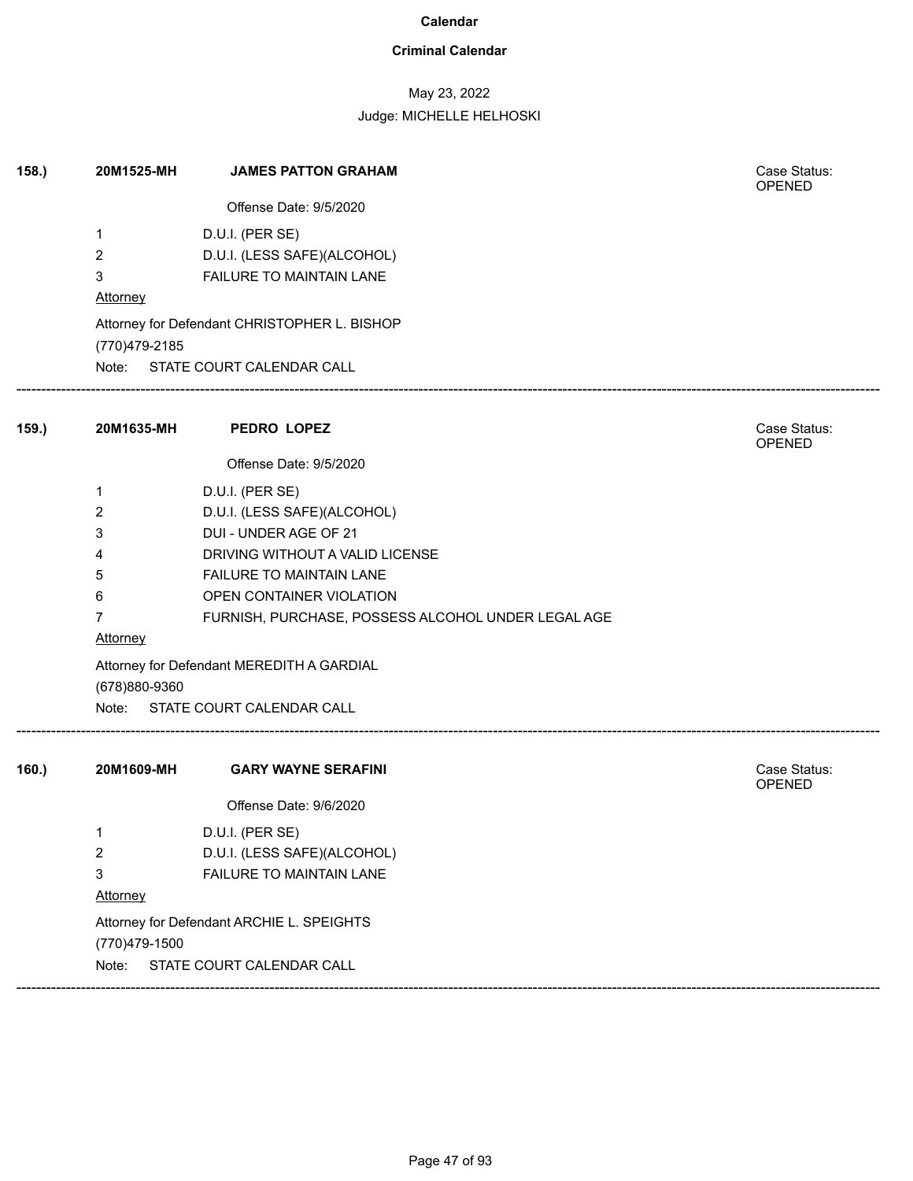### **Criminal Calendar**

## May 23, 2022

| 158. | 20M1525-MH      | <b>JAMES PATTON GRAHAM</b>                         | Case Status:<br><b>OPENED</b> |  |
|------|-----------------|----------------------------------------------------|-------------------------------|--|
|      |                 | Offense Date: 9/5/2020                             |                               |  |
|      | 1               | D.U.I. (PER SE)                                    |                               |  |
|      | $\overline{2}$  | D.U.I. (LESS SAFE)(ALCOHOL)                        |                               |  |
|      | 3               | FAILURE TO MAINTAIN LANE                           |                               |  |
|      | <b>Attorney</b> |                                                    |                               |  |
|      |                 | Attorney for Defendant CHRISTOPHER L. BISHOP       |                               |  |
|      | (770)479-2185   | Note: STATE COURT CALENDAR CALL                    |                               |  |
| 159. | 20M1635-MH      | PEDRO LOPEZ                                        | Case Status:                  |  |
|      |                 |                                                    | <b>OPENED</b>                 |  |
|      |                 | Offense Date: 9/5/2020                             |                               |  |
|      | 1               | D.U.I. (PER SE)                                    |                               |  |
|      | 2               | D.U.I. (LESS SAFE)(ALCOHOL)                        |                               |  |
|      | 3               | DUI - UNDER AGE OF 21                              |                               |  |
|      | 4               | DRIVING WITHOUT A VALID LICENSE                    |                               |  |
|      | 5               | <b>FAILURE TO MAINTAIN LANE</b>                    |                               |  |
|      | 6               | OPEN CONTAINER VIOLATION                           |                               |  |
|      | $\mathbf{7}$    | FURNISH, PURCHASE, POSSESS ALCOHOL UNDER LEGAL AGE |                               |  |
|      | <b>Attorney</b> |                                                    |                               |  |
|      | (678)880-9360   | Attorney for Defendant MEREDITH A GARDIAL          |                               |  |
|      | Note:           | STATE COURT CALENDAR CALL                          |                               |  |
| 160. | 20M1609-MH      | <b>GARY WAYNE SERAFINI</b>                         | Case Status:<br><b>OPENED</b> |  |
|      |                 | Offense Date: 9/6/2020                             |                               |  |
|      | 1               | D.U.I. (PER SE)                                    |                               |  |
|      | $\overline{c}$  | D.U.I. (LESS SAFE)(ALCOHOL)                        |                               |  |
|      | 3               | FAILURE TO MAINTAIN LANE                           |                               |  |
|      | Attorney        |                                                    |                               |  |
|      |                 | Attorney for Defendant ARCHIE L. SPEIGHTS          |                               |  |
|      | (770)479-1500   |                                                    |                               |  |
|      | Note:           | STATE COURT CALENDAR CALL                          |                               |  |
|      |                 |                                                    |                               |  |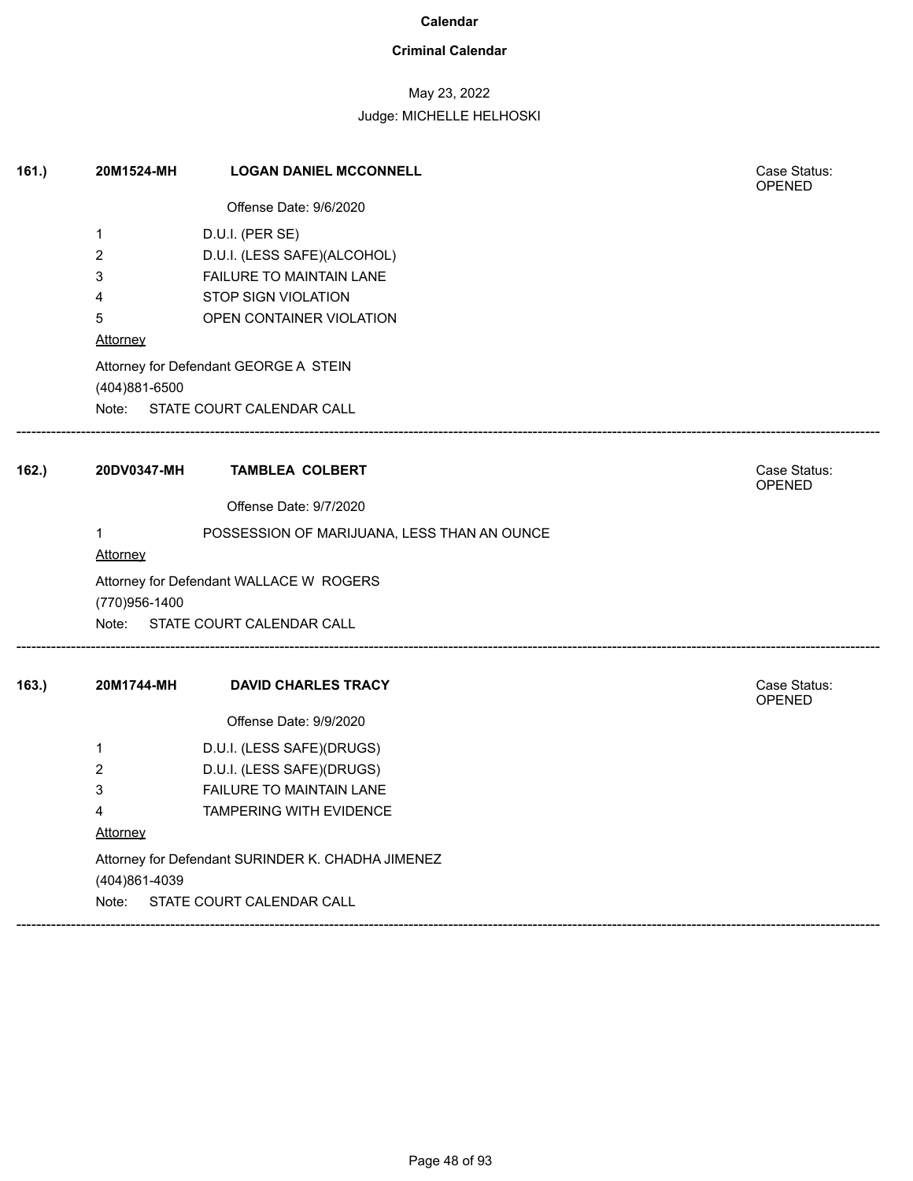### **Criminal Calendar**

## May 23, 2022

| 161. | 20M1524-MH      | <b>LOGAN DANIEL MCCONNELL</b>                     | Case Status:<br><b>OPENED</b> |  |  |
|------|-----------------|---------------------------------------------------|-------------------------------|--|--|
|      |                 | Offense Date: 9/6/2020                            |                               |  |  |
|      | $\mathbf{1}$    | D.U.I. (PER SE)                                   |                               |  |  |
|      | 2               | D.U.I. (LESS SAFE)(ALCOHOL)                       |                               |  |  |
|      | 3               | <b>FAILURE TO MAINTAIN LANE</b>                   |                               |  |  |
|      | 4               | <b>STOP SIGN VIOLATION</b>                        |                               |  |  |
|      | 5               | OPEN CONTAINER VIOLATION                          |                               |  |  |
|      | Attorney        |                                                   |                               |  |  |
|      |                 | Attorney for Defendant GEORGE A STEIN             |                               |  |  |
|      | (404)881-6500   |                                                   |                               |  |  |
|      | Note:           | STATE COURT CALENDAR CALL                         |                               |  |  |
| 162. | 20DV0347-MH     | <b>TAMBLEA COLBERT</b>                            | Case Status:<br><b>OPENED</b> |  |  |
|      |                 | Offense Date: 9/7/2020                            |                               |  |  |
|      | 1               | POSSESSION OF MARIJUANA, LESS THAN AN OUNCE       |                               |  |  |
|      | <b>Attorney</b> |                                                   |                               |  |  |
|      | (770)956-1400   | Attorney for Defendant WALLACE W ROGERS           |                               |  |  |
|      |                 | Note: STATE COURT CALENDAR CALL                   |                               |  |  |
| 163. | 20M1744-MH      | <b>DAVID CHARLES TRACY</b>                        | Case Status:<br><b>OPENED</b> |  |  |
|      |                 | Offense Date: 9/9/2020                            |                               |  |  |
|      | 1               | D.U.I. (LESS SAFE)(DRUGS)                         |                               |  |  |
|      | 2               | D.U.I. (LESS SAFE)(DRUGS)                         |                               |  |  |
|      | 3               | FAILURE TO MAINTAIN LANE                          |                               |  |  |
|      | 4               | <b>TAMPERING WITH EVIDENCE</b>                    |                               |  |  |
|      | Attorney        |                                                   |                               |  |  |
|      |                 | Attorney for Defendant SURINDER K. CHADHA JIMENEZ |                               |  |  |
|      | (404)861-4039   |                                                   |                               |  |  |
|      | Note:           | STATE COURT CALENDAR CALL                         |                               |  |  |
|      |                 |                                                   |                               |  |  |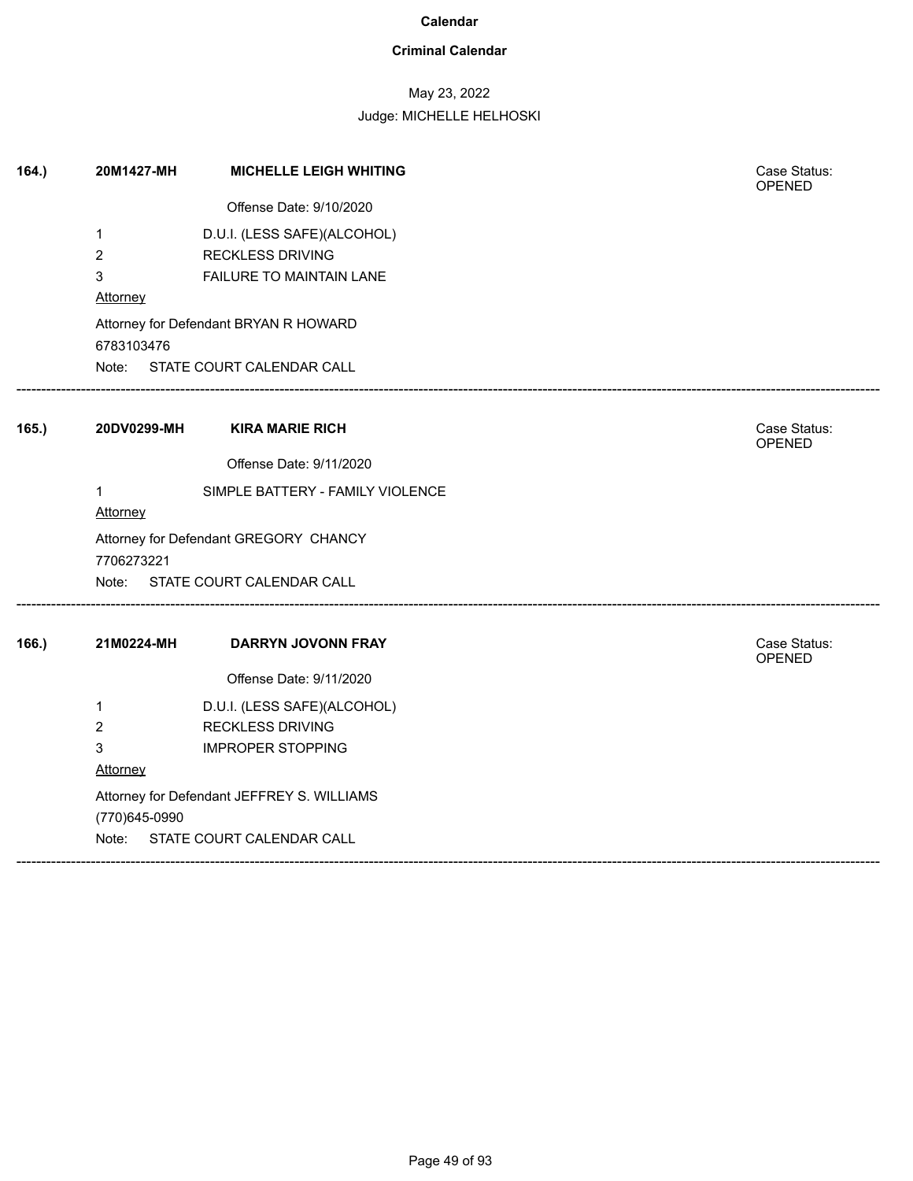### **Criminal Calendar**

## May 23, 2022

| 164. | 20M1427-MH      | <b>MICHELLE LEIGH WHITING</b>              | Case Status:<br>OPENED |  |  |  |
|------|-----------------|--------------------------------------------|------------------------|--|--|--|
|      |                 | Offense Date: 9/10/2020                    |                        |  |  |  |
|      | $\mathbf{1}$    | D.U.I. (LESS SAFE)(ALCOHOL)                |                        |  |  |  |
|      | $\overline{2}$  | <b>RECKLESS DRIVING</b>                    |                        |  |  |  |
|      | 3               | FAILURE TO MAINTAIN LANE                   |                        |  |  |  |
|      | Attorney        |                                            |                        |  |  |  |
|      | 6783103476      | Attorney for Defendant BRYAN R HOWARD      |                        |  |  |  |
|      |                 | Note: STATE COURT CALENDAR CALL            |                        |  |  |  |
| 165. | 20DV0299-MH     | <b>KIRA MARIE RICH</b>                     | Case Status:<br>OPENED |  |  |  |
|      |                 | Offense Date: 9/11/2020                    |                        |  |  |  |
|      | 1               | SIMPLE BATTERY - FAMILY VIOLENCE           |                        |  |  |  |
|      | <b>Attorney</b> |                                            |                        |  |  |  |
|      |                 | Attorney for Defendant GREGORY CHANCY      |                        |  |  |  |
|      | 7706273221      | Note: STATE COURT CALENDAR CALL            |                        |  |  |  |
| 166. | 21M0224-MH      | <b>DARRYN JOVONN FRAY</b>                  | Case Status:<br>OPENED |  |  |  |
|      |                 | Offense Date: 9/11/2020                    |                        |  |  |  |
|      | $\mathbf 1$     | D.U.I. (LESS SAFE)(ALCOHOL)                |                        |  |  |  |
|      | $\overline{2}$  | <b>RECKLESS DRIVING</b>                    |                        |  |  |  |
|      | 3               | <b>IMPROPER STOPPING</b>                   |                        |  |  |  |
|      | Attorney        |                                            |                        |  |  |  |
|      |                 | Attorney for Defendant JEFFREY S. WILLIAMS |                        |  |  |  |
|      | (770)645-0990   |                                            |                        |  |  |  |
|      |                 | Note: STATE COURT CALENDAR CALL            |                        |  |  |  |
|      |                 |                                            |                        |  |  |  |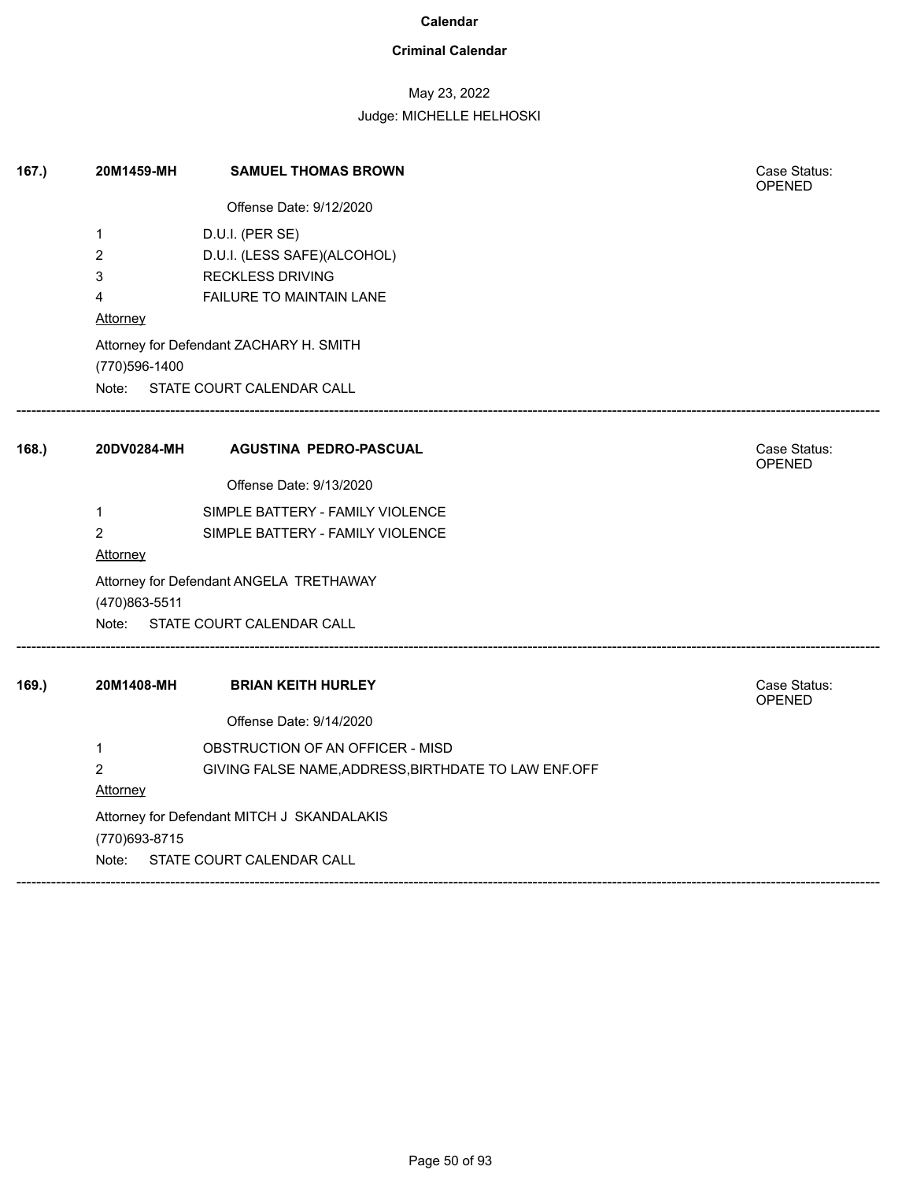### **Criminal Calendar**

## May 23, 2022

| 167. | 20M1459-MH                                                   | <b>SAMUEL THOMAS BROWN</b>                           | Case Status:<br><b>OPENED</b> |  |  |
|------|--------------------------------------------------------------|------------------------------------------------------|-------------------------------|--|--|
|      |                                                              | Offense Date: 9/12/2020                              |                               |  |  |
|      | 1                                                            | D.U.I. (PER SE)                                      |                               |  |  |
|      | $\overline{c}$                                               | D.U.I. (LESS SAFE)(ALCOHOL)                          |                               |  |  |
|      | 3                                                            | <b>RECKLESS DRIVING</b>                              |                               |  |  |
|      | 4<br><b>Attorney</b>                                         | FAILURE TO MAINTAIN LANE                             |                               |  |  |
|      | (770)596-1400                                                | Attorney for Defendant ZACHARY H. SMITH              |                               |  |  |
|      |                                                              | Note: STATE COURT CALENDAR CALL                      |                               |  |  |
| 168. | 20DV0284-MH                                                  | <b>AGUSTINA PEDRO-PASCUAL</b>                        | Case Status:<br>OPENED        |  |  |
|      |                                                              | Offense Date: 9/13/2020                              |                               |  |  |
|      | $\mathbf{1}$                                                 | SIMPLE BATTERY - FAMILY VIOLENCE                     |                               |  |  |
|      | $\overline{2}$<br>Attorney                                   | SIMPLE BATTERY - FAMILY VIOLENCE                     |                               |  |  |
|      | (470)863-5511                                                | Attorney for Defendant ANGELA TRETHAWAY              |                               |  |  |
|      |                                                              | Note: STATE COURT CALENDAR CALL                      |                               |  |  |
| 169. | 20M1408-MH                                                   | <b>BRIAN KEITH HURLEY</b>                            | Case Status:<br>OPENED        |  |  |
|      |                                                              | Offense Date: 9/14/2020                              |                               |  |  |
|      | $\mathbf{1}$                                                 | OBSTRUCTION OF AN OFFICER - MISD                     |                               |  |  |
|      | $\overline{2}$                                               | GIVING FALSE NAME, ADDRESS, BIRTHDATE TO LAW ENF.OFF |                               |  |  |
|      | <b>Attorney</b>                                              |                                                      |                               |  |  |
|      | Attorney for Defendant MITCH J SKANDALAKIS<br>(770) 693-8715 |                                                      |                               |  |  |
|      | Note:                                                        | STATE COURT CALENDAR CALL                            |                               |  |  |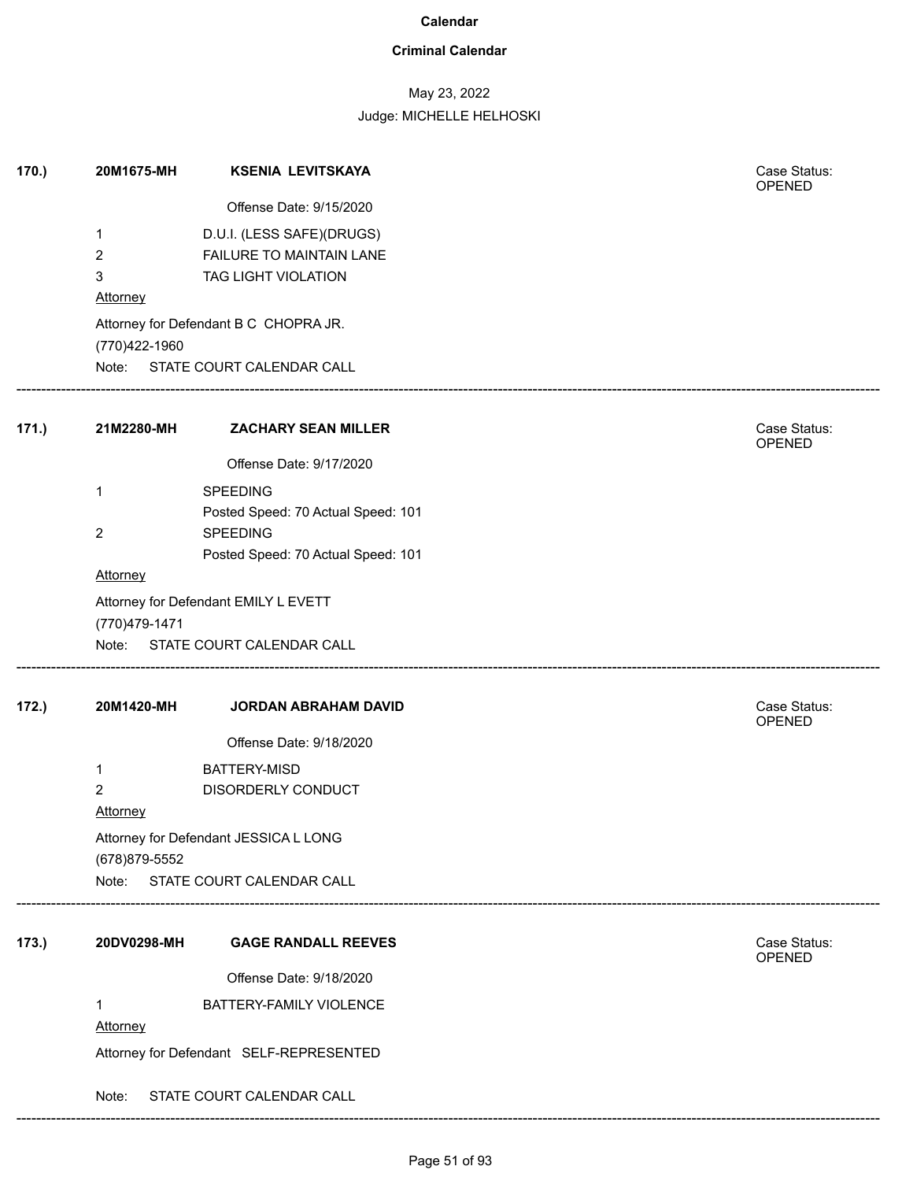### **Criminal Calendar**

## May 23, 2022

Judge: MICHELLE HELHOSKI

| 170. | 20M1675-MH             | <b>KSENIA LEVITSKAYA</b>                | Case Status:<br><b>OPENED</b> |
|------|------------------------|-----------------------------------------|-------------------------------|
|      |                        | Offense Date: 9/15/2020                 |                               |
|      | 1                      | D.U.I. (LESS SAFE)(DRUGS)               |                               |
|      | 2                      | FAILURE TO MAINTAIN LANE                |                               |
|      | 3                      | TAG LIGHT VIOLATION                     |                               |
|      | <b>Attorney</b>        |                                         |                               |
|      |                        | Attorney for Defendant B C CHOPRA JR.   |                               |
|      | (770)422-1960<br>Note: | STATE COURT CALENDAR CALL               |                               |
|      |                        |                                         |                               |
| 171. | 21M2280-MH             | <b>ZACHARY SEAN MILLER</b>              | Case Status:<br><b>OPENED</b> |
|      |                        | Offense Date: 9/17/2020                 |                               |
|      | 1                      | <b>SPEEDING</b>                         |                               |
|      |                        | Posted Speed: 70 Actual Speed: 101      |                               |
|      | 2                      | SPEEDING                                |                               |
|      | Attorney               | Posted Speed: 70 Actual Speed: 101      |                               |
|      |                        |                                         |                               |
|      | (770) 479-1471         | Attorney for Defendant EMILY L EVETT    |                               |
|      |                        | Note: STATE COURT CALENDAR CALL         |                               |
|      |                        |                                         |                               |
| 172. | 20M1420-MH             | JORDAN ABRAHAM DAVID                    | Case Status:<br>OPENED        |
|      |                        | Offense Date: 9/18/2020                 |                               |
|      | 1                      | <b>BATTERY-MISD</b>                     |                               |
|      | 2                      | DISORDERLY CONDUCT                      |                               |
|      | Attorney               |                                         |                               |
|      |                        | Attorney for Defendant JESSICA L LONG   |                               |
|      | (678) 879-5552         |                                         |                               |
|      |                        | Note: STATE COURT CALENDAR CALL         |                               |
| 173. | 20DV0298-MH            | <b>GAGE RANDALL REEVES</b>              | Case Status:                  |
|      |                        |                                         | OPENED                        |
|      |                        | Offense Date: 9/18/2020                 |                               |
|      | 1<br>Attorney          | BATTERY-FAMILY VIOLENCE                 |                               |
|      |                        |                                         |                               |
|      |                        | Attorney for Defendant SELF-REPRESENTED |                               |
|      | Note:                  | STATE COURT CALENDAR CALL               |                               |

------------------------------------------------------------------------------------------------------------------------------------------------------------------------------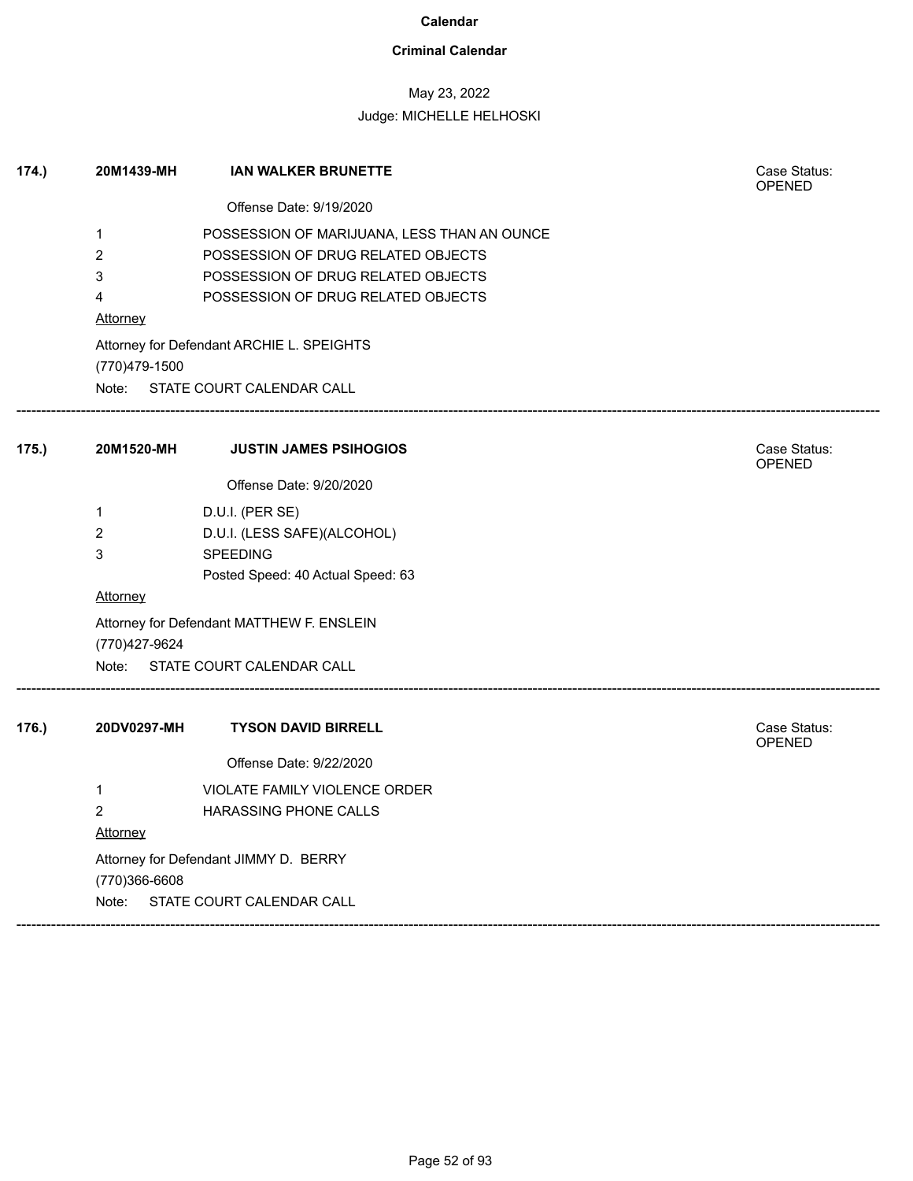### **Criminal Calendar**

## May 23, 2022

| 174.) | 20M1439-MH                            | <b>IAN WALKER BRUNETTE</b>                  | Case Status:<br><b>OPENED</b> |  |  |  |
|-------|---------------------------------------|---------------------------------------------|-------------------------------|--|--|--|
|       |                                       | Offense Date: 9/19/2020                     |                               |  |  |  |
|       | 1                                     | POSSESSION OF MARIJUANA, LESS THAN AN OUNCE |                               |  |  |  |
|       | 2                                     | POSSESSION OF DRUG RELATED OBJECTS          |                               |  |  |  |
|       | 3                                     | POSSESSION OF DRUG RELATED OBJECTS          |                               |  |  |  |
|       | 4                                     | POSSESSION OF DRUG RELATED OBJECTS          |                               |  |  |  |
|       | <b>Attorney</b>                       |                                             |                               |  |  |  |
|       | (770)479-1500                         | Attorney for Defendant ARCHIE L. SPEIGHTS   |                               |  |  |  |
|       |                                       | Note: STATE COURT CALENDAR CALL             |                               |  |  |  |
| 175.) | 20M1520-MH                            | <b>JUSTIN JAMES PSIHOGIOS</b>               | Case Status:<br>OPENED        |  |  |  |
|       |                                       | Offense Date: 9/20/2020                     |                               |  |  |  |
|       | 1                                     | D.U.I. (PER SE)                             |                               |  |  |  |
|       | 2                                     | D.U.I. (LESS SAFE)(ALCOHOL)                 |                               |  |  |  |
|       | 3                                     | <b>SPEEDING</b>                             |                               |  |  |  |
|       |                                       | Posted Speed: 40 Actual Speed: 63           |                               |  |  |  |
|       | <b>Attorney</b>                       |                                             |                               |  |  |  |
|       | (770) 427-9624                        | Attorney for Defendant MATTHEW F. ENSLEIN   |                               |  |  |  |
|       | Note:                                 | STATE COURT CALENDAR CALL                   |                               |  |  |  |
| 176.  | 20DV0297-MH                           | <b>TYSON DAVID BIRRELL</b>                  | Case Status:<br><b>OPENED</b> |  |  |  |
|       |                                       | Offense Date: 9/22/2020                     |                               |  |  |  |
|       | 1                                     | <b>VIOLATE FAMILY VIOLENCE ORDER</b>        |                               |  |  |  |
|       | $\overline{c}$                        | HARASSING PHONE CALLS                       |                               |  |  |  |
|       | <b>Attorney</b>                       |                                             |                               |  |  |  |
|       | Attorney for Defendant JIMMY D. BERRY |                                             |                               |  |  |  |
|       | (770)366-6608                         |                                             |                               |  |  |  |
|       | Note:                                 | STATE COURT CALENDAR CALL                   |                               |  |  |  |
|       |                                       |                                             |                               |  |  |  |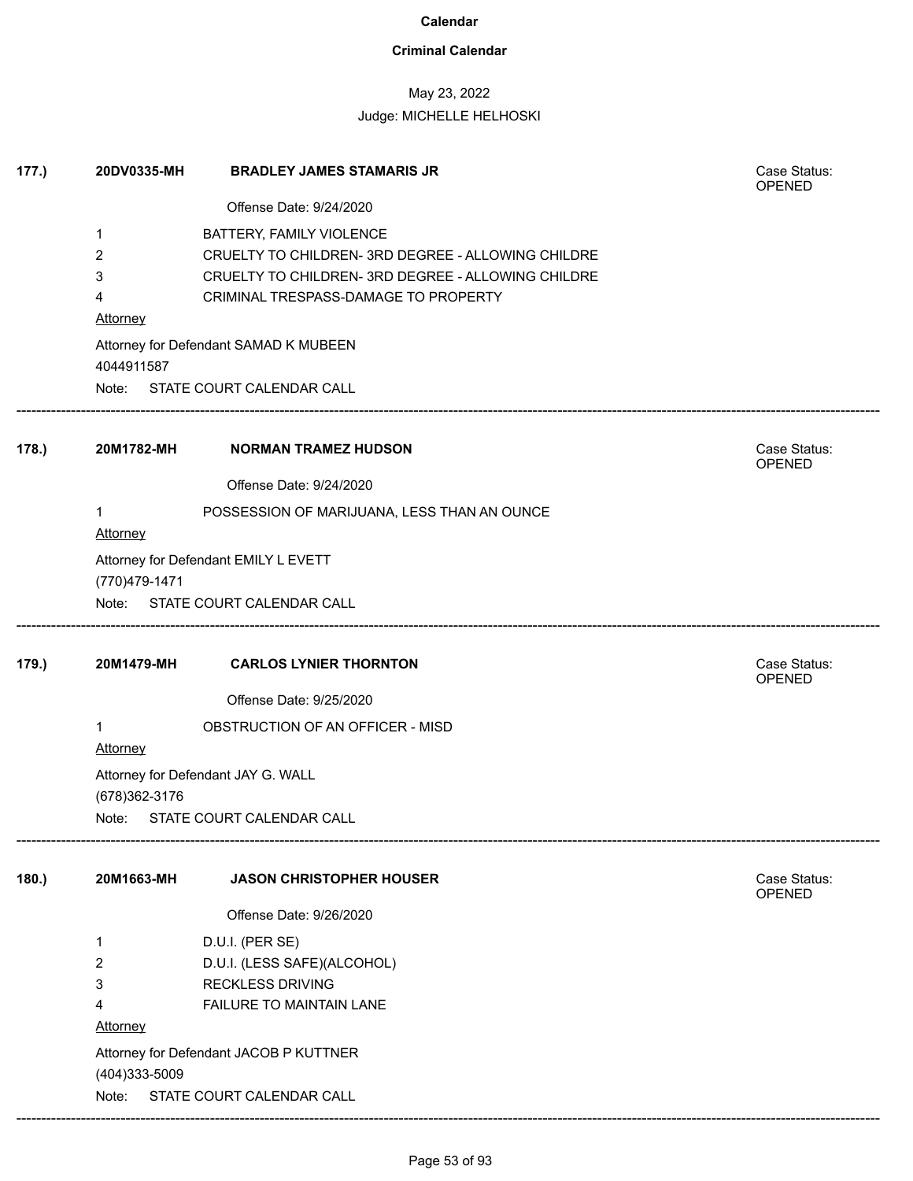## **Criminal Calendar**

## May 23, 2022

| 177.) | 20DV0335-MH     | <b>BRADLEY JAMES STAMARIS JR</b>                   | Case Status:<br><b>OPENED</b> |
|-------|-----------------|----------------------------------------------------|-------------------------------|
|       |                 | Offense Date: 9/24/2020                            |                               |
|       | 1               | BATTERY, FAMILY VIOLENCE                           |                               |
|       | 2               | CRUELTY TO CHILDREN- 3RD DEGREE - ALLOWING CHILDRE |                               |
|       | 3               | CRUELTY TO CHILDREN- 3RD DEGREE - ALLOWING CHILDRE |                               |
|       | 4               | CRIMINAL TRESPASS-DAMAGE TO PROPERTY               |                               |
|       | <b>Attorney</b> |                                                    |                               |
|       |                 | Attorney for Defendant SAMAD K MUBEEN              |                               |
|       | 4044911587      |                                                    |                               |
|       |                 | Note: STATE COURT CALENDAR CALL                    |                               |
| 178.  | 20M1782-MH      | <b>NORMAN TRAMEZ HUDSON</b>                        | Case Status:<br>OPENED        |
|       |                 | Offense Date: 9/24/2020                            |                               |
|       | 1<br>Attorney   | POSSESSION OF MARIJUANA, LESS THAN AN OUNCE        |                               |
|       |                 | Attorney for Defendant EMILY L EVETT               |                               |
|       | (770) 479-1471  |                                                    |                               |
|       |                 | Note: STATE COURT CALENDAR CALL                    |                               |
| 179.) | 20M1479-MH      | <b>CARLOS LYNIER THORNTON</b>                      | Case Status:<br><b>OPENED</b> |
|       |                 | Offense Date: 9/25/2020                            |                               |
|       | 1               | OBSTRUCTION OF AN OFFICER - MISD                   |                               |
|       | Attorney        |                                                    |                               |
|       | (678) 362-3176  | Attorney for Defendant JAY G. WALL                 |                               |
|       |                 | Note: STATE COURT CALENDAR CALL                    |                               |
| 180.  | 20M1663-MH      | <b>JASON CHRISTOPHER HOUSER</b>                    | Case Status:<br>OPENED        |
|       |                 | Offense Date: 9/26/2020                            |                               |
|       | 1               | D.U.I. (PER SE)                                    |                               |
|       | 2               | D.U.I. (LESS SAFE)(ALCOHOL)                        |                               |
|       | 3               | <b>RECKLESS DRIVING</b>                            |                               |
|       | 4               | FAILURE TO MAINTAIN LANE                           |                               |
|       | <b>Attorney</b> |                                                    |                               |
|       |                 | Attorney for Defendant JACOB P KUTTNER             |                               |
|       | (404)333-5009   |                                                    |                               |
|       | Note:           | STATE COURT CALENDAR CALL                          |                               |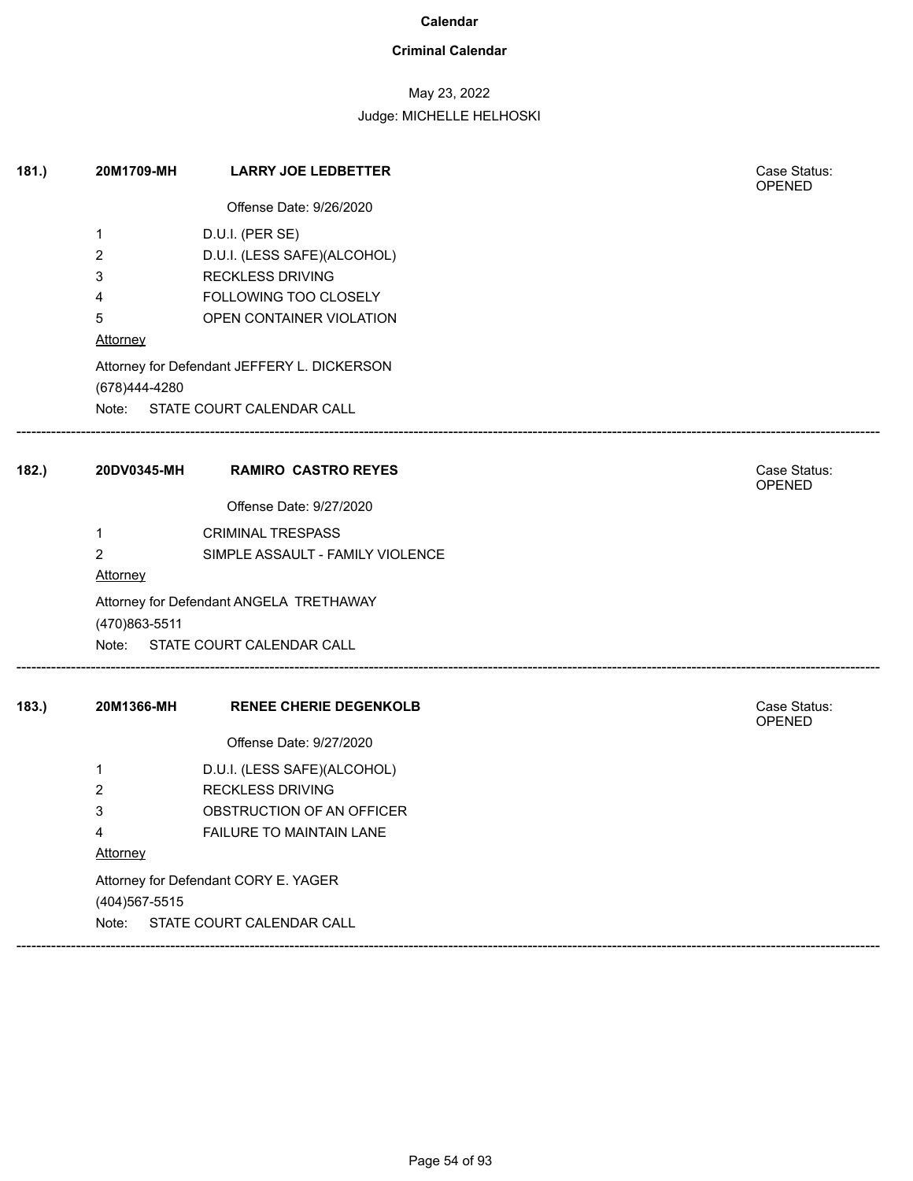### **Criminal Calendar**

## May 23, 2022

| 181.  | 20M1709-MH                           | <b>LARRY JOE LEDBETTER</b>                  | Case Status:<br>OPENED        |  |  |
|-------|--------------------------------------|---------------------------------------------|-------------------------------|--|--|
|       |                                      | Offense Date: 9/26/2020                     |                               |  |  |
|       | 1                                    | D.U.I. (PER SE)                             |                               |  |  |
|       | 2                                    | D.U.I. (LESS SAFE)(ALCOHOL)                 |                               |  |  |
|       | 3                                    | <b>RECKLESS DRIVING</b>                     |                               |  |  |
|       | 4                                    | FOLLOWING TOO CLOSELY                       |                               |  |  |
|       | 5                                    | OPEN CONTAINER VIOLATION                    |                               |  |  |
|       | <b>Attorney</b>                      |                                             |                               |  |  |
|       |                                      | Attorney for Defendant JEFFERY L. DICKERSON |                               |  |  |
|       | (678)444-4280                        |                                             |                               |  |  |
|       |                                      | Note: STATE COURT CALENDAR CALL             |                               |  |  |
| 182.) | 20DV0345-MH                          | <b>RAMIRO CASTRO REYES</b>                  | Case Status:<br><b>OPENED</b> |  |  |
|       |                                      | Offense Date: 9/27/2020                     |                               |  |  |
|       | $\mathbf{1}$                         | <b>CRIMINAL TRESPASS</b>                    |                               |  |  |
|       | $\overline{2}$                       | SIMPLE ASSAULT - FAMILY VIOLENCE            |                               |  |  |
|       | Attorney                             |                                             |                               |  |  |
|       |                                      | Attorney for Defendant ANGELA TRETHAWAY     |                               |  |  |
|       | (470)863-5511                        |                                             |                               |  |  |
|       |                                      | Note: STATE COURT CALENDAR CALL             |                               |  |  |
| 183.  | 20M1366-MH                           | <b>RENEE CHERIE DEGENKOLB</b>               | Case Status:<br><b>OPENED</b> |  |  |
|       |                                      | Offense Date: 9/27/2020                     |                               |  |  |
|       | 1                                    | D.U.I. (LESS SAFE)(ALCOHOL)                 |                               |  |  |
|       | 2                                    | <b>RECKLESS DRIVING</b>                     |                               |  |  |
|       | 3                                    | OBSTRUCTION OF AN OFFICER                   |                               |  |  |
|       | 4                                    | FAILURE TO MAINTAIN LANE                    |                               |  |  |
|       | <b>Attorney</b>                      |                                             |                               |  |  |
|       | Attorney for Defendant CORY E. YAGER |                                             |                               |  |  |
|       | (404) 567-5515                       |                                             |                               |  |  |
|       | Note:                                | STATE COURT CALENDAR CALL                   |                               |  |  |
|       |                                      |                                             |                               |  |  |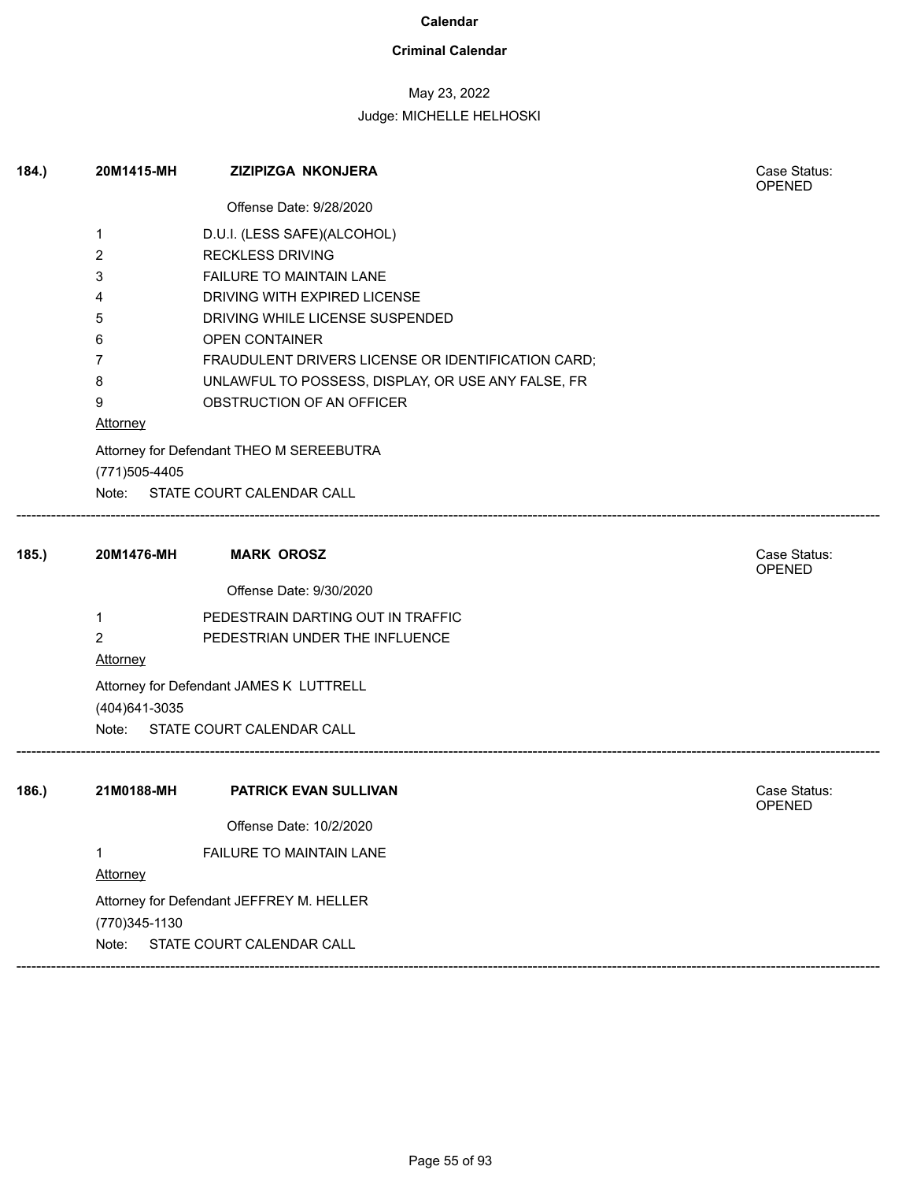### **Criminal Calendar**

## May 23, 2022

## Judge: MICHELLE HELHOSKI

| 184. | 20M1415-MH      | <b>ZIZIPIZGA NKONJERA</b>                                                   | Case Status:<br><b>OPENED</b> |
|------|-----------------|-----------------------------------------------------------------------------|-------------------------------|
|      |                 | Offense Date: 9/28/2020                                                     |                               |
|      | 1               | D.U.I. (LESS SAFE)(ALCOHOL)                                                 |                               |
|      | $\overline{2}$  | <b>RECKLESS DRIVING</b>                                                     |                               |
|      | 3               | FAILURE TO MAINTAIN LANE                                                    |                               |
|      | 4               | DRIVING WITH EXPIRED LICENSE                                                |                               |
|      | 5               | DRIVING WHILE LICENSE SUSPENDED                                             |                               |
|      | 6               | <b>OPEN CONTAINER</b>                                                       |                               |
|      | 7               | FRAUDULENT DRIVERS LICENSE OR IDENTIFICATION CARD;                          |                               |
|      | 8               | UNLAWFUL TO POSSESS, DISPLAY, OR USE ANY FALSE, FR                          |                               |
|      | 9               | OBSTRUCTION OF AN OFFICER                                                   |                               |
|      | <b>Attorney</b> |                                                                             |                               |
|      | (771) 505-4405  | Attorney for Defendant THEO M SEREEBUTRA<br>Note: STATE COURT CALENDAR CALL |                               |
| 185. | 20M1476-MH      | <b>MARK OROSZ</b>                                                           | Case Status:<br><b>OPENED</b> |
|      |                 | Offense Date: 9/30/2020                                                     |                               |
|      | 1               | PEDESTRAIN DARTING OUT IN TRAFFIC                                           |                               |
|      | $\overline{2}$  | PEDESTRIAN UNDER THE INFLUENCE                                              |                               |
|      | <b>Attorney</b> |                                                                             |                               |
|      |                 | Attorney for Defendant JAMES K LUTTRELL                                     |                               |
|      | (404) 641-3035  |                                                                             |                               |
|      | Note:           | STATE COURT CALENDAR CALL                                                   |                               |
|      |                 |                                                                             |                               |
|      |                 |                                                                             |                               |

| 186. | 21M0188-MH    | <b>PATRICK EVAN SULLIVAN</b>             | Case Status:<br><b>OPENED</b> |
|------|---------------|------------------------------------------|-------------------------------|
|      |               | Offense Date: 10/2/2020                  |                               |
|      |               | <b>FAILURE TO MAINTAIN LANE</b>          |                               |
|      | Attorney      |                                          |                               |
|      |               | Attorney for Defendant JEFFREY M. HELLER |                               |
|      | (770)345-1130 |                                          |                               |
|      | Note:         | STATE COURT CALENDAR CALL                |                               |
|      |               |                                          |                               |

------------------------------------------------------------------------------------------------------------------------------------------------------------------------------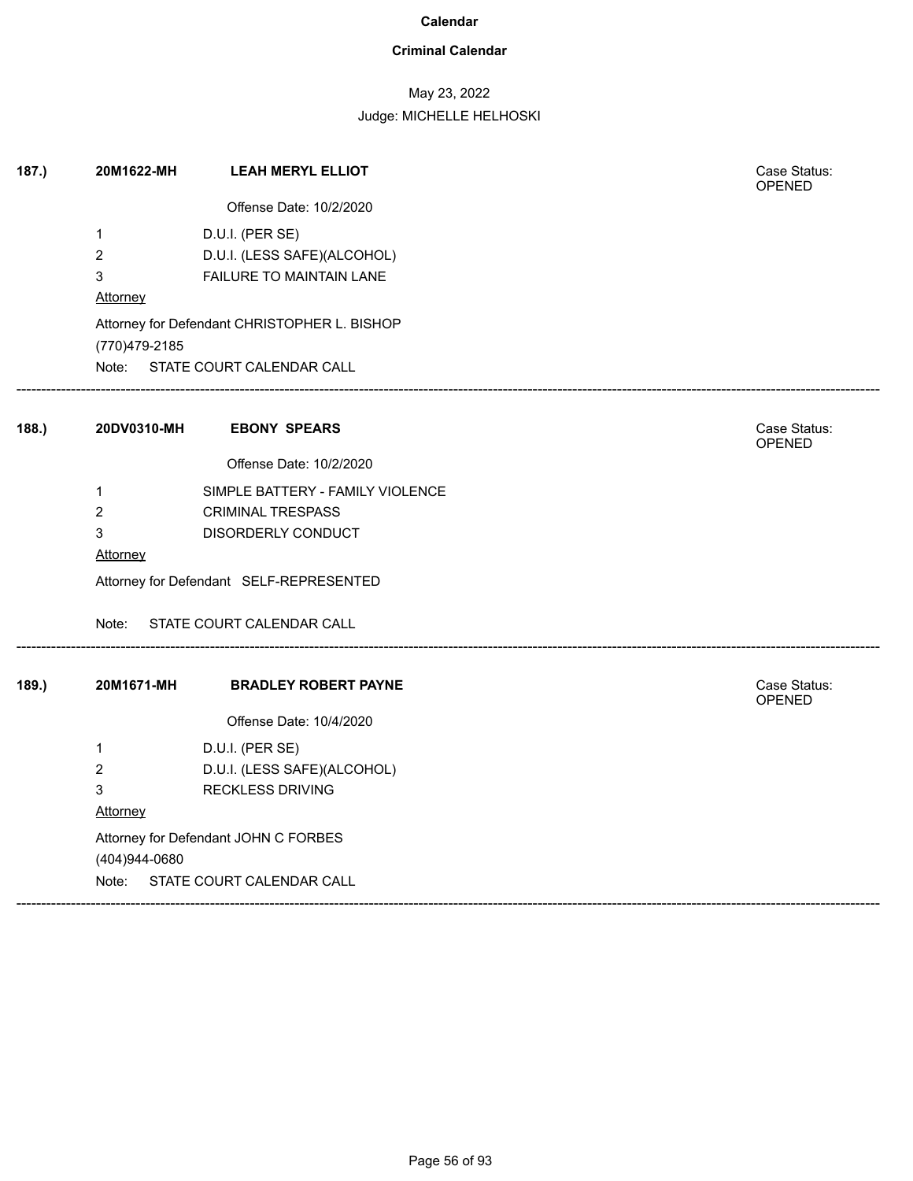### **Criminal Calendar**

## May 23, 2022

Judge: MICHELLE HELHOSKI

| 187.) | 20M1622-MH                              | <b>LEAH MERYL ELLIOT</b>                     |  | Case Status:<br><b>OPENED</b> |  |
|-------|-----------------------------------------|----------------------------------------------|--|-------------------------------|--|
|       |                                         | Offense Date: 10/2/2020                      |  |                               |  |
|       | $\mathbf 1$                             | D.U.I. (PER SE)                              |  |                               |  |
|       | $\overline{a}$                          | D.U.I. (LESS SAFE)(ALCOHOL)                  |  |                               |  |
|       | 3                                       | FAILURE TO MAINTAIN LANE                     |  |                               |  |
|       | Attorney                                |                                              |  |                               |  |
|       | (770) 479-2185                          | Attorney for Defendant CHRISTOPHER L. BISHOP |  |                               |  |
|       |                                         | Note: STATE COURT CALENDAR CALL              |  |                               |  |
| 188.  | 20DV0310-MH                             | <b>EBONY SPEARS</b>                          |  | Case Status:<br>OPENED        |  |
|       |                                         | Offense Date: 10/2/2020                      |  |                               |  |
|       | 1                                       | SIMPLE BATTERY - FAMILY VIOLENCE             |  |                               |  |
|       | $\overline{a}$                          | <b>CRIMINAL TRESPASS</b>                     |  |                               |  |
|       | 3                                       | DISORDERLY CONDUCT                           |  |                               |  |
|       | Attorney                                |                                              |  |                               |  |
|       | Attorney for Defendant SELF-REPRESENTED |                                              |  |                               |  |
|       | Note:                                   | STATE COURT CALENDAR CALL                    |  |                               |  |
| 189.  | 20M1671-MH                              | <b>BRADLEY ROBERT PAYNE</b>                  |  | Case Status:<br>OPENED        |  |
|       |                                         | Offense Date: 10/4/2020                      |  |                               |  |
|       | 1                                       | D.U.I. (PER SE)                              |  |                               |  |
|       | $\overline{2}$                          | D.U.I. (LESS SAFE)(ALCOHOL)                  |  |                               |  |
|       | 3                                       | <b>RECKLESS DRIVING</b>                      |  |                               |  |
|       | Attorney                                |                                              |  |                               |  |
|       |                                         | Attorney for Defendant JOHN C FORBES         |  |                               |  |
|       | (404)944-0680                           |                                              |  |                               |  |
|       |                                         | Note: STATE COURT CALENDAR CALL              |  |                               |  |

------------------------------------------------------------------------------------------------------------------------------------------------------------------------------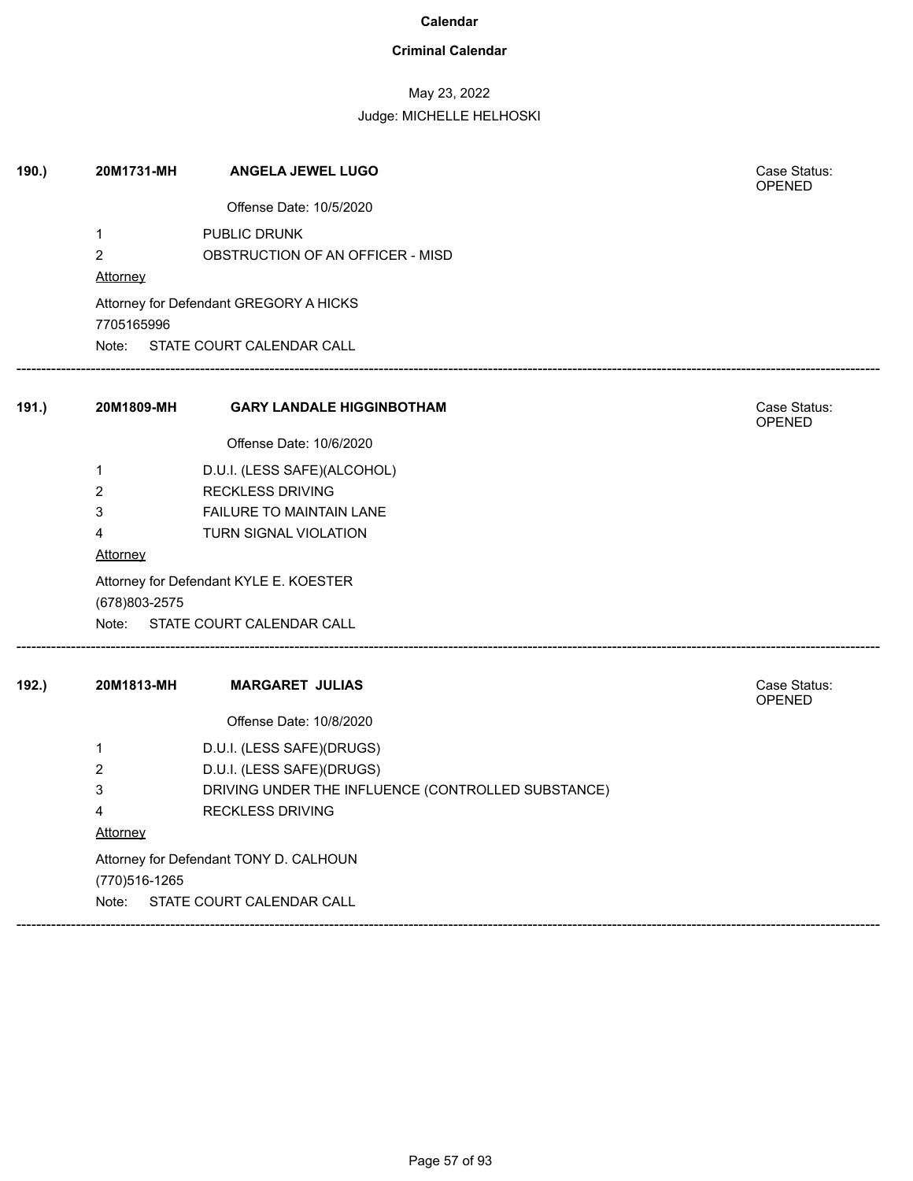### **Criminal Calendar**

## May 23, 2022

| 190.) | 20M1731-MH      | ANGELA JEWEL LUGO                                  | Case Status:<br><b>OPENED</b> |
|-------|-----------------|----------------------------------------------------|-------------------------------|
|       |                 | Offense Date: 10/5/2020                            |                               |
|       | $\mathbf{1}$    | PUBLIC DRUNK                                       |                               |
|       | $\overline{2}$  | OBSTRUCTION OF AN OFFICER - MISD                   |                               |
|       | Attorney        |                                                    |                               |
|       | 7705165996      | Attorney for Defendant GREGORY A HICKS             |                               |
|       | Note:           | STATE COURT CALENDAR CALL                          |                               |
| 191.) | 20M1809-MH      | <b>GARY LANDALE HIGGINBOTHAM</b>                   | Case Status:<br>OPENED        |
|       |                 | Offense Date: 10/6/2020                            |                               |
|       | 1               | D.U.I. (LESS SAFE)(ALCOHOL)                        |                               |
|       | $\overline{2}$  | <b>RECKLESS DRIVING</b>                            |                               |
|       | 3               | <b>FAILURE TO MAINTAIN LANE</b>                    |                               |
|       | 4               | TURN SIGNAL VIOLATION                              |                               |
|       | <b>Attorney</b> |                                                    |                               |
|       | (678) 803-2575  | Attorney for Defendant KYLE E. KOESTER             |                               |
|       | Note:           | STATE COURT CALENDAR CALL                          |                               |
| 192.) | 20M1813-MH      | <b>MARGARET JULIAS</b>                             | Case Status:<br>OPENED        |
|       |                 | Offense Date: 10/8/2020                            |                               |
|       | 1               | D.U.I. (LESS SAFE)(DRUGS)                          |                               |
|       | $\overline{c}$  | D.U.I. (LESS SAFE)(DRUGS)                          |                               |
|       | 3               | DRIVING UNDER THE INFLUENCE (CONTROLLED SUBSTANCE) |                               |
|       | 4               | <b>RECKLESS DRIVING</b>                            |                               |
|       | Attorney        |                                                    |                               |
|       |                 | Attorney for Defendant TONY D. CALHOUN             |                               |
|       | (770) 516-1265  |                                                    |                               |
|       | Note:           | STATE COURT CALENDAR CALL                          |                               |
|       |                 |                                                    |                               |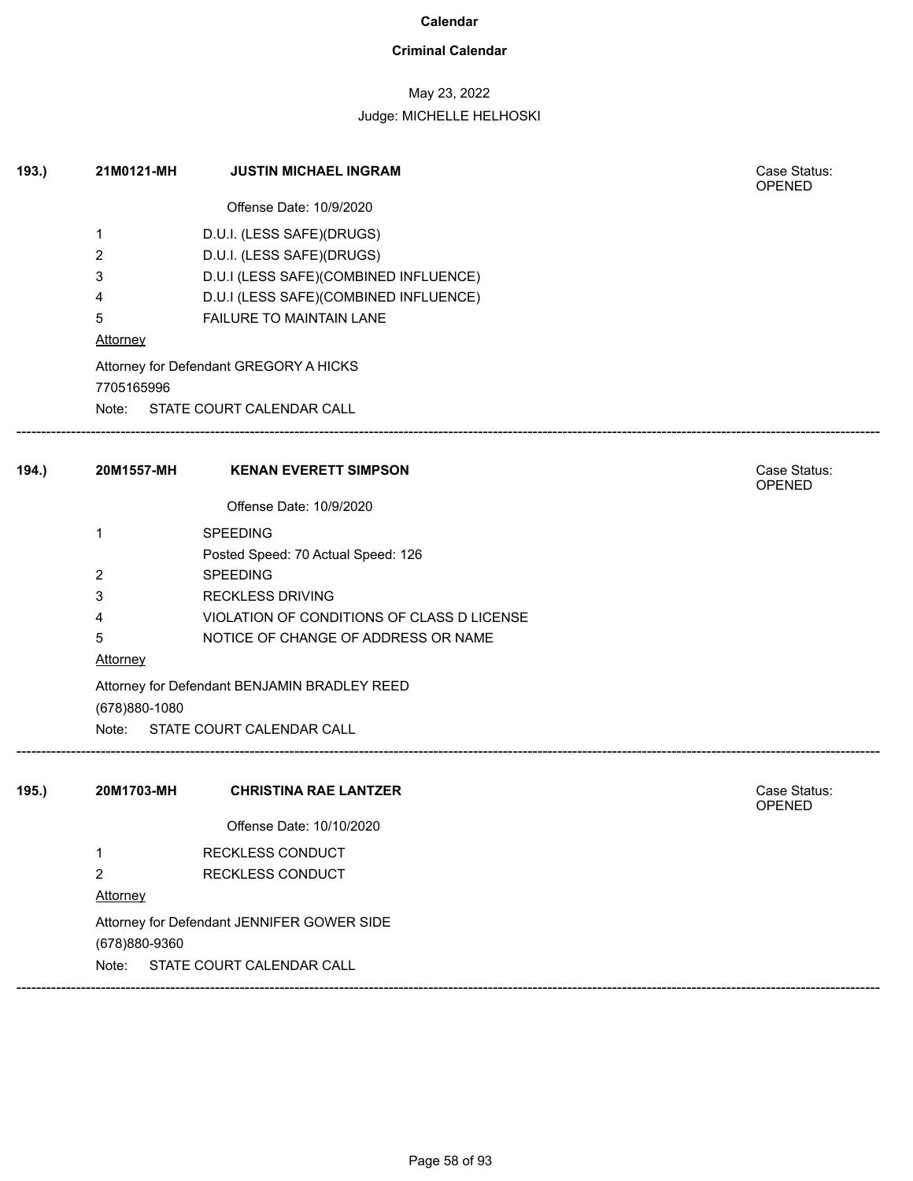### **Criminal Calendar**

## May 23, 2022

| 193.  | 21M0121-MH     | <b>JUSTIN MICHAEL INGRAM</b>                 | Case Status:<br><b>OPENED</b> |  |  |  |
|-------|----------------|----------------------------------------------|-------------------------------|--|--|--|
|       |                | Offense Date: 10/9/2020                      |                               |  |  |  |
|       | 1              | D.U.I. (LESS SAFE)(DRUGS)                    |                               |  |  |  |
|       | 2              | D.U.I. (LESS SAFE)(DRUGS)                    |                               |  |  |  |
|       | 3              | D.U.I (LESS SAFE)(COMBINED INFLUENCE)        |                               |  |  |  |
|       | 4              | D.U.I (LESS SAFE)(COMBINED INFLUENCE)        |                               |  |  |  |
|       | 5              | FAILURE TO MAINTAIN LANE                     |                               |  |  |  |
|       | Attorney       |                                              |                               |  |  |  |
|       | 7705165996     | Attorney for Defendant GREGORY A HICKS       |                               |  |  |  |
|       |                | Note: STATE COURT CALENDAR CALL              |                               |  |  |  |
| 194.) | 20M1557-MH     | <b>KENAN EVERETT SIMPSON</b>                 | Case Status:<br><b>OPENED</b> |  |  |  |
|       |                | Offense Date: 10/9/2020                      |                               |  |  |  |
|       | 1              | <b>SPEEDING</b>                              |                               |  |  |  |
|       |                | Posted Speed: 70 Actual Speed: 126           |                               |  |  |  |
|       | 2              | <b>SPEEDING</b>                              |                               |  |  |  |
|       | 3              | <b>RECKLESS DRIVING</b>                      |                               |  |  |  |
|       | 4              | VIOLATION OF CONDITIONS OF CLASS D LICENSE   |                               |  |  |  |
|       | 5              | NOTICE OF CHANGE OF ADDRESS OR NAME          |                               |  |  |  |
|       | Attorney       |                                              |                               |  |  |  |
|       | (678) 880-1080 | Attorney for Defendant BENJAMIN BRADLEY REED |                               |  |  |  |
|       | Note:          | STATE COURT CALENDAR CALL                    |                               |  |  |  |
| 195.) | 20M1703-MH     | <b>CHRISTINA RAE LANTZER</b>                 | Case Status:<br>OPENED        |  |  |  |
|       |                | Offense Date: 10/10/2020                     |                               |  |  |  |
|       | 1              | RECKLESS CONDUCT                             |                               |  |  |  |
|       | $\overline{2}$ | RECKLESS CONDUCT                             |                               |  |  |  |
|       | Attorney       |                                              |                               |  |  |  |
|       | (678)880-9360  | Attorney for Defendant JENNIFER GOWER SIDE   |                               |  |  |  |
|       | Note:          | STATE COURT CALENDAR CALL                    |                               |  |  |  |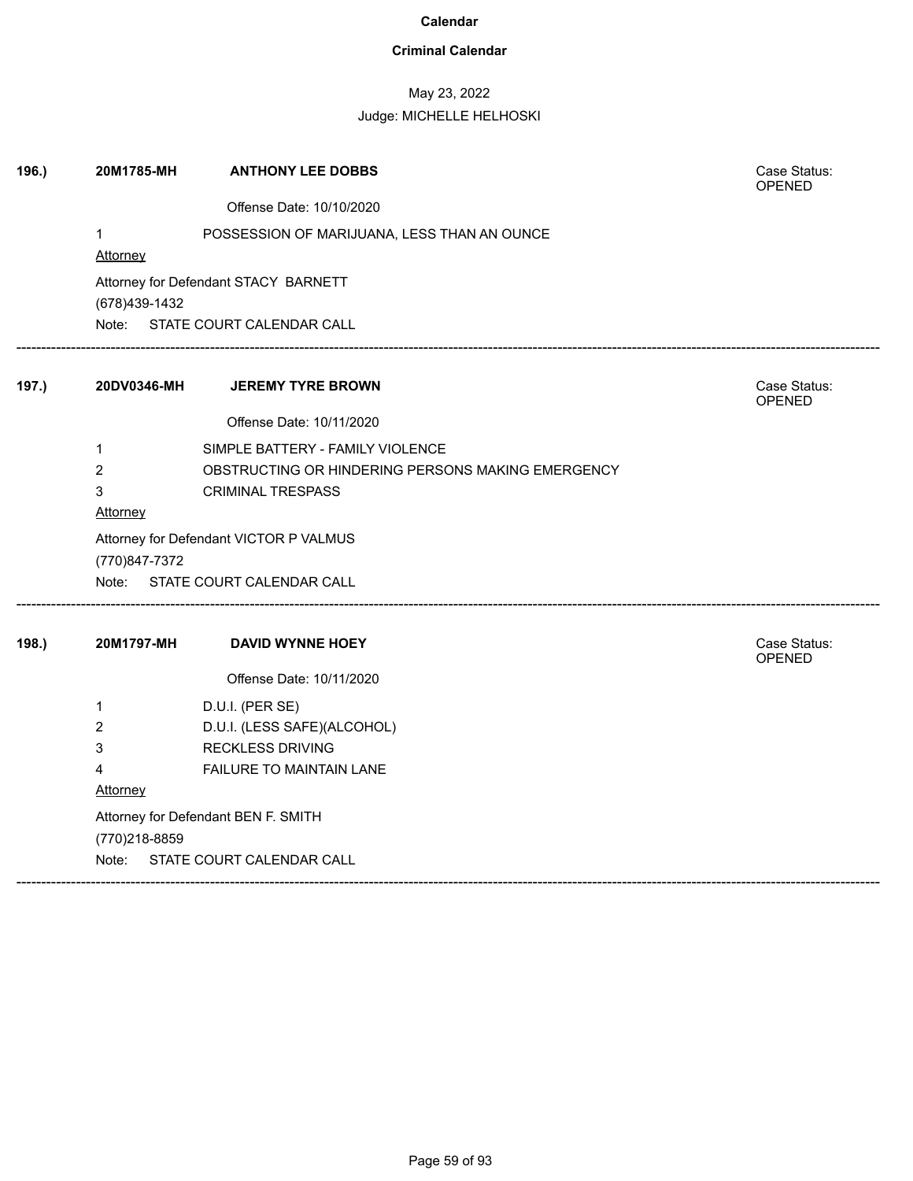### **Criminal Calendar**

## May 23, 2022

| 196.) | 20M1785-MH      | <b>ANTHONY LEE DOBBS</b>                          | Case Status:<br><b>OPENED</b> |
|-------|-----------------|---------------------------------------------------|-------------------------------|
|       |                 | Offense Date: 10/10/2020                          |                               |
|       | $\mathbf{1}$    | POSSESSION OF MARIJUANA, LESS THAN AN OUNCE       |                               |
|       | <b>Attorney</b> |                                                   |                               |
|       |                 | Attorney for Defendant STACY BARNETT              |                               |
|       | (678)439-1432   |                                                   |                               |
|       |                 | Note: STATE COURT CALENDAR CALL                   |                               |
| 197.) | 20DV0346-MH     | <b>JEREMY TYRE BROWN</b>                          | Case Status:<br><b>OPENED</b> |
|       |                 | Offense Date: 10/11/2020                          |                               |
|       | $\mathbf 1$     | SIMPLE BATTERY - FAMILY VIOLENCE                  |                               |
|       | $\overline{2}$  | OBSTRUCTING OR HINDERING PERSONS MAKING EMERGENCY |                               |
|       | 3               | <b>CRIMINAL TRESPASS</b>                          |                               |
|       | <b>Attorney</b> |                                                   |                               |
|       | (770)847-7372   | Attorney for Defendant VICTOR P VALMUS            |                               |
|       |                 | Note: STATE COURT CALENDAR CALL                   |                               |
| 198.) | 20M1797-MH      | <b>DAVID WYNNE HOEY</b>                           | Case Status:                  |
|       |                 |                                                   | OPENED                        |
|       |                 | Offense Date: 10/11/2020                          |                               |
|       | 1               | D.U.I. (PER SE)                                   |                               |
|       | 2               | D.U.I. (LESS SAFE)(ALCOHOL)                       |                               |
|       | 3               | <b>RECKLESS DRIVING</b>                           |                               |
|       | 4               | FAILURE TO MAINTAIN LANE                          |                               |
|       | Attorney        |                                                   |                               |
|       |                 | Attorney for Defendant BEN F. SMITH               |                               |
|       | (770)218-8859   |                                                   |                               |
|       | Note:           | STATE COURT CALENDAR CALL                         |                               |
|       |                 |                                                   |                               |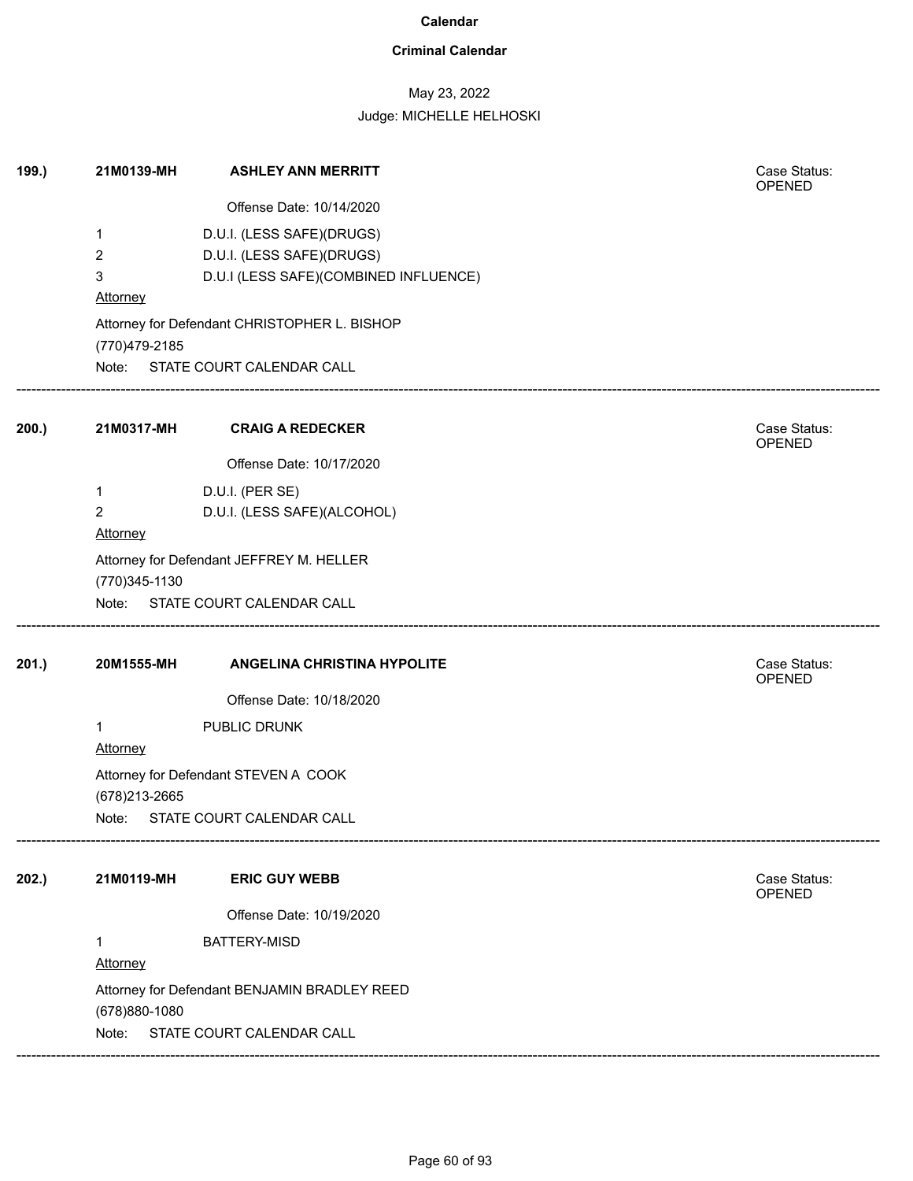### **Criminal Calendar**

## May 23, 2022

| 199.) | 21M0139-MH                   | <b>ASHLEY ANN MERRITT</b>                      | Case Status:<br>OPENED |  |
|-------|------------------------------|------------------------------------------------|------------------------|--|
|       |                              | Offense Date: 10/14/2020                       |                        |  |
|       | 1                            | D.U.I. (LESS SAFE)(DRUGS)                      |                        |  |
|       | 2                            | D.U.I. (LESS SAFE)(DRUGS)                      |                        |  |
|       | 3                            | D.U.I (LESS SAFE)(COMBINED INFLUENCE)          |                        |  |
|       | <b>Attorney</b>              |                                                |                        |  |
|       |                              | Attorney for Defendant CHRISTOPHER L. BISHOP   |                        |  |
|       | (770) 479-2185               |                                                |                        |  |
|       |                              | Note: STATE COURT CALENDAR CALL                |                        |  |
| 200.) | 21M0317-MH                   | <b>CRAIG A REDECKER</b>                        | Case Status:           |  |
|       |                              | Offense Date: 10/17/2020                       | OPENED                 |  |
|       |                              |                                                |                        |  |
|       | 1<br>$\overline{\mathbf{c}}$ | D.U.I. (PER SE)<br>D.U.I. (LESS SAFE)(ALCOHOL) |                        |  |
|       | Attorney                     |                                                |                        |  |
|       |                              | Attorney for Defendant JEFFREY M. HELLER       |                        |  |
|       | (770)345-1130                |                                                |                        |  |
|       |                              | Note: STATE COURT CALENDAR CALL                |                        |  |
| 201.) | 20M1555-MH                   | <b>ANGELINA CHRISTINA HYPOLITE</b>             | Case Status:<br>OPENED |  |
|       |                              | Offense Date: 10/18/2020                       |                        |  |
|       | 1                            | PUBLIC DRUNK                                   |                        |  |
|       | Attorney                     |                                                |                        |  |
|       | (678) 213-2665               | Attorney for Defendant STEVEN A COOK           |                        |  |
|       | Note:                        | STATE COURT CALENDAR CALL                      |                        |  |
| 202.) | 21M0119-MH                   | <b>ERIC GUY WEBB</b>                           | Case Status:           |  |
|       |                              |                                                | OPENED                 |  |
|       |                              | Offense Date: 10/19/2020                       |                        |  |
|       | 1<br><b>Attorney</b>         | <b>BATTERY-MISD</b>                            |                        |  |
|       |                              | Attorney for Defendant BENJAMIN BRADLEY REED   |                        |  |
|       | (678)880-1080                |                                                |                        |  |
|       | Note:                        | STATE COURT CALENDAR CALL                      |                        |  |
|       |                              |                                                |                        |  |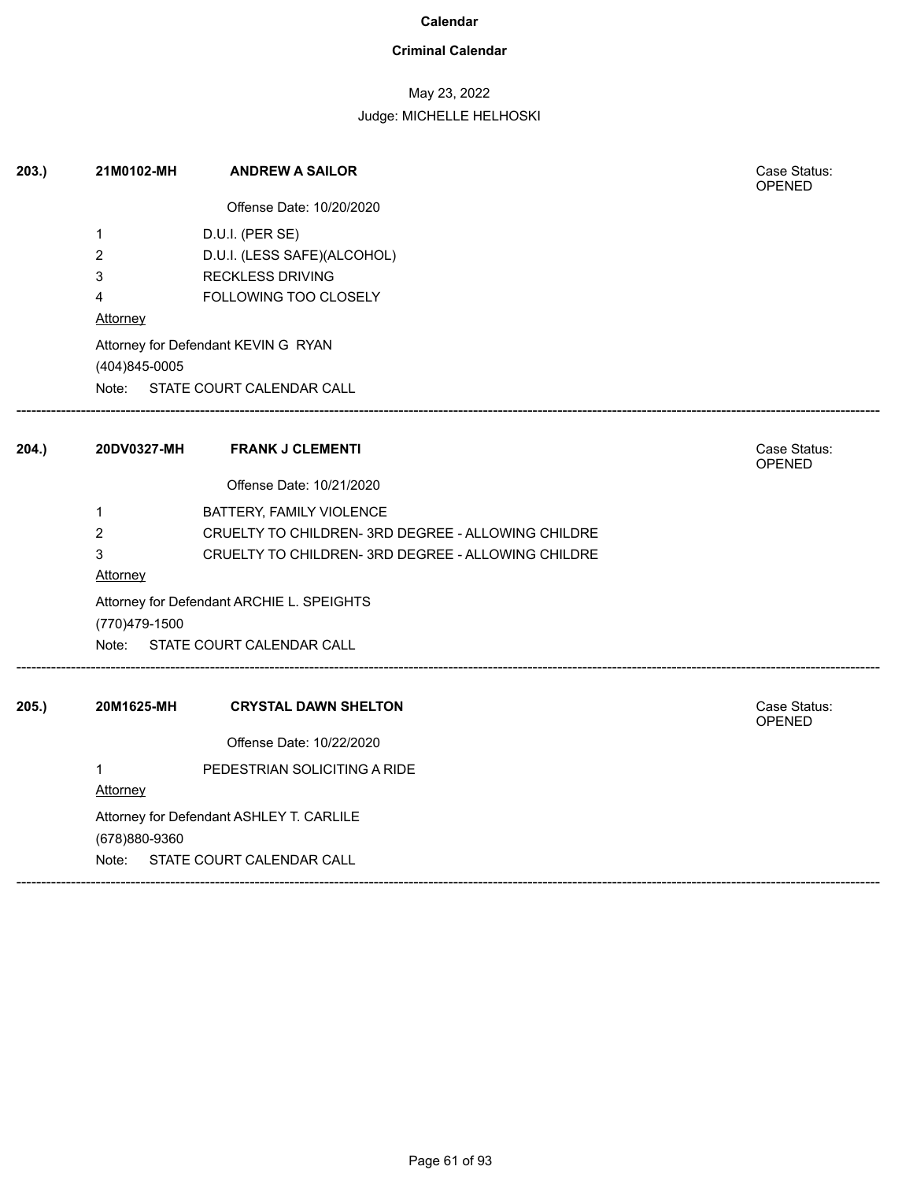### **Criminal Calendar**

## May 23, 2022

| 203. | 21M0102-MH      | <b>ANDREW A SAILOR</b>                             | Case Status:<br><b>OPENED</b> |
|------|-----------------|----------------------------------------------------|-------------------------------|
|      |                 | Offense Date: 10/20/2020                           |                               |
|      | $\mathbf 1$     | D.U.I. (PER SE)                                    |                               |
|      | $\overline{2}$  | D.U.I. (LESS SAFE)(ALCOHOL)                        |                               |
|      | 3               | <b>RECKLESS DRIVING</b>                            |                               |
|      | 4               | FOLLOWING TOO CLOSELY                              |                               |
|      | Attorney        |                                                    |                               |
|      | (404)845-0005   | Attorney for Defendant KEVIN G RYAN                |                               |
|      |                 | Note: STATE COURT CALENDAR CALL                    |                               |
| 204. | 20DV0327-MH     | <b>FRANK J CLEMENTI</b>                            | Case Status:<br>OPENED        |
|      |                 | Offense Date: 10/21/2020                           |                               |
|      | 1               | BATTERY, FAMILY VIOLENCE                           |                               |
|      | $\overline{2}$  | CRUELTY TO CHILDREN- 3RD DEGREE - ALLOWING CHILDRE |                               |
|      | 3               | CRUELTY TO CHILDREN- 3RD DEGREE - ALLOWING CHILDRE |                               |
|      | Attorney        |                                                    |                               |
|      |                 | Attorney for Defendant ARCHIE L. SPEIGHTS          |                               |
|      | (770)479-1500   |                                                    |                               |
|      |                 | Note: STATE COURT CALENDAR CALL                    |                               |
| 205. | 20M1625-MH      | <b>CRYSTAL DAWN SHELTON</b>                        | Case Status:<br>OPENED        |
|      |                 | Offense Date: 10/22/2020                           |                               |
|      | $\mathbf{1}$    | PEDESTRIAN SOLICITING A RIDE                       |                               |
|      | <b>Attorney</b> |                                                    |                               |
|      | (678)880-9360   | Attorney for Defendant ASHLEY T. CARLILE           |                               |
|      | Note:           | STATE COURT CALENDAR CALL                          |                               |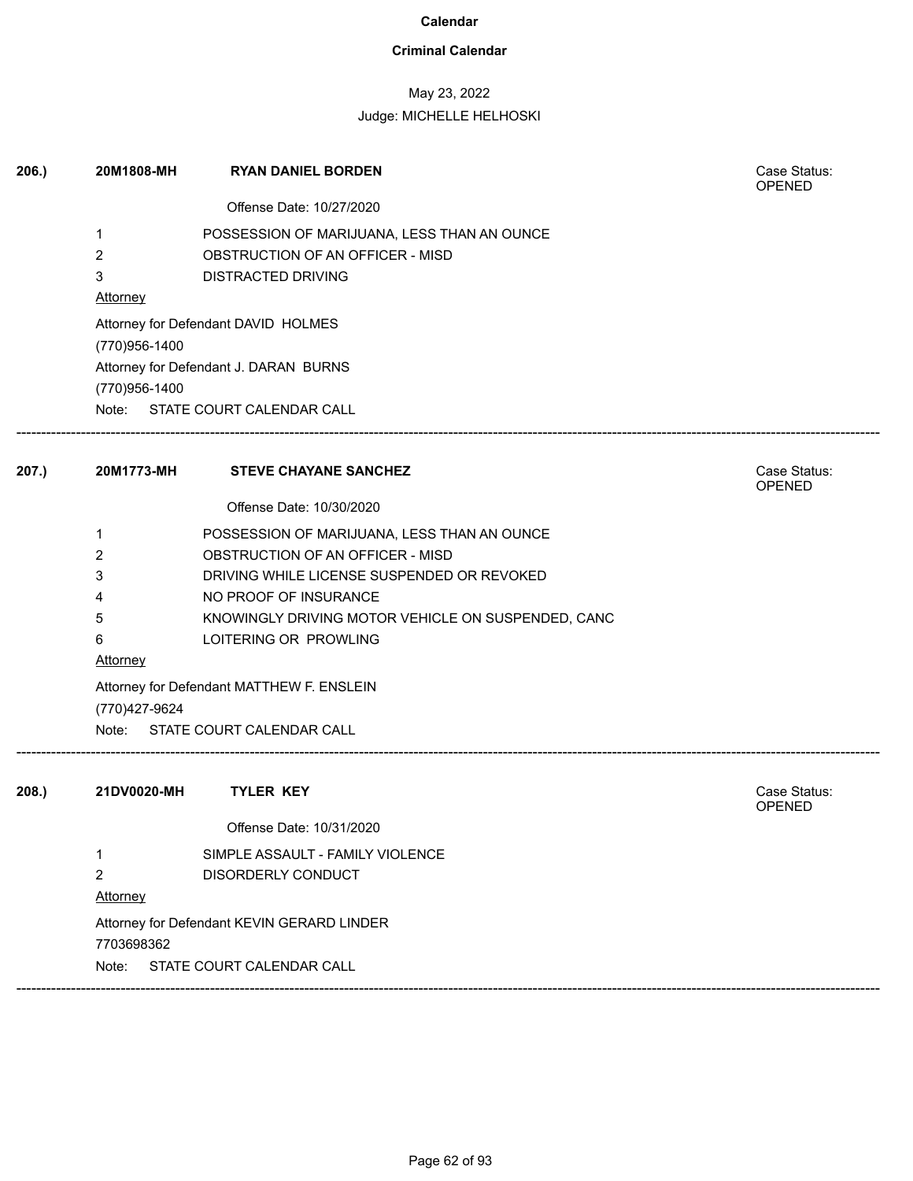### **Criminal Calendar**

## May 23, 2022

| 206.  | 20M1808-MH     | <b>RYAN DANIEL BORDEN</b>                          | Case Status:<br><b>OPENED</b> |
|-------|----------------|----------------------------------------------------|-------------------------------|
|       |                | Offense Date: 10/27/2020                           |                               |
|       | 1              | POSSESSION OF MARIJUANA, LESS THAN AN OUNCE        |                               |
|       | 2              | OBSTRUCTION OF AN OFFICER - MISD                   |                               |
|       | 3              | DISTRACTED DRIVING                                 |                               |
|       | Attorney       |                                                    |                               |
|       |                | Attorney for Defendant DAVID HOLMES                |                               |
|       | (770)956-1400  |                                                    |                               |
|       |                | Attorney for Defendant J. DARAN BURNS              |                               |
|       | (770)956-1400  |                                                    |                               |
|       |                | Note: STATE COURT CALENDAR CALL                    |                               |
| 207.) | 20M1773-MH     | <b>STEVE CHAYANE SANCHEZ</b>                       | Case Status:<br>OPENED        |
|       |                | Offense Date: 10/30/2020                           |                               |
|       | 1              | POSSESSION OF MARIJUANA, LESS THAN AN OUNCE        |                               |
|       | 2              | OBSTRUCTION OF AN OFFICER - MISD                   |                               |
|       | 3              | DRIVING WHILE LICENSE SUSPENDED OR REVOKED         |                               |
|       | 4              | NO PROOF OF INSURANCE                              |                               |
|       | 5              | KNOWINGLY DRIVING MOTOR VEHICLE ON SUSPENDED, CANC |                               |
|       | 6              | LOITERING OR PROWLING                              |                               |
|       | Attorney       |                                                    |                               |
|       |                | Attorney for Defendant MATTHEW F. ENSLEIN          |                               |
|       | (770) 427-9624 |                                                    |                               |
|       | Note:          | STATE COURT CALENDAR CALL                          |                               |
| 208.  | 21DV0020-MH    | <b>TYLER KEY</b>                                   | Case Status:                  |
|       |                | Offense Date: 10/31/2020                           | <b>OPENED</b>                 |
|       | 1              | SIMPLE ASSAULT - FAMILY VIOLENCE                   |                               |
|       | $\overline{2}$ | DISORDERLY CONDUCT                                 |                               |
|       | Attorney       |                                                    |                               |
|       |                | Attorney for Defendant KEVIN GERARD LINDER         |                               |
|       | 7703698362     |                                                    |                               |
|       | Note:          | STATE COURT CALENDAR CALL                          |                               |
|       |                |                                                    |                               |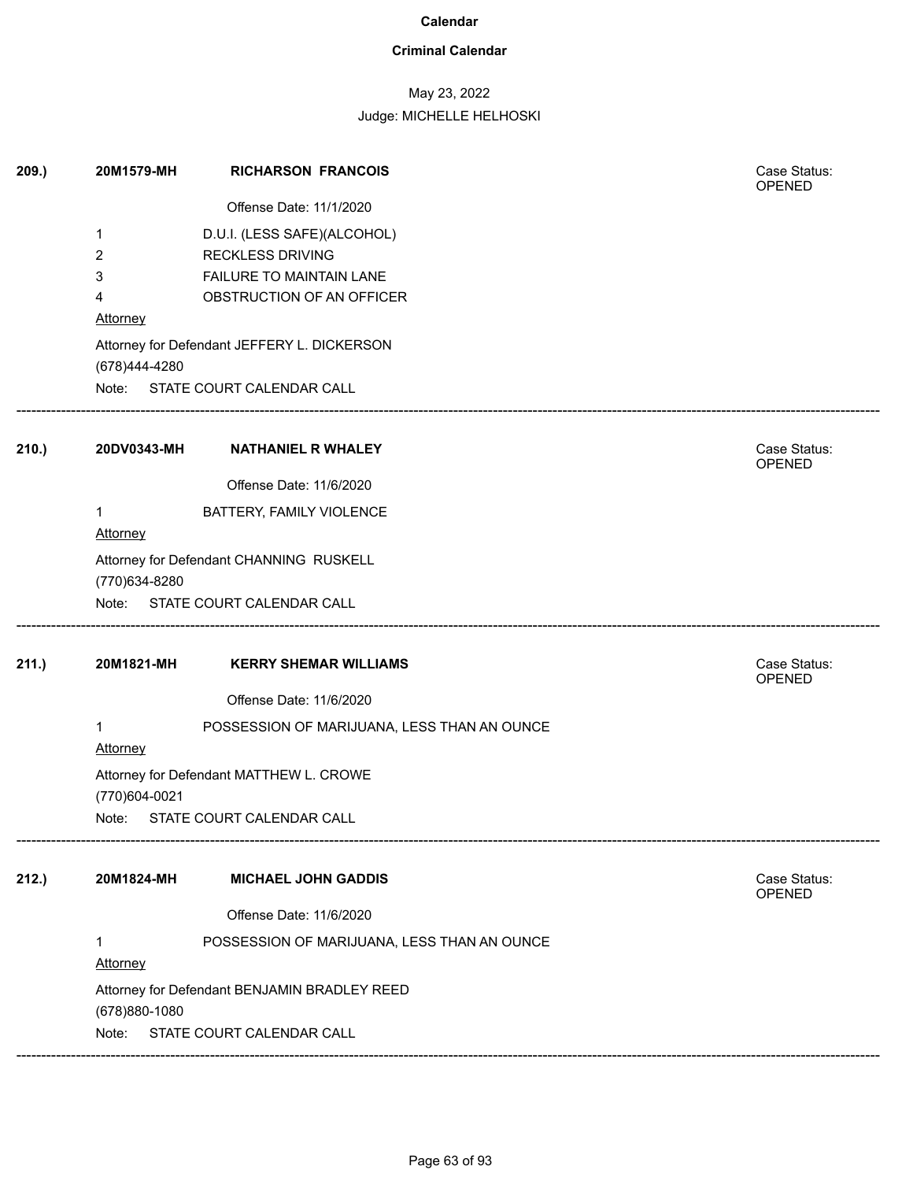### **Criminal Calendar**

## May 23, 2022

| 209.  | 20M1579-MH               | <b>RICHARSON FRANCOIS</b>                    | Case Status:<br>OPENED |
|-------|--------------------------|----------------------------------------------|------------------------|
|       |                          | Offense Date: 11/1/2020                      |                        |
|       | 1                        | D.U.I. (LESS SAFE)(ALCOHOL)                  |                        |
|       | 2                        | <b>RECKLESS DRIVING</b>                      |                        |
|       | 3                        | FAILURE TO MAINTAIN LANE                     |                        |
|       | 4                        | OBSTRUCTION OF AN OFFICER                    |                        |
|       | <b>Attorney</b>          |                                              |                        |
|       | (678)444-4280            | Attorney for Defendant JEFFERY L. DICKERSON  |                        |
|       |                          | Note: STATE COURT CALENDAR CALL              |                        |
| 210.) |                          | 20DV0343-MH NATHANIEL R WHALEY               | Case Status:<br>OPENED |
|       |                          | Offense Date: 11/6/2020                      |                        |
|       | $\mathbf 1$              | BATTERY, FAMILY VIOLENCE                     |                        |
|       | Attorney                 |                                              |                        |
|       |                          | Attorney for Defendant CHANNING RUSKELL      |                        |
|       | (770)634-8280            |                                              |                        |
|       |                          | Note: STATE COURT CALENDAR CALL              |                        |
| 211.) | 20M1821-MH               | <b>KERRY SHEMAR WILLIAMS</b>                 | Case Status:<br>OPENED |
|       |                          | Offense Date: 11/6/2020                      |                        |
|       | $\mathbf 1$<br>Attorney  | POSSESSION OF MARIJUANA, LESS THAN AN OUNCE  |                        |
|       | (770)604-0021            | Attorney for Defendant MATTHEW L. CROWE      |                        |
|       | Note:                    | STATE COURT CALENDAR CALL                    |                        |
| 212.) | 20M1824-MH               | <b>MICHAEL JOHN GADDIS</b>                   | Case Status:<br>OPENED |
|       |                          | Offense Date: 11/6/2020                      |                        |
|       | $\mathbf{1}$<br>Attorney | POSSESSION OF MARIJUANA, LESS THAN AN OUNCE  |                        |
|       | (678) 880-1080           | Attorney for Defendant BENJAMIN BRADLEY REED |                        |
|       | Note:                    | STATE COURT CALENDAR CALL                    |                        |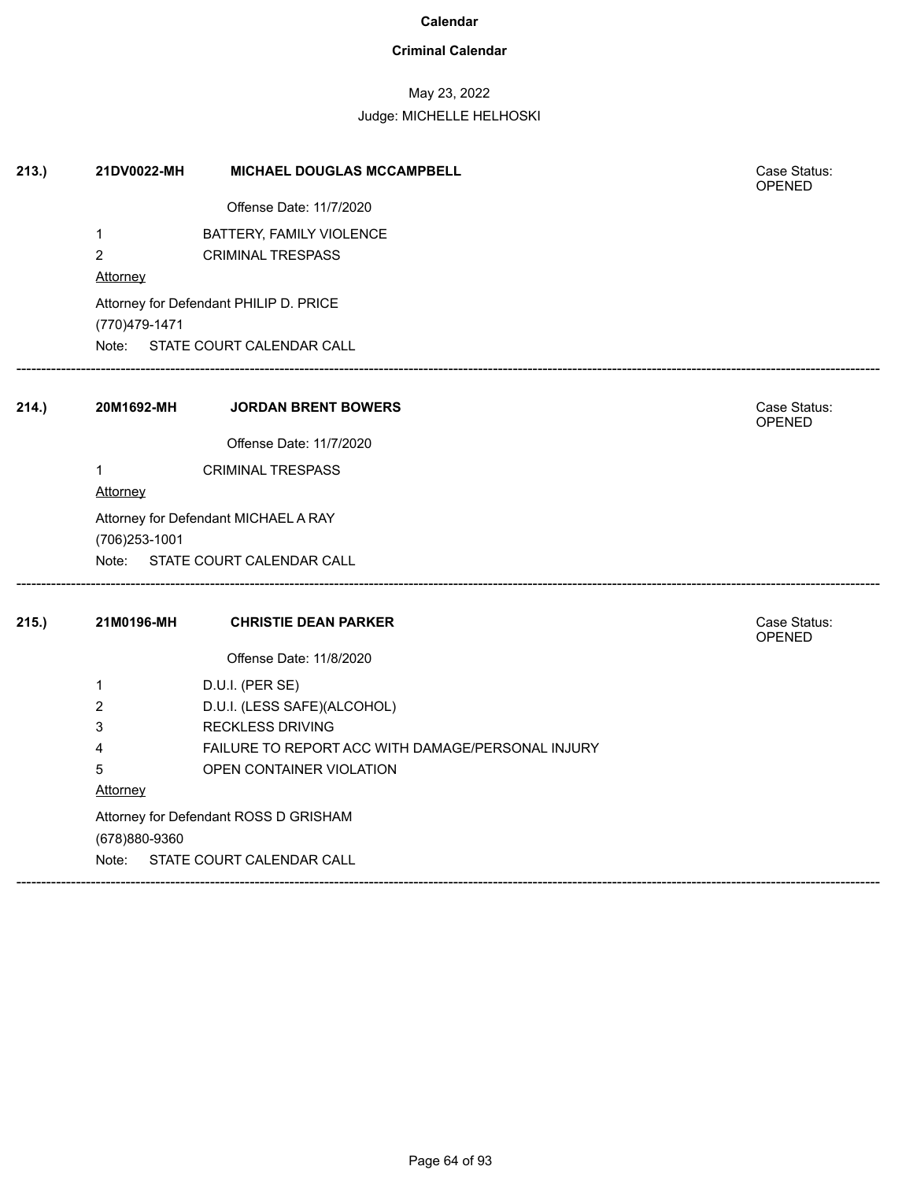### **Criminal Calendar**

## May 23, 2022

| 213.) | 21DV0022-MH                           | MICHAEL DOUGLAS MCCAMPBELL                        | Case Status:<br>OPENED        |  |  |
|-------|---------------------------------------|---------------------------------------------------|-------------------------------|--|--|
|       |                                       | Offense Date: 11/7/2020                           |                               |  |  |
|       | 1                                     | BATTERY, FAMILY VIOLENCE                          |                               |  |  |
|       | $\overline{2}$                        | <b>CRIMINAL TRESPASS</b>                          |                               |  |  |
|       | Attorney                              |                                                   |                               |  |  |
|       |                                       | Attorney for Defendant PHILIP D. PRICE            |                               |  |  |
|       | (770)479-1471                         |                                                   |                               |  |  |
|       |                                       | Note: STATE COURT CALENDAR CALL                   |                               |  |  |
| 214.) | 20M1692-MH                            | <b>JORDAN BRENT BOWERS</b>                        | Case Status:<br>OPENED        |  |  |
|       |                                       | Offense Date: 11/7/2020                           |                               |  |  |
|       | $\mathbf{1}$                          | <b>CRIMINAL TRESPASS</b>                          |                               |  |  |
|       | Attorney                              |                                                   |                               |  |  |
|       |                                       | Attorney for Defendant MICHAEL A RAY              |                               |  |  |
|       | (706) 253-1001                        |                                                   |                               |  |  |
|       |                                       | Note: STATE COURT CALENDAR CALL                   |                               |  |  |
| 215.) | 21M0196-MH                            | <b>CHRISTIE DEAN PARKER</b>                       | Case Status:<br><b>OPENED</b> |  |  |
|       |                                       | Offense Date: 11/8/2020                           |                               |  |  |
|       | 1                                     | D.U.I. (PER SE)                                   |                               |  |  |
|       | 2                                     | D.U.I. (LESS SAFE)(ALCOHOL)                       |                               |  |  |
|       | 3                                     | <b>RECKLESS DRIVING</b>                           |                               |  |  |
|       | 4                                     | FAILURE TO REPORT ACC WITH DAMAGE/PERSONAL INJURY |                               |  |  |
|       | 5                                     | OPEN CONTAINER VIOLATION                          |                               |  |  |
|       | Attorney                              |                                                   |                               |  |  |
|       | Attorney for Defendant ROSS D GRISHAM |                                                   |                               |  |  |
|       | (678)880-9360                         |                                                   |                               |  |  |
|       | Note:                                 | STATE COURT CALENDAR CALL                         |                               |  |  |
|       |                                       |                                                   |                               |  |  |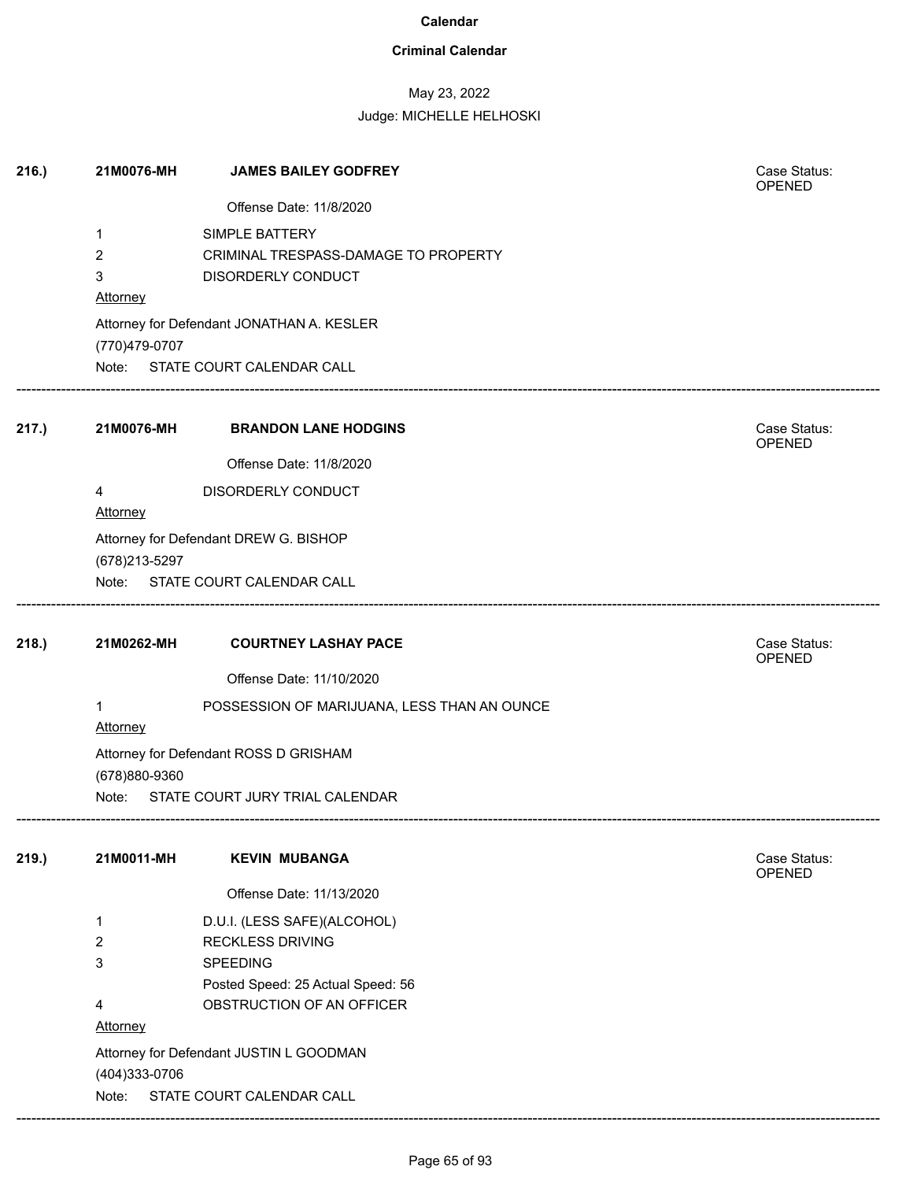### **Criminal Calendar**

# May 23, 2022

| 216.) | 21M0076-MH           | <b>JAMES BAILEY GODFREY</b>                 | Case Status:<br>OPENED        |
|-------|----------------------|---------------------------------------------|-------------------------------|
|       |                      | Offense Date: 11/8/2020                     |                               |
|       | 1                    | SIMPLE BATTERY                              |                               |
|       | $\overline{2}$       | CRIMINAL TRESPASS-DAMAGE TO PROPERTY        |                               |
|       | 3                    | DISORDERLY CONDUCT                          |                               |
|       | Attorney             |                                             |                               |
|       | (770)479-0707        | Attorney for Defendant JONATHAN A. KESLER   |                               |
|       |                      | Note: STATE COURT CALENDAR CALL             |                               |
| 217.) | 21M0076-MH           | <b>BRANDON LANE HODGINS</b>                 | Case Status:<br><b>OPENED</b> |
|       |                      | Offense Date: 11/8/2020                     |                               |
|       | 4                    | DISORDERLY CONDUCT                          |                               |
|       | Attorney             |                                             |                               |
|       |                      | Attorney for Defendant DREW G. BISHOP       |                               |
|       | (678) 213-5297       |                                             |                               |
|       |                      | Note: STATE COURT CALENDAR CALL             |                               |
| 218.  | 21M0262-MH           | <b>COURTNEY LASHAY PACE</b>                 | Case Status:<br>OPENED        |
|       |                      | Offense Date: 11/10/2020                    |                               |
|       | 1<br><b>Attorney</b> | POSSESSION OF MARIJUANA, LESS THAN AN OUNCE |                               |
|       | (678)880-9360        | Attorney for Defendant ROSS D GRISHAM       |                               |
|       | Note:                | STATE COURT JURY TRIAL CALENDAR             |                               |
| 219.  | 21M0011-MH           | <b>KEVIN MUBANGA</b>                        | Case Status:<br><b>OPENED</b> |
|       |                      | Offense Date: 11/13/2020                    |                               |
|       | $\mathbf{1}$         | D.U.I. (LESS SAFE)(ALCOHOL)                 |                               |
|       | $\overline{2}$       | <b>RECKLESS DRIVING</b>                     |                               |
|       | 3                    | SPEEDING                                    |                               |
|       |                      | Posted Speed: 25 Actual Speed: 56           |                               |
|       | 4                    | OBSTRUCTION OF AN OFFICER                   |                               |
|       | <b>Attorney</b>      |                                             |                               |
|       |                      | Attorney for Defendant JUSTIN L GOODMAN     |                               |
|       | (404) 333-0706       |                                             |                               |
|       | Note:                | STATE COURT CALENDAR CALL                   |                               |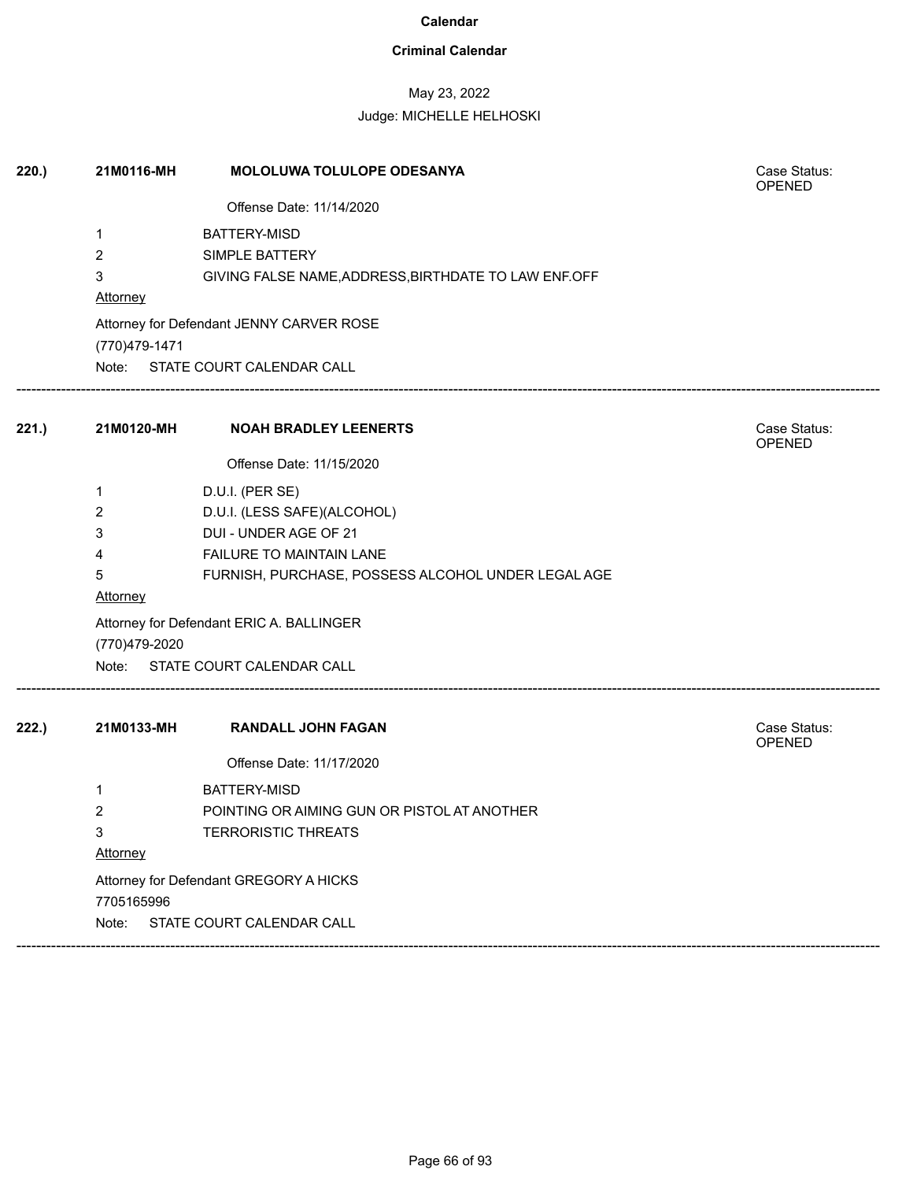### **Criminal Calendar**

## May 23, 2022

| 220.  | 21M0116-MH      | <b>MOLOLUWA TOLULOPE ODESANYA</b>                    | Case Status:<br><b>OPENED</b> |
|-------|-----------------|------------------------------------------------------|-------------------------------|
|       |                 | Offense Date: 11/14/2020                             |                               |
|       | 1               | <b>BATTERY-MISD</b>                                  |                               |
|       | $\overline{2}$  | <b>SIMPLE BATTERY</b>                                |                               |
|       | 3               | GIVING FALSE NAME, ADDRESS, BIRTHDATE TO LAW ENF.OFF |                               |
|       | Attorney        |                                                      |                               |
|       |                 | Attorney for Defendant JENNY CARVER ROSE             |                               |
|       | (770) 479-1471  |                                                      |                               |
|       |                 | Note: STATE COURT CALENDAR CALL                      |                               |
| 221.  | 21M0120-MH      | <b>NOAH BRADLEY LEENERTS</b>                         | Case Status:<br><b>OPENED</b> |
|       |                 | Offense Date: 11/15/2020                             |                               |
|       | 1               | D.U.I. (PER SE)                                      |                               |
|       | 2               | D.U.I. (LESS SAFE)(ALCOHOL)                          |                               |
|       | 3               | DUI - UNDER AGE OF 21                                |                               |
|       | 4               | <b>FAILURE TO MAINTAIN LANE</b>                      |                               |
|       | 5               | FURNISH, PURCHASE, POSSESS ALCOHOL UNDER LEGAL AGE   |                               |
|       | <b>Attorney</b> |                                                      |                               |
|       | (770)479-2020   | Attorney for Defendant ERIC A. BALLINGER             |                               |
|       |                 | Note: STATE COURT CALENDAR CALL                      |                               |
| 222.) | 21M0133-MH      | <b>RANDALL JOHN FAGAN</b>                            | Case Status:<br><b>OPENED</b> |
|       |                 | Offense Date: 11/17/2020                             |                               |
|       | 1               | <b>BATTERY-MISD</b>                                  |                               |
|       | 2               | POINTING OR AIMING GUN OR PISTOL AT ANOTHER          |                               |
|       | 3               | <b>TERRORISTIC THREATS</b>                           |                               |
|       | Attorney        |                                                      |                               |
|       |                 | Attorney for Defendant GREGORY A HICKS               |                               |
|       | 7705165996      |                                                      |                               |
|       | Note:           | STATE COURT CALENDAR CALL                            |                               |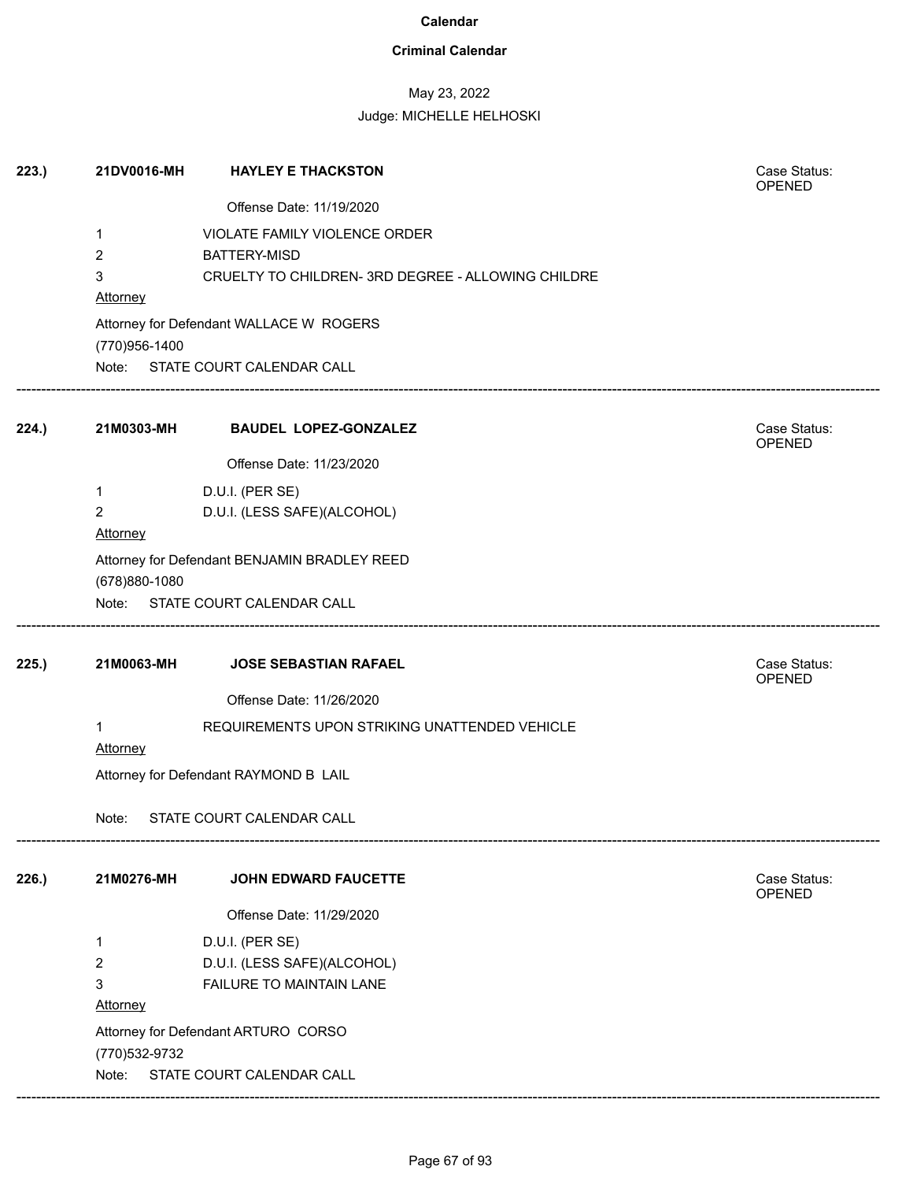### **Criminal Calendar**

## May 23, 2022

### Judge: MICHELLE HELHOSKI

| 223.  | 21DV0016-MH     | <b>HAYLEY E THACKSTON</b>                          | Case Status:<br><b>OPENED</b> |
|-------|-----------------|----------------------------------------------------|-------------------------------|
|       |                 | Offense Date: 11/19/2020                           |                               |
|       | 1               | <b>VIOLATE FAMILY VIOLENCE ORDER</b>               |                               |
|       | 2               | <b>BATTERY-MISD</b>                                |                               |
|       | 3               | CRUELTY TO CHILDREN- 3RD DEGREE - ALLOWING CHILDRE |                               |
|       | <b>Attorney</b> |                                                    |                               |
|       | (770)956-1400   | Attorney for Defendant WALLACE W ROGERS            |                               |
|       |                 | Note: STATE COURT CALENDAR CALL                    |                               |
| 224.  | 21M0303-MH      | <b>BAUDEL LOPEZ-GONZALEZ</b>                       | Case Status:<br>OPENED        |
|       |                 | Offense Date: 11/23/2020                           |                               |
|       | 1               | D.U.I. (PER SE)                                    |                               |
|       | $\overline{2}$  | D.U.I. (LESS SAFE)(ALCOHOL)                        |                               |
|       | Attorney        |                                                    |                               |
|       |                 | Attorney for Defendant BENJAMIN BRADLEY REED       |                               |
|       | (678)880-1080   |                                                    |                               |
|       |                 | Note: STATE COURT CALENDAR CALL                    |                               |
| 225.  | 21M0063-MH      | JOSE SEBASTIAN RAFAEL                              | Case Status:<br>OPENED        |
|       |                 | Offense Date: 11/26/2020                           |                               |
|       | 1<br>Attorney   | REQUIREMENTS UPON STRIKING UNATTENDED VEHICLE      |                               |
|       |                 | Attorney for Defendant RAYMOND B LAIL              |                               |
|       | Note:           | STATE COURT CALENDAR CALL                          |                               |
| 226.) | 21M0276-MH      | <b>JOHN EDWARD FAUCETTE</b>                        | Case Status:<br>OPENED        |
|       |                 | Offense Date: 11/29/2020                           |                               |
|       | 1               | D.U.I. (PER SE)                                    |                               |
|       | $\overline{2}$  | D.U.I. (LESS SAFE)(ALCOHOL)                        |                               |
|       | 3               | FAILURE TO MAINTAIN LANE                           |                               |
|       | Attorney        |                                                    |                               |
|       |                 | Attorney for Defendant ARTURO CORSO                |                               |
|       | (770) 532-9732  |                                                    |                               |
|       | Note:           | STATE COURT CALENDAR CALL                          |                               |

------------------------------------------------------------------------------------------------------------------------------------------------------------------------------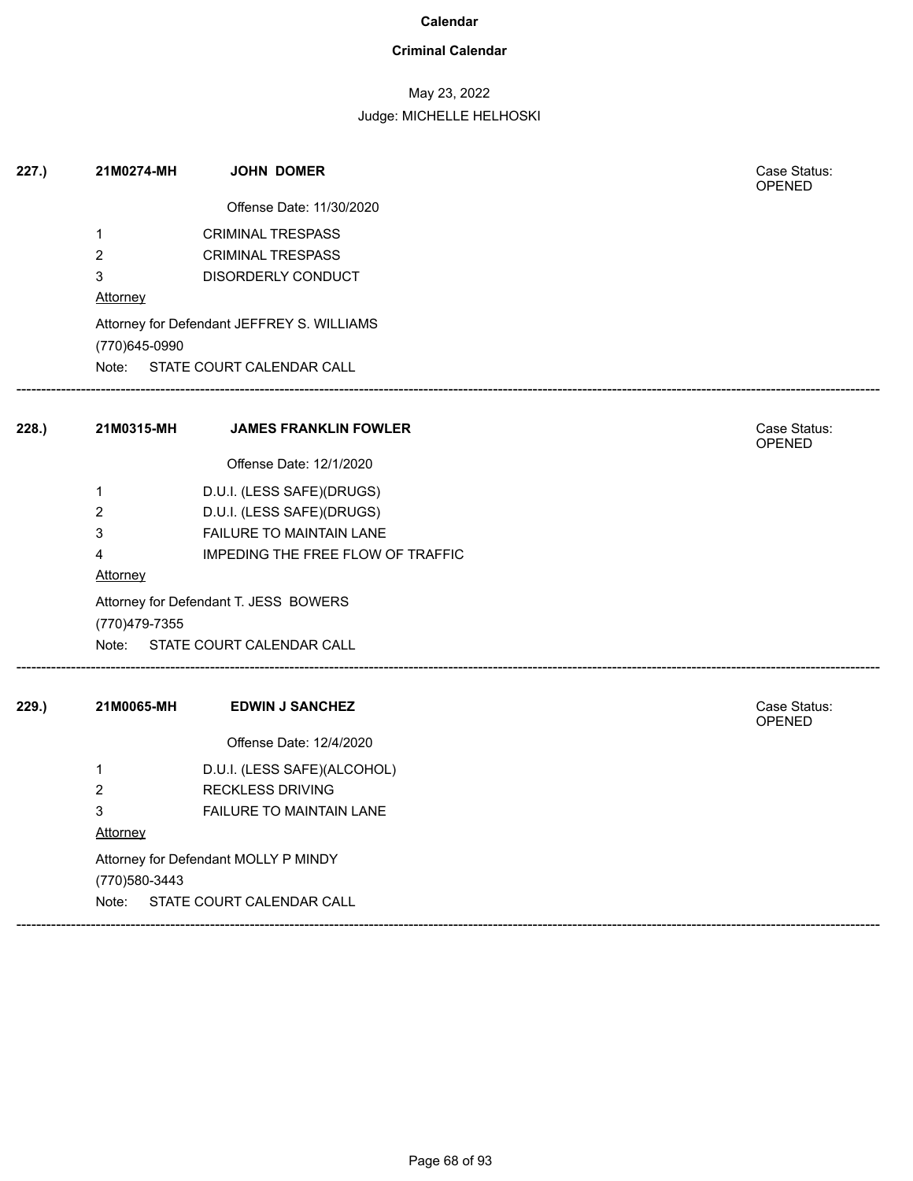### **Criminal Calendar**

## May 23, 2022

| 227.  | 21M0274-MH                           | <b>JOHN DOMER</b>                          |  | Case Status:<br><b>OPENED</b> |
|-------|--------------------------------------|--------------------------------------------|--|-------------------------------|
|       |                                      | Offense Date: 11/30/2020                   |  |                               |
|       | 1                                    | <b>CRIMINAL TRESPASS</b>                   |  |                               |
|       | $\overline{2}$                       | <b>CRIMINAL TRESPASS</b>                   |  |                               |
|       | 3                                    | DISORDERLY CONDUCT                         |  |                               |
|       | Attorney                             |                                            |  |                               |
|       |                                      | Attorney for Defendant JEFFREY S. WILLIAMS |  |                               |
|       | (770) 645-0990                       |                                            |  |                               |
|       |                                      | Note: STATE COURT CALENDAR CALL            |  |                               |
| 228.  | 21M0315-MH                           | <b>JAMES FRANKLIN FOWLER</b>               |  | Case Status:<br><b>OPENED</b> |
|       |                                      | Offense Date: 12/1/2020                    |  |                               |
|       | $\mathbf 1$                          | D.U.I. (LESS SAFE)(DRUGS)                  |  |                               |
|       | $\overline{c}$                       | D.U.I. (LESS SAFE)(DRUGS)                  |  |                               |
|       | 3                                    | FAILURE TO MAINTAIN LANE                   |  |                               |
|       | 4                                    | IMPEDING THE FREE FLOW OF TRAFFIC          |  |                               |
|       | <b>Attorney</b>                      |                                            |  |                               |
|       |                                      | Attorney for Defendant T. JESS BOWERS      |  |                               |
|       | (770)479-7355                        |                                            |  |                               |
|       | Note:                                | STATE COURT CALENDAR CALL                  |  |                               |
| 229.) | 21M0065-MH                           | <b>EDWIN J SANCHEZ</b>                     |  | Case Status:<br><b>OPENED</b> |
|       |                                      | Offense Date: 12/4/2020                    |  |                               |
|       | $\mathbf{1}$                         | D.U.I. (LESS SAFE)(ALCOHOL)                |  |                               |
|       | $\overline{2}$                       | <b>RECKLESS DRIVING</b>                    |  |                               |
|       | 3                                    | <b>FAILURE TO MAINTAIN LANE</b>            |  |                               |
|       | Attorney                             |                                            |  |                               |
|       | Attorney for Defendant MOLLY P MINDY |                                            |  |                               |
|       | (770) 580-3443                       |                                            |  |                               |
|       | Note:                                | STATE COURT CALENDAR CALL                  |  |                               |
|       |                                      |                                            |  |                               |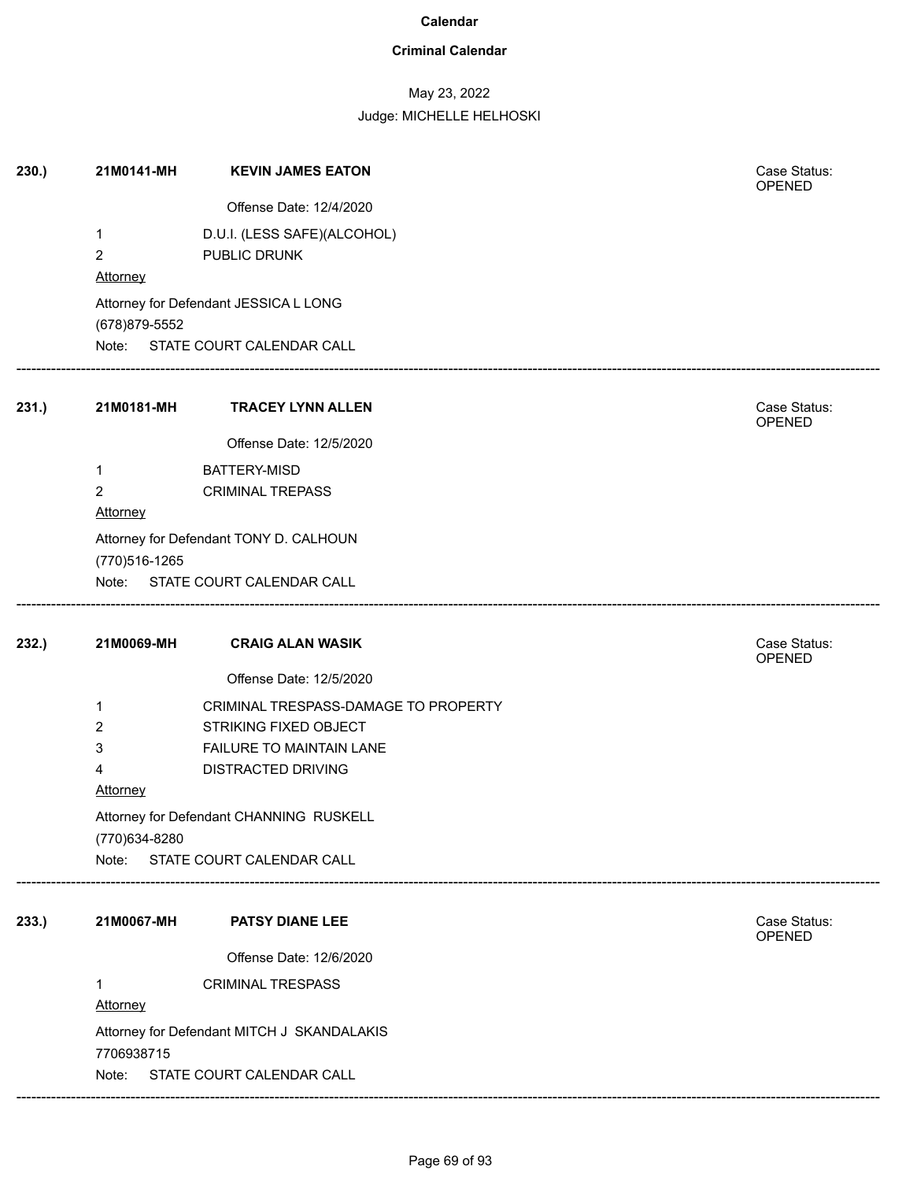### **Criminal Calendar**

## May 23, 2022

Judge: MICHELLE HELHOSKI

| 230.) | 21M0141-MH             | <b>KEVIN JAMES EATON</b>                                                 | Case Status:           |
|-------|------------------------|--------------------------------------------------------------------------|------------------------|
|       |                        |                                                                          | <b>OPENED</b>          |
|       |                        | Offense Date: 12/4/2020                                                  |                        |
|       | $\mathbf{1}$           | D.U.I. (LESS SAFE)(ALCOHOL)                                              |                        |
|       | $\overline{2}$         | PUBLIC DRUNK                                                             |                        |
|       | <b>Attorney</b>        |                                                                          |                        |
|       | (678) 879-5552         | Attorney for Defendant JESSICA L LONG<br>Note: STATE COURT CALENDAR CALL |                        |
| 231.) | 21M0181-MH             | <b>TRACEY LYNN ALLEN</b>                                                 | Case Status:<br>OPENED |
|       |                        | Offense Date: 12/5/2020                                                  |                        |
|       | 1                      | BATTERY-MISD                                                             |                        |
|       | $\overline{2}$         | <b>CRIMINAL TREPASS</b>                                                  |                        |
|       | <b>Attorney</b>        |                                                                          |                        |
|       | (770)516-1265<br>Note: | Attorney for Defendant TONY D. CALHOUN<br>STATE COURT CALENDAR CALL      |                        |
| 232.) | 21M0069-MH             | <b>CRAIG ALAN WASIK</b>                                                  | Case Status:<br>OPENED |
|       |                        | Offense Date: 12/5/2020                                                  |                        |
|       | 1                      | CRIMINAL TRESPASS-DAMAGE TO PROPERTY                                     |                        |
|       | 2                      | STRIKING FIXED OBJECT                                                    |                        |
|       | 3                      | FAILURE TO MAINTAIN LANE                                                 |                        |
|       | 4                      | DISTRACTED DRIVING                                                       |                        |
|       | <b>Attorney</b>        |                                                                          |                        |
|       | (770)634-8280          | Attorney for Defendant CHANNING RUSKELL                                  |                        |
|       |                        | Note: STATE COURT CALENDAR CALL                                          |                        |
| 233.) | 21M0067-MH             | <b>PATSY DIANE LEE</b>                                                   | Case Status:<br>OPENED |
|       |                        | Offense Date: 12/6/2020                                                  |                        |
|       | 1                      | <b>CRIMINAL TRESPASS</b>                                                 |                        |
|       |                        |                                                                          |                        |
|       | Attorney               |                                                                          |                        |
|       |                        | Attorney for Defendant MITCH J SKANDALAKIS                               |                        |
|       | 7706938715<br>Note:    | STATE COURT CALENDAR CALL                                                |                        |

------------------------------------------------------------------------------------------------------------------------------------------------------------------------------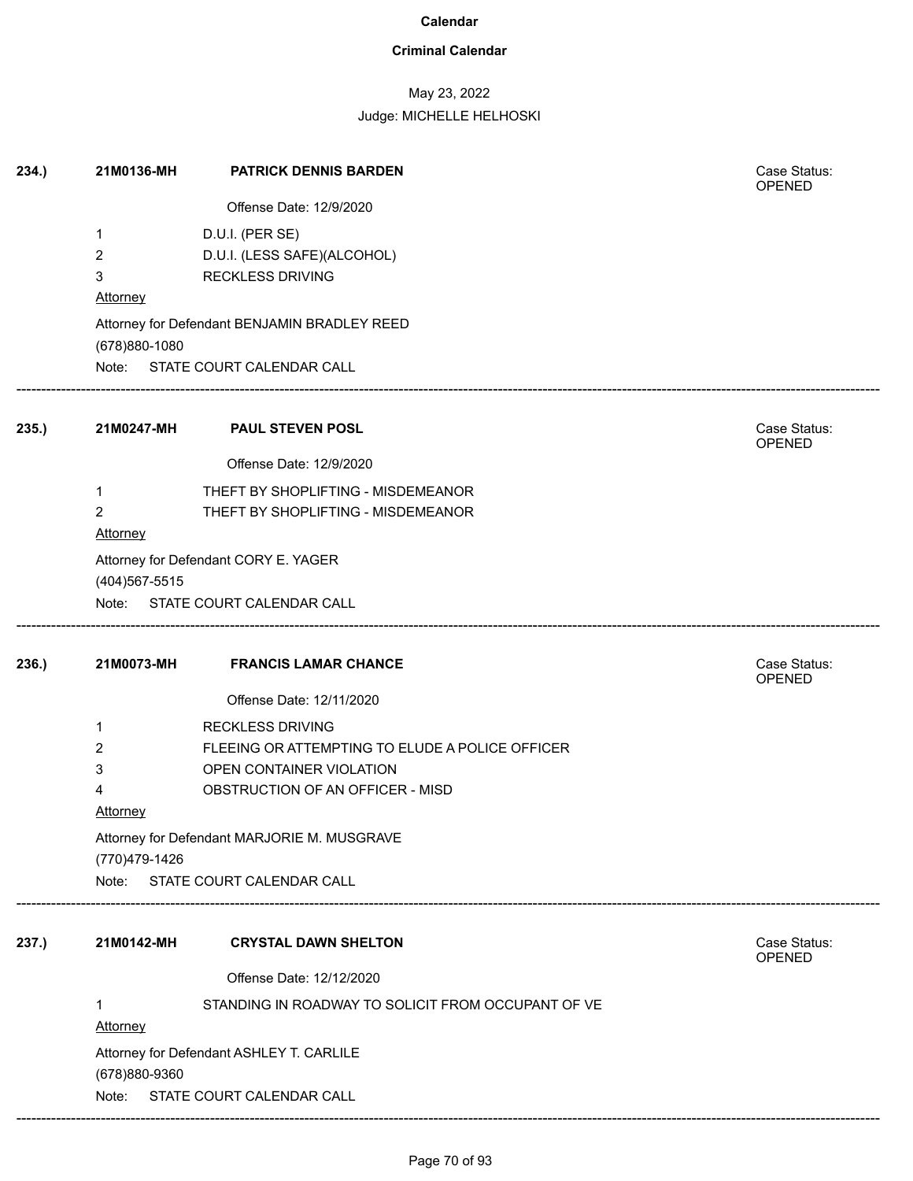### **Criminal Calendar**

## May 23, 2022

Judge: MICHELLE HELHOSKI

| 234.) | 21M0136-MH           | <b>PATRICK DENNIS BARDEN</b>                       | Case Status:<br>OPENED        |
|-------|----------------------|----------------------------------------------------|-------------------------------|
|       |                      | Offense Date: 12/9/2020                            |                               |
|       | 1                    | D.U.I. (PER SE)                                    |                               |
|       | 2                    | D.U.I. (LESS SAFE)(ALCOHOL)                        |                               |
|       | 3                    | <b>RECKLESS DRIVING</b>                            |                               |
|       | <b>Attorney</b>      |                                                    |                               |
|       | (678)880-1080        | Attorney for Defendant BENJAMIN BRADLEY REED       |                               |
|       |                      | Note: STATE COURT CALENDAR CALL                    |                               |
| 235.  |                      | 21M0247-MH PAUL STEVEN POSL                        | Case Status:<br><b>OPENED</b> |
|       |                      | Offense Date: 12/9/2020                            |                               |
|       | 1                    | THEFT BY SHOPLIFTING - MISDEMEANOR                 |                               |
|       | $\overline{2}$       | THEFT BY SHOPLIFTING - MISDEMEANOR                 |                               |
|       | <b>Attorney</b>      |                                                    |                               |
|       |                      | Attorney for Defendant CORY E. YAGER               |                               |
|       | (404) 567-5515       |                                                    |                               |
|       |                      | Note: STATE COURT CALENDAR CALL                    |                               |
| 236.) | 21M0073-MH           | <b>FRANCIS LAMAR CHANCE</b>                        | Case Status:<br><b>OPENED</b> |
|       |                      | Offense Date: 12/11/2020                           |                               |
|       | 1                    | <b>RECKLESS DRIVING</b>                            |                               |
|       | 2                    | FLEEING OR ATTEMPTING TO ELUDE A POLICE OFFICER    |                               |
|       | 3                    | OPEN CONTAINER VIOLATION                           |                               |
|       | 4                    | OBSTRUCTION OF AN OFFICER - MISD                   |                               |
|       | <b>Attorney</b>      |                                                    |                               |
|       |                      | Attorney for Defendant MARJORIE M. MUSGRAVE        |                               |
|       | (770) 479-1426       |                                                    |                               |
|       |                      | Note: STATE COURT CALENDAR CALL                    |                               |
| 237.) | 21M0142-MH           | <b>CRYSTAL DAWN SHELTON</b>                        | Case Status:                  |
|       |                      |                                                    | <b>OPENED</b>                 |
|       |                      | Offense Date: 12/12/2020                           |                               |
|       | 1<br><b>Attorney</b> | STANDING IN ROADWAY TO SOLICIT FROM OCCUPANT OF VE |                               |
|       |                      |                                                    |                               |
|       | (678)880-9360        | Attorney for Defendant ASHLEY T. CARLILE           |                               |
|       | Note:                | STATE COURT CALENDAR CALL                          |                               |

------------------------------------------------------------------------------------------------------------------------------------------------------------------------------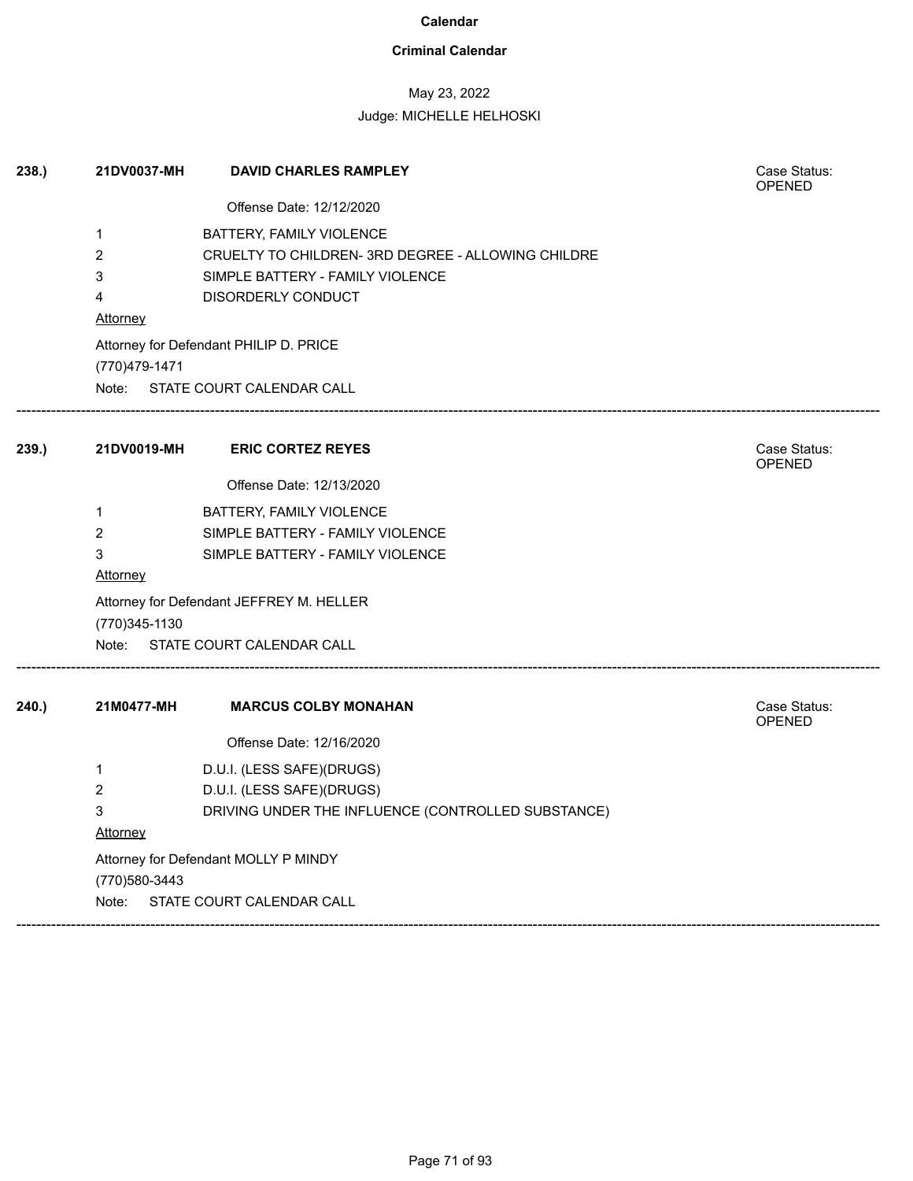### **Criminal Calendar**

## May 23, 2022

| 238.) | 21DV0037-MH                          | <b>DAVID CHARLES RAMPLEY</b>                       | Case Status:<br><b>OPENED</b> |  |
|-------|--------------------------------------|----------------------------------------------------|-------------------------------|--|
|       |                                      | Offense Date: 12/12/2020                           |                               |  |
|       | 1                                    | BATTERY, FAMILY VIOLENCE                           |                               |  |
|       | 2                                    | CRUELTY TO CHILDREN- 3RD DEGREE - ALLOWING CHILDRE |                               |  |
|       | 3                                    | SIMPLE BATTERY - FAMILY VIOLENCE                   |                               |  |
|       | 4                                    | DISORDERLY CONDUCT                                 |                               |  |
|       | <u>Attorney</u>                      |                                                    |                               |  |
|       | (770) 479-1471                       | Attorney for Defendant PHILIP D. PRICE             |                               |  |
|       |                                      | Note: STATE COURT CALENDAR CALL                    |                               |  |
| 239.) | 21DV0019-MH                          | <b>ERIC CORTEZ REYES</b>                           | Case Status:<br><b>OPENED</b> |  |
|       |                                      | Offense Date: 12/13/2020                           |                               |  |
|       | 1                                    | BATTERY, FAMILY VIOLENCE                           |                               |  |
|       | 2                                    | SIMPLE BATTERY - FAMILY VIOLENCE                   |                               |  |
|       | 3<br>Attorney                        | SIMPLE BATTERY - FAMILY VIOLENCE                   |                               |  |
|       | (770)345-1130                        | Attorney for Defendant JEFFREY M. HELLER           |                               |  |
|       |                                      | Note: STATE COURT CALENDAR CALL                    |                               |  |
| 240.  | 21M0477-MH                           | <b>MARCUS COLBY MONAHAN</b>                        | Case Status:<br><b>OPENED</b> |  |
|       |                                      | Offense Date: 12/16/2020                           |                               |  |
|       | 1                                    | D.U.I. (LESS SAFE)(DRUGS)                          |                               |  |
|       | 2                                    | D.U.I. (LESS SAFE)(DRUGS)                          |                               |  |
|       | 3                                    | DRIVING UNDER THE INFLUENCE (CONTROLLED SUBSTANCE) |                               |  |
|       | Attorney                             |                                                    |                               |  |
|       | Attorney for Defendant MOLLY P MINDY |                                                    |                               |  |
|       | (770) 580-3443                       |                                                    |                               |  |
|       | Note:                                | STATE COURT CALENDAR CALL                          |                               |  |
|       |                                      |                                                    |                               |  |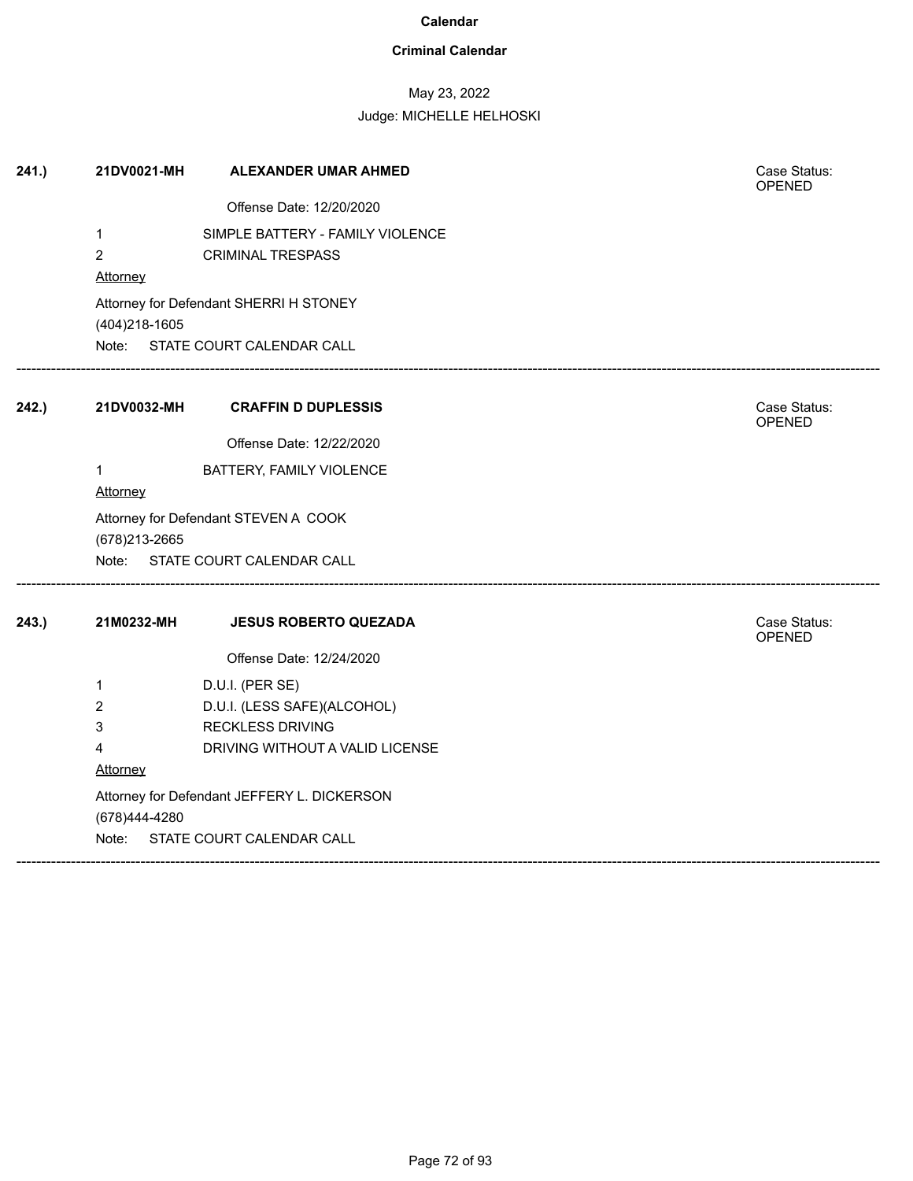### **Criminal Calendar**

## May 23, 2022

| 241.  | 21DV0021-MH                                              | <b>ALEXANDER UMAR AHMED</b>      |  | Case Status:<br>OPENED |  |
|-------|----------------------------------------------------------|----------------------------------|--|------------------------|--|
|       |                                                          | Offense Date: 12/20/2020         |  |                        |  |
|       | 1                                                        | SIMPLE BATTERY - FAMILY VIOLENCE |  |                        |  |
|       | $\overline{2}$                                           | <b>CRIMINAL TRESPASS</b>         |  |                        |  |
|       | Attorney                                                 |                                  |  |                        |  |
|       | Attorney for Defendant SHERRI H STONEY<br>(404) 218-1605 |                                  |  |                        |  |
|       | Note:<br>STATE COURT CALENDAR CALL                       |                                  |  |                        |  |
| 242.) | 21DV0032-MH                                              | <b>CRAFFIN D DUPLESSIS</b>       |  | Case Status:<br>OPENED |  |
|       |                                                          | Offense Date: 12/22/2020         |  |                        |  |
|       | $\mathbf{1}$                                             | BATTERY, FAMILY VIOLENCE         |  |                        |  |
|       | Attorney                                                 |                                  |  |                        |  |
|       | Attorney for Defendant STEVEN A COOK<br>(678) 213-2665   |                                  |  |                        |  |
|       | Note: STATE COURT CALENDAR CALL                          |                                  |  |                        |  |
| 243.  | 21M0232-MH                                               | <b>JESUS ROBERTO QUEZADA</b>     |  | Case Status:<br>OPENED |  |
|       |                                                          | Offense Date: 12/24/2020         |  |                        |  |
|       | 1                                                        | D.U.I. (PER SE)                  |  |                        |  |
|       | 2                                                        | D.U.I. (LESS SAFE)(ALCOHOL)      |  |                        |  |
|       | 3                                                        | <b>RECKLESS DRIVING</b>          |  |                        |  |
|       | 4                                                        | DRIVING WITHOUT A VALID LICENSE  |  |                        |  |
|       | Attorney                                                 |                                  |  |                        |  |
|       | Attorney for Defendant JEFFERY L. DICKERSON              |                                  |  |                        |  |
|       | (678)444-4280                                            |                                  |  |                        |  |
|       | STATE COURT CALENDAR CALL<br>Note:                       |                                  |  |                        |  |
|       |                                                          |                                  |  |                        |  |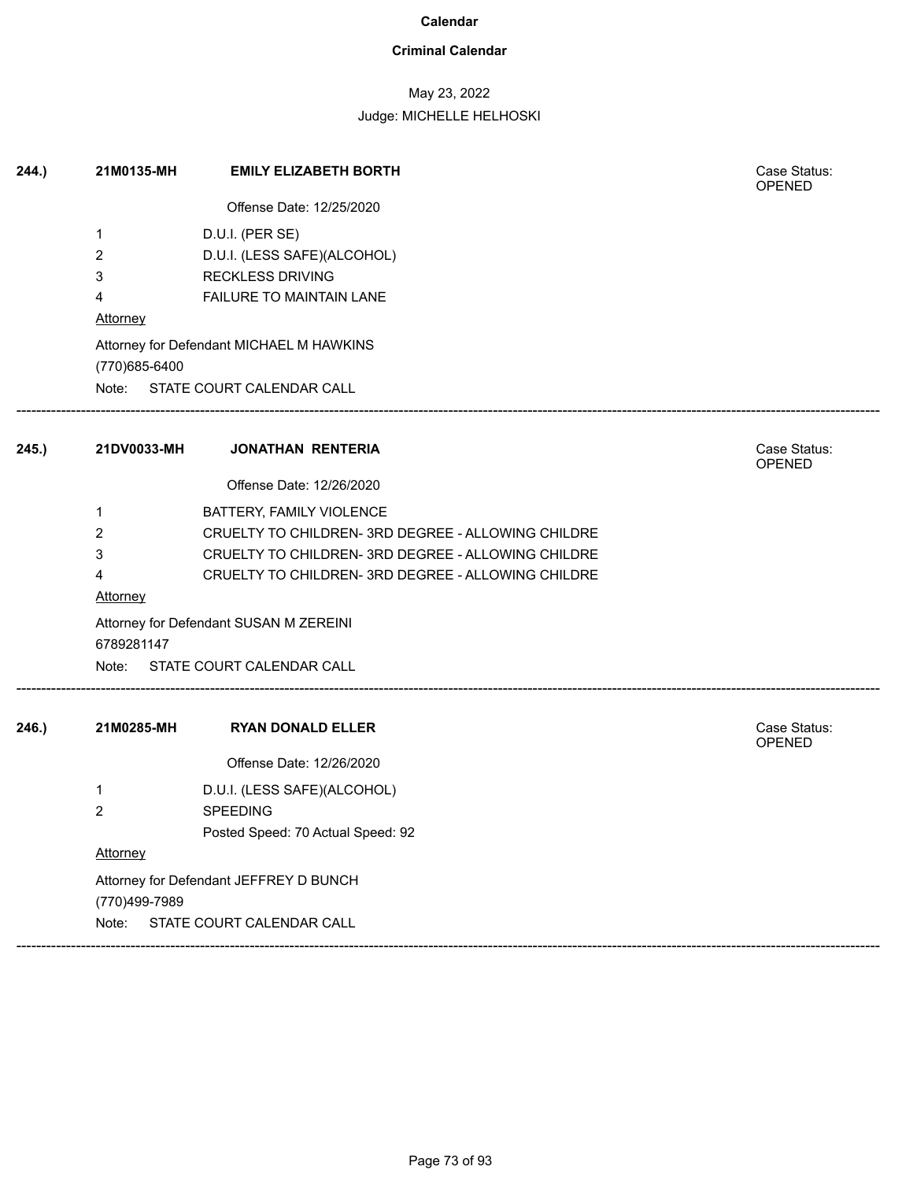## **Criminal Calendar**

# May 23, 2022

| 244.) | 21M0135-MH                             | <b>EMILY ELIZABETH BORTH</b>                       | Case Status:<br><b>OPENED</b> |  |  |
|-------|----------------------------------------|----------------------------------------------------|-------------------------------|--|--|
|       |                                        | Offense Date: 12/25/2020                           |                               |  |  |
|       | 1                                      | D.U.I. (PER SE)                                    |                               |  |  |
|       | 2                                      | D.U.I. (LESS SAFE)(ALCOHOL)                        |                               |  |  |
|       | 3                                      | <b>RECKLESS DRIVING</b>                            |                               |  |  |
|       | 4                                      | FAILURE TO MAINTAIN LANE                           |                               |  |  |
|       | <b>Attorney</b>                        |                                                    |                               |  |  |
|       | (770) 685-6400                         | Attorney for Defendant MICHAEL M HAWKINS           |                               |  |  |
|       |                                        | Note: STATE COURT CALENDAR CALL                    |                               |  |  |
| 245.) | 21DV0033-MH                            | <b>JONATHAN RENTERIA</b>                           | Case Status:<br><b>OPENED</b> |  |  |
|       |                                        | Offense Date: 12/26/2020                           |                               |  |  |
|       | 1                                      | BATTERY, FAMILY VIOLENCE                           |                               |  |  |
|       | 2                                      | CRUELTY TO CHILDREN- 3RD DEGREE - ALLOWING CHILDRE |                               |  |  |
|       | 3                                      | CRUELTY TO CHILDREN- 3RD DEGREE - ALLOWING CHILDRE |                               |  |  |
|       | 4                                      | CRUELTY TO CHILDREN- 3RD DEGREE - ALLOWING CHILDRE |                               |  |  |
|       | Attorney                               |                                                    |                               |  |  |
|       | 6789281147                             | Attorney for Defendant SUSAN M ZEREINI             |                               |  |  |
|       |                                        | Note: STATE COURT CALENDAR CALL                    |                               |  |  |
| 246.  | 21M0285-MH                             | <b>RYAN DONALD ELLER</b>                           | Case Status:                  |  |  |
|       |                                        |                                                    | OPENED                        |  |  |
|       |                                        | Offense Date: 12/26/2020                           |                               |  |  |
|       | 1                                      | D.U.I. (LESS SAFE)(ALCOHOL)                        |                               |  |  |
|       | $\overline{2}$                         | <b>SPEEDING</b>                                    |                               |  |  |
|       |                                        | Posted Speed: 70 Actual Speed: 92                  |                               |  |  |
|       | Attorney                               |                                                    |                               |  |  |
|       | Attorney for Defendant JEFFREY D BUNCH |                                                    |                               |  |  |
|       | (770)499-7989                          |                                                    |                               |  |  |
|       | Note:                                  | STATE COURT CALENDAR CALL                          |                               |  |  |
|       |                                        |                                                    |                               |  |  |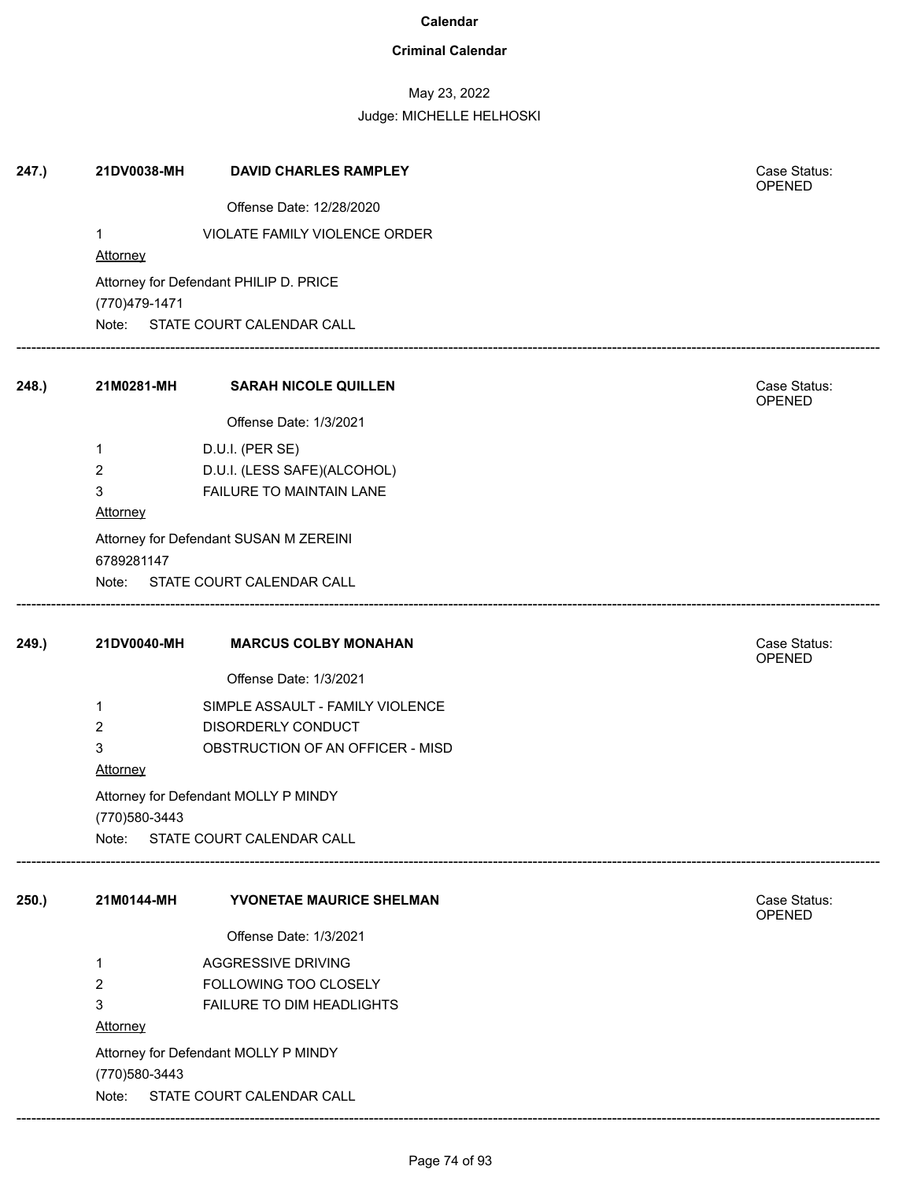## **Criminal Calendar**

# May 23, 2022

| 247.) | 21DV0038-MH     | <b>DAVID CHARLES RAMPLEY</b>                           | Case Status:<br>OPENED |
|-------|-----------------|--------------------------------------------------------|------------------------|
|       |                 | Offense Date: 12/28/2020                               |                        |
|       | $\mathbf 1$     | VIOLATE FAMILY VIOLENCE ORDER                          |                        |
|       | Attorney        |                                                        |                        |
|       |                 | Attorney for Defendant PHILIP D. PRICE                 |                        |
|       | (770)479-1471   |                                                        |                        |
|       |                 | Note: STATE COURT CALENDAR CALL                        |                        |
| 248.) | 21M0281-MH      | <b>SARAH NICOLE QUILLEN</b>                            | Case Status:<br>OPENED |
|       |                 | Offense Date: 1/3/2021                                 |                        |
|       | $\mathbf{1}$    | D.U.I. (PER SE)                                        |                        |
|       | $\overline{2}$  | D.U.I. (LESS SAFE)(ALCOHOL)                            |                        |
|       | 3               | FAILURE TO MAINTAIN LANE                               |                        |
|       | <b>Attorney</b> |                                                        |                        |
|       | 6789281147      | Attorney for Defendant SUSAN M ZEREINI                 |                        |
|       |                 | Note: STATE COURT CALENDAR CALL                        |                        |
| 249.) | 21DV0040-MH     | <b>MARCUS COLBY MONAHAN</b>                            | Case Status:           |
|       |                 | Offense Date: 1/3/2021                                 | OPENED                 |
|       |                 |                                                        |                        |
|       | 1<br>2          | SIMPLE ASSAULT - FAMILY VIOLENCE<br>DISORDERLY CONDUCT |                        |
|       | 3               | OBSTRUCTION OF AN OFFICER - MISD                       |                        |
|       | Attorney        |                                                        |                        |
|       |                 | Attorney for Defendant MOLLY P MINDY                   |                        |
|       | (770) 580-3443  |                                                        |                        |
|       | Note:           | STATE COURT CALENDAR CALL                              |                        |
| 250.) | 21M0144-MH      | YVONETAE MAURICE SHELMAN                               | Case Status:           |
|       |                 | Offense Date: 1/3/2021                                 | OPENED                 |
|       |                 |                                                        |                        |
|       | $\mathbf 1$     | <b>AGGRESSIVE DRIVING</b><br>FOLLOWING TOO CLOSELY     |                        |
|       | 2<br>3          | FAILURE TO DIM HEADLIGHTS                              |                        |
|       | <b>Attorney</b> |                                                        |                        |
|       |                 | Attorney for Defendant MOLLY P MINDY                   |                        |
|       | (770) 580-3443  |                                                        |                        |
|       | Note:           | STATE COURT CALENDAR CALL                              |                        |
|       |                 |                                                        |                        |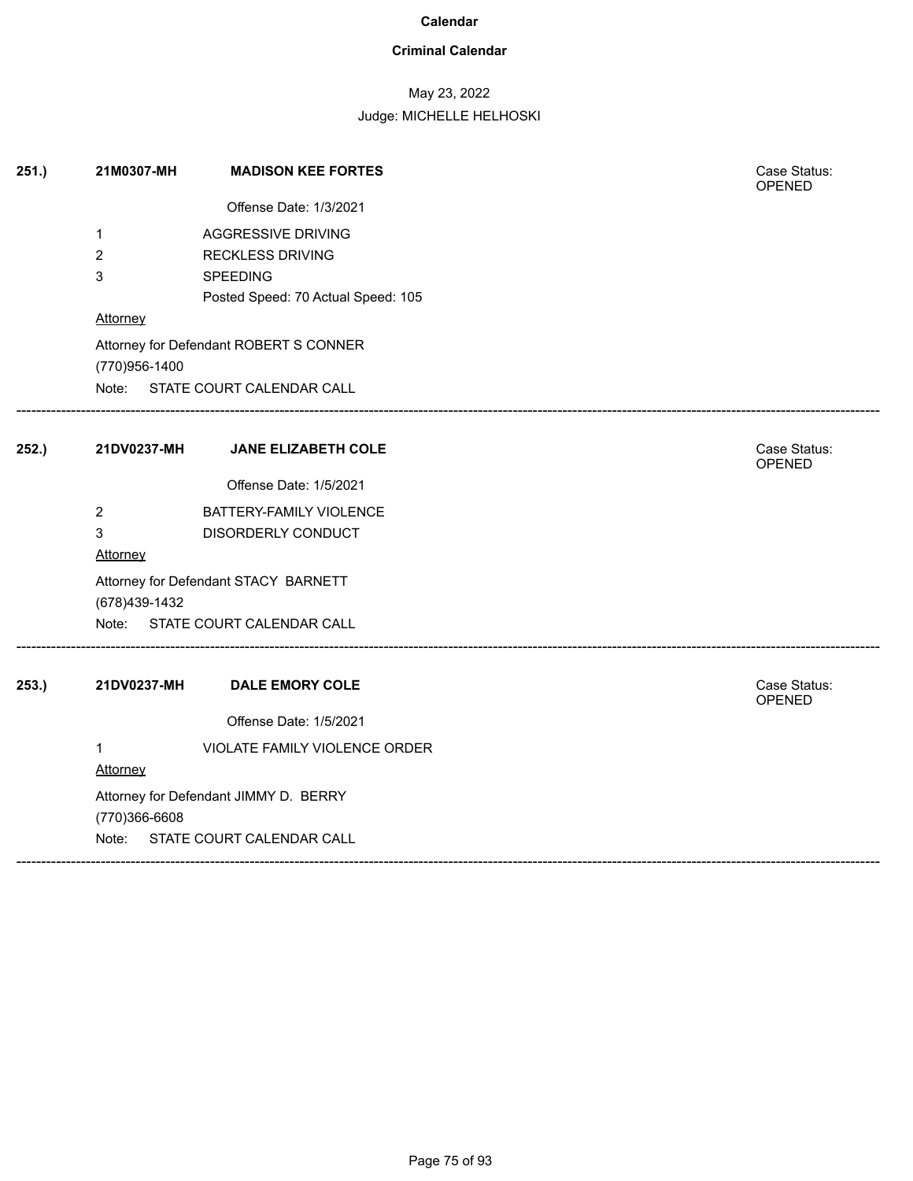## **Criminal Calendar**

# May 23, 2022

| 251.) | 21M0307-MH      | <b>MADISON KEE FORTES</b>              | Case Status:<br><b>OPENED</b> |
|-------|-----------------|----------------------------------------|-------------------------------|
|       |                 | Offense Date: 1/3/2021                 |                               |
|       | $\mathbf 1$     | AGGRESSIVE DRIVING                     |                               |
|       | $\overline{2}$  | <b>RECKLESS DRIVING</b>                |                               |
|       | 3               | SPEEDING                               |                               |
|       |                 | Posted Speed: 70 Actual Speed: 105     |                               |
|       | <b>Attorney</b> |                                        |                               |
|       |                 | Attorney for Defendant ROBERT S CONNER |                               |
|       | (770)956-1400   |                                        |                               |
|       |                 | Note: STATE COURT CALENDAR CALL        |                               |
| 252.) |                 | 21DV0237-MH JANE ELIZABETH COLE        | Case Status:<br>OPENED        |
|       |                 | Offense Date: 1/5/2021                 |                               |
|       | $\overline{2}$  | BATTERY-FAMILY VIOLENCE                |                               |
|       | 3               | DISORDERLY CONDUCT                     |                               |
|       | Attorney        |                                        |                               |
|       |                 | Attorney for Defendant STACY BARNETT   |                               |
|       | (678)439-1432   |                                        |                               |
|       |                 | Note: STATE COURT CALENDAR CALL        |                               |
| 253.) | 21DV0237-MH     | <b>DALE EMORY COLE</b>                 | Case Status:<br>OPENED        |
|       |                 | Offense Date: 1/5/2021                 |                               |
|       | $\mathbf 1$     | VIOLATE FAMILY VIOLENCE ORDER          |                               |
|       | Attorney        |                                        |                               |
|       |                 | Attorney for Defendant JIMMY D. BERRY  |                               |
|       | (770)366-6608   |                                        |                               |
|       |                 | Note: STATE COURT CALENDAR CALL        |                               |
|       |                 |                                        |                               |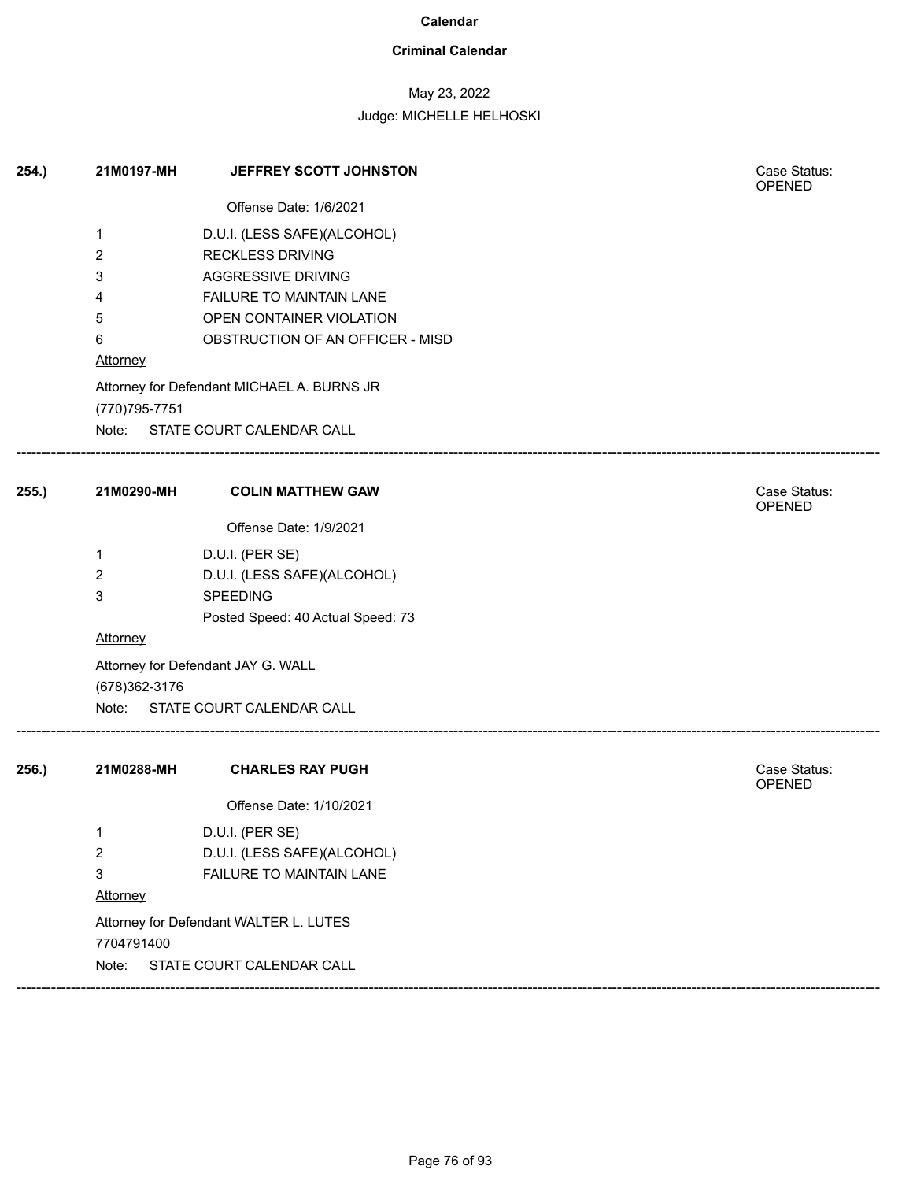## **Criminal Calendar**

# May 23, 2022

| 254.) | 21M0197-MH                                           | JEFFREY SCOTT JOHNSTON                     |  | Case Status:<br><b>OPENED</b> |
|-------|------------------------------------------------------|--------------------------------------------|--|-------------------------------|
|       |                                                      | Offense Date: 1/6/2021                     |  |                               |
|       | 1                                                    | D.U.I. (LESS SAFE)(ALCOHOL)                |  |                               |
|       | $\overline{c}$                                       | <b>RECKLESS DRIVING</b>                    |  |                               |
|       | 3                                                    | <b>AGGRESSIVE DRIVING</b>                  |  |                               |
|       | 4                                                    | FAILURE TO MAINTAIN LANE                   |  |                               |
|       | 5                                                    | OPEN CONTAINER VIOLATION                   |  |                               |
|       | 6                                                    | OBSTRUCTION OF AN OFFICER - MISD           |  |                               |
|       | <b>Attorney</b>                                      |                                            |  |                               |
|       | (770) 795-7751                                       | Attorney for Defendant MICHAEL A. BURNS JR |  |                               |
|       |                                                      | Note: STATE COURT CALENDAR CALL            |  |                               |
| 255.) | 21M0290-MH                                           | <b>COLIN MATTHEW GAW</b>                   |  | Case Status:<br><b>OPENED</b> |
|       |                                                      | Offense Date: 1/9/2021                     |  |                               |
|       | 1                                                    | D.U.I. (PER SE)                            |  |                               |
|       | $\overline{2}$                                       | D.U.I. (LESS SAFE)(ALCOHOL)                |  |                               |
|       | 3                                                    | SPEEDING                                   |  |                               |
|       |                                                      | Posted Speed: 40 Actual Speed: 73          |  |                               |
|       | Attorney                                             |                                            |  |                               |
|       | (678) 362-3176                                       | Attorney for Defendant JAY G. WALL         |  |                               |
|       |                                                      | Note: STATE COURT CALENDAR CALL            |  |                               |
| 256.) | 21M0288-MH                                           | <b>CHARLES RAY PUGH</b>                    |  | Case Status:<br><b>OPENED</b> |
|       |                                                      | Offense Date: 1/10/2021                    |  |                               |
|       | 1                                                    | D.U.I. (PER SE)                            |  |                               |
|       | 2                                                    | D.U.I. (LESS SAFE)(ALCOHOL)                |  |                               |
|       | 3                                                    | FAILURE TO MAINTAIN LANE                   |  |                               |
|       | <b>Attorney</b>                                      |                                            |  |                               |
|       | Attorney for Defendant WALTER L. LUTES<br>7704791400 |                                            |  |                               |
|       | Note:                                                | STATE COURT CALENDAR CALL                  |  |                               |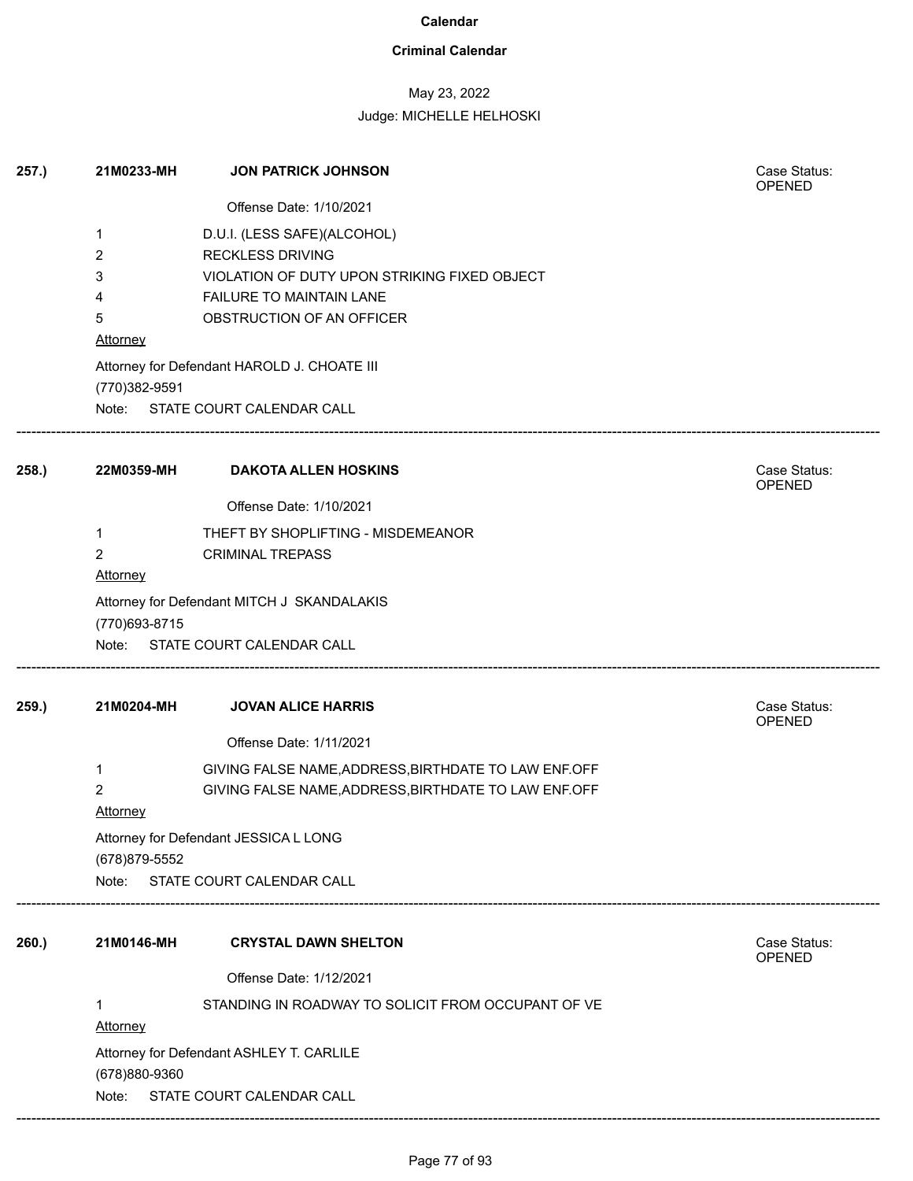## **Criminal Calendar**

# May 23, 2022

## Judge: MICHELLE HELHOSKI

| 257.) | 21M0233-MH                               | <b>JON PATRICK JOHNSON</b>                           | Case Status:<br><b>OPENED</b> |  |
|-------|------------------------------------------|------------------------------------------------------|-------------------------------|--|
|       |                                          | Offense Date: 1/10/2021                              |                               |  |
|       | 1                                        | D.U.I. (LESS SAFE)(ALCOHOL)                          |                               |  |
|       | $\overline{2}$                           | <b>RECKLESS DRIVING</b>                              |                               |  |
|       | 3                                        | VIOLATION OF DUTY UPON STRIKING FIXED OBJECT         |                               |  |
|       | 4                                        | FAILURE TO MAINTAIN LANE                             |                               |  |
|       | 5<br>Attorney                            | OBSTRUCTION OF AN OFFICER                            |                               |  |
|       | (770)382-9591                            | Attorney for Defendant HAROLD J. CHOATE III          |                               |  |
|       |                                          | Note: STATE COURT CALENDAR CALL                      |                               |  |
| 258.  | 22M0359-MH                               | <b>DAKOTA ALLEN HOSKINS</b>                          | Case Status:<br>OPENED        |  |
|       |                                          | Offense Date: 1/10/2021                              |                               |  |
|       | $\mathbf{1}$                             | THEFT BY SHOPLIFTING - MISDEMEANOR                   |                               |  |
|       | $\overline{2}$                           | <b>CRIMINAL TREPASS</b>                              |                               |  |
|       | <b>Attorney</b>                          |                                                      |                               |  |
|       |                                          | Attorney for Defendant MITCH J SKANDALAKIS           |                               |  |
|       | (770) 693-8715                           | Note: STATE COURT CALENDAR CALL                      |                               |  |
|       |                                          |                                                      |                               |  |
| 259.) | 21M0204-MH                               | <b>JOVAN ALICE HARRIS</b>                            | Case Status:<br><b>OPENED</b> |  |
|       |                                          | Offense Date: 1/11/2021                              |                               |  |
|       | 1                                        | GIVING FALSE NAME, ADDRESS, BIRTHDATE TO LAW ENF.OFF |                               |  |
|       | 2                                        | GIVING FALSE NAME, ADDRESS, BIRTHDATE TO LAW ENF.OFF |                               |  |
|       | <b>Attorney</b>                          |                                                      |                               |  |
|       |                                          | Attorney for Defendant JESSICA L LONG                |                               |  |
|       | (678) 879-5552                           |                                                      |                               |  |
|       |                                          | Note: STATE COURT CALENDAR CALL                      |                               |  |
| 260.) | 21M0146-MH                               | <b>CRYSTAL DAWN SHELTON</b>                          | Case Status:                  |  |
|       |                                          |                                                      | <b>OPENED</b>                 |  |
|       |                                          | Offense Date: 1/12/2021                              |                               |  |
|       | 1<br><b>Attorney</b>                     | STANDING IN ROADWAY TO SOLICIT FROM OCCUPANT OF VE   |                               |  |
|       | Attorney for Defendant ASHLEY T. CARLILE |                                                      |                               |  |
|       | (678)880-9360                            |                                                      |                               |  |
|       |                                          | Note: STATE COURT CALENDAR CALL                      |                               |  |

------------------------------------------------------------------------------------------------------------------------------------------------------------------------------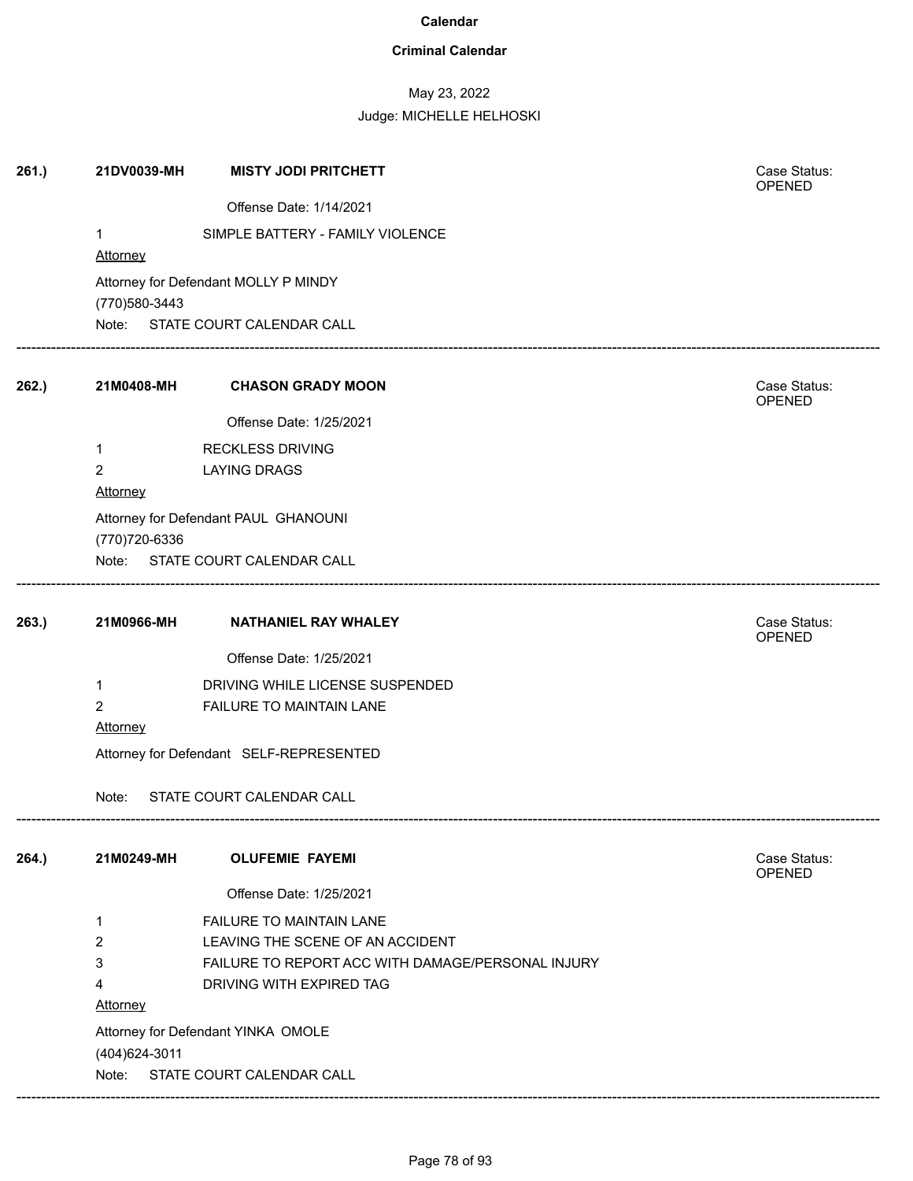## **Criminal Calendar**

# May 23, 2022

| Offense Date: 1/14/2021<br>SIMPLE BATTERY - FAMILY VIOLENCE<br>1<br>Attorney<br>Attorney for Defendant MOLLY P MINDY<br>(770) 580-3443<br>Note: STATE COURT CALENDAR CALL<br>262.)<br>21M0408-MH<br><b>CHASON GRADY MOON</b><br>Case Status:<br>OPENED<br>Offense Date: 1/25/2021<br><b>RECKLESS DRIVING</b><br>1<br>$\overline{2}$<br><b>LAYING DRAGS</b><br><b>Attorney</b><br>Attorney for Defendant PAUL GHANOUNI<br>(770) 720-6336<br>Note: STATE COURT CALENDAR CALL<br>Case Status:<br>263.<br>21M0966-MH<br><b>NATHANIEL RAY WHALEY</b><br>OPENED<br>Offense Date: 1/25/2021<br>DRIVING WHILE LICENSE SUSPENDED<br>1<br>2<br>FAILURE TO MAINTAIN LANE<br><b>Attorney</b><br>Attorney for Defendant SELF-REPRESENTED<br>STATE COURT CALENDAR CALL<br>Note:<br>264.)<br><b>OLUFEMIE FAYEMI</b><br>Case Status:<br>21M0249-MH<br><b>OPENED</b><br>Offense Date: 1/25/2021<br>FAILURE TO MAINTAIN LANE<br>1<br>LEAVING THE SCENE OF AN ACCIDENT<br>2<br>3<br>FAILURE TO REPORT ACC WITH DAMAGE/PERSONAL INJURY<br>4<br>DRIVING WITH EXPIRED TAG<br>Attorney<br>Attorney for Defendant YINKA OMOLE<br>(404) 624-3011<br>STATE COURT CALENDAR CALL<br>Note: | 261.) | 21DV0039-MH | <b>MISTY JODI PRITCHETT</b> | Case Status:<br>OPENED |
|---------------------------------------------------------------------------------------------------------------------------------------------------------------------------------------------------------------------------------------------------------------------------------------------------------------------------------------------------------------------------------------------------------------------------------------------------------------------------------------------------------------------------------------------------------------------------------------------------------------------------------------------------------------------------------------------------------------------------------------------------------------------------------------------------------------------------------------------------------------------------------------------------------------------------------------------------------------------------------------------------------------------------------------------------------------------------------------------------------------------------------------------------------------|-------|-------------|-----------------------------|------------------------|
|                                                                                                                                                                                                                                                                                                                                                                                                                                                                                                                                                                                                                                                                                                                                                                                                                                                                                                                                                                                                                                                                                                                                                               |       |             |                             |                        |
|                                                                                                                                                                                                                                                                                                                                                                                                                                                                                                                                                                                                                                                                                                                                                                                                                                                                                                                                                                                                                                                                                                                                                               |       |             |                             |                        |
|                                                                                                                                                                                                                                                                                                                                                                                                                                                                                                                                                                                                                                                                                                                                                                                                                                                                                                                                                                                                                                                                                                                                                               |       |             |                             |                        |
|                                                                                                                                                                                                                                                                                                                                                                                                                                                                                                                                                                                                                                                                                                                                                                                                                                                                                                                                                                                                                                                                                                                                                               |       |             |                             |                        |
|                                                                                                                                                                                                                                                                                                                                                                                                                                                                                                                                                                                                                                                                                                                                                                                                                                                                                                                                                                                                                                                                                                                                                               |       |             |                             |                        |
|                                                                                                                                                                                                                                                                                                                                                                                                                                                                                                                                                                                                                                                                                                                                                                                                                                                                                                                                                                                                                                                                                                                                                               |       |             |                             |                        |
|                                                                                                                                                                                                                                                                                                                                                                                                                                                                                                                                                                                                                                                                                                                                                                                                                                                                                                                                                                                                                                                                                                                                                               |       |             |                             |                        |
|                                                                                                                                                                                                                                                                                                                                                                                                                                                                                                                                                                                                                                                                                                                                                                                                                                                                                                                                                                                                                                                                                                                                                               |       |             |                             |                        |
|                                                                                                                                                                                                                                                                                                                                                                                                                                                                                                                                                                                                                                                                                                                                                                                                                                                                                                                                                                                                                                                                                                                                                               |       |             |                             |                        |
|                                                                                                                                                                                                                                                                                                                                                                                                                                                                                                                                                                                                                                                                                                                                                                                                                                                                                                                                                                                                                                                                                                                                                               |       |             |                             |                        |
|                                                                                                                                                                                                                                                                                                                                                                                                                                                                                                                                                                                                                                                                                                                                                                                                                                                                                                                                                                                                                                                                                                                                                               |       |             |                             |                        |
|                                                                                                                                                                                                                                                                                                                                                                                                                                                                                                                                                                                                                                                                                                                                                                                                                                                                                                                                                                                                                                                                                                                                                               |       |             |                             |                        |
|                                                                                                                                                                                                                                                                                                                                                                                                                                                                                                                                                                                                                                                                                                                                                                                                                                                                                                                                                                                                                                                                                                                                                               |       |             |                             |                        |
|                                                                                                                                                                                                                                                                                                                                                                                                                                                                                                                                                                                                                                                                                                                                                                                                                                                                                                                                                                                                                                                                                                                                                               |       |             |                             |                        |
|                                                                                                                                                                                                                                                                                                                                                                                                                                                                                                                                                                                                                                                                                                                                                                                                                                                                                                                                                                                                                                                                                                                                                               |       |             |                             |                        |
|                                                                                                                                                                                                                                                                                                                                                                                                                                                                                                                                                                                                                                                                                                                                                                                                                                                                                                                                                                                                                                                                                                                                                               |       |             |                             |                        |
|                                                                                                                                                                                                                                                                                                                                                                                                                                                                                                                                                                                                                                                                                                                                                                                                                                                                                                                                                                                                                                                                                                                                                               |       |             |                             |                        |
|                                                                                                                                                                                                                                                                                                                                                                                                                                                                                                                                                                                                                                                                                                                                                                                                                                                                                                                                                                                                                                                                                                                                                               |       |             |                             |                        |
|                                                                                                                                                                                                                                                                                                                                                                                                                                                                                                                                                                                                                                                                                                                                                                                                                                                                                                                                                                                                                                                                                                                                                               |       |             |                             |                        |
|                                                                                                                                                                                                                                                                                                                                                                                                                                                                                                                                                                                                                                                                                                                                                                                                                                                                                                                                                                                                                                                                                                                                                               |       |             |                             |                        |
|                                                                                                                                                                                                                                                                                                                                                                                                                                                                                                                                                                                                                                                                                                                                                                                                                                                                                                                                                                                                                                                                                                                                                               |       |             |                             |                        |
|                                                                                                                                                                                                                                                                                                                                                                                                                                                                                                                                                                                                                                                                                                                                                                                                                                                                                                                                                                                                                                                                                                                                                               |       |             |                             |                        |
|                                                                                                                                                                                                                                                                                                                                                                                                                                                                                                                                                                                                                                                                                                                                                                                                                                                                                                                                                                                                                                                                                                                                                               |       |             |                             |                        |
|                                                                                                                                                                                                                                                                                                                                                                                                                                                                                                                                                                                                                                                                                                                                                                                                                                                                                                                                                                                                                                                                                                                                                               |       |             |                             |                        |
|                                                                                                                                                                                                                                                                                                                                                                                                                                                                                                                                                                                                                                                                                                                                                                                                                                                                                                                                                                                                                                                                                                                                                               |       |             |                             |                        |
|                                                                                                                                                                                                                                                                                                                                                                                                                                                                                                                                                                                                                                                                                                                                                                                                                                                                                                                                                                                                                                                                                                                                                               |       |             |                             |                        |
|                                                                                                                                                                                                                                                                                                                                                                                                                                                                                                                                                                                                                                                                                                                                                                                                                                                                                                                                                                                                                                                                                                                                                               |       |             |                             |                        |
|                                                                                                                                                                                                                                                                                                                                                                                                                                                                                                                                                                                                                                                                                                                                                                                                                                                                                                                                                                                                                                                                                                                                                               |       |             |                             |                        |
|                                                                                                                                                                                                                                                                                                                                                                                                                                                                                                                                                                                                                                                                                                                                                                                                                                                                                                                                                                                                                                                                                                                                                               |       |             |                             |                        |
|                                                                                                                                                                                                                                                                                                                                                                                                                                                                                                                                                                                                                                                                                                                                                                                                                                                                                                                                                                                                                                                                                                                                                               |       |             |                             |                        |
|                                                                                                                                                                                                                                                                                                                                                                                                                                                                                                                                                                                                                                                                                                                                                                                                                                                                                                                                                                                                                                                                                                                                                               |       |             |                             |                        |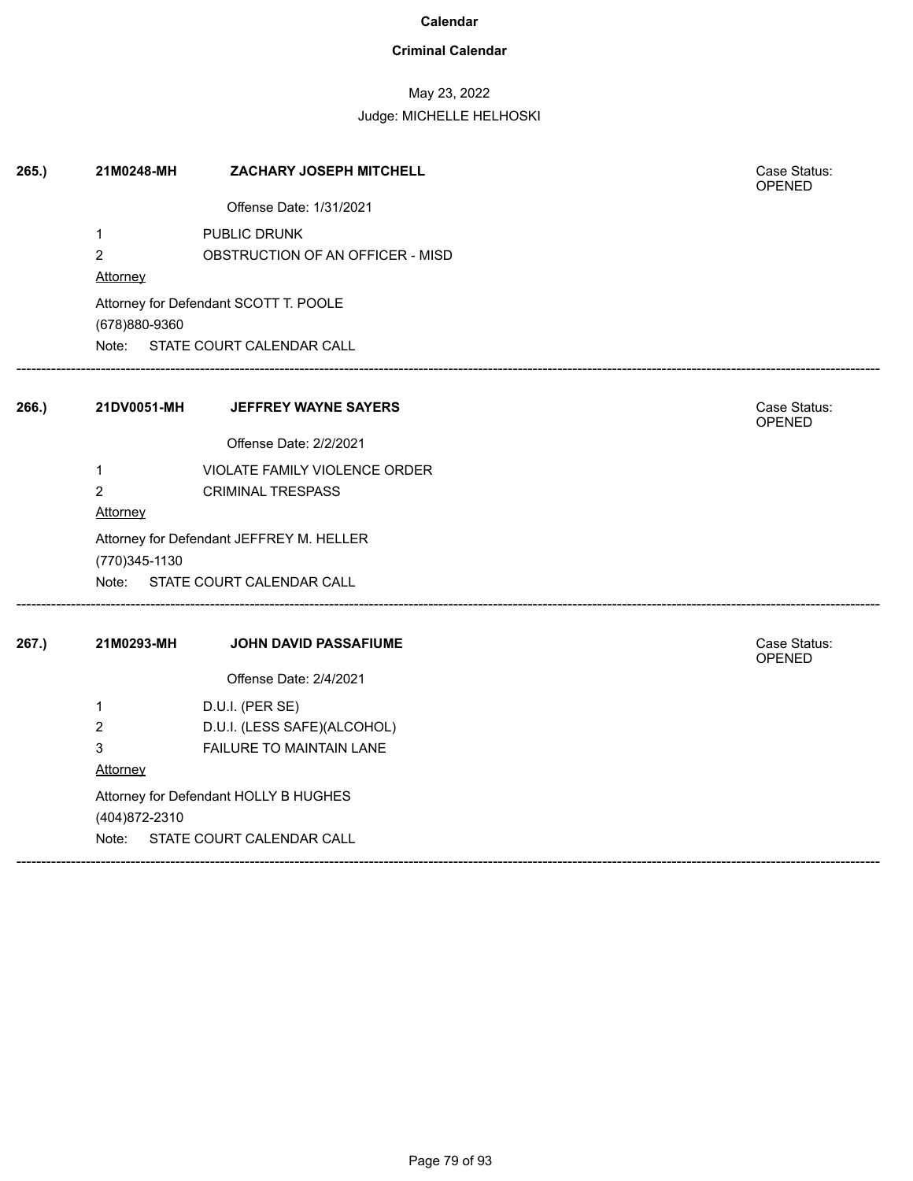## **Criminal Calendar**

# May 23, 2022

| 265.) | 21M0248-MH                                        | ZACHARY JOSEPH MITCHELL                                                  | Case Status:<br>OPENED        |
|-------|---------------------------------------------------|--------------------------------------------------------------------------|-------------------------------|
|       |                                                   | Offense Date: 1/31/2021                                                  |                               |
|       | $\mathbf{1}$<br>$\overline{2}$<br>Attorney        | PUBLIC DRUNK<br>OBSTRUCTION OF AN OFFICER - MISD                         |                               |
|       | (678)880-9360                                     | Attorney for Defendant SCOTT T. POOLE<br>Note: STATE COURT CALENDAR CALL |                               |
| 266.) | 21DV0051-MH                                       | <b>JEFFREY WAYNE SAYERS</b>                                              | Case Status:<br>OPENED        |
|       |                                                   | Offense Date: 2/2/2021                                                   |                               |
|       | $\mathbf{1}$<br>$\overline{2}$<br><b>Attorney</b> | VIOLATE FAMILY VIOLENCE ORDER<br><b>CRIMINAL TRESPASS</b>                |                               |
|       | (770) 345-1130                                    | Attorney for Defendant JEFFREY M. HELLER                                 |                               |
|       |                                                   | Note: STATE COURT CALENDAR CALL                                          |                               |
| 267.) | 21M0293-MH                                        | JOHN DAVID PASSAFIUME                                                    | Case Status:<br><b>OPENED</b> |
|       |                                                   | Offense Date: 2/4/2021                                                   |                               |
|       | $\mathbf{1}$                                      | D.U.I. (PER SE)                                                          |                               |
|       | $\overline{c}$                                    | D.U.I. (LESS SAFE)(ALCOHOL)                                              |                               |
|       | 3<br>Attorney                                     | FAILURE TO MAINTAIN LANE                                                 |                               |
|       | (404) 872-2310                                    | Attorney for Defendant HOLLY B HUGHES                                    |                               |
|       |                                                   | Note: STATE COURT CALENDAR CALL                                          |                               |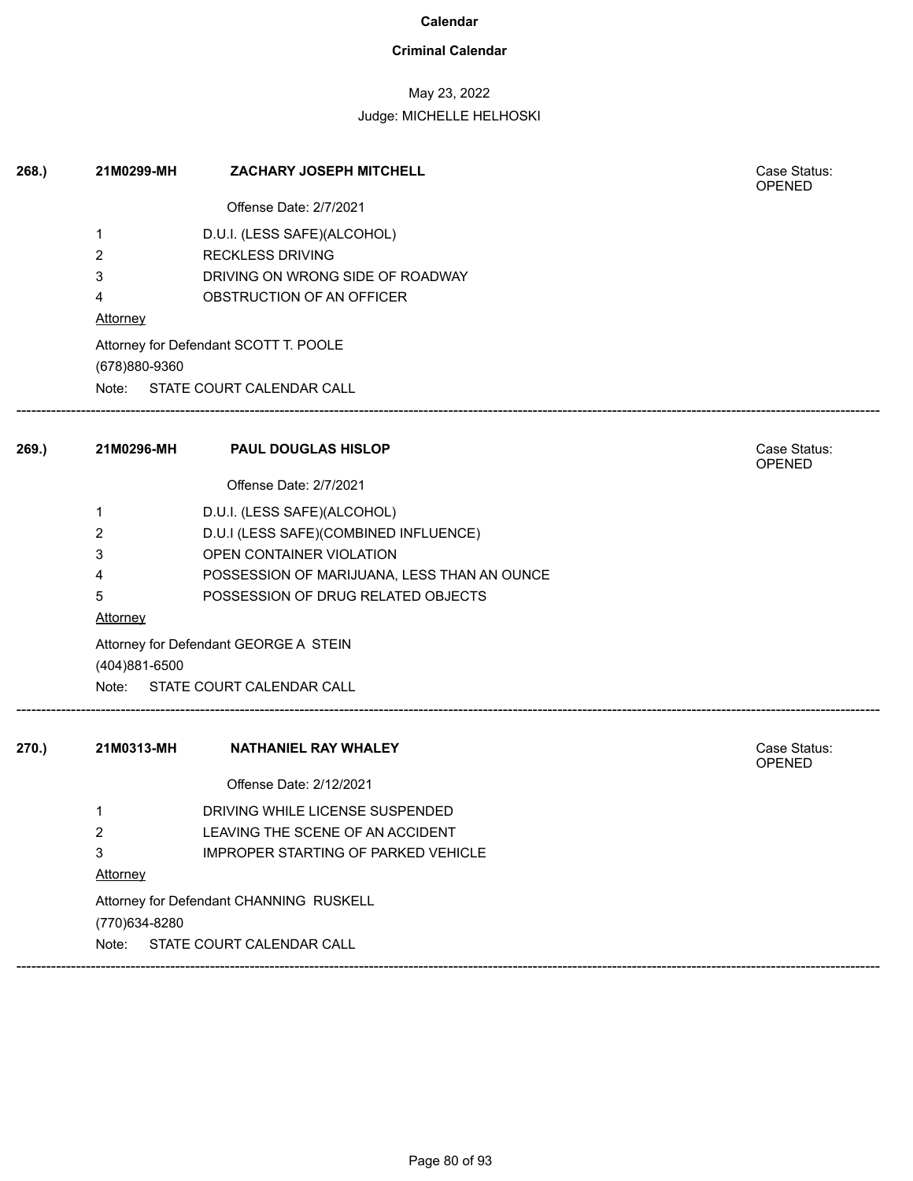## **Criminal Calendar**

# May 23, 2022

| 268.  | 21M0299-MH                              | ZACHARY JOSEPH MITCHELL                     | Case Status:<br><b>OPENED</b> |  |
|-------|-----------------------------------------|---------------------------------------------|-------------------------------|--|
|       |                                         | Offense Date: 2/7/2021                      |                               |  |
|       | 1                                       | D.U.I. (LESS SAFE)(ALCOHOL)                 |                               |  |
|       | $\overline{2}$                          | <b>RECKLESS DRIVING</b>                     |                               |  |
|       | 3                                       | DRIVING ON WRONG SIDE OF ROADWAY            |                               |  |
|       | 4                                       | OBSTRUCTION OF AN OFFICER                   |                               |  |
|       | Attorney                                |                                             |                               |  |
|       |                                         | Attorney for Defendant SCOTT T. POOLE       |                               |  |
|       | (678)880-9360                           |                                             |                               |  |
|       |                                         | Note: STATE COURT CALENDAR CALL             |                               |  |
| 269.  | 21M0296-MH                              | <b>PAUL DOUGLAS HISLOP</b>                  | Case Status:<br>OPENED        |  |
|       |                                         | Offense Date: 2/7/2021                      |                               |  |
|       | 1                                       | D.U.I. (LESS SAFE)(ALCOHOL)                 |                               |  |
|       | $\overline{2}$                          | D.U.I (LESS SAFE)(COMBINED INFLUENCE)       |                               |  |
|       | 3                                       | OPEN CONTAINER VIOLATION                    |                               |  |
|       | 4                                       | POSSESSION OF MARIJUANA, LESS THAN AN OUNCE |                               |  |
|       | 5                                       | POSSESSION OF DRUG RELATED OBJECTS          |                               |  |
|       | <b>Attorney</b>                         |                                             |                               |  |
|       | (404)881-6500                           | Attorney for Defendant GEORGE A STEIN       |                               |  |
|       |                                         | Note: STATE COURT CALENDAR CALL             |                               |  |
| 270.) | 21M0313-MH                              | <b>NATHANIEL RAY WHALEY</b>                 | Case Status:<br><b>OPENED</b> |  |
|       |                                         | Offense Date: 2/12/2021                     |                               |  |
|       | 1                                       | DRIVING WHILE LICENSE SUSPENDED             |                               |  |
|       | 2                                       | LEAVING THE SCENE OF AN ACCIDENT            |                               |  |
|       | 3                                       | <b>IMPROPER STARTING OF PARKED VEHICLE</b>  |                               |  |
|       | Attorney                                |                                             |                               |  |
|       | Attorney for Defendant CHANNING RUSKELL |                                             |                               |  |
|       | (770) 634-8280                          |                                             |                               |  |
|       | Note:                                   | STATE COURT CALENDAR CALL                   |                               |  |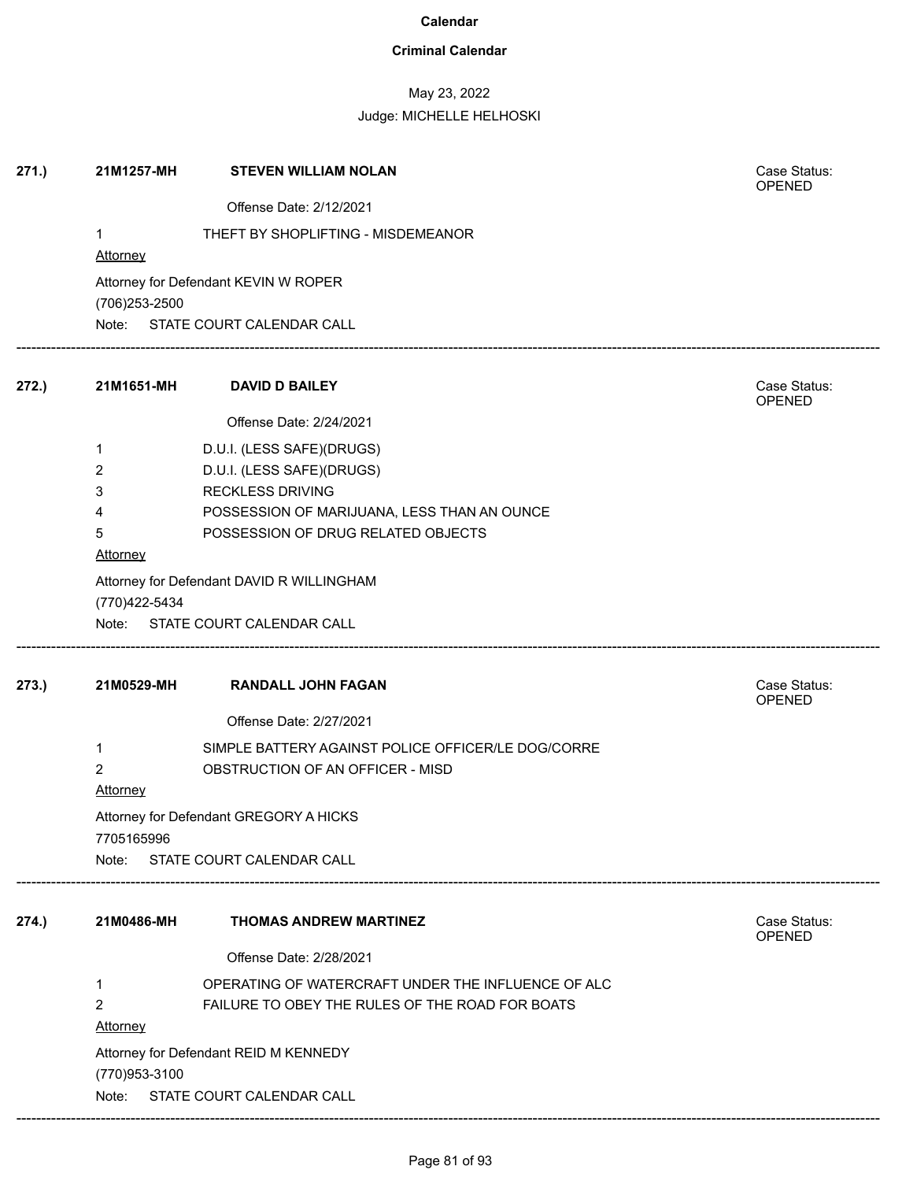## **Criminal Calendar**

May 23, 2022

| 271.) | 21M1257-MH      | <b>STEVEN WILLIAM NOLAN</b>                        | Case Status:<br>OPENED |  |  |  |  |
|-------|-----------------|----------------------------------------------------|------------------------|--|--|--|--|
|       |                 | Offense Date: 2/12/2021                            |                        |  |  |  |  |
|       | $\mathbf{1}$    | THEFT BY SHOPLIFTING - MISDEMEANOR                 |                        |  |  |  |  |
|       | <b>Attorney</b> |                                                    |                        |  |  |  |  |
|       | (706) 253-2500  | Attorney for Defendant KEVIN W ROPER               |                        |  |  |  |  |
|       |                 | Note: STATE COURT CALENDAR CALL                    |                        |  |  |  |  |
|       |                 |                                                    |                        |  |  |  |  |
| 272.) | 21M1651-MH      | <b>DAVID D BAILEY</b>                              | Case Status:<br>OPENED |  |  |  |  |
|       |                 | Offense Date: 2/24/2021                            |                        |  |  |  |  |
|       | 1               | D.U.I. (LESS SAFE)(DRUGS)                          |                        |  |  |  |  |
|       | $\overline{2}$  | D.U.I. (LESS SAFE)(DRUGS)                          |                        |  |  |  |  |
|       | 3               | <b>RECKLESS DRIVING</b>                            |                        |  |  |  |  |
|       | 4               | POSSESSION OF MARIJUANA, LESS THAN AN OUNCE        |                        |  |  |  |  |
|       | 5               | POSSESSION OF DRUG RELATED OBJECTS                 |                        |  |  |  |  |
|       | Attorney        |                                                    |                        |  |  |  |  |
|       | (770)422-5434   | Attorney for Defendant DAVID R WILLINGHAM          |                        |  |  |  |  |
|       |                 | Note: STATE COURT CALENDAR CALL                    |                        |  |  |  |  |
|       |                 |                                                    |                        |  |  |  |  |
| 273.) | 21M0529-MH      | <b>RANDALL JOHN FAGAN</b>                          | Case Status:<br>OPENED |  |  |  |  |
|       |                 | Offense Date: 2/27/2021                            |                        |  |  |  |  |
|       | 1               | SIMPLE BATTERY AGAINST POLICE OFFICER/LE DOG/CORRE |                        |  |  |  |  |
|       | $\overline{2}$  | OBSTRUCTION OF AN OFFICER - MISD                   |                        |  |  |  |  |
|       | <b>Attorney</b> |                                                    |                        |  |  |  |  |
|       |                 | Attorney for Defendant GREGORY A HICKS             |                        |  |  |  |  |
|       | 7705165996      |                                                    |                        |  |  |  |  |
|       | Note:           | STATE COURT CALENDAR CALL                          |                        |  |  |  |  |
|       |                 |                                                    |                        |  |  |  |  |
| 274.) | 21M0486-MH      | <b>THOMAS ANDREW MARTINEZ</b>                      | Case Status:<br>OPENED |  |  |  |  |
|       |                 | Offense Date: 2/28/2021                            |                        |  |  |  |  |
|       | 1               | OPERATING OF WATERCRAFT UNDER THE INFLUENCE OF ALC |                        |  |  |  |  |
|       | 2               | FAILURE TO OBEY THE RULES OF THE ROAD FOR BOATS    |                        |  |  |  |  |
|       | <b>Attorney</b> |                                                    |                        |  |  |  |  |
|       |                 |                                                    |                        |  |  |  |  |
|       | (770) 953-3100  | Attorney for Defendant REID M KENNEDY              |                        |  |  |  |  |
|       | Note:           | STATE COURT CALENDAR CALL                          |                        |  |  |  |  |
|       |                 |                                                    |                        |  |  |  |  |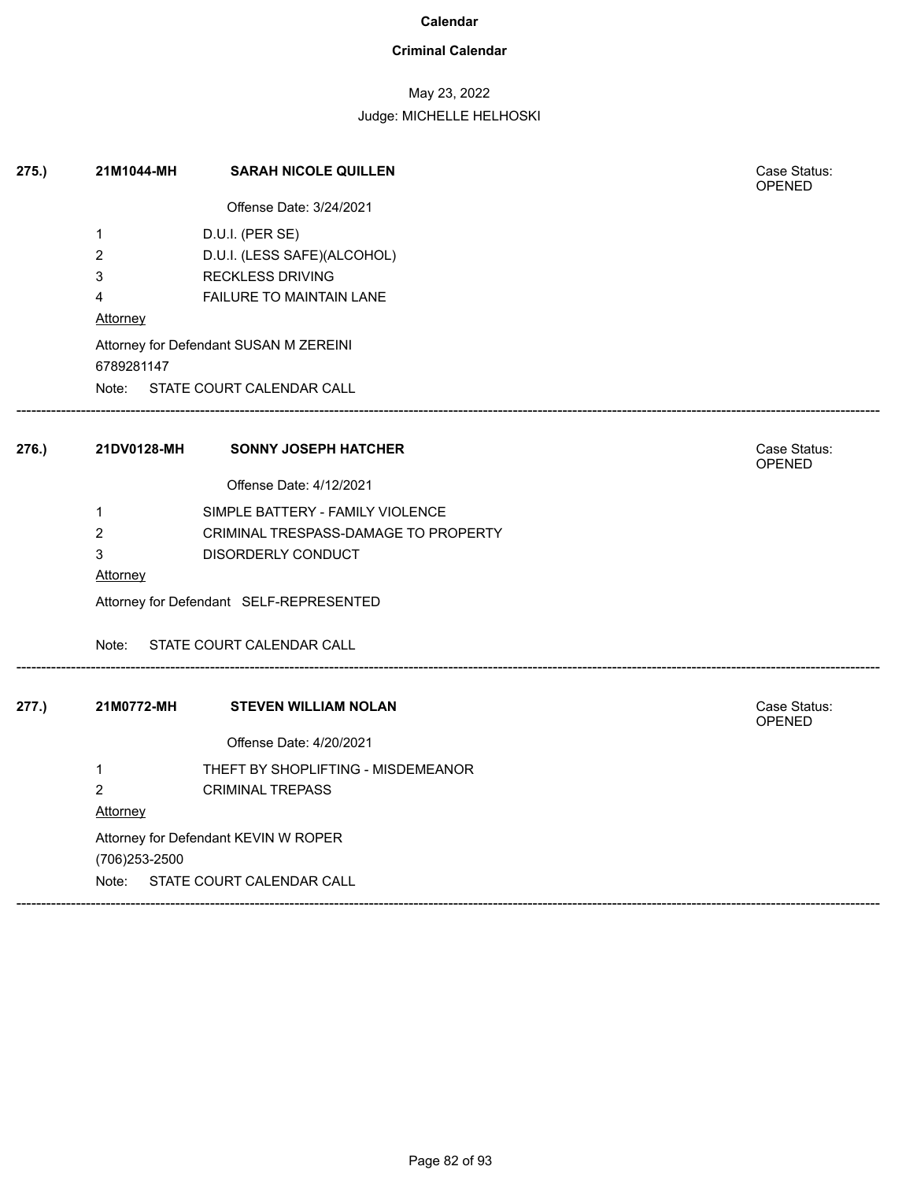## **Criminal Calendar**

# May 23, 2022

| 275.) | 21M1044-MH                         | <b>SARAH NICOLE QUILLEN</b>             | Case Status:<br>OPENED |  |  |  |  |
|-------|------------------------------------|-----------------------------------------|------------------------|--|--|--|--|
|       |                                    | Offense Date: 3/24/2021                 |                        |  |  |  |  |
|       | $\mathbf{1}$                       | D.U.I. (PER SE)                         |                        |  |  |  |  |
|       | $\overline{c}$                     | D.U.I. (LESS SAFE)(ALCOHOL)             |                        |  |  |  |  |
|       | 3                                  | <b>RECKLESS DRIVING</b>                 |                        |  |  |  |  |
|       | 4                                  | FAILURE TO MAINTAIN LANE                |                        |  |  |  |  |
|       | Attorney                           |                                         |                        |  |  |  |  |
|       | 6789281147                         | Attorney for Defendant SUSAN M ZEREINI  |                        |  |  |  |  |
|       |                                    | Note: STATE COURT CALENDAR CALL         |                        |  |  |  |  |
| 276.) | 21DV0128-MH                        | <b>SONNY JOSEPH HATCHER</b>             | Case Status:<br>OPENED |  |  |  |  |
|       |                                    | Offense Date: 4/12/2021                 |                        |  |  |  |  |
|       | $\mathbf{1}$                       | SIMPLE BATTERY - FAMILY VIOLENCE        |                        |  |  |  |  |
|       | $\overline{2}$                     | CRIMINAL TRESPASS-DAMAGE TO PROPERTY    |                        |  |  |  |  |
|       | 3                                  | DISORDERLY CONDUCT                      |                        |  |  |  |  |
|       | Attorney                           |                                         |                        |  |  |  |  |
|       |                                    | Attorney for Defendant SELF-REPRESENTED |                        |  |  |  |  |
|       | Note:                              | STATE COURT CALENDAR CALL               |                        |  |  |  |  |
| 277.) | 21M0772-MH                         | <b>STEVEN WILLIAM NOLAN</b>             | Case Status:<br>OPENED |  |  |  |  |
|       |                                    | Offense Date: 4/20/2021                 |                        |  |  |  |  |
|       | $\mathbf{1}$                       | THEFT BY SHOPLIFTING - MISDEMEANOR      |                        |  |  |  |  |
|       | $\overline{c}$                     | <b>CRIMINAL TREPASS</b>                 |                        |  |  |  |  |
|       | Attorney                           |                                         |                        |  |  |  |  |
|       |                                    | Attorney for Defendant KEVIN W ROPER    |                        |  |  |  |  |
|       | (706) 253-2500                     |                                         |                        |  |  |  |  |
|       | STATE COURT CALENDAR CALL<br>Note: |                                         |                        |  |  |  |  |
|       |                                    |                                         |                        |  |  |  |  |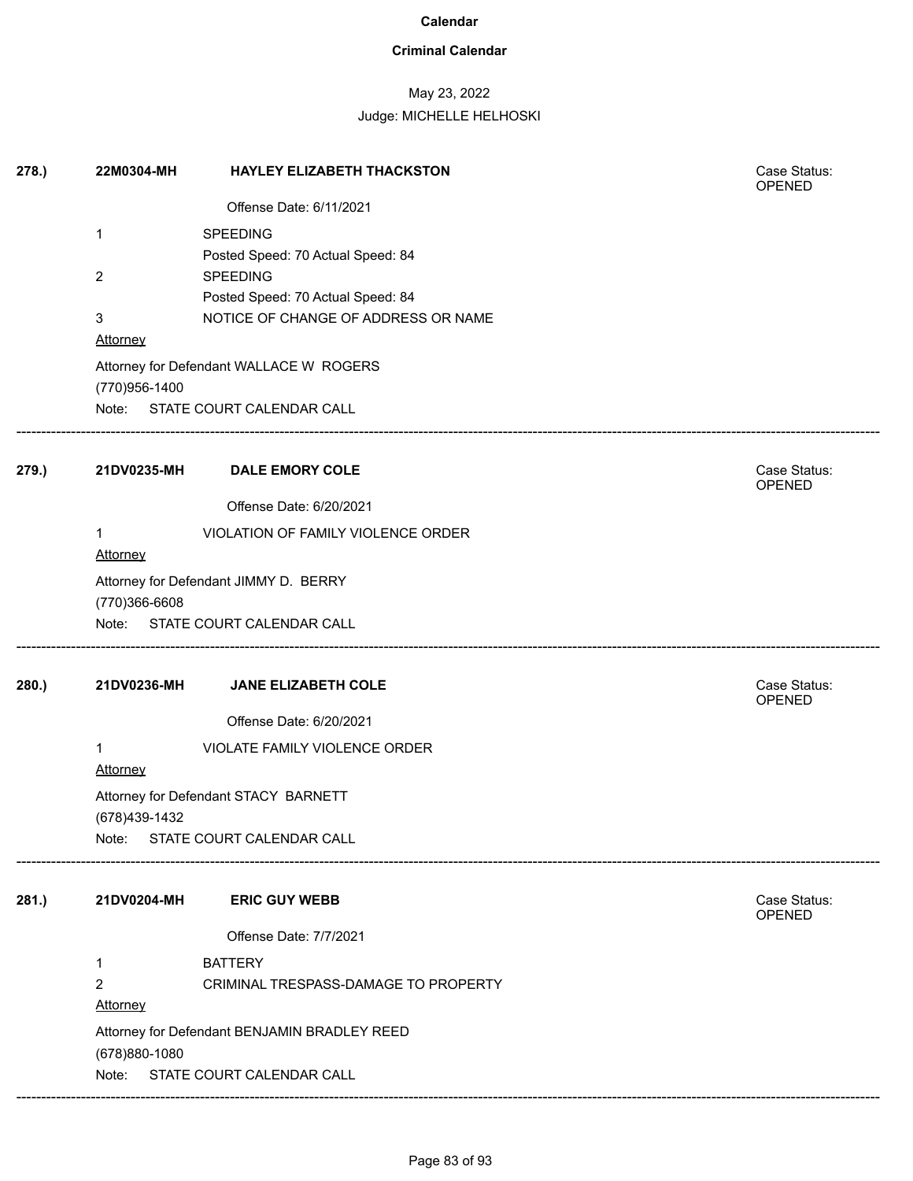## **Criminal Calendar**

# May 23, 2022

| 278.  | 22M0304-MH      | <b>HAYLEY ELIZABETH THACKSTON</b>                                        | Case Status:<br><b>OPENED</b> |
|-------|-----------------|--------------------------------------------------------------------------|-------------------------------|
|       |                 | Offense Date: 6/11/2021                                                  |                               |
|       | 1               | <b>SPEEDING</b>                                                          |                               |
|       |                 | Posted Speed: 70 Actual Speed: 84                                        |                               |
|       | $\overline{2}$  | <b>SPEEDING</b>                                                          |                               |
|       | 3               | Posted Speed: 70 Actual Speed: 84<br>NOTICE OF CHANGE OF ADDRESS OR NAME |                               |
|       | Attorney        |                                                                          |                               |
|       |                 | Attorney for Defendant WALLACE W ROGERS                                  |                               |
|       | (770)956-1400   | Note: STATE COURT CALENDAR CALL                                          |                               |
| 279.) | 21DV0235-MH     | <b>DALE EMORY COLE</b>                                                   | Case Status:<br>OPENED        |
|       |                 | Offense Date: 6/20/2021                                                  |                               |
|       | 1<br>Attorney   | VIOLATION OF FAMILY VIOLENCE ORDER                                       |                               |
|       | (770)366-6608   | Attorney for Defendant JIMMY D. BERRY                                    |                               |
|       |                 | Note: STATE COURT CALENDAR CALL                                          |                               |
| 280.) | 21DV0236-MH     | JANE ELIZABETH COLE                                                      | Case Status:<br>OPENED        |
|       |                 | Offense Date: 6/20/2021                                                  |                               |
|       | 1               | VIOLATE FAMILY VIOLENCE ORDER                                            |                               |
|       | <b>Attorney</b> |                                                                          |                               |
|       |                 | Attorney for Defendant STACY BARNETT                                     |                               |
|       | (678)439-1432   | Note: STATE COURT CALENDAR CALL                                          |                               |
|       |                 |                                                                          |                               |
| 281.) | 21DV0204-MH     | <b>ERIC GUY WEBB</b>                                                     | Case Status:<br><b>OPENED</b> |
|       |                 | Offense Date: 7/7/2021                                                   |                               |
|       | 1               | <b>BATTERY</b>                                                           |                               |
|       | 2               | CRIMINAL TRESPASS-DAMAGE TO PROPERTY                                     |                               |
|       | Attorney        |                                                                          |                               |
|       |                 | Attorney for Defendant BENJAMIN BRADLEY REED                             |                               |
|       | (678) 880-1080  |                                                                          |                               |
|       | Note:           | STATE COURT CALENDAR CALL                                                |                               |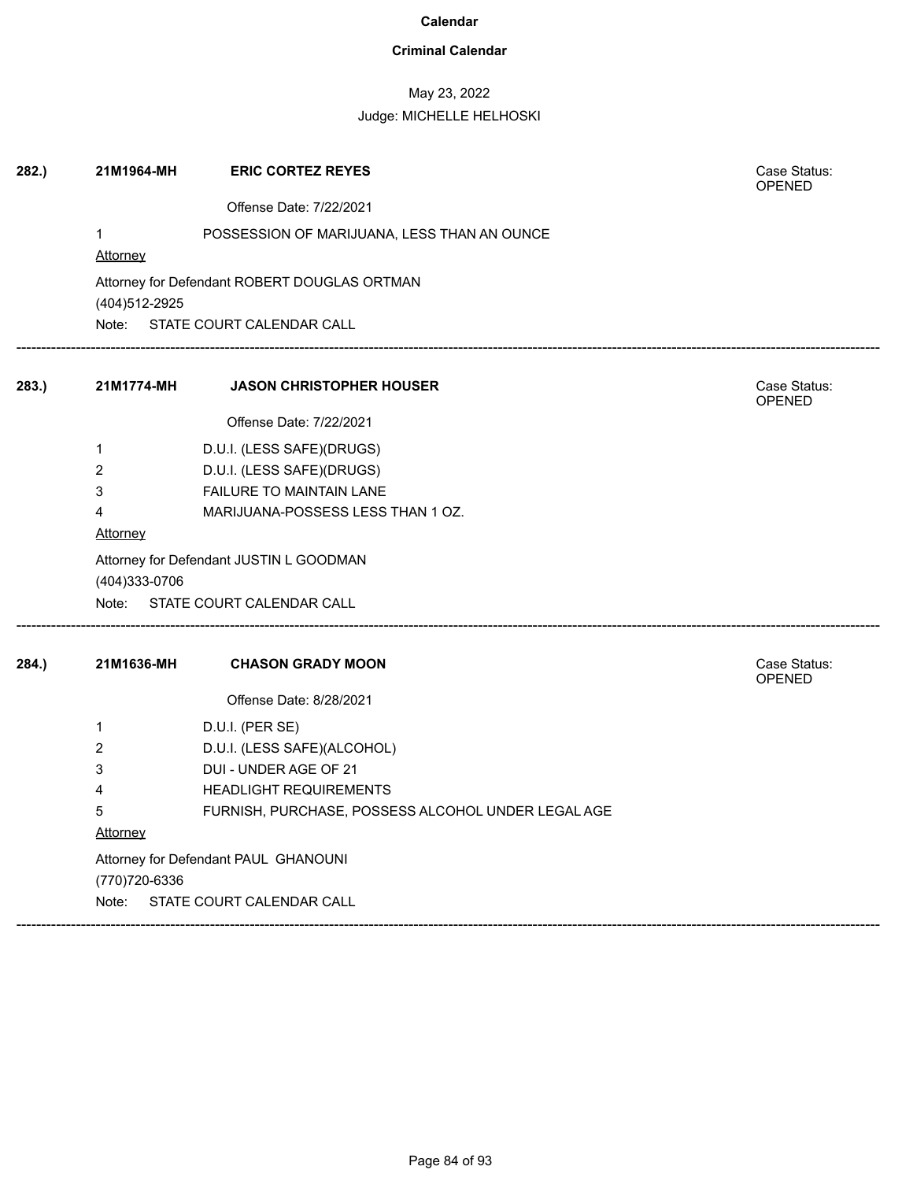## **Criminal Calendar**

# May 23, 2022

| 282.) | 21M1964-MH                              | <b>ERIC CORTEZ REYES</b>                           | Case Status:<br><b>OPENED</b> |  |  |  |
|-------|-----------------------------------------|----------------------------------------------------|-------------------------------|--|--|--|
|       |                                         | Offense Date: 7/22/2021                            |                               |  |  |  |
|       | $\mathbf{1}$<br><b>Attorney</b>         | POSSESSION OF MARIJUANA, LESS THAN AN OUNCE        |                               |  |  |  |
|       | (404) 512-2925                          | Attorney for Defendant ROBERT DOUGLAS ORTMAN       |                               |  |  |  |
|       |                                         | Note: STATE COURT CALENDAR CALL                    |                               |  |  |  |
| 283.) | 21M1774-MH                              | <b>JASON CHRISTOPHER HOUSER</b>                    | Case Status:<br>OPENED        |  |  |  |
|       |                                         | Offense Date: 7/22/2021                            |                               |  |  |  |
|       | 1                                       | D.U.I. (LESS SAFE)(DRUGS)                          |                               |  |  |  |
|       | 2                                       | D.U.I. (LESS SAFE)(DRUGS)                          |                               |  |  |  |
|       | 3                                       | <b>FAILURE TO MAINTAIN LANE</b>                    |                               |  |  |  |
|       | 4                                       | MARIJUANA-POSSESS LESS THAN 1 OZ.                  |                               |  |  |  |
|       | <b>Attorney</b>                         |                                                    |                               |  |  |  |
|       | Attorney for Defendant JUSTIN L GOODMAN |                                                    |                               |  |  |  |
|       | (404)333-0706<br>Note:                  | STATE COURT CALENDAR CALL                          |                               |  |  |  |
| 284.) | 21M1636-MH                              | <b>CHASON GRADY MOON</b>                           | Case Status:                  |  |  |  |
|       |                                         |                                                    | <b>OPENED</b>                 |  |  |  |
|       |                                         | Offense Date: 8/28/2021                            |                               |  |  |  |
|       | 1                                       | D.U.I. (PER SE)                                    |                               |  |  |  |
|       | 2                                       | D.U.I. (LESS SAFE)(ALCOHOL)                        |                               |  |  |  |
|       | 3                                       | DUI - UNDER AGE OF 21                              |                               |  |  |  |
|       | 4                                       | <b>HEADLIGHT REQUIREMENTS</b>                      |                               |  |  |  |
|       | 5                                       | FURNISH, PURCHASE, POSSESS ALCOHOL UNDER LEGAL AGE |                               |  |  |  |
|       |                                         | Attorney                                           |                               |  |  |  |
|       |                                         | Attorney for Defendant PAUL GHANOUNI               |                               |  |  |  |
|       | (770) 720-6336<br>Note:                 | STATE COURT CALENDAR CALL                          |                               |  |  |  |
|       |                                         |                                                    |                               |  |  |  |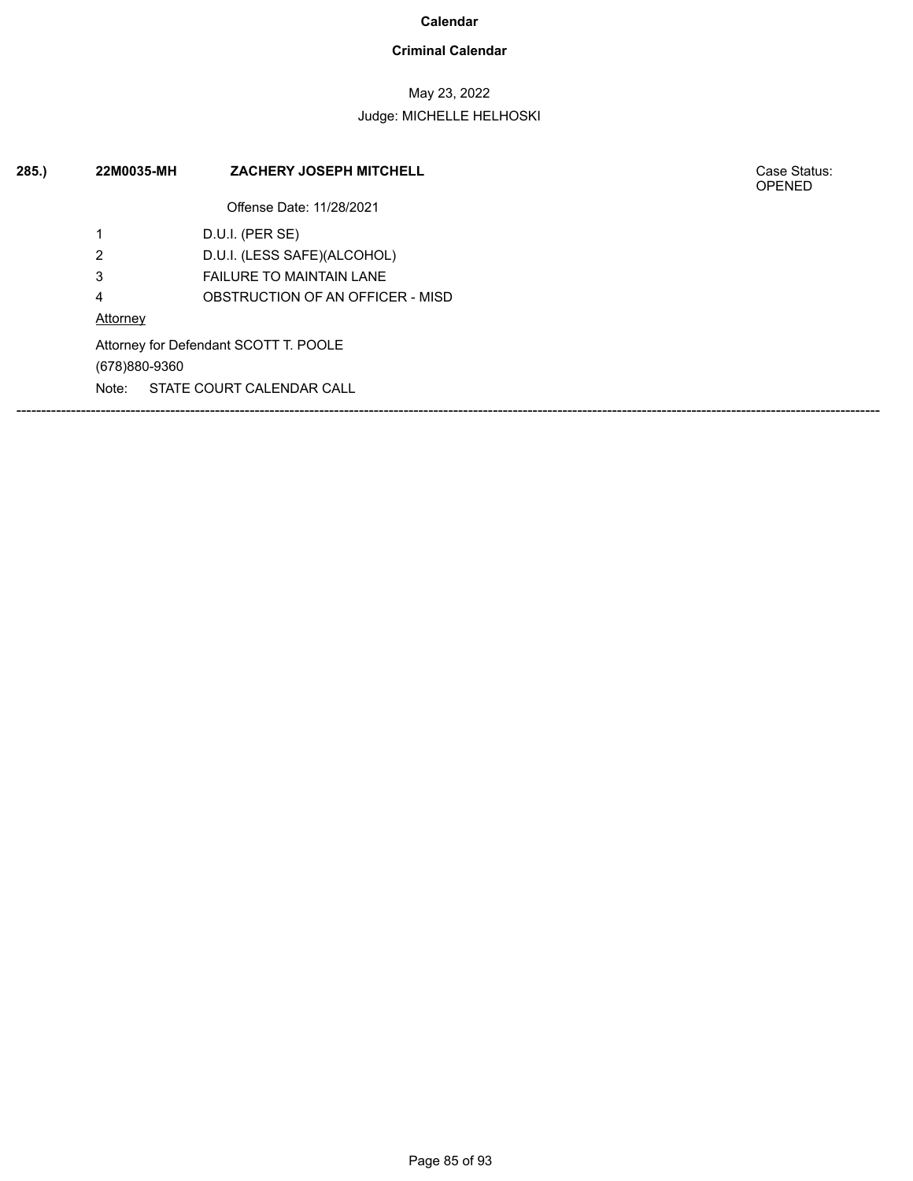## **Criminal Calendar**

# May 23, 2022

## Judge: MICHELLE HELHOSKI

| 285.) | 22M0035-MH    | <b>ZACHERY JOSEPH MITCHELL</b>        | Case Status:<br><b>OPENED</b> |
|-------|---------------|---------------------------------------|-------------------------------|
|       |               | Offense Date: 11/28/2021              |                               |
|       | ٠             | D.U.I. (PER SE)                       |                               |
|       | 2             | D.U.I. (LESS SAFE)(ALCOHOL)           |                               |
|       | 3             | <b>FAILURE TO MAINTAIN LANE</b>       |                               |
|       | 4             | OBSTRUCTION OF AN OFFICER - MISD      |                               |
|       | Attorney      |                                       |                               |
|       | (678)880-9360 | Attorney for Defendant SCOTT T. POOLE |                               |
|       | Note:         | STATE COURT CALENDAR CALL             |                               |

Case Status:<br>OPENED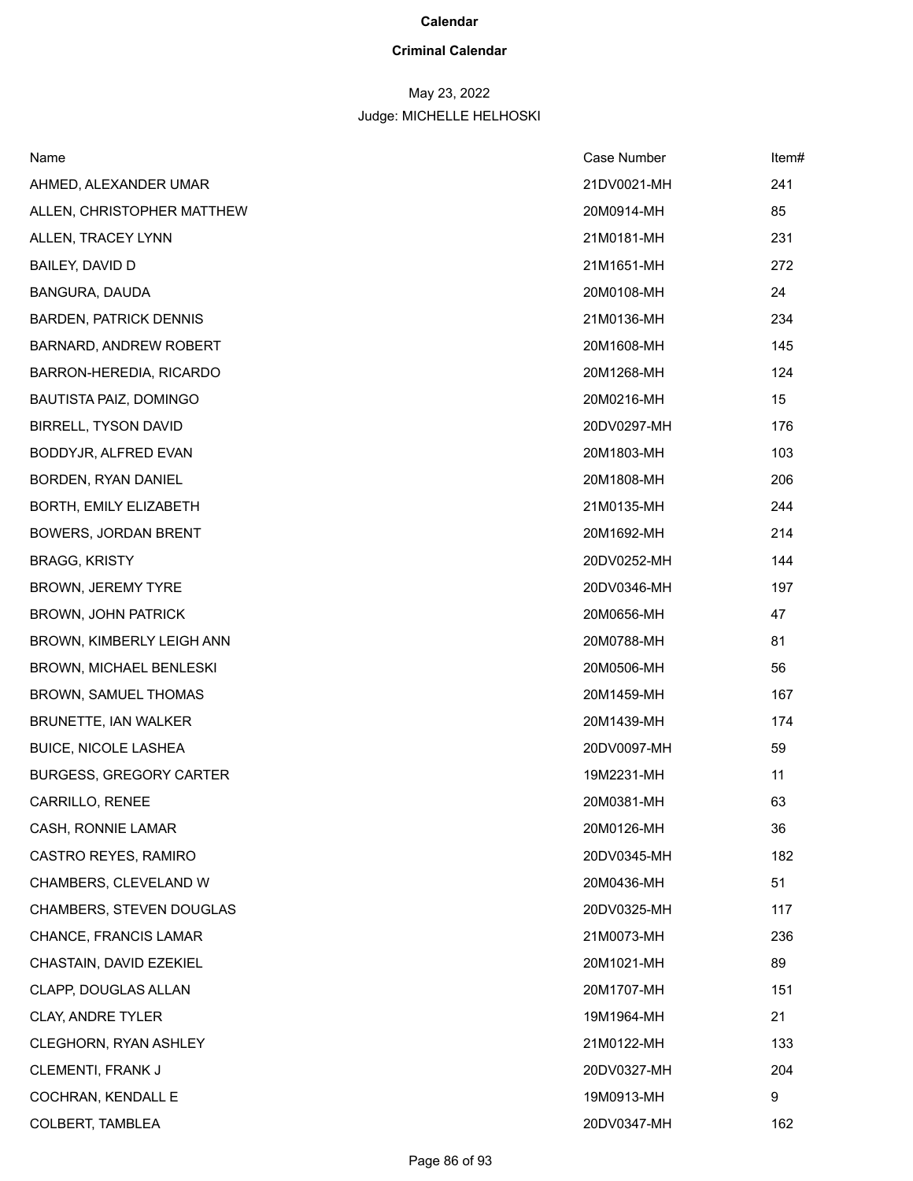# **Criminal Calendar**

# May 23, 2022

| Name                            | Case Number | Item# |
|---------------------------------|-------------|-------|
| AHMED, ALEXANDER UMAR           | 21DV0021-MH | 241   |
| ALLEN, CHRISTOPHER MATTHEW      | 20M0914-MH  | 85    |
| ALLEN, TRACEY LYNN              | 21M0181-MH  | 231   |
| BAILEY, DAVID D                 | 21M1651-MH  | 272   |
| BANGURA, DAUDA                  | 20M0108-MH  | 24    |
| <b>BARDEN, PATRICK DENNIS</b>   | 21M0136-MH  | 234   |
| <b>BARNARD, ANDREW ROBERT</b>   | 20M1608-MH  | 145   |
| BARRON-HEREDIA, RICARDO         | 20M1268-MH  | 124   |
| <b>BAUTISTA PAIZ, DOMINGO</b>   | 20M0216-MH  | 15    |
| <b>BIRRELL, TYSON DAVID</b>     | 20DV0297-MH | 176   |
| BODDYJR, ALFRED EVAN            | 20M1803-MH  | 103   |
| BORDEN, RYAN DANIEL             | 20M1808-MH  | 206   |
| BORTH, EMILY ELIZABETH          | 21M0135-MH  | 244   |
| <b>BOWERS, JORDAN BRENT</b>     | 20M1692-MH  | 214   |
| <b>BRAGG, KRISTY</b>            | 20DV0252-MH | 144   |
| BROWN, JEREMY TYRE              | 20DV0346-MH | 197   |
| <b>BROWN, JOHN PATRICK</b>      | 20M0656-MH  | 47    |
| BROWN, KIMBERLY LEIGH ANN       | 20M0788-MH  | 81    |
| <b>BROWN, MICHAEL BENLESKI</b>  | 20M0506-MH  | 56    |
| <b>BROWN, SAMUEL THOMAS</b>     | 20M1459-MH  | 167   |
| BRUNETTE, IAN WALKER            | 20M1439-MH  | 174   |
| <b>BUICE, NICOLE LASHEA</b>     | 20DV0097-MH | 59    |
| <b>BURGESS, GREGORY CARTER</b>  | 19M2231-MH  | 11    |
| CARRILLO, RENEE                 | 20M0381-MH  | 63    |
| CASH, RONNIE LAMAR              | 20M0126-MH  | 36    |
| CASTRO REYES, RAMIRO            | 20DV0345-MH | 182   |
| CHAMBERS, CLEVELAND W           | 20M0436-MH  | 51    |
| <b>CHAMBERS, STEVEN DOUGLAS</b> | 20DV0325-MH | 117   |
| CHANCE, FRANCIS LAMAR           | 21M0073-MH  | 236   |
| CHASTAIN, DAVID EZEKIEL         | 20M1021-MH  | 89    |
| CLAPP, DOUGLAS ALLAN            | 20M1707-MH  | 151   |
| <b>CLAY, ANDRE TYLER</b>        | 19M1964-MH  | 21    |
| CLEGHORN, RYAN ASHLEY           | 21M0122-MH  | 133   |
| CLEMENTI, FRANK J               | 20DV0327-MH | 204   |
| COCHRAN, KENDALL E              | 19M0913-MH  | 9     |
| COLBERT, TAMBLEA                | 20DV0347-MH | 162   |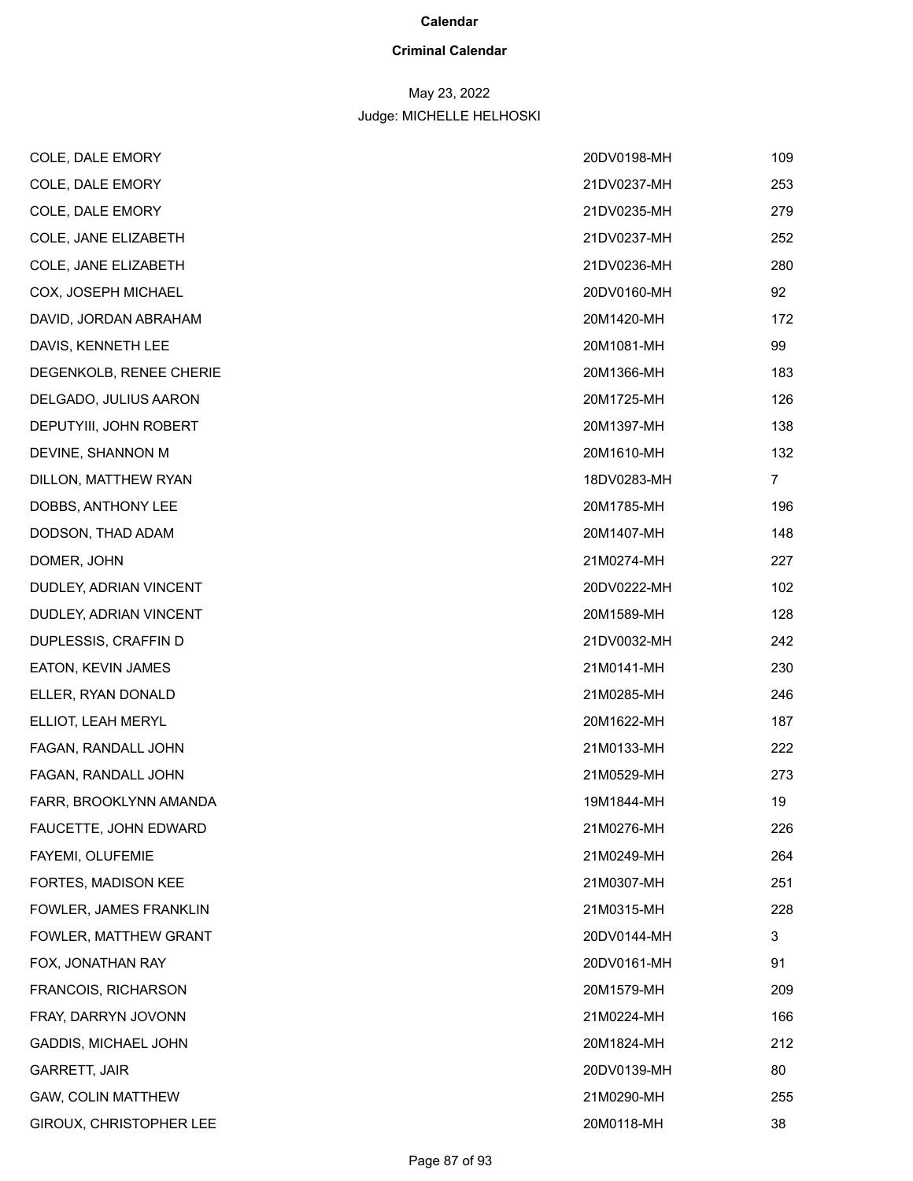# **Criminal Calendar**

# May 23, 2022

| COLE, DALE EMORY           | 20DV0198-MH | 109            |
|----------------------------|-------------|----------------|
| COLE, DALE EMORY           | 21DV0237-MH | 253            |
| COLE, DALE EMORY           | 21DV0235-MH | 279            |
| COLE, JANE ELIZABETH       | 21DV0237-MH | 252            |
| COLE, JANE ELIZABETH       | 21DV0236-MH | 280            |
| COX, JOSEPH MICHAEL        | 20DV0160-MH | 92             |
| DAVID, JORDAN ABRAHAM      | 20M1420-MH  | 172            |
| DAVIS, KENNETH LEE         | 20M1081-MH  | 99             |
| DEGENKOLB, RENEE CHERIE    | 20M1366-MH  | 183            |
| DELGADO, JULIUS AARON      | 20M1725-MH  | 126            |
| DEPUTYIII, JOHN ROBERT     | 20M1397-MH  | 138            |
| DEVINE, SHANNON M          | 20M1610-MH  | 132            |
| DILLON, MATTHEW RYAN       | 18DV0283-MH | $\overline{7}$ |
| DOBBS, ANTHONY LEE         | 20M1785-MH  | 196            |
| DODSON, THAD ADAM          | 20M1407-MH  | 148            |
| DOMER, JOHN                | 21M0274-MH  | 227            |
| DUDLEY, ADRIAN VINCENT     | 20DV0222-MH | 102            |
| DUDLEY, ADRIAN VINCENT     | 20M1589-MH  | 128            |
| DUPLESSIS, CRAFFIN D       | 21DV0032-MH | 242            |
| EATON, KEVIN JAMES         | 21M0141-MH  | 230            |
| ELLER, RYAN DONALD         | 21M0285-MH  | 246            |
| ELLIOT, LEAH MERYL         | 20M1622-MH  | 187            |
| FAGAN, RANDALL JOHN        | 21M0133-MH  | 222            |
| FAGAN, RANDALL JOHN        | 21M0529-MH  | 273            |
| FARR, BROOKLYNN AMANDA     | 19M1844-MH  | 19             |
| FAUCETTE, JOHN EDWARD      | 21M0276-MH  | 226            |
| FAYEMI, OLUFEMIE           | 21M0249-MH  | 264            |
| FORTES, MADISON KEE        | 21M0307-MH  | 251            |
| FOWLER, JAMES FRANKLIN     | 21M0315-MH  | 228            |
| FOWLER, MATTHEW GRANT      | 20DV0144-MH | 3              |
| FOX, JONATHAN RAY          | 20DV0161-MH | 91             |
| <b>FRANCOIS, RICHARSON</b> | 20M1579-MH  | 209            |
| FRAY, DARRYN JOVONN        | 21M0224-MH  | 166            |
| GADDIS, MICHAEL JOHN       | 20M1824-MH  | 212            |
| <b>GARRETT, JAIR</b>       | 20DV0139-MH | 80             |
| GAW, COLIN MATTHEW         | 21M0290-MH  | 255            |
| GIROUX, CHRISTOPHER LEE    | 20M0118-MH  | 38             |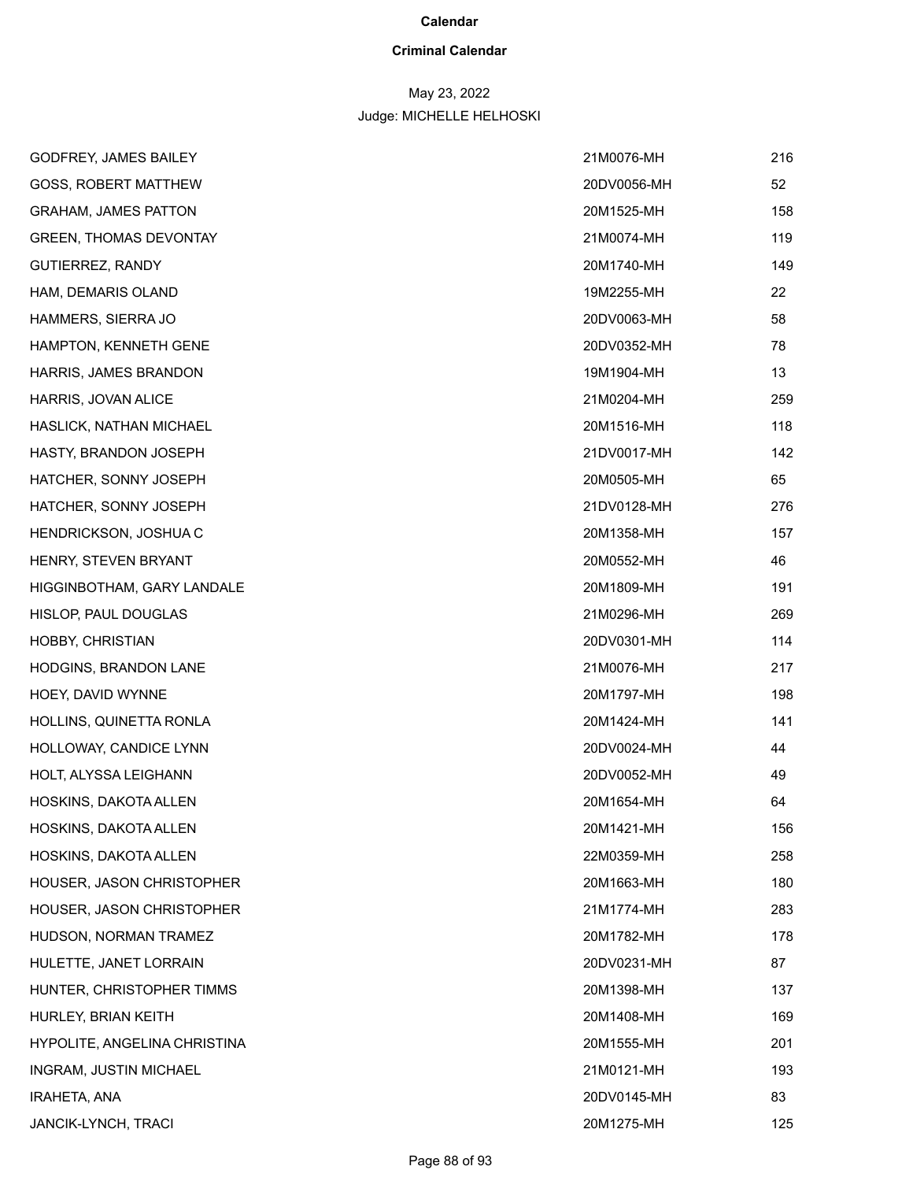## **Criminal Calendar**

# May 23, 2022

| GODFREY, JAMES BAILEY         | 21M0076-MH  | 216 |
|-------------------------------|-------------|-----|
| <b>GOSS, ROBERT MATTHEW</b>   | 20DV0056-MH | 52  |
| <b>GRAHAM, JAMES PATTON</b>   | 20M1525-MH  | 158 |
| <b>GREEN, THOMAS DEVONTAY</b> | 21M0074-MH  | 119 |
| GUTIERREZ, RANDY              | 20M1740-MH  | 149 |
| HAM, DEMARIS OLAND            | 19M2255-MH  | 22  |
| HAMMERS, SIERRA JO            | 20DV0063-MH | 58  |
| HAMPTON, KENNETH GENE         | 20DV0352-MH | 78  |
| HARRIS, JAMES BRANDON         | 19M1904-MH  | 13  |
| HARRIS, JOVAN ALICE           | 21M0204-MH  | 259 |
| HASLICK, NATHAN MICHAEL       | 20M1516-MH  | 118 |
| HASTY, BRANDON JOSEPH         | 21DV0017-MH | 142 |
| HATCHER, SONNY JOSEPH         | 20M0505-MH  | 65  |
| HATCHER, SONNY JOSEPH         | 21DV0128-MH | 276 |
| HENDRICKSON, JOSHUA C         | 20M1358-MH  | 157 |
| HENRY, STEVEN BRYANT          | 20M0552-MH  | 46  |
| HIGGINBOTHAM, GARY LANDALE    | 20M1809-MH  | 191 |
| HISLOP, PAUL DOUGLAS          | 21M0296-MH  | 269 |
| HOBBY, CHRISTIAN              | 20DV0301-MH | 114 |
| HODGINS, BRANDON LANE         | 21M0076-MH  | 217 |
| HOEY, DAVID WYNNE             | 20M1797-MH  | 198 |
| HOLLINS, QUINETTA RONLA       | 20M1424-MH  | 141 |
| HOLLOWAY, CANDICE LYNN        | 20DV0024-MH | 44  |
| HOLT, ALYSSA LEIGHANN         | 20DV0052-MH | 49  |
| HOSKINS, DAKOTA ALLEN         | 20M1654-MH  | 64  |
| HOSKINS, DAKOTA ALLEN         | 20M1421-MH  | 156 |
| HOSKINS, DAKOTA ALLEN         | 22M0359-MH  | 258 |
| HOUSER, JASON CHRISTOPHER     | 20M1663-MH  | 180 |
| HOUSER, JASON CHRISTOPHER     | 21M1774-MH  | 283 |
| HUDSON, NORMAN TRAMEZ         | 20M1782-MH  | 178 |
| HULETTE, JANET LORRAIN        | 20DV0231-MH | 87  |
| HUNTER, CHRISTOPHER TIMMS     | 20M1398-MH  | 137 |
| HURLEY, BRIAN KEITH           | 20M1408-MH  | 169 |
| HYPOLITE, ANGELINA CHRISTINA  | 20M1555-MH  | 201 |
| INGRAM, JUSTIN MICHAEL        | 21M0121-MH  | 193 |
| <b>IRAHETA, ANA</b>           | 20DV0145-MH | 83  |
| <b>JANCIK-LYNCH, TRACI</b>    | 20M1275-MH  | 125 |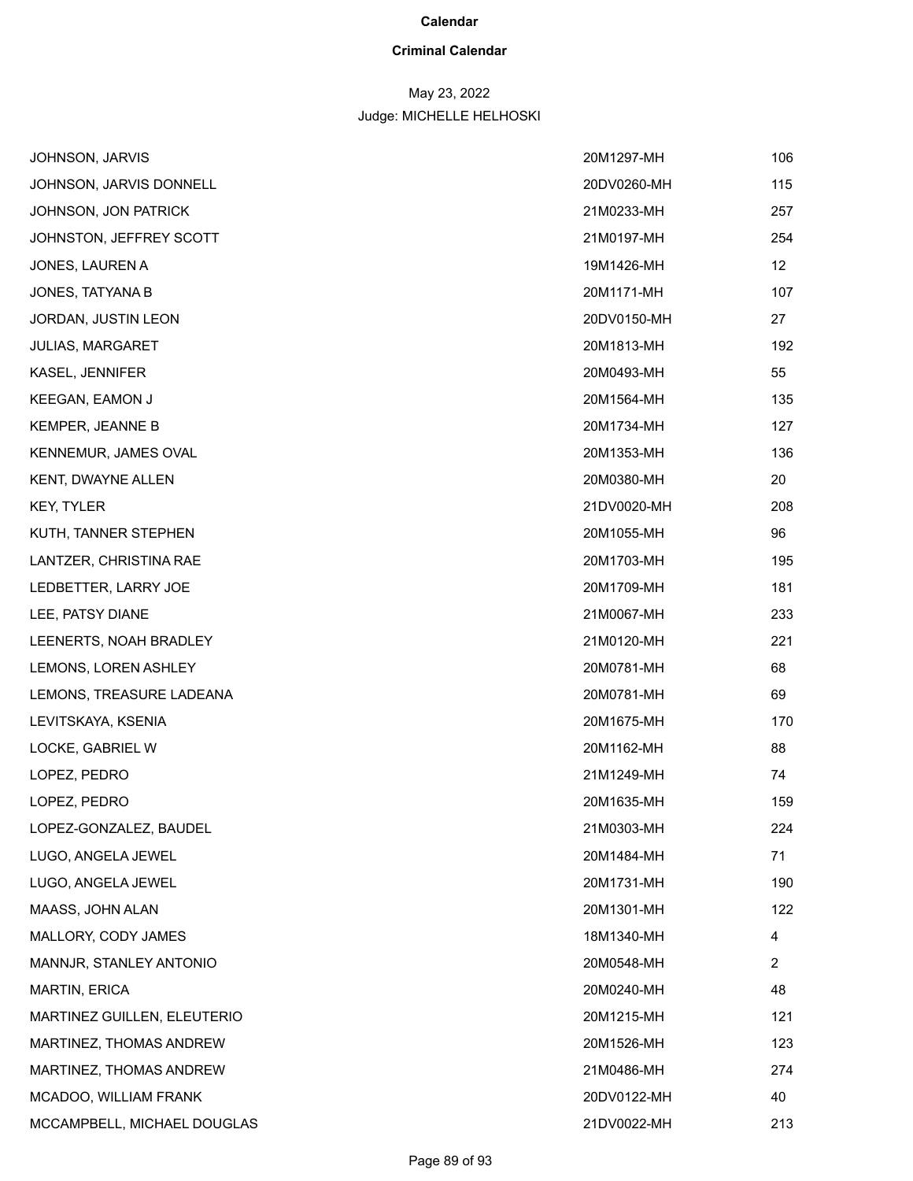# **Criminal Calendar**

# May 23, 2022

| JOHNSON, JARVIS             | 20M1297-MH  | 106            |
|-----------------------------|-------------|----------------|
| JOHNSON, JARVIS DONNELL     | 20DV0260-MH | 115            |
| JOHNSON, JON PATRICK        | 21M0233-MH  | 257            |
| JOHNSTON, JEFFREY SCOTT     | 21M0197-MH  | 254            |
| JONES, LAUREN A             | 19M1426-MH  | 12             |
| JONES, TATYANA B            | 20M1171-MH  | 107            |
| JORDAN, JUSTIN LEON         | 20DV0150-MH | 27             |
| <b>JULIAS, MARGARET</b>     | 20M1813-MH  | 192            |
| KASEL, JENNIFER             | 20M0493-MH  | 55             |
| KEEGAN, EAMON J             | 20M1564-MH  | 135            |
| <b>KEMPER, JEANNE B</b>     | 20M1734-MH  | 127            |
| KENNEMUR, JAMES OVAL        | 20M1353-MH  | 136            |
| KENT, DWAYNE ALLEN          | 20M0380-MH  | 20             |
| <b>KEY, TYLER</b>           | 21DV0020-MH | 208            |
| KUTH, TANNER STEPHEN        | 20M1055-MH  | 96             |
| LANTZER, CHRISTINA RAE      | 20M1703-MH  | 195            |
| LEDBETTER, LARRY JOE        | 20M1709-MH  | 181            |
| LEE, PATSY DIANE            | 21M0067-MH  | 233            |
| LEENERTS, NOAH BRADLEY      | 21M0120-MH  | 221            |
| LEMONS, LOREN ASHLEY        | 20M0781-MH  | 68             |
| LEMONS, TREASURE LADEANA    | 20M0781-MH  | 69             |
| LEVITSKAYA, KSENIA          | 20M1675-MH  | 170            |
| LOCKE, GABRIEL W            | 20M1162-MH  | 88             |
| LOPEZ, PEDRO                | 21M1249-MH  | 74             |
| LOPEZ, PEDRO                | 20M1635-MH  | 159            |
| LOPEZ-GONZALEZ, BAUDEL      | 21M0303-MH  | 224            |
| LUGO, ANGELA JEWEL          | 20M1484-MH  | 71             |
| LUGO, ANGELA JEWEL          | 20M1731-MH  | 190            |
| MAASS, JOHN ALAN            | 20M1301-MH  | 122            |
| MALLORY, CODY JAMES         | 18M1340-MH  | 4              |
| MANNJR, STANLEY ANTONIO     | 20M0548-MH  | $\overline{2}$ |
| MARTIN, ERICA               | 20M0240-MH  | 48             |
| MARTINEZ GUILLEN, ELEUTERIO | 20M1215-MH  | 121            |
| MARTINEZ, THOMAS ANDREW     | 20M1526-MH  | 123            |
| MARTINEZ, THOMAS ANDREW     | 21M0486-MH  | 274            |
| MCADOO, WILLIAM FRANK       | 20DV0122-MH | 40             |
| MCCAMPBELL, MICHAEL DOUGLAS | 21DV0022-MH | 213            |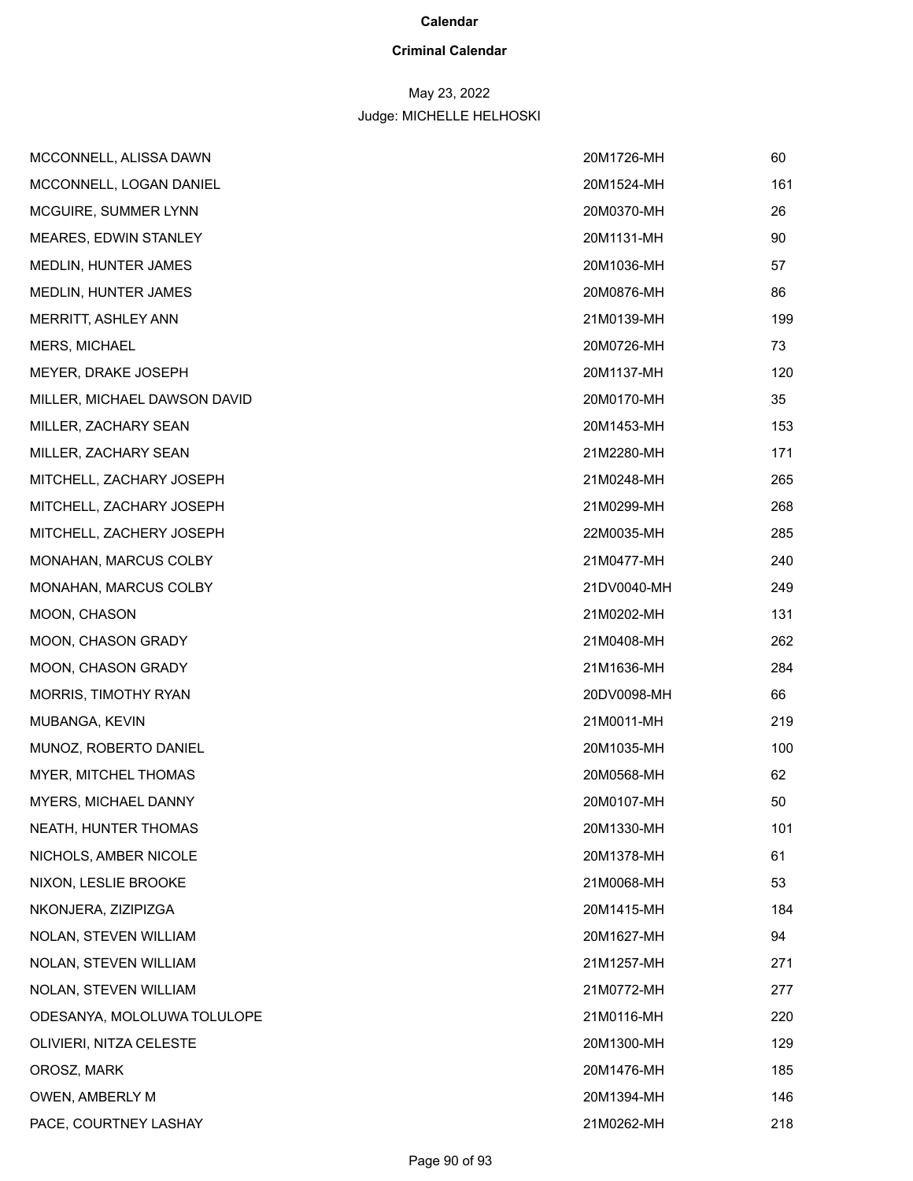## **Criminal Calendar**

# May 23, 2022

| MCCONNELL, ALISSA DAWN       | 20M1726-MH  | 60  |
|------------------------------|-------------|-----|
| MCCONNELL, LOGAN DANIEL      | 20M1524-MH  | 161 |
| MCGUIRE, SUMMER LYNN         | 20M0370-MH  | 26  |
| MEARES, EDWIN STANLEY        | 20M1131-MH  | 90  |
| MEDLIN, HUNTER JAMES         | 20M1036-MH  | 57  |
| MEDLIN, HUNTER JAMES         | 20M0876-MH  | 86  |
| MERRITT, ASHLEY ANN          | 21M0139-MH  | 199 |
| MERS, MICHAEL                | 20M0726-MH  | 73  |
| MEYER, DRAKE JOSEPH          | 20M1137-MH  | 120 |
| MILLER, MICHAEL DAWSON DAVID | 20M0170-MH  | 35  |
| MILLER, ZACHARY SEAN         | 20M1453-MH  | 153 |
| MILLER, ZACHARY SEAN         | 21M2280-MH  | 171 |
| MITCHELL, ZACHARY JOSEPH     | 21M0248-MH  | 265 |
| MITCHELL, ZACHARY JOSEPH     | 21M0299-MH  | 268 |
| MITCHELL, ZACHERY JOSEPH     | 22M0035-MH  | 285 |
| MONAHAN, MARCUS COLBY        | 21M0477-MH  | 240 |
| MONAHAN, MARCUS COLBY        | 21DV0040-MH | 249 |
| MOON, CHASON                 | 21M0202-MH  | 131 |
| MOON, CHASON GRADY           | 21M0408-MH  | 262 |
| MOON, CHASON GRADY           | 21M1636-MH  | 284 |
| MORRIS, TIMOTHY RYAN         | 20DV0098-MH | 66  |
| MUBANGA, KEVIN               | 21M0011-MH  | 219 |
| MUNOZ, ROBERTO DANIEL        | 20M1035-MH  | 100 |
| MYER, MITCHEL THOMAS         | 20M0568-MH  | 62  |
| MYERS, MICHAEL DANNY         | 20M0107-MH  | 50  |
| NEATH, HUNTER THOMAS         | 20M1330-MH  | 101 |
| NICHOLS, AMBER NICOLE        | 20M1378-MH  | 61  |
| NIXON, LESLIE BROOKE         | 21M0068-MH  | 53  |
| NKONJERA, ZIZIPIZGA          | 20M1415-MH  | 184 |
| NOLAN, STEVEN WILLIAM        | 20M1627-MH  | 94  |
| NOLAN, STEVEN WILLIAM        | 21M1257-MH  | 271 |
| NOLAN, STEVEN WILLIAM        | 21M0772-MH  | 277 |
| ODESANYA, MOLOLUWA TOLULOPE  | 21M0116-MH  | 220 |
| OLIVIERI, NITZA CELESTE      | 20M1300-MH  | 129 |
| OROSZ, MARK                  | 20M1476-MH  | 185 |
| OWEN, AMBERLY M              | 20M1394-MH  | 146 |
| PACE, COURTNEY LASHAY        | 21M0262-MH  | 218 |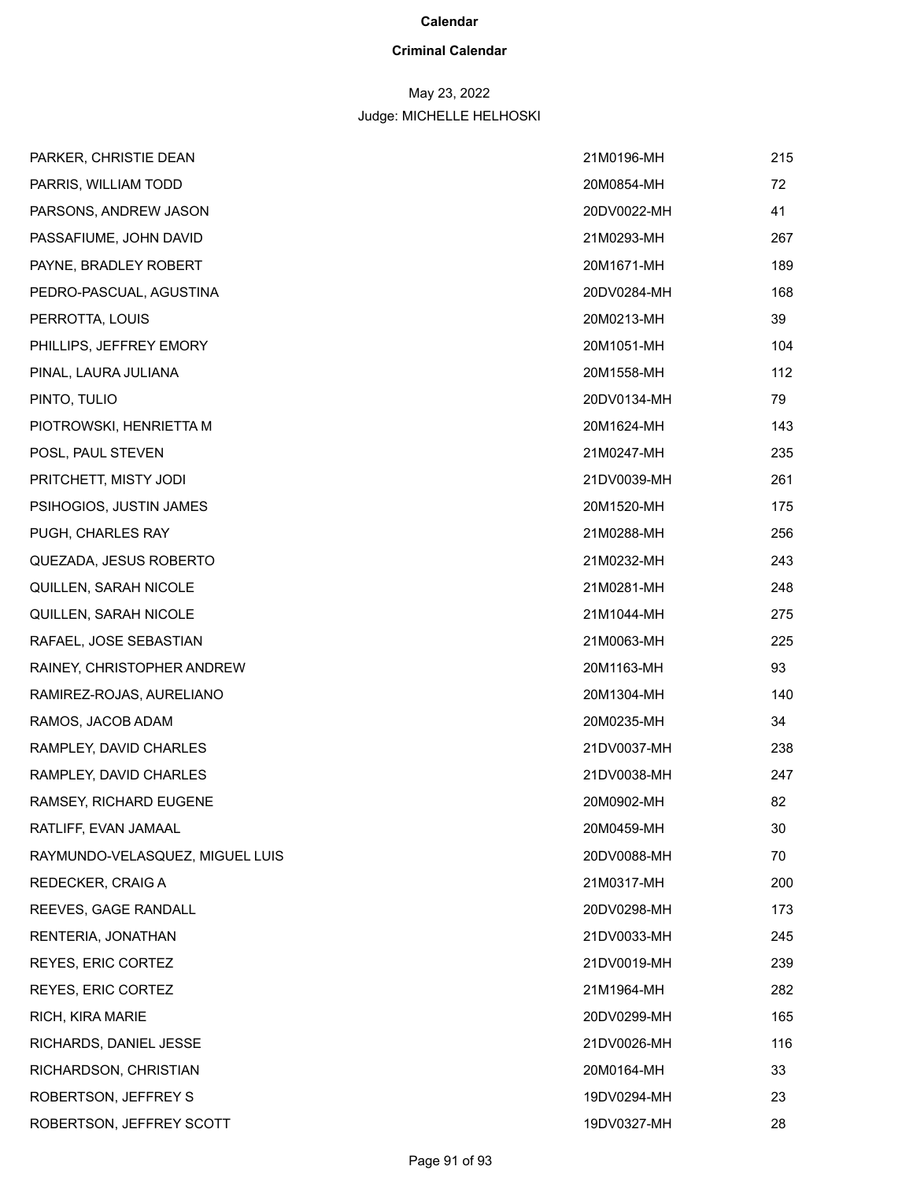# **Criminal Calendar**

# May 23, 2022

| PARKER, CHRISTIE DEAN           | 21M0196-MH  | 215 |
|---------------------------------|-------------|-----|
| PARRIS, WILLIAM TODD            | 20M0854-MH  | 72  |
| PARSONS, ANDREW JASON           | 20DV0022-MH | 41  |
| PASSAFIUME, JOHN DAVID          | 21M0293-MH  | 267 |
| PAYNE, BRADLEY ROBERT           | 20M1671-MH  | 189 |
| PEDRO-PASCUAL, AGUSTINA         | 20DV0284-MH | 168 |
| PERROTTA, LOUIS                 | 20M0213-MH  | 39  |
| PHILLIPS, JEFFREY EMORY         | 20M1051-MH  | 104 |
| PINAL, LAURA JULIANA            | 20M1558-MH  | 112 |
| PINTO, TULIO                    | 20DV0134-MH | 79  |
| PIOTROWSKI, HENRIETTA M         | 20M1624-MH  | 143 |
| POSL, PAUL STEVEN               | 21M0247-MH  | 235 |
| PRITCHETT, MISTY JODI           | 21DV0039-MH | 261 |
| PSIHOGIOS, JUSTIN JAMES         | 20M1520-MH  | 175 |
| PUGH, CHARLES RAY               | 21M0288-MH  | 256 |
| QUEZADA, JESUS ROBERTO          | 21M0232-MH  | 243 |
| QUILLEN, SARAH NICOLE           | 21M0281-MH  | 248 |
| QUILLEN, SARAH NICOLE           | 21M1044-MH  | 275 |
| RAFAEL, JOSE SEBASTIAN          | 21M0063-MH  | 225 |
| RAINEY, CHRISTOPHER ANDREW      | 20M1163-MH  | 93  |
| RAMIREZ-ROJAS, AURELIANO        | 20M1304-MH  | 140 |
| RAMOS, JACOB ADAM               | 20M0235-MH  | 34  |
| RAMPLEY, DAVID CHARLES          | 21DV0037-MH | 238 |
| RAMPLEY, DAVID CHARLES          | 21DV0038-MH | 247 |
| RAMSEY, RICHARD EUGENE          | 20M0902-MH  | 82  |
| RATLIFF, EVAN JAMAAL            | 20M0459-MH  | 30  |
| RAYMUNDO-VELASQUEZ, MIGUEL LUIS | 20DV0088-MH | 70  |
| REDECKER, CRAIG A               | 21M0317-MH  | 200 |
| REEVES, GAGE RANDALL            | 20DV0298-MH | 173 |
| RENTERIA, JONATHAN              | 21DV0033-MH | 245 |
| REYES, ERIC CORTEZ              | 21DV0019-MH | 239 |
| REYES, ERIC CORTEZ              | 21M1964-MH  | 282 |
| RICH, KIRA MARIE                | 20DV0299-MH | 165 |
| RICHARDS, DANIEL JESSE          | 21DV0026-MH | 116 |
| RICHARDSON, CHRISTIAN           | 20M0164-MH  | 33  |
| ROBERTSON, JEFFREY S            | 19DV0294-MH | 23  |
| ROBERTSON, JEFFREY SCOTT        | 19DV0327-MH | 28  |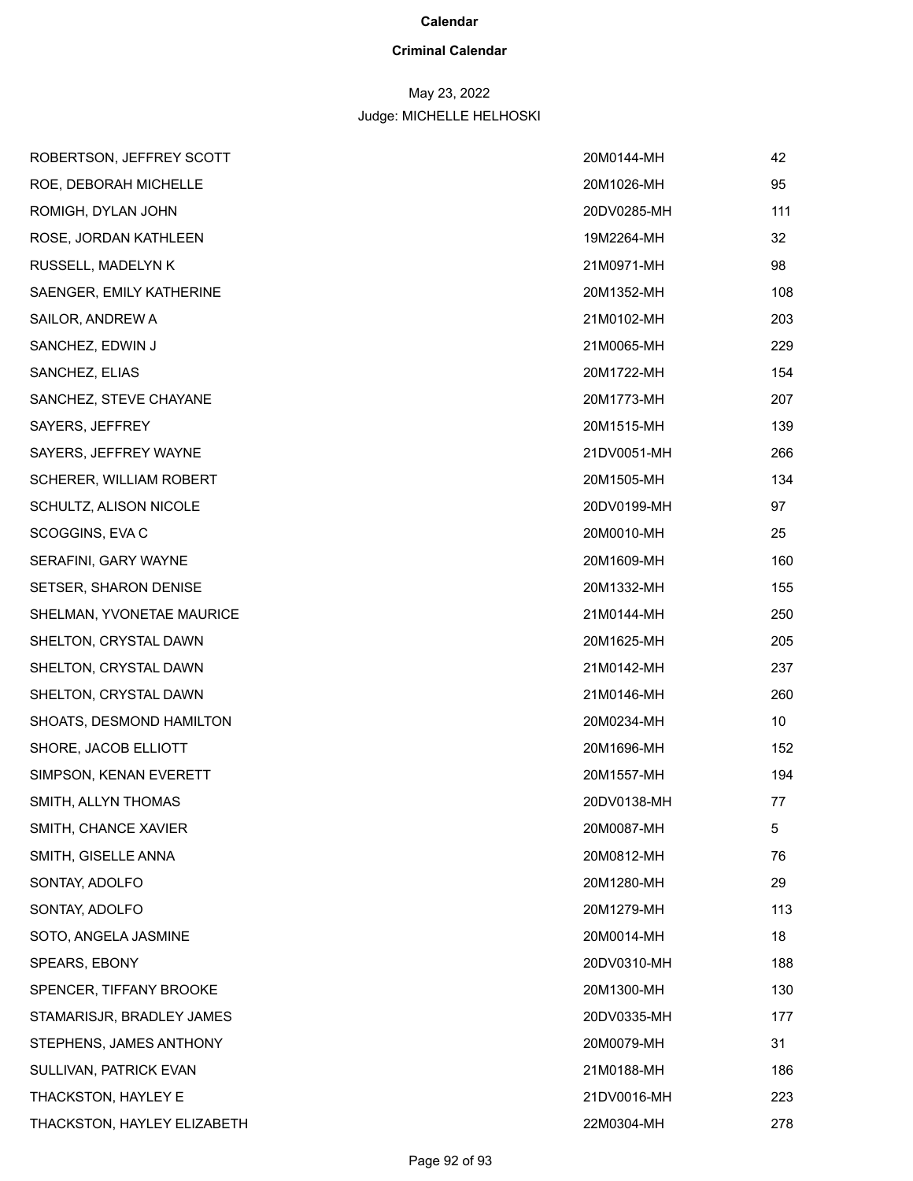# **Criminal Calendar**

# May 23, 2022

| ROBERTSON, JEFFREY SCOTT    | 20M0144-MH  | 42  |
|-----------------------------|-------------|-----|
| ROE, DEBORAH MICHELLE       | 20M1026-MH  | 95  |
| ROMIGH, DYLAN JOHN          | 20DV0285-MH | 111 |
| ROSE, JORDAN KATHLEEN       | 19M2264-MH  | 32  |
| RUSSELL, MADELYN K          | 21M0971-MH  | 98  |
| SAENGER, EMILY KATHERINE    | 20M1352-MH  | 108 |
| SAILOR, ANDREW A            | 21M0102-MH  | 203 |
| SANCHEZ, EDWIN J            | 21M0065-MH  | 229 |
| SANCHEZ, ELIAS              | 20M1722-MH  | 154 |
| SANCHEZ, STEVE CHAYANE      | 20M1773-MH  | 207 |
| SAYERS, JEFFREY             | 20M1515-MH  | 139 |
| SAYERS, JEFFREY WAYNE       | 21DV0051-MH | 266 |
| SCHERER, WILLIAM ROBERT     | 20M1505-MH  | 134 |
| SCHULTZ, ALISON NICOLE      | 20DV0199-MH | 97  |
| SCOGGINS, EVA C             | 20M0010-MH  | 25  |
| SERAFINI, GARY WAYNE        | 20M1609-MH  | 160 |
| SETSER, SHARON DENISE       | 20M1332-MH  | 155 |
| SHELMAN, YVONETAE MAURICE   | 21M0144-MH  | 250 |
| SHELTON, CRYSTAL DAWN       | 20M1625-MH  | 205 |
| SHELTON, CRYSTAL DAWN       | 21M0142-MH  | 237 |
| SHELTON, CRYSTAL DAWN       | 21M0146-MH  | 260 |
| SHOATS, DESMOND HAMILTON    | 20M0234-MH  | 10  |
| SHORE, JACOB ELLIOTT        | 20M1696-MH  | 152 |
| SIMPSON, KENAN EVERETT      | 20M1557-MH  | 194 |
| SMITH, ALLYN THOMAS         | 20DV0138-MH | 77  |
| SMITH, CHANCE XAVIER        | 20M0087-MH  | 5   |
| SMITH, GISELLE ANNA         | 20M0812-MH  | 76  |
| SONTAY, ADOLFO              | 20M1280-MH  | 29  |
| SONTAY, ADOLFO              | 20M1279-MH  | 113 |
| SOTO, ANGELA JASMINE        | 20M0014-MH  | 18  |
| SPEARS, EBONY               | 20DV0310-MH | 188 |
| SPENCER, TIFFANY BROOKE     | 20M1300-MH  | 130 |
| STAMARISJR, BRADLEY JAMES   | 20DV0335-MH | 177 |
| STEPHENS, JAMES ANTHONY     | 20M0079-MH  | 31  |
| SULLIVAN, PATRICK EVAN      | 21M0188-MH  | 186 |
| THACKSTON, HAYLEY E         | 21DV0016-MH | 223 |
| THACKSTON, HAYLEY ELIZABETH | 22M0304-MH  | 278 |